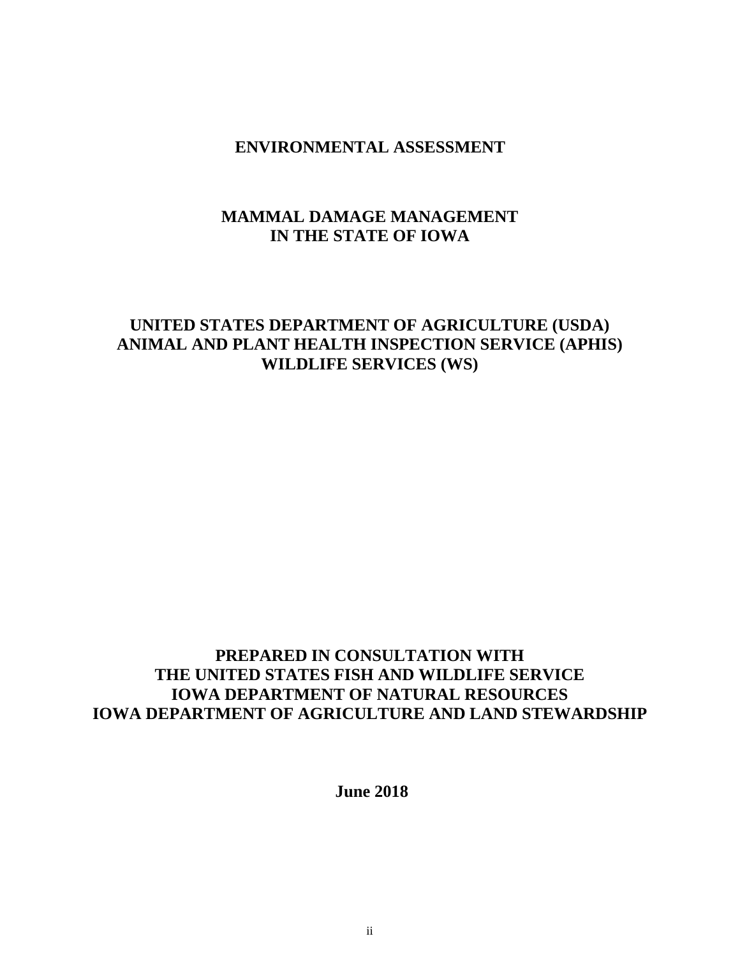# **ENVIRONMENTAL ASSESSMENT**

# **MAMMAL DAMAGE MANAGEMENT IN THE STATE OF IOWA**

# **UNITED STATES DEPARTMENT OF AGRICULTURE (USDA) ANIMAL AND PLANT HEALTH INSPECTION SERVICE (APHIS) WILDLIFE SERVICES (WS)**

# **PREPARED IN CONSULTATION WITH THE UNITED STATES FISH AND WILDLIFE SERVICE IOWA DEPARTMENT OF NATURAL RESOURCES IOWA DEPARTMENT OF AGRICULTURE AND LAND STEWARDSHIP**

**June 2018**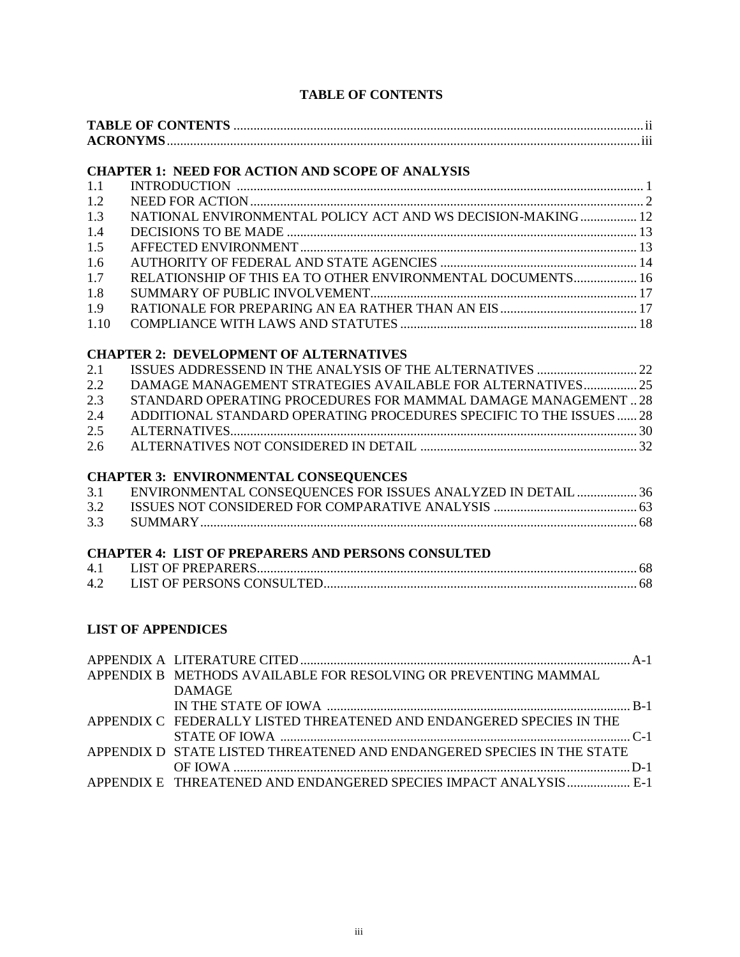# **TABLE OF CONTENTS**

|      | <b>CHAPTER 1: NEED FOR ACTION AND SCOPE OF ANALYSIS</b>                          |  |
|------|----------------------------------------------------------------------------------|--|
| 1.1  |                                                                                  |  |
| 1.2  |                                                                                  |  |
| 1.3  | NATIONAL ENVIRONMENTAL POLICY ACT AND WS DECISION-MAKING 12                      |  |
| 1.4  |                                                                                  |  |
| 1.5  |                                                                                  |  |
| 1.6  |                                                                                  |  |
| 1.7  | RELATIONSHIP OF THIS EA TO OTHER ENVIRONMENTAL DOCUMENTS 16                      |  |
| 1.8  |                                                                                  |  |
| 1.9  |                                                                                  |  |
| 1.10 |                                                                                  |  |
|      | <b>CHAPTER 2: DEVELOPMENT OF ALTERNATIVES</b>                                    |  |
| 2.1  |                                                                                  |  |
| 2.2  | DAMAGE MANAGEMENT STRATEGIES AVAILABLE FOR ALTERNATIVES 25                       |  |
| 2.3  | STANDARD OPERATING PROCEDURES FOR MAMMAL DAMAGE MANAGEMENT  28                   |  |
| 2.4  | ADDITIONAL STANDARD OPERATING PROCEDURES SPECIFIC TO THE ISSUES 28               |  |
| 2.5  |                                                                                  |  |
| 2.6  |                                                                                  |  |
|      | <b>CHAPTER 3: ENVIRONMENTAL CONSEQUENCES</b>                                     |  |
| 3.1  | ENVIRONMENTAL CONSEQUENCES FOR ISSUES ANALYZED IN DETAIL  36                     |  |
| 3.2  |                                                                                  |  |
| 3.3  |                                                                                  |  |
|      | <b>CHAPTER 4: LIST OF PREPARERS AND PERSONS CONSULTED</b>                        |  |
| 4.1  |                                                                                  |  |
| 4.2  |                                                                                  |  |
|      |                                                                                  |  |
|      | <b>LIST OF APPENDICES</b>                                                        |  |
|      |                                                                                  |  |
|      | APPENDIX B METHODS AVAILABLE FOR RESOLVING OR PREVENTING MAMMAL<br><b>DAMAGE</b> |  |
|      |                                                                                  |  |
|      | APPENDIX C FEDERALLY LISTED THREATENED AND ENDANGERED SPECIES IN THE             |  |
|      | APPENDIX D STATE LISTED THREATENED AND ENDANGERED SPECIES IN THE STATE           |  |
|      |                                                                                  |  |

APPENDIX E THREATENED AND ENDANGERED SPECIES IMPACT ANALYSIS................... E-1

OF IOWA .......................................................................................................................D-1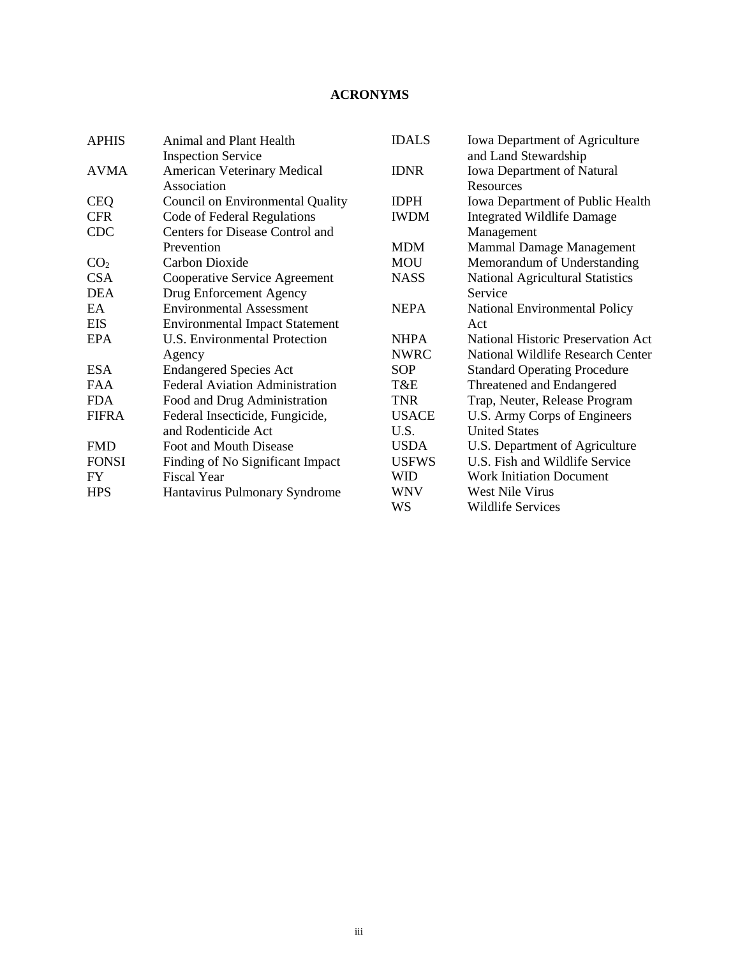# **ACRONYMS**

| <b>Animal and Plant Health</b>         | <b>IDALS</b> | Iowa Department of Agriculture            |
|----------------------------------------|--------------|-------------------------------------------|
| <b>Inspection Service</b>              |              | and Land Stewardship                      |
| <b>American Veterinary Medical</b>     | <b>IDNR</b>  | Iowa Department of Natural                |
| Association                            |              | Resources                                 |
| Council on Environmental Quality       | <b>IDPH</b>  | <b>Iowa Department of Public Health</b>   |
| Code of Federal Regulations            | <b>IWDM</b>  | <b>Integrated Wildlife Damage</b>         |
| Centers for Disease Control and        |              | Management                                |
| Prevention                             | <b>MDM</b>   | Mammal Damage Management                  |
| Carbon Dioxide                         | <b>MOU</b>   | Memorandum of Understanding               |
| Cooperative Service Agreement          | <b>NASS</b>  | National Agricultural Statistics          |
| Drug Enforcement Agency                |              | Service                                   |
| <b>Environmental Assessment</b>        | <b>NEPA</b>  | <b>National Environmental Policy</b>      |
| <b>Environmental Impact Statement</b>  |              | Act                                       |
| <b>U.S. Environmental Protection</b>   | <b>NHPA</b>  | <b>National Historic Preservation Act</b> |
| Agency                                 | <b>NWRC</b>  | National Wildlife Research Center         |
| <b>Endangered Species Act</b>          | <b>SOP</b>   | <b>Standard Operating Procedure</b>       |
| <b>Federal Aviation Administration</b> | T&E          | Threatened and Endangered                 |
| Food and Drug Administration           | <b>TNR</b>   | Trap, Neuter, Release Program             |
| Federal Insecticide, Fungicide,        | <b>USACE</b> | U.S. Army Corps of Engineers              |
| and Rodenticide Act                    | U.S.         | <b>United States</b>                      |
| Foot and Mouth Disease                 | <b>USDA</b>  | U.S. Department of Agriculture            |
| Finding of No Significant Impact       | <b>USFWS</b> | U.S. Fish and Wildlife Service            |
| <b>Fiscal Year</b>                     | <b>WID</b>   | <b>Work Initiation Document</b>           |
| Hantavirus Pulmonary Syndrome          | <b>WNV</b>   | <b>West Nile Virus</b>                    |
|                                        | WS           | <b>Wildlife Services</b>                  |
|                                        |              |                                           |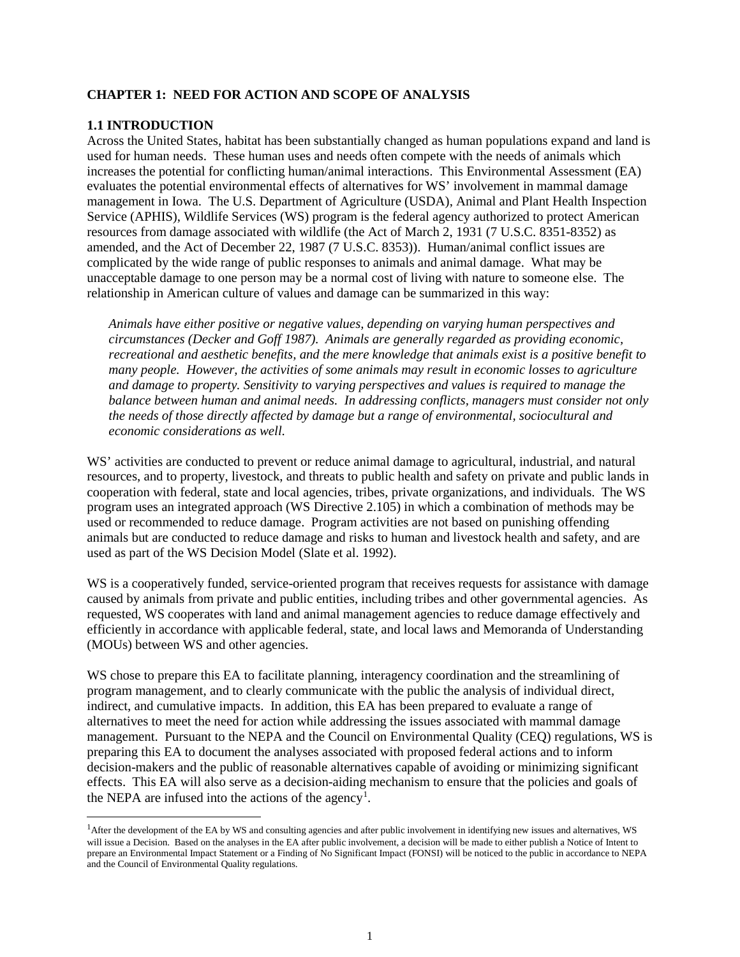#### **CHAPTER 1: NEED FOR ACTION AND SCOPE OF ANALYSIS**

#### **1.1 INTRODUCTION**

Across the United States, habitat has been substantially changed as human populations expand and land is used for human needs. These human uses and needs often compete with the needs of animals which increases the potential for conflicting human/animal interactions. This Environmental Assessment (EA) evaluates the potential environmental effects of alternatives for WS' involvement in mammal damage management in Iowa. The U.S. Department of Agriculture (USDA), Animal and Plant Health Inspection Service (APHIS), Wildlife Services (WS) program is the federal agency authorized to protect American resources from damage associated with wildlife (the Act of March 2, 1931 (7 U.S.C. 8351-8352) as amended, and the Act of December 22, 1987 (7 U.S.C. 8353)). Human/animal conflict issues are complicated by the wide range of public responses to animals and animal damage. What may be unacceptable damage to one person may be a normal cost of living with nature to someone else. The relationship in American culture of values and damage can be summarized in this way:

*Animals have either positive or negative values, depending on varying human perspectives and circumstances (Decker and Goff 1987). Animals are generally regarded as providing economic, recreational and aesthetic benefits, and the mere knowledge that animals exist is a positive benefit to many people. However, the activities of some animals may result in economic losses to agriculture and damage to property. Sensitivity to varying perspectives and values is required to manage the balance between human and animal needs. In addressing conflicts, managers must consider not only the needs of those directly affected by damage but a range of environmental, sociocultural and economic considerations as well.*

WS' activities are conducted to prevent or reduce animal damage to agricultural, industrial, and natural resources, and to property, livestock, and threats to public health and safety on private and public lands in cooperation with federal, state and local agencies, tribes, private organizations, and individuals. The WS program uses an integrated approach (WS Directive 2.105) in which a combination of methods may be used or recommended to reduce damage. Program activities are not based on punishing offending animals but are conducted to reduce damage and risks to human and livestock health and safety, and are used as part of the WS Decision Model (Slate et al. 1992).

WS is a cooperatively funded, service-oriented program that receives requests for assistance with damage caused by animals from private and public entities, including tribes and other governmental agencies. As requested, WS cooperates with land and animal management agencies to reduce damage effectively and efficiently in accordance with applicable federal, state, and local laws and Memoranda of Understanding (MOUs) between WS and other agencies.

WS chose to prepare this EA to facilitate planning, interagency coordination and the streamlining of program management, and to clearly communicate with the public the analysis of individual direct, indirect, and cumulative impacts. In addition, this EA has been prepared to evaluate a range of alternatives to meet the need for action while addressing the issues associated with mammal damage management. Pursuant to the NEPA and the Council on Environmental Quality (CEQ) regulations, WS is preparing this EA to document the analyses associated with proposed federal actions and to inform decision-makers and the public of reasonable alternatives capable of avoiding or minimizing significant effects. This EA will also serve as a decision-aiding mechanism to ensure that the policies and goals of the NEPA are infused into the actions of the agency<sup>[1](#page-3-0)</sup>.

<span id="page-3-0"></span><sup>|&</sup>lt;br>|<br>| <sup>1</sup>After the development of the EA by WS and consulting agencies and after public involvement in identifying new issues and alternatives, WS will issue a Decision. Based on the analyses in the EA after public involvement, a decision will be made to either publish a Notice of Intent to prepare an Environmental Impact Statement or a Finding of No Significant Impact (FONSI) will be noticed to the public in accordance to NEPA and the Council of Environmental Quality regulations.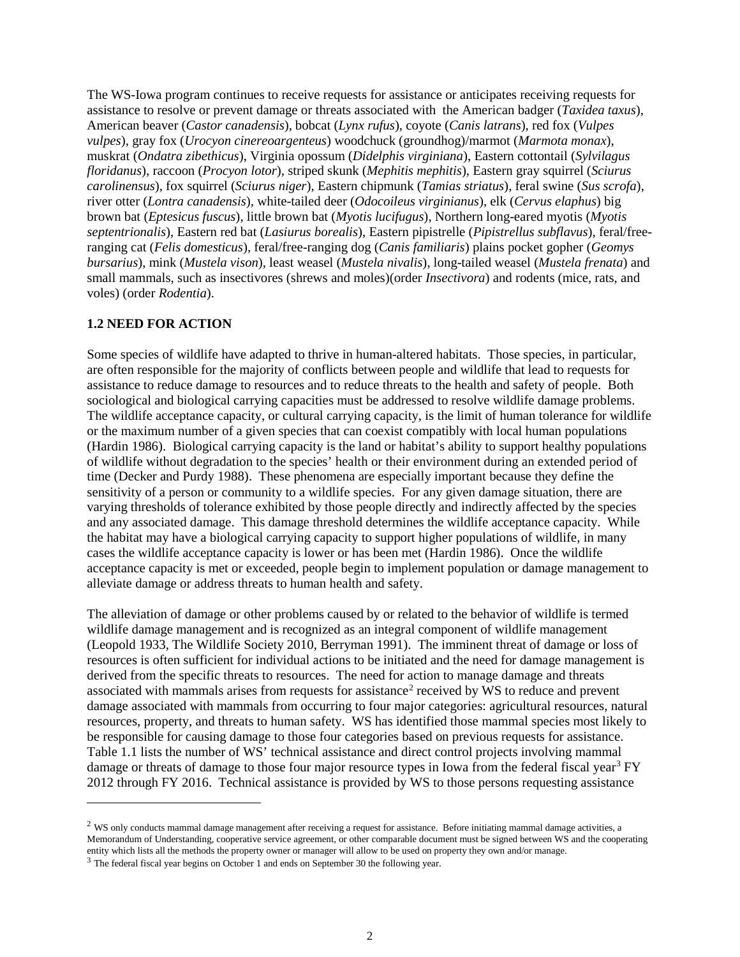The WS-Iowa program continues to receive requests for assistance or anticipates receiving requests for assistance to resolve or prevent damage or threats associated with the American badger (*Taxidea taxus*), American beaver (*Castor canadensis*), bobcat (*Lynx rufus*), coyote (*Canis latrans*), red fox (*Vulpes vulpes*), gray fox (*Urocyon cinereoargenteus*) woodchuck (groundhog)/marmot (*Marmota monax*), muskrat (*Ondatra zibethicus*), Virginia opossum (*Didelphis virginiana*), Eastern cottontail (*Sylvilagus floridanus*), raccoon (*Procyon lotor*), striped skunk (*Mephitis mephitis*), Eastern gray squirrel (*Sciurus carolinensus*), fox squirrel (*Sciurus niger*), Eastern chipmunk (*Tamias striatus*), feral swine (*Sus scrofa*), river otter (*Lontra canadensis*), white-tailed deer (*Odocoileus virginianus*), elk (*Cervus elaphus*) big brown bat (*Eptesicus fuscus*), little brown bat (*Myotis lucifugus*), Northern long-eared myotis (*Myotis septentrionalis*), Eastern red bat (*Lasiurus borealis*), Eastern pipistrelle (*Pipistrellus subflavus*), feral/freeranging cat (*Felis domesticus*), feral/free-ranging dog (*Canis familiaris*) plains pocket gopher (*Geomys bursarius*), mink (*Mustela vison*), least weasel (*Mustela nivalis*), long-tailed weasel (*Mustela frenata*) and small mammals, such as insectivores (shrews and moles)(order *Insectivora*) and rodents (mice, rats, and voles) (order *Rodentia*).

#### **1.2 NEED FOR ACTION**

 $\overline{a}$ 

Some species of wildlife have adapted to thrive in human-altered habitats. Those species, in particular, are often responsible for the majority of conflicts between people and wildlife that lead to requests for assistance to reduce damage to resources and to reduce threats to the health and safety of people. Both sociological and biological carrying capacities must be addressed to resolve wildlife damage problems. The wildlife acceptance capacity, or cultural carrying capacity, is the limit of human tolerance for wildlife or the maximum number of a given species that can coexist compatibly with local human populations (Hardin 1986). Biological carrying capacity is the land or habitat's ability to support healthy populations of wildlife without degradation to the species' health or their environment during an extended period of time (Decker and Purdy 1988). These phenomena are especially important because they define the sensitivity of a person or community to a wildlife species. For any given damage situation, there are varying thresholds of tolerance exhibited by those people directly and indirectly affected by the species and any associated damage. This damage threshold determines the wildlife acceptance capacity. While the habitat may have a biological carrying capacity to support higher populations of wildlife, in many cases the wildlife acceptance capacity is lower or has been met (Hardin 1986). Once the wildlife acceptance capacity is met or exceeded, people begin to implement population or damage management to alleviate damage or address threats to human health and safety.

The alleviation of damage or other problems caused by or related to the behavior of wildlife is termed wildlife damage management and is recognized as an integral component of wildlife management (Leopold 1933, The Wildlife Society 2010, Berryman 1991). The imminent threat of damage or loss of resources is often sufficient for individual actions to be initiated and the need for damage management is derived from the specific threats to resources. The need for action to manage damage and threats associated with mammals arises from requests for assistance<sup>[2](#page-4-0)</sup> received by WS to reduce and prevent damage associated with mammals from occurring to four major categories: agricultural resources, natural resources, property, and threats to human safety. WS has identified those mammal species most likely to be responsible for causing damage to those four categories based on previous requests for assistance. Table 1.1 lists the number of WS' technical assistance and direct control projects involving mammal damage or threats of damage to those four major resource types in Iowa from the federal fiscal year<sup>[3](#page-4-1)</sup> FY 2012 through FY 2016. Technical assistance is provided by WS to those persons requesting assistance

<span id="page-4-0"></span> $<sup>2</sup>$  WS only conducts mammal damage management after receiving a request for assistance. Before initiating mammal damage activities, a</sup> Memorandum of Understanding, cooperative service agreement, or other comparable document must be signed between WS and the cooperating entity which lists all the methods the property owner or manager will allow to be used on property they own and/or manage.

<span id="page-4-1"></span><sup>&</sup>lt;sup>3</sup> The federal fiscal year begins on October 1 and ends on September 30 the following year.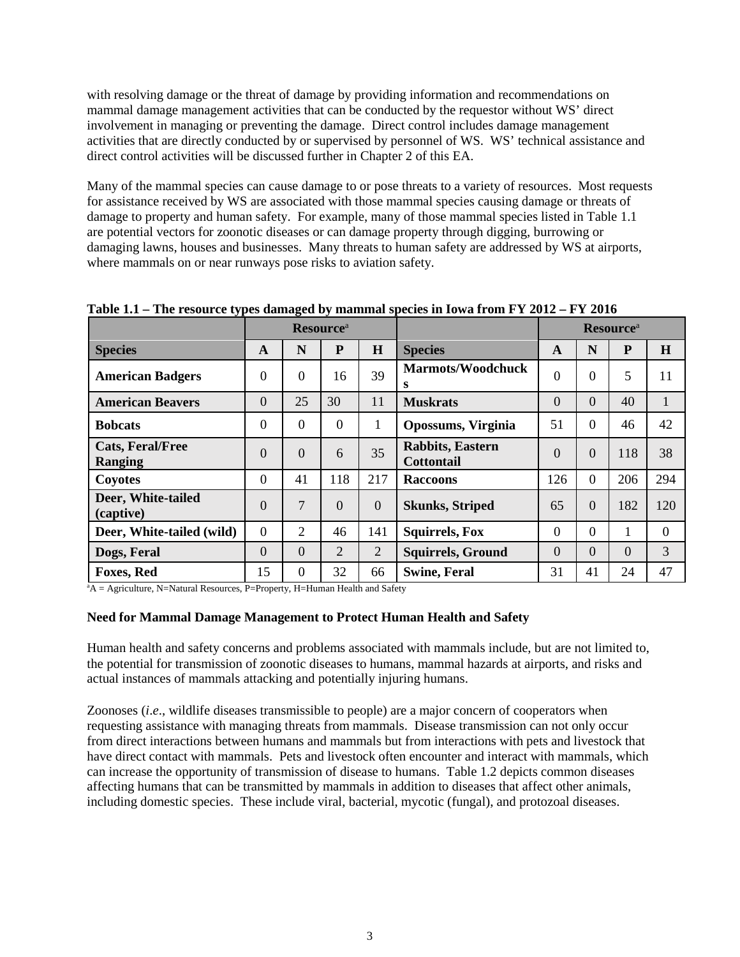with resolving damage or the threat of damage by providing information and recommendations on mammal damage management activities that can be conducted by the requestor without WS' direct involvement in managing or preventing the damage. Direct control includes damage management activities that are directly conducted by or supervised by personnel of WS. WS' technical assistance and direct control activities will be discussed further in Chapter 2 of this EA.

Many of the mammal species can cause damage to or pose threats to a variety of resources. Most requests for assistance received by WS are associated with those mammal species causing damage or threats of damage to property and human safety. For example, many of those mammal species listed in Table 1.1 are potential vectors for zoonotic diseases or can damage property through digging, burrowing or damaging lawns, houses and businesses. Many threats to human safety are addressed by WS at airports, where mammals on or near runways pose risks to aviation safety.

|                                           | <b>Resource</b> <sup>a</sup> |          |                |                |                                              | <b>Resource</b> <sup>a</sup> |          |                |          |
|-------------------------------------------|------------------------------|----------|----------------|----------------|----------------------------------------------|------------------------------|----------|----------------|----------|
| <b>Species</b>                            | A                            | N        | ${\bf P}$      | H              | <b>Species</b>                               | A                            | N        | ${\bf P}$      | H        |
| <b>American Badgers</b>                   | $\theta$                     | $\Omega$ | 16             | 39             | <b>Marmots/Woodchuck</b><br>s                | $\theta$                     | 0        | 5              | 11       |
| <b>American Beavers</b>                   | $\theta$                     | 25       | 30             | 11             | <b>Muskrats</b>                              | $\Omega$                     | $\Omega$ | 40             | 1        |
| <b>Bobcats</b>                            | $\theta$                     | $\Omega$ | $\Omega$       | 1              | <b>Opossums, Virginia</b>                    | 51                           | 0        | 46             | 42       |
| <b>Cats, Feral/Free</b><br><b>Ranging</b> | $\overline{0}$               | $\Omega$ | 6              | 35             | <b>Rabbits, Eastern</b><br><b>Cottontail</b> | $\Omega$                     | 0        | 118            | 38       |
| Coyotes                                   | $\overline{0}$               | 41       | 118            | 217            | <b>Raccoons</b>                              | 126                          | $\Omega$ | 206            | 294      |
| Deer, White-tailed<br>(captive)           | $\overline{0}$               | 7        | $\overline{0}$ | $\overline{0}$ | <b>Skunks, Striped</b>                       | 65                           | $\Omega$ | 182            | 120      |
| Deer, White-tailed (wild)                 | $\overline{0}$               | 2        | 46             | 141            | <b>Squirrels, Fox</b>                        | $\Omega$                     | 0        | 1              | $\Omega$ |
| Dogs, Feral                               | $\overline{0}$               | $\Omega$ | $\overline{2}$ | $\overline{2}$ | <b>Squirrels, Ground</b>                     | $\Omega$                     | $\Omega$ | $\overline{0}$ | 3        |
| <b>Foxes, Red</b>                         | 15                           | $\Omega$ | 32             | 66             | <b>Swine, Feral</b>                          | 31                           | 41       | 24             | 47       |

**Table 1.1 – The resource types damaged by mammal species in Iowa from FY 2012 – FY 2016** 

<sup>a</sup>A = Agriculture, N=Natural Resources, P=Property, H=Human Health and Safety

### **Need for Mammal Damage Management to Protect Human Health and Safety**

Human health and safety concerns and problems associated with mammals include, but are not limited to, the potential for transmission of zoonotic diseases to humans, mammal hazards at airports, and risks and actual instances of mammals attacking and potentially injuring humans.

Zoonoses (*i*.*e*., wildlife diseases transmissible to people) are a major concern of cooperators when requesting assistance with managing threats from mammals. Disease transmission can not only occur from direct interactions between humans and mammals but from interactions with pets and livestock that have direct contact with mammals. Pets and livestock often encounter and interact with mammals, which can increase the opportunity of transmission of disease to humans. Table 1.2 depicts common diseases affecting humans that can be transmitted by mammals in addition to diseases that affect other animals, including domestic species. These include viral, bacterial, mycotic (fungal), and protozoal diseases.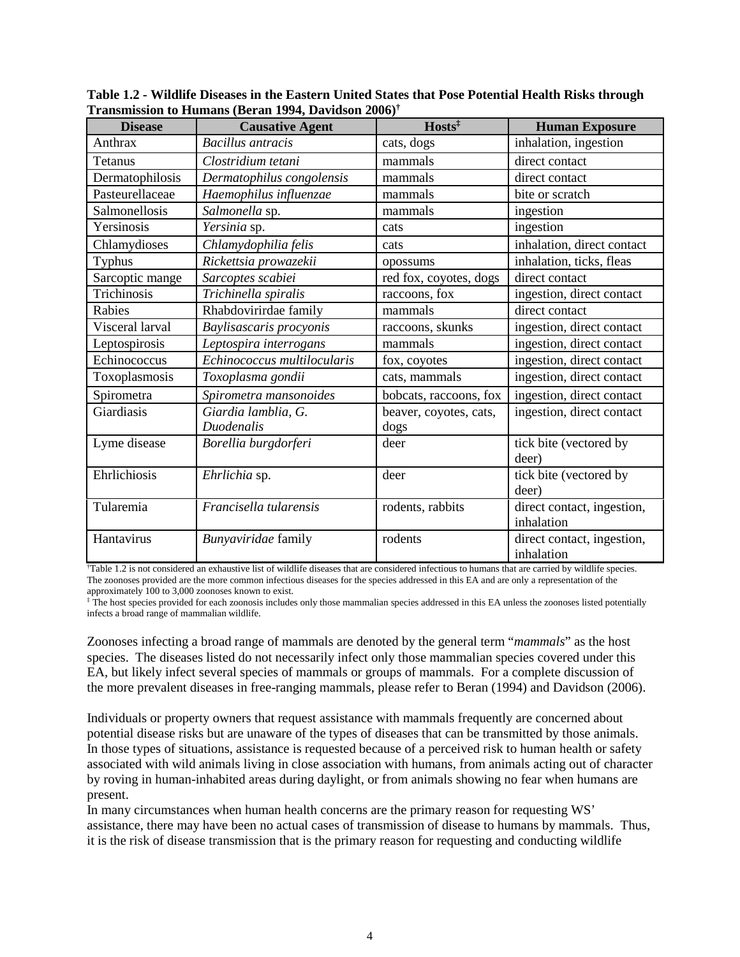| <b>Disease</b>  | $-0.12 - 0.07$<br><b>Causative Agent</b> | Hosts <sup>‡</sup>             | <b>Human Exposure</b>                    |
|-----------------|------------------------------------------|--------------------------------|------------------------------------------|
| Anthrax         | <b>Bacillus</b> antracis                 | cats, dogs                     | inhalation, ingestion                    |
| Tetanus         | Clostridium tetani                       | mammals                        | direct contact                           |
| Dermatophilosis | Dermatophilus congolensis                | mammals                        | direct contact                           |
| Pasteurellaceae | Haemophilus influenzae                   | mammals                        | bite or scratch                          |
| Salmonellosis   | Salmonella sp.                           | mammals                        | ingestion                                |
| Yersinosis      | Yersinia sp.                             | cats                           | ingestion                                |
| Chlamydioses    | Chlamydophilia felis                     | cats                           | inhalation, direct contact               |
| <b>Typhus</b>   | Rickettsia prowazekii                    | opossums                       | inhalation, ticks, fleas                 |
| Sarcoptic mange | Sarcoptes scabiei                        | red fox, coyotes, dogs         | direct contact                           |
| Trichinosis     | Trichinella spiralis                     | raccoons, fox                  | ingestion, direct contact                |
| Rabies          | Rhabdovirirdae family                    | mammals                        | direct contact                           |
| Visceral larval | Baylisascaris procyonis                  | raccoons, skunks               | ingestion, direct contact                |
| Leptospirosis   | Leptospira interrogans                   | mammals                        | ingestion, direct contact                |
| Echinococcus    | Echinococcus multilocularis              | fox, coyotes                   | ingestion, direct contact                |
| Toxoplasmosis   | Toxoplasma gondii                        | cats, mammals                  | ingestion, direct contact                |
| Spirometra      | Spirometra mansonoides                   | bobcats, raccoons, fox         | ingestion, direct contact                |
| Giardiasis      | Giardia lamblia, G.<br><b>Duodenalis</b> | beaver, coyotes, cats,<br>dogs | ingestion, direct contact                |
| Lyme disease    | Borellia burgdorferi                     | deer                           | tick bite (vectored by<br>deer)          |
| Ehrlichiosis    | Ehrlichia sp.                            | deer                           | tick bite (vectored by<br>deer)          |
| Tularemia       | Francisella tularensis                   | rodents, rabbits               | direct contact, ingestion,<br>inhalation |
| Hantavirus      | Bunyaviridae family                      | rodents                        | direct contact, ingestion,<br>inhalation |

**Table 1.2 - Wildlife Diseases in the Eastern United States that Pose Potential Health Risks through Transmission to Humans (Beran 1994, Davidson 2006) †**

† Table 1.2 is not considered an exhaustive list of wildlife diseases that are considered infectious to humans that are carried by wildlife species. The zoonoses provided are the more common infectious diseases for the species addressed in this EA and are only a representation of the approximately 100 to 3,000 zoonoses known to exist.

‡ The host species provided for each zoonosis includes only those mammalian species addressed in this EA unless the zoonoses listed potentially infects a broad range of mammalian wildlife.

Zoonoses infecting a broad range of mammals are denoted by the general term "*mammals*" as the host species. The diseases listed do not necessarily infect only those mammalian species covered under this EA, but likely infect several species of mammals or groups of mammals. For a complete discussion of the more prevalent diseases in free-ranging mammals, please refer to Beran (1994) and Davidson (2006).

Individuals or property owners that request assistance with mammals frequently are concerned about potential disease risks but are unaware of the types of diseases that can be transmitted by those animals. In those types of situations, assistance is requested because of a perceived risk to human health or safety associated with wild animals living in close association with humans, from animals acting out of character by roving in human-inhabited areas during daylight, or from animals showing no fear when humans are present.

In many circumstances when human health concerns are the primary reason for requesting WS' assistance, there may have been no actual cases of transmission of disease to humans by mammals. Thus, it is the risk of disease transmission that is the primary reason for requesting and conducting wildlife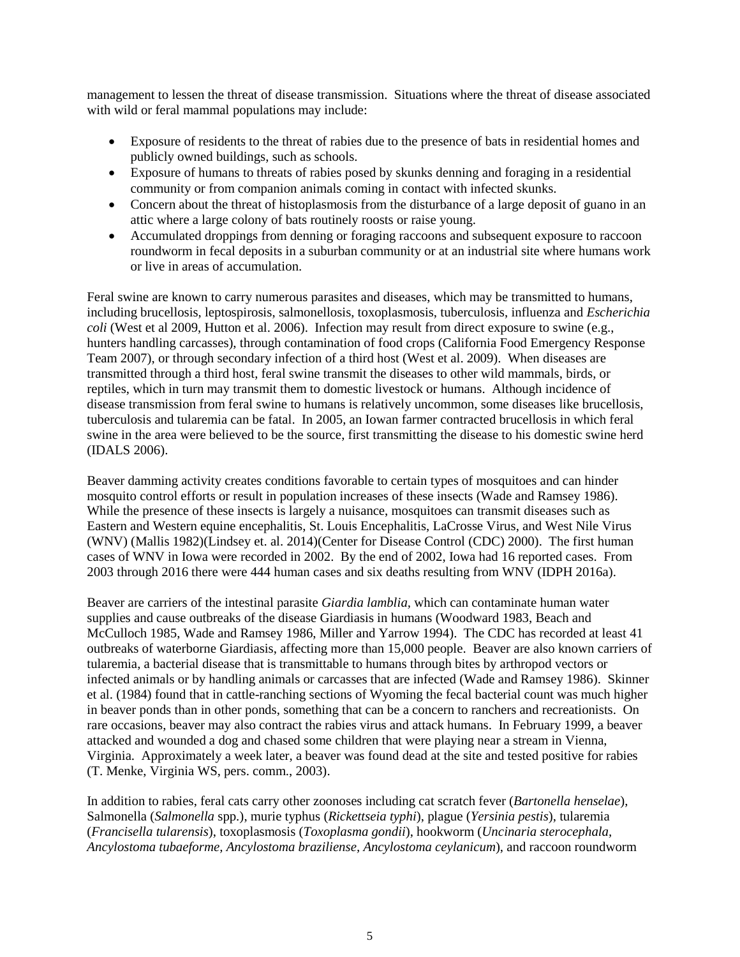management to lessen the threat of disease transmission. Situations where the threat of disease associated with wild or feral mammal populations may include:

- Exposure of residents to the threat of rabies due to the presence of bats in residential homes and publicly owned buildings, such as schools.
- Exposure of humans to threats of rabies posed by skunks denning and foraging in a residential community or from companion animals coming in contact with infected skunks.
- Concern about the threat of histoplasmosis from the disturbance of a large deposit of guano in an attic where a large colony of bats routinely roosts or raise young.
- Accumulated droppings from denning or foraging raccoons and subsequent exposure to raccoon roundworm in fecal deposits in a suburban community or at an industrial site where humans work or live in areas of accumulation.

Feral swine are known to carry numerous parasites and diseases, which may be transmitted to humans, including brucellosis, leptospirosis, salmonellosis, toxoplasmosis, tuberculosis, influenza and *Escherichia coli* (West et al 2009, Hutton et al. 2006). Infection may result from direct exposure to swine (e.g., hunters handling carcasses), through contamination of food crops (California Food Emergency Response Team 2007), or through secondary infection of a third host (West et al. 2009). When diseases are transmitted through a third host, feral swine transmit the diseases to other wild mammals, birds, or reptiles, which in turn may transmit them to domestic livestock or humans. Although incidence of disease transmission from feral swine to humans is relatively uncommon, some diseases like brucellosis, tuberculosis and tularemia can be fatal. In 2005, an Iowan farmer contracted brucellosis in which feral swine in the area were believed to be the source, first transmitting the disease to his domestic swine herd (IDALS 2006).

Beaver damming activity creates conditions favorable to certain types of mosquitoes and can hinder mosquito control efforts or result in population increases of these insects (Wade and Ramsey 1986). While the presence of these insects is largely a nuisance, mosquitoes can transmit diseases such as Eastern and Western equine encephalitis, St. Louis Encephalitis, LaCrosse Virus, and West Nile Virus (WNV) (Mallis 1982)(Lindsey et. al. 2014)(Center for Disease Control (CDC) 2000). The first human cases of WNV in Iowa were recorded in 2002. By the end of 2002, Iowa had 16 reported cases. From 2003 through 2016 there were 444 human cases and six deaths resulting from WNV (IDPH 2016a).

Beaver are carriers of the intestinal parasite *Giardia lamblia,* which can contaminate human water supplies and cause outbreaks of the disease Giardiasis in humans (Woodward 1983, Beach and McCulloch 1985, Wade and Ramsey 1986, Miller and Yarrow 1994). The CDC has recorded at least 41 outbreaks of waterborne Giardiasis, affecting more than 15,000 people. Beaver are also known carriers of tularemia, a bacterial disease that is transmittable to humans through bites by arthropod vectors or infected animals or by handling animals or carcasses that are infected (Wade and Ramsey 1986). Skinner et al. (1984) found that in cattle-ranching sections of Wyoming the fecal bacterial count was much higher in beaver ponds than in other ponds, something that can be a concern to ranchers and recreationists. On rare occasions, beaver may also contract the rabies virus and attack humans. In February 1999, a beaver attacked and wounded a dog and chased some children that were playing near a stream in Vienna, Virginia. Approximately a week later, a beaver was found dead at the site and tested positive for rabies (T. Menke, Virginia WS, pers. comm., 2003).

In addition to rabies, feral cats carry other zoonoses including cat scratch fever (*Bartonella henselae*), Salmonella (*Salmonella* spp.), murie typhus (*Rickettseia typhi*), plague (*Yersinia pestis*), tularemia (*Francisella tularensis*), toxoplasmosis (*Toxoplasma gondii*), hookworm (*Uncinaria sterocephala, Ancylostoma tubaeforme, Ancylostoma braziliense, Ancylostoma ceylanicum*), and raccoon roundworm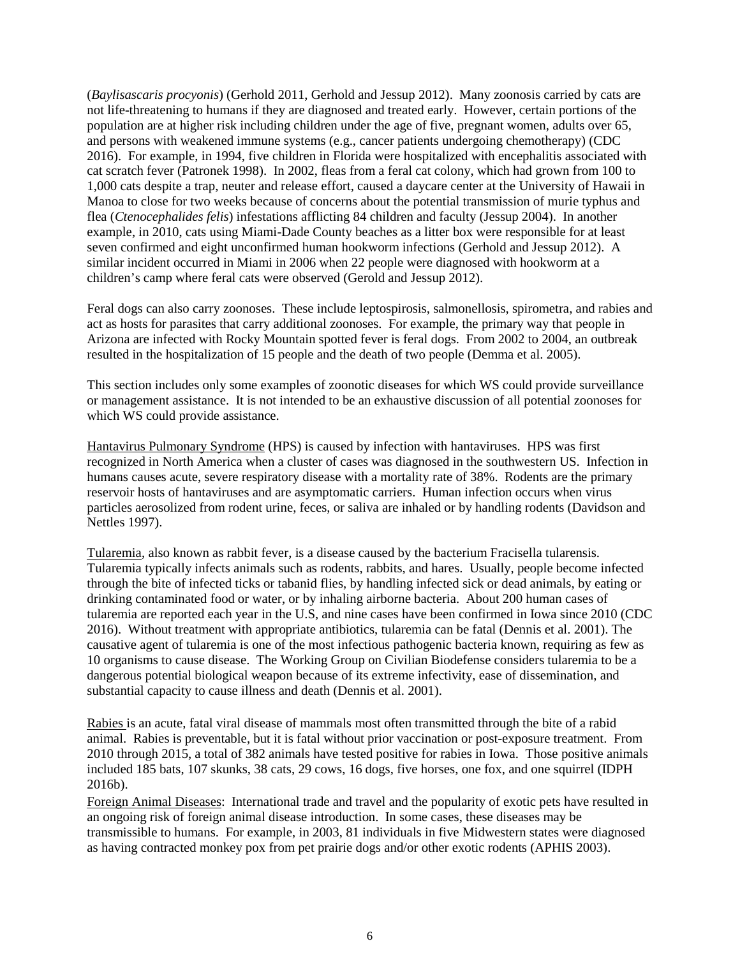(*Baylisascaris procyonis*) (Gerhold 2011, Gerhold and Jessup 2012). Many zoonosis carried by cats are not life-threatening to humans if they are diagnosed and treated early. However, certain portions of the population are at higher risk including children under the age of five, pregnant women, adults over 65, and persons with weakened immune systems (e.g., cancer patients undergoing chemotherapy) (CDC 2016). For example, in 1994, five children in Florida were hospitalized with encephalitis associated with cat scratch fever (Patronek 1998). In 2002, fleas from a feral cat colony, which had grown from 100 to 1,000 cats despite a trap, neuter and release effort, caused a daycare center at the University of Hawaii in Manoa to close for two weeks because of concerns about the potential transmission of murie typhus and flea (*Ctenocephalides felis*) infestations afflicting 84 children and faculty (Jessup 2004). In another example, in 2010, cats using Miami-Dade County beaches as a litter box were responsible for at least seven confirmed and eight unconfirmed human hookworm infections (Gerhold and Jessup 2012). A similar incident occurred in Miami in 2006 when 22 people were diagnosed with hookworm at a children's camp where feral cats were observed (Gerold and Jessup 2012).

Feral dogs can also carry zoonoses. These include leptospirosis, salmonellosis, spirometra, and rabies and act as hosts for parasites that carry additional zoonoses. For example, the primary way that people in Arizona are infected with Rocky Mountain spotted fever is feral dogs. From 2002 to 2004, an outbreak resulted in the hospitalization of 15 people and the death of two people (Demma et al. 2005).

This section includes only some examples of zoonotic diseases for which WS could provide surveillance or management assistance. It is not intended to be an exhaustive discussion of all potential zoonoses for which WS could provide assistance.

Hantavirus Pulmonary Syndrome (HPS) is caused by infection with hantaviruses. HPS was first recognized in North America when a cluster of cases was diagnosed in the southwestern US. Infection in humans causes acute, severe respiratory disease with a mortality rate of 38%. Rodents are the primary reservoir hosts of hantaviruses and are asymptomatic carriers. Human infection occurs when virus particles aerosolized from rodent urine, feces, or saliva are inhaled or by handling rodents (Davidson and Nettles 1997).

Tularemia, also known as rabbit fever, is a disease caused by the bacterium Fracisella tularensis. Tularemia typically infects animals such as rodents, rabbits, and hares. Usually, people become infected through the bite of infected ticks or tabanid flies, by handling infected sick or dead animals, by eating or drinking contaminated food or water, or by inhaling airborne bacteria. About 200 human cases of tularemia are reported each year in the U.S, and nine cases have been confirmed in Iowa since 2010 (CDC 2016). Without treatment with appropriate antibiotics, tularemia can be fatal (Dennis et al. 2001). The causative agent of tularemia is one of the most infectious pathogenic bacteria known, requiring as few as 10 organisms to cause disease. The Working Group on Civilian Biodefense considers tularemia to be a dangerous potential biological weapon because of its extreme infectivity, ease of dissemination, and substantial capacity to cause illness and death (Dennis et al. 2001).

Rabies is an acute, fatal viral disease of mammals most often transmitted through the bite of a rabid animal. Rabies is preventable, but it is fatal without prior vaccination or post-exposure treatment. From 2010 through 2015, a total of 382 animals have tested positive for rabies in Iowa. Those positive animals included 185 bats, 107 skunks, 38 cats, 29 cows, 16 dogs, five horses, one fox, and one squirrel (IDPH 2016b).

Foreign Animal Diseases: International trade and travel and the popularity of exotic pets have resulted in an ongoing risk of foreign animal disease introduction. In some cases, these diseases may be transmissible to humans. For example, in 2003, 81 individuals in five Midwestern states were diagnosed as having contracted monkey pox from pet prairie dogs and/or other exotic rodents (APHIS 2003).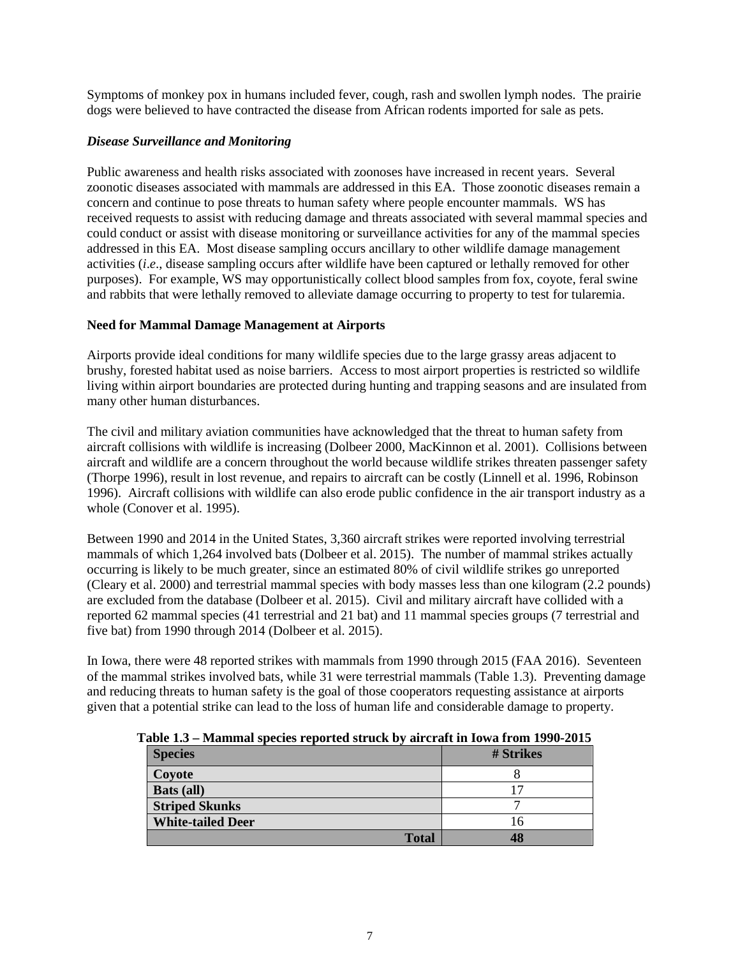Symptoms of monkey pox in humans included fever, cough, rash and swollen lymph nodes. The prairie dogs were believed to have contracted the disease from African rodents imported for sale as pets.

## *Disease Surveillance and Monitoring*

Public awareness and health risks associated with zoonoses have increased in recent years. Several zoonotic diseases associated with mammals are addressed in this EA. Those zoonotic diseases remain a concern and continue to pose threats to human safety where people encounter mammals. WS has received requests to assist with reducing damage and threats associated with several mammal species and could conduct or assist with disease monitoring or surveillance activities for any of the mammal species addressed in this EA. Most disease sampling occurs ancillary to other wildlife damage management activities (*i*.*e*., disease sampling occurs after wildlife have been captured or lethally removed for other purposes). For example, WS may opportunistically collect blood samples from fox, coyote, feral swine and rabbits that were lethally removed to alleviate damage occurring to property to test for tularemia.

### **Need for Mammal Damage Management at Airports**

Airports provide ideal conditions for many wildlife species due to the large grassy areas adjacent to brushy, forested habitat used as noise barriers. Access to most airport properties is restricted so wildlife living within airport boundaries are protected during hunting and trapping seasons and are insulated from many other human disturbances.

The civil and military aviation communities have acknowledged that the threat to human safety from aircraft collisions with wildlife is increasing (Dolbeer 2000, MacKinnon et al. 2001). Collisions between aircraft and wildlife are a concern throughout the world because wildlife strikes threaten passenger safety (Thorpe 1996), result in lost revenue, and repairs to aircraft can be costly (Linnell et al. 1996, Robinson 1996). Aircraft collisions with wildlife can also erode public confidence in the air transport industry as a whole (Conover et al. 1995).

Between 1990 and 2014 in the United States, 3,360 aircraft strikes were reported involving terrestrial mammals of which 1,264 involved bats (Dolbeer et al. 2015). The number of mammal strikes actually occurring is likely to be much greater, since an estimated 80% of civil wildlife strikes go unreported (Cleary et al. 2000) and terrestrial mammal species with body masses less than one kilogram (2.2 pounds) are excluded from the database (Dolbeer et al. 2015). Civil and military aircraft have collided with a reported 62 mammal species (41 terrestrial and 21 bat) and 11 mammal species groups (7 terrestrial and five bat) from 1990 through 2014 (Dolbeer et al. 2015).

In Iowa, there were 48 reported strikes with mammals from 1990 through 2015 (FAA 2016). Seventeen of the mammal strikes involved bats, while 31 were terrestrial mammals (Table 1.3). Preventing damage and reducing threats to human safety is the goal of those cooperators requesting assistance at airports given that a potential strike can lead to the loss of human life and considerable damage to property.

| abic 1.5 – Mahiniai species i epolicu su uch by an clait in Iowa from 1770-2015 |           |  |  |  |
|---------------------------------------------------------------------------------|-----------|--|--|--|
| <b>Species</b>                                                                  | # Strikes |  |  |  |
| Coyote                                                                          |           |  |  |  |
| <b>Bats</b> (all)                                                               |           |  |  |  |
| <b>Striped Skunks</b>                                                           |           |  |  |  |
| <b>White-tailed Deer</b>                                                        | 16        |  |  |  |
| <b>Total</b>                                                                    | 48        |  |  |  |

 **Table 1.3 – Mammal species reported struck by aircraft in Iowa from 1990-2015**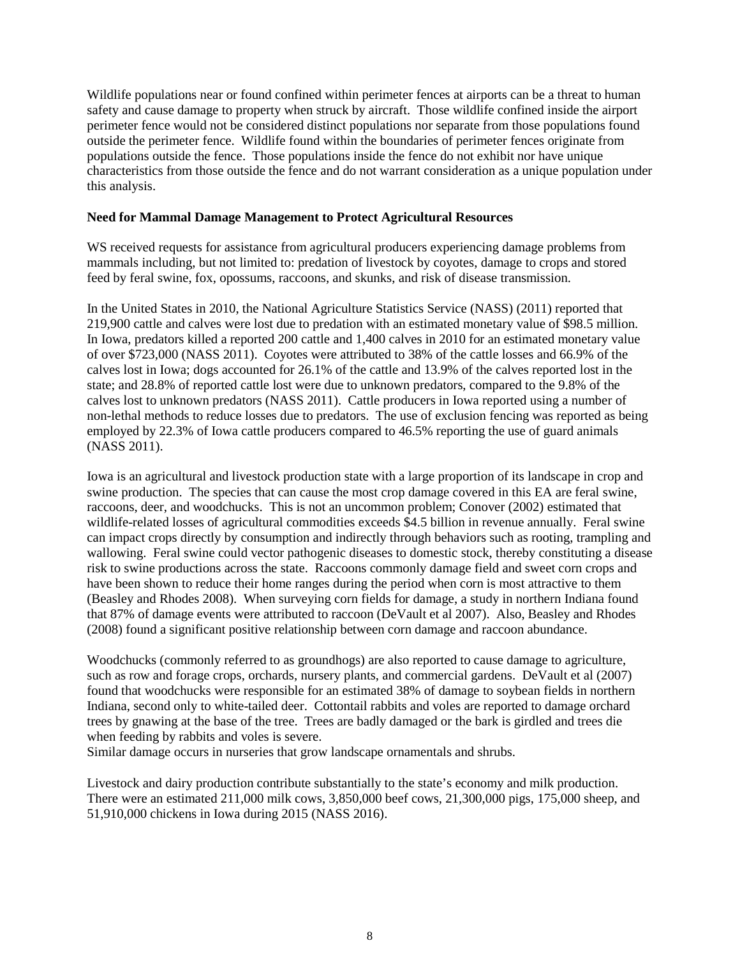Wildlife populations near or found confined within perimeter fences at airports can be a threat to human safety and cause damage to property when struck by aircraft. Those wildlife confined inside the airport perimeter fence would not be considered distinct populations nor separate from those populations found outside the perimeter fence. Wildlife found within the boundaries of perimeter fences originate from populations outside the fence. Those populations inside the fence do not exhibit nor have unique characteristics from those outside the fence and do not warrant consideration as a unique population under this analysis.

#### **Need for Mammal Damage Management to Protect Agricultural Resources**

WS received requests for assistance from agricultural producers experiencing damage problems from mammals including, but not limited to: predation of livestock by coyotes, damage to crops and stored feed by feral swine, fox, opossums, raccoons, and skunks, and risk of disease transmission.

In the United States in 2010, the National Agriculture Statistics Service (NASS) (2011) reported that 219,900 cattle and calves were lost due to predation with an estimated monetary value of \$98.5 million. In Iowa, predators killed a reported 200 cattle and 1,400 calves in 2010 for an estimated monetary value of over \$723,000 (NASS 2011). Coyotes were attributed to 38% of the cattle losses and 66.9% of the calves lost in Iowa; dogs accounted for 26.1% of the cattle and 13.9% of the calves reported lost in the state; and 28.8% of reported cattle lost were due to unknown predators, compared to the 9.8% of the calves lost to unknown predators (NASS 2011). Cattle producers in Iowa reported using a number of non-lethal methods to reduce losses due to predators. The use of exclusion fencing was reported as being employed by 22.3% of Iowa cattle producers compared to 46.5% reporting the use of guard animals (NASS 2011).

Iowa is an agricultural and livestock production state with a large proportion of its landscape in crop and swine production. The species that can cause the most crop damage covered in this EA are feral swine, raccoons, deer, and woodchucks. This is not an uncommon problem; Conover (2002) estimated that wildlife-related losses of agricultural commodities exceeds \$4.5 billion in revenue annually. Feral swine can impact crops directly by consumption and indirectly through behaviors such as rooting, trampling and wallowing. Feral swine could vector pathogenic diseases to domestic stock, thereby constituting a disease risk to swine productions across the state. Raccoons commonly damage field and sweet corn crops and have been shown to reduce their home ranges during the period when corn is most attractive to them (Beasley and Rhodes 2008). When surveying corn fields for damage, a study in northern Indiana found that 87% of damage events were attributed to raccoon (DeVault et al 2007). Also, Beasley and Rhodes (2008) found a significant positive relationship between corn damage and raccoon abundance.

Woodchucks (commonly referred to as groundhogs) are also reported to cause damage to agriculture, such as row and forage crops, orchards, nursery plants, and commercial gardens. DeVault et al (2007) found that woodchucks were responsible for an estimated 38% of damage to soybean fields in northern Indiana, second only to white-tailed deer. Cottontail rabbits and voles are reported to damage orchard trees by gnawing at the base of the tree. Trees are badly damaged or the bark is girdled and trees die when feeding by rabbits and voles is severe.

Similar damage occurs in nurseries that grow landscape ornamentals and shrubs.

Livestock and dairy production contribute substantially to the state's economy and milk production. There were an estimated 211,000 milk cows, 3,850,000 beef cows, 21,300,000 pigs, 175,000 sheep, and 51,910,000 chickens in Iowa during 2015 (NASS 2016).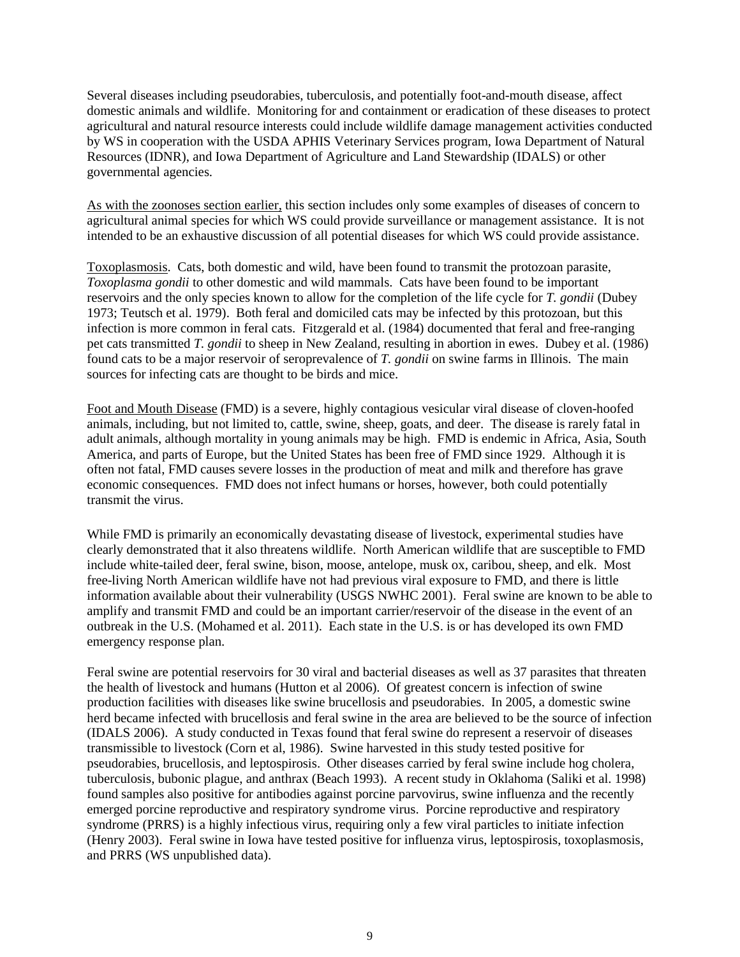Several diseases including pseudorabies, tuberculosis, and potentially foot-and-mouth disease, affect domestic animals and wildlife. Monitoring for and containment or eradication of these diseases to protect agricultural and natural resource interests could include wildlife damage management activities conducted by WS in cooperation with the USDA APHIS Veterinary Services program, Iowa Department of Natural Resources (IDNR), and Iowa Department of Agriculture and Land Stewardship (IDALS) or other governmental agencies.

As with the zoonoses section earlier, this section includes only some examples of diseases of concern to agricultural animal species for which WS could provide surveillance or management assistance. It is not intended to be an exhaustive discussion of all potential diseases for which WS could provide assistance.

Toxoplasmosis. Cats, both domestic and wild, have been found to transmit the protozoan parasite, *Toxoplasma gondii* to other domestic and wild mammals. Cats have been found to be important reservoirs and the only species known to allow for the completion of the life cycle for *T. gondii* (Dubey 1973; Teutsch et al. 1979). Both feral and domiciled cats may be infected by this protozoan, but this infection is more common in feral cats. Fitzgerald et al. (1984) documented that feral and free-ranging pet cats transmitted *T. gondii* to sheep in New Zealand, resulting in abortion in ewes. Dubey et al. (1986) found cats to be a major reservoir of seroprevalence of *T. gondii* on swine farms in Illinois. The main sources for infecting cats are thought to be birds and mice.

Foot and Mouth Disease (FMD) is a severe, highly contagious vesicular viral disease of cloven-hoofed animals, including, but not limited to, cattle, swine, sheep, goats, and deer. The disease is rarely fatal in adult animals, although mortality in young animals may be high. FMD is endemic in Africa, Asia, South America, and parts of Europe, but the United States has been free of FMD since 1929. Although it is often not fatal, FMD causes severe losses in the production of meat and milk and therefore has grave economic consequences. FMD does not infect humans or horses, however, both could potentially transmit the virus.

While FMD is primarily an economically devastating disease of livestock, experimental studies have clearly demonstrated that it also threatens wildlife. North American wildlife that are susceptible to FMD include white-tailed deer, feral swine, bison, moose, antelope, musk ox, caribou, sheep, and elk. Most free-living North American wildlife have not had previous viral exposure to FMD, and there is little information available about their vulnerability (USGS NWHC 2001). Feral swine are known to be able to amplify and transmit FMD and could be an important carrier/reservoir of the disease in the event of an outbreak in the U.S. (Mohamed et al. 2011). Each state in the U.S. is or has developed its own FMD emergency response plan.

Feral swine are potential reservoirs for 30 viral and bacterial diseases as well as 37 parasites that threaten the health of livestock and humans (Hutton et al 2006). Of greatest concern is infection of swine production facilities with diseases like swine brucellosis and pseudorabies. In 2005, a domestic swine herd became infected with brucellosis and feral swine in the area are believed to be the source of infection (IDALS 2006). A study conducted in Texas found that feral swine do represent a reservoir of diseases transmissible to livestock (Corn et al, 1986). Swine harvested in this study tested positive for pseudorabies, brucellosis, and leptospirosis. Other diseases carried by feral swine include hog cholera, tuberculosis, bubonic plague, and anthrax (Beach 1993). A recent study in Oklahoma (Saliki et al. 1998) found samples also positive for antibodies against porcine parvovirus, swine influenza and the recently emerged porcine reproductive and respiratory syndrome virus. Porcine reproductive and respiratory syndrome (PRRS) is a highly infectious virus, requiring only a few viral particles to initiate infection (Henry 2003). Feral swine in Iowa have tested positive for influenza virus, leptospirosis, toxoplasmosis, and PRRS (WS unpublished data).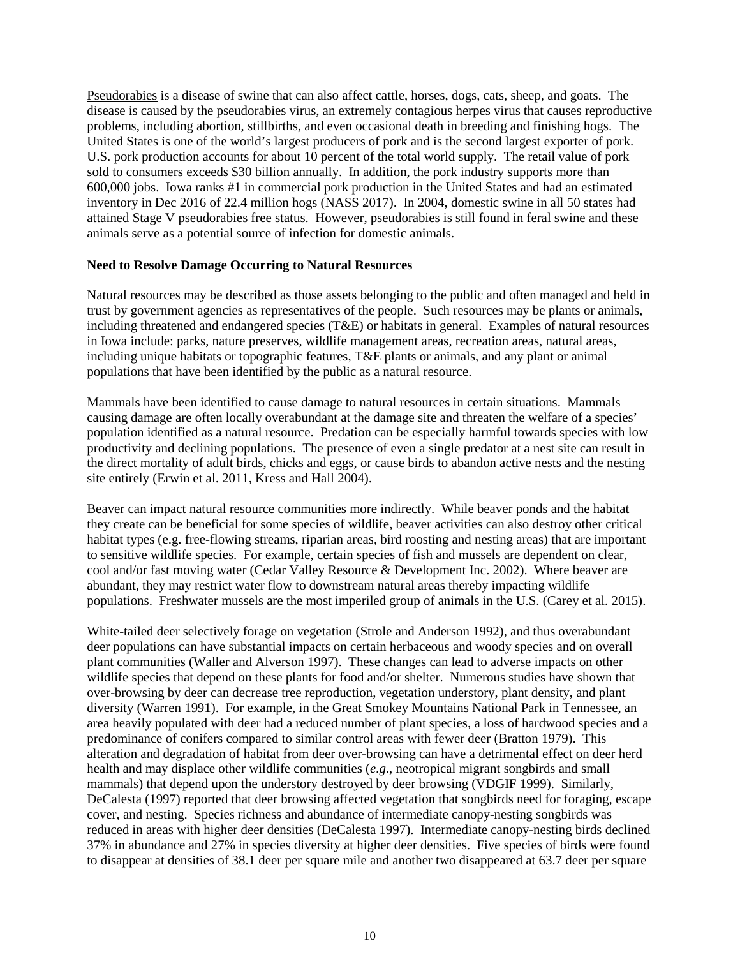Pseudorabies is a disease of swine that can also affect cattle, horses, dogs, cats, sheep, and goats. The disease is caused by the pseudorabies virus, an extremely contagious herpes virus that causes reproductive problems, including abortion, stillbirths, and even occasional death in breeding and finishing hogs. The United States is one of the world's largest producers of pork and is the second largest exporter of pork. U.S. pork production accounts for about 10 percent of the total world supply. The retail value of pork sold to consumers exceeds \$30 billion annually. In addition, the pork industry supports more than 600,000 jobs. Iowa ranks #1 in commercial pork production in the United States and had an estimated inventory in Dec 2016 of 22.4 million hogs (NASS 2017). In 2004, domestic swine in all 50 states had attained Stage V pseudorabies free status. However, pseudorabies is still found in feral swine and these animals serve as a potential source of infection for domestic animals.

#### **Need to Resolve Damage Occurring to Natural Resources**

Natural resources may be described as those assets belonging to the public and often managed and held in trust by government agencies as representatives of the people. Such resources may be plants or animals, including threatened and endangered species (T&E) or habitats in general. Examples of natural resources in Iowa include: parks, nature preserves, wildlife management areas, recreation areas, natural areas, including unique habitats or topographic features, T&E plants or animals, and any plant or animal populations that have been identified by the public as a natural resource.

Mammals have been identified to cause damage to natural resources in certain situations. Mammals causing damage are often locally overabundant at the damage site and threaten the welfare of a species' population identified as a natural resource. Predation can be especially harmful towards species with low productivity and declining populations. The presence of even a single predator at a nest site can result in the direct mortality of adult birds, chicks and eggs, or cause birds to abandon active nests and the nesting site entirely (Erwin et al. 2011, Kress and Hall 2004).

Beaver can impact natural resource communities more indirectly. While beaver ponds and the habitat they create can be beneficial for some species of wildlife, beaver activities can also destroy other critical habitat types (e.g. free-flowing streams, riparian areas, bird roosting and nesting areas) that are important to sensitive wildlife species. For example, certain species of fish and mussels are dependent on clear, cool and/or fast moving water (Cedar Valley Resource & Development Inc. 2002). Where beaver are abundant, they may restrict water flow to downstream natural areas thereby impacting wildlife populations. Freshwater mussels are the most imperiled group of animals in the U.S. (Carey et al. 2015).

White-tailed deer selectively forage on vegetation (Strole and Anderson 1992), and thus overabundant deer populations can have substantial impacts on certain herbaceous and woody species and on overall plant communities (Waller and Alverson 1997). These changes can lead to adverse impacts on other wildlife species that depend on these plants for food and/or shelter. Numerous studies have shown that over-browsing by deer can decrease tree reproduction, vegetation understory, plant density, and plant diversity (Warren 1991). For example, in the Great Smokey Mountains National Park in Tennessee, an area heavily populated with deer had a reduced number of plant species, a loss of hardwood species and a predominance of conifers compared to similar control areas with fewer deer (Bratton 1979). This alteration and degradation of habitat from deer over-browsing can have a detrimental effect on deer herd health and may displace other wildlife communities (*e.g*., neotropical migrant songbirds and small mammals) that depend upon the understory destroyed by deer browsing (VDGIF 1999). Similarly, DeCalesta (1997) reported that deer browsing affected vegetation that songbirds need for foraging, escape cover, and nesting. Species richness and abundance of intermediate canopy-nesting songbirds was reduced in areas with higher deer densities (DeCalesta 1997). Intermediate canopy-nesting birds declined 37% in abundance and 27% in species diversity at higher deer densities. Five species of birds were found to disappear at densities of 38.1 deer per square mile and another two disappeared at 63.7 deer per square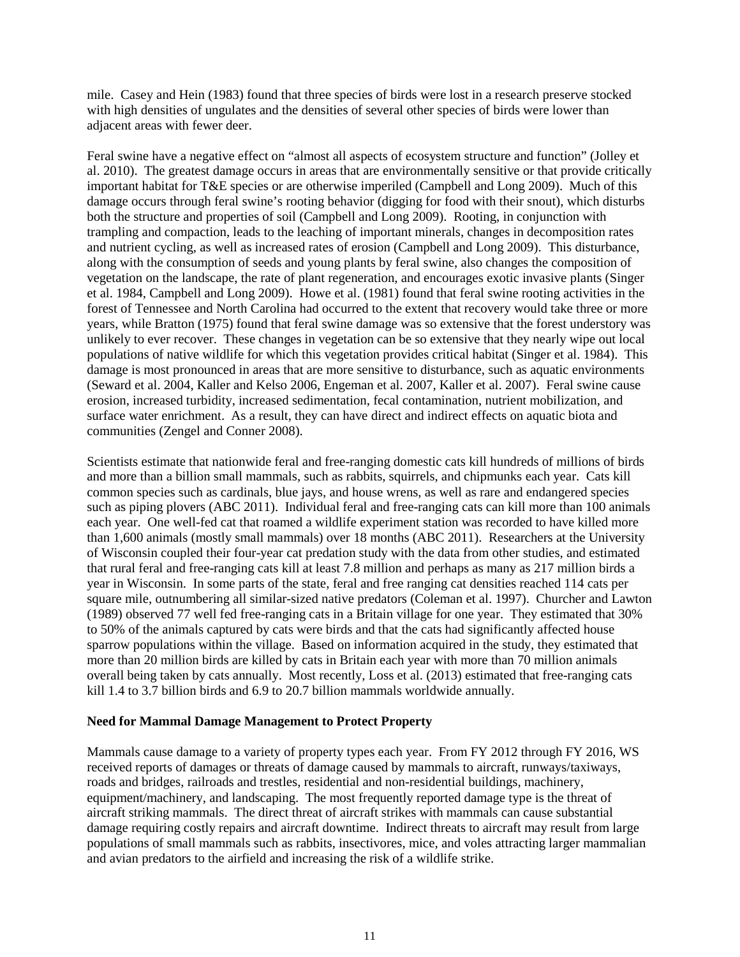mile. Casey and Hein (1983) found that three species of birds were lost in a research preserve stocked with high densities of ungulates and the densities of several other species of birds were lower than adjacent areas with fewer deer.

Feral swine have a negative effect on "almost all aspects of ecosystem structure and function" (Jolley et al. 2010). The greatest damage occurs in areas that are environmentally sensitive or that provide critically important habitat for T&E species or are otherwise imperiled (Campbell and Long 2009). Much of this damage occurs through feral swine's rooting behavior (digging for food with their snout), which disturbs both the structure and properties of soil (Campbell and Long 2009). Rooting, in conjunction with trampling and compaction, leads to the leaching of important minerals, changes in decomposition rates and nutrient cycling, as well as increased rates of erosion (Campbell and Long 2009). This disturbance, along with the consumption of seeds and young plants by feral swine, also changes the composition of vegetation on the landscape, the rate of plant regeneration, and encourages exotic invasive plants (Singer et al. 1984, Campbell and Long 2009). Howe et al. (1981) found that feral swine rooting activities in the forest of Tennessee and North Carolina had occurred to the extent that recovery would take three or more years, while Bratton (1975) found that feral swine damage was so extensive that the forest understory was unlikely to ever recover. These changes in vegetation can be so extensive that they nearly wipe out local populations of native wildlife for which this vegetation provides critical habitat (Singer et al. 1984). This damage is most pronounced in areas that are more sensitive to disturbance, such as aquatic environments (Seward et al. 2004, Kaller and Kelso 2006, Engeman et al. 2007, Kaller et al. 2007). Feral swine cause erosion, increased turbidity, increased sedimentation, fecal contamination, nutrient mobilization, and surface water enrichment. As a result, they can have direct and indirect effects on aquatic biota and communities (Zengel and Conner 2008).

Scientists estimate that nationwide feral and free-ranging domestic cats kill hundreds of millions of birds and more than a billion small mammals, such as rabbits, squirrels, and chipmunks each year. Cats kill common species such as cardinals, blue jays, and house wrens, as well as rare and endangered species such as piping plovers (ABC 2011). Individual feral and free-ranging cats can kill more than 100 animals each year. One well-fed cat that roamed a wildlife experiment station was recorded to have killed more than 1,600 animals (mostly small mammals) over 18 months (ABC 2011). Researchers at the University of Wisconsin coupled their four-year cat predation study with the data from other studies, and estimated that rural feral and free-ranging cats kill at least 7.8 million and perhaps as many as 217 million birds a year in Wisconsin. In some parts of the state, feral and free ranging cat densities reached 114 cats per square mile, outnumbering all similar-sized native predators (Coleman et al. 1997). Churcher and Lawton (1989) observed 77 well fed free-ranging cats in a Britain village for one year. They estimated that 30% to 50% of the animals captured by cats were birds and that the cats had significantly affected house sparrow populations within the village. Based on information acquired in the study, they estimated that more than 20 million birds are killed by cats in Britain each year with more than 70 million animals overall being taken by cats annually. Most recently, Loss et al. (2013) estimated that free-ranging cats kill 1.4 to 3.7 billion birds and 6.9 to 20.7 billion mammals worldwide annually.

### **Need for Mammal Damage Management to Protect Property**

Mammals cause damage to a variety of property types each year. From FY 2012 through FY 2016, WS received reports of damages or threats of damage caused by mammals to aircraft, runways/taxiways, roads and bridges, railroads and trestles, residential and non-residential buildings, machinery, equipment/machinery, and landscaping. The most frequently reported damage type is the threat of aircraft striking mammals. The direct threat of aircraft strikes with mammals can cause substantial damage requiring costly repairs and aircraft downtime. Indirect threats to aircraft may result from large populations of small mammals such as rabbits, insectivores, mice, and voles attracting larger mammalian and avian predators to the airfield and increasing the risk of a wildlife strike.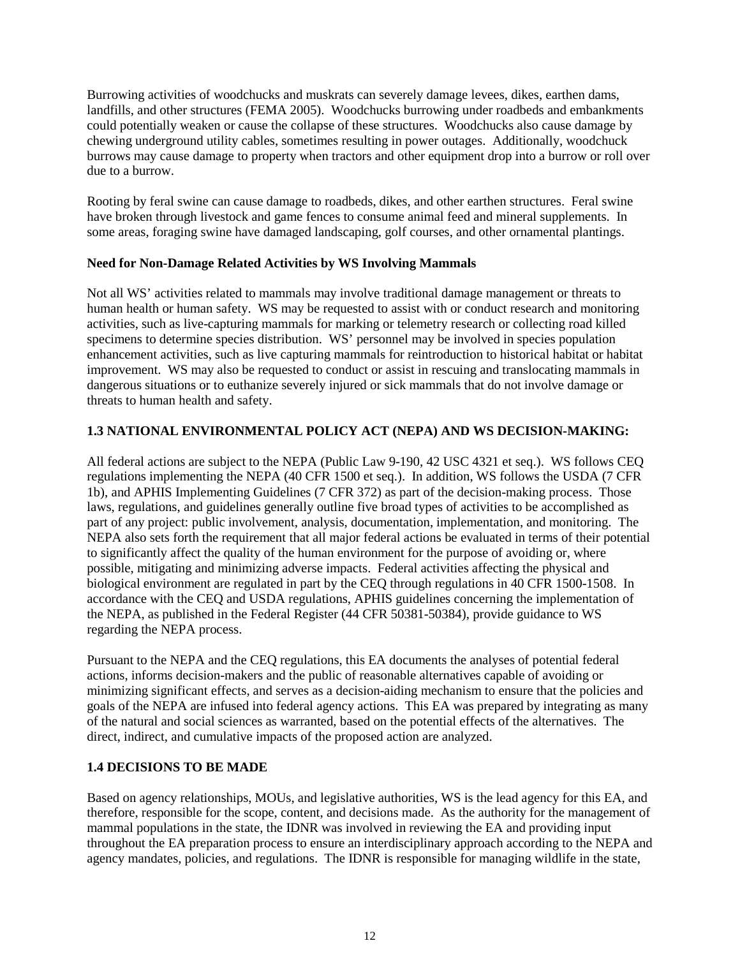Burrowing activities of woodchucks and muskrats can severely damage levees, dikes, earthen dams, landfills, and other structures (FEMA 2005). Woodchucks burrowing under roadbeds and embankments could potentially weaken or cause the collapse of these structures. Woodchucks also cause damage by chewing underground utility cables, sometimes resulting in power outages. Additionally, woodchuck burrows may cause damage to property when tractors and other equipment drop into a burrow or roll over due to a burrow.

Rooting by feral swine can cause damage to roadbeds, dikes, and other earthen structures. Feral swine have broken through livestock and game fences to consume animal feed and mineral supplements. In some areas, foraging swine have damaged landscaping, golf courses, and other ornamental plantings.

## **Need for Non-Damage Related Activities by WS Involving Mammals**

Not all WS' activities related to mammals may involve traditional damage management or threats to human health or human safety. WS may be requested to assist with or conduct research and monitoring activities, such as live-capturing mammals for marking or telemetry research or collecting road killed specimens to determine species distribution. WS' personnel may be involved in species population enhancement activities, such as live capturing mammals for reintroduction to historical habitat or habitat improvement. WS may also be requested to conduct or assist in rescuing and translocating mammals in dangerous situations or to euthanize severely injured or sick mammals that do not involve damage or threats to human health and safety.

# **1.3 NATIONAL ENVIRONMENTAL POLICY ACT (NEPA) AND WS DECISION-MAKING:**

All federal actions are subject to the NEPA (Public Law 9-190, 42 USC 4321 et seq.). WS follows CEQ regulations implementing the NEPA (40 CFR 1500 et seq.). In addition, WS follows the USDA (7 CFR 1b), and APHIS Implementing Guidelines (7 CFR 372) as part of the decision-making process. Those laws, regulations, and guidelines generally outline five broad types of activities to be accomplished as part of any project: public involvement, analysis, documentation, implementation, and monitoring. The NEPA also sets forth the requirement that all major federal actions be evaluated in terms of their potential to significantly affect the quality of the human environment for the purpose of avoiding or, where possible, mitigating and minimizing adverse impacts. Federal activities affecting the physical and biological environment are regulated in part by the CEQ through regulations in 40 CFR 1500-1508. In accordance with the CEQ and USDA regulations, APHIS guidelines concerning the implementation of the NEPA, as published in the Federal Register (44 CFR 50381-50384), provide guidance to WS regarding the NEPA process.

Pursuant to the NEPA and the CEQ regulations, this EA documents the analyses of potential federal actions, informs decision-makers and the public of reasonable alternatives capable of avoiding or minimizing significant effects, and serves as a decision-aiding mechanism to ensure that the policies and goals of the NEPA are infused into federal agency actions. This EA was prepared by integrating as many of the natural and social sciences as warranted, based on the potential effects of the alternatives. The direct, indirect, and cumulative impacts of the proposed action are analyzed.

# **1.4 DECISIONS TO BE MADE**

Based on agency relationships, MOUs, and legislative authorities, WS is the lead agency for this EA, and therefore, responsible for the scope, content, and decisions made. As the authority for the management of mammal populations in the state, the IDNR was involved in reviewing the EA and providing input throughout the EA preparation process to ensure an interdisciplinary approach according to the NEPA and agency mandates, policies, and regulations. The IDNR is responsible for managing wildlife in the state,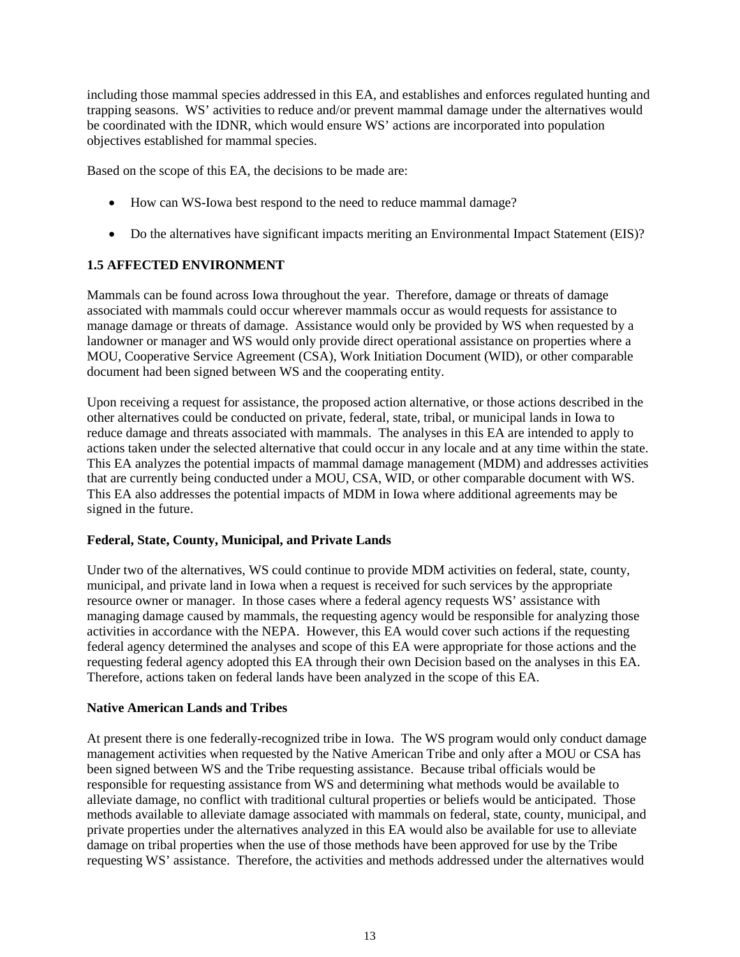including those mammal species addressed in this EA, and establishes and enforces regulated hunting and trapping seasons. WS' activities to reduce and/or prevent mammal damage under the alternatives would be coordinated with the IDNR, which would ensure WS' actions are incorporated into population objectives established for mammal species.

Based on the scope of this EA, the decisions to be made are:

- How can WS-Iowa best respond to the need to reduce mammal damage?
- Do the alternatives have significant impacts meriting an Environmental Impact Statement (EIS)?

## **1.5 AFFECTED ENVIRONMENT**

Mammals can be found across Iowa throughout the year. Therefore, damage or threats of damage associated with mammals could occur wherever mammals occur as would requests for assistance to manage damage or threats of damage. Assistance would only be provided by WS when requested by a landowner or manager and WS would only provide direct operational assistance on properties where a MOU, Cooperative Service Agreement (CSA), Work Initiation Document (WID), or other comparable document had been signed between WS and the cooperating entity.

Upon receiving a request for assistance, the proposed action alternative, or those actions described in the other alternatives could be conducted on private, federal, state, tribal, or municipal lands in Iowa to reduce damage and threats associated with mammals. The analyses in this EA are intended to apply to actions taken under the selected alternative that could occur in any locale and at any time within the state. This EA analyzes the potential impacts of mammal damage management (MDM) and addresses activities that are currently being conducted under a MOU, CSA, WID, or other comparable document with WS. This EA also addresses the potential impacts of MDM in Iowa where additional agreements may be signed in the future.

### **Federal, State, County, Municipal, and Private Lands**

Under two of the alternatives, WS could continue to provide MDM activities on federal, state, county, municipal, and private land in Iowa when a request is received for such services by the appropriate resource owner or manager. In those cases where a federal agency requests WS' assistance with managing damage caused by mammals, the requesting agency would be responsible for analyzing those activities in accordance with the NEPA. However, this EA would cover such actions if the requesting federal agency determined the analyses and scope of this EA were appropriate for those actions and the requesting federal agency adopted this EA through their own Decision based on the analyses in this EA. Therefore, actions taken on federal lands have been analyzed in the scope of this EA.

### **Native American Lands and Tribes**

At present there is one federally-recognized tribe in Iowa. The WS program would only conduct damage management activities when requested by the Native American Tribe and only after a MOU or CSA has been signed between WS and the Tribe requesting assistance. Because tribal officials would be responsible for requesting assistance from WS and determining what methods would be available to alleviate damage, no conflict with traditional cultural properties or beliefs would be anticipated. Those methods available to alleviate damage associated with mammals on federal, state, county, municipal, and private properties under the alternatives analyzed in this EA would also be available for use to alleviate damage on tribal properties when the use of those methods have been approved for use by the Tribe requesting WS' assistance. Therefore, the activities and methods addressed under the alternatives would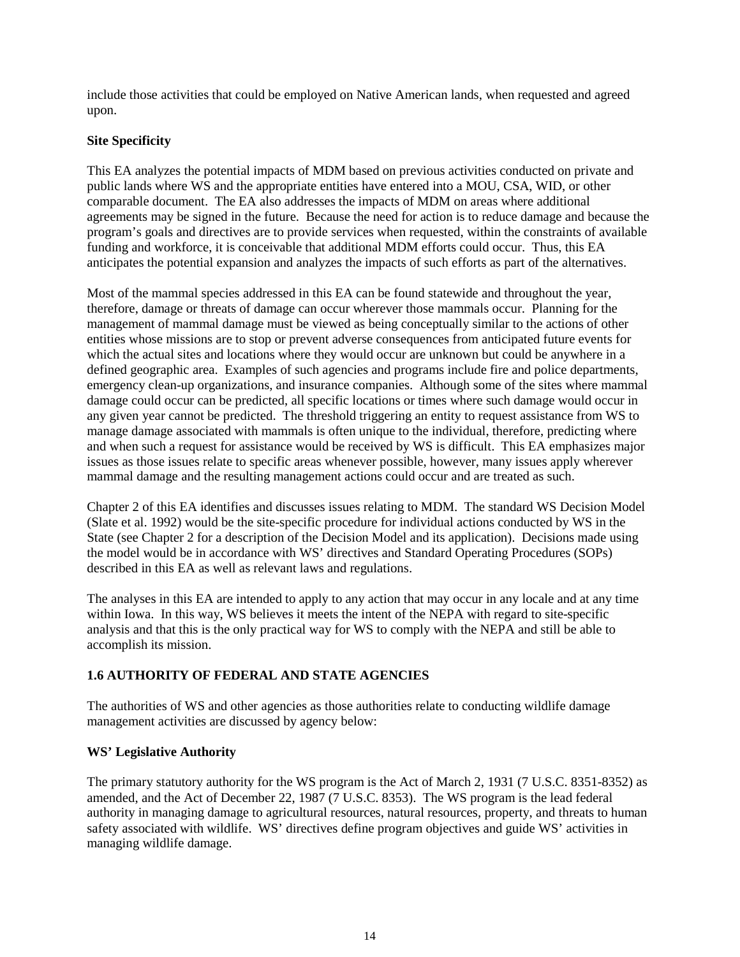include those activities that could be employed on Native American lands, when requested and agreed upon.

## **Site Specificity**

This EA analyzes the potential impacts of MDM based on previous activities conducted on private and public lands where WS and the appropriate entities have entered into a MOU, CSA, WID, or other comparable document. The EA also addresses the impacts of MDM on areas where additional agreements may be signed in the future. Because the need for action is to reduce damage and because the program's goals and directives are to provide services when requested, within the constraints of available funding and workforce, it is conceivable that additional MDM efforts could occur. Thus, this EA anticipates the potential expansion and analyzes the impacts of such efforts as part of the alternatives.

Most of the mammal species addressed in this EA can be found statewide and throughout the year, therefore, damage or threats of damage can occur wherever those mammals occur. Planning for the management of mammal damage must be viewed as being conceptually similar to the actions of other entities whose missions are to stop or prevent adverse consequences from anticipated future events for which the actual sites and locations where they would occur are unknown but could be anywhere in a defined geographic area. Examples of such agencies and programs include fire and police departments, emergency clean-up organizations, and insurance companies. Although some of the sites where mammal damage could occur can be predicted, all specific locations or times where such damage would occur in any given year cannot be predicted. The threshold triggering an entity to request assistance from WS to manage damage associated with mammals is often unique to the individual, therefore, predicting where and when such a request for assistance would be received by WS is difficult. This EA emphasizes major issues as those issues relate to specific areas whenever possible, however, many issues apply wherever mammal damage and the resulting management actions could occur and are treated as such.

Chapter 2 of this EA identifies and discusses issues relating to MDM. The standard WS Decision Model (Slate et al. 1992) would be the site-specific procedure for individual actions conducted by WS in the State (see Chapter 2 for a description of the Decision Model and its application). Decisions made using the model would be in accordance with WS' directives and Standard Operating Procedures (SOPs) described in this EA as well as relevant laws and regulations.

The analyses in this EA are intended to apply to any action that may occur in any locale and at any time within Iowa. In this way, WS believes it meets the intent of the NEPA with regard to site-specific analysis and that this is the only practical way for WS to comply with the NEPA and still be able to accomplish its mission.

# **1.6 AUTHORITY OF FEDERAL AND STATE AGENCIES**

The authorities of WS and other agencies as those authorities relate to conducting wildlife damage management activities are discussed by agency below:

### **WS' Legislative Authority**

The primary statutory authority for the WS program is the Act of March 2, 1931 (7 U.S.C. 8351-8352) as amended, and the Act of December 22, 1987 (7 U.S.C. 8353). The WS program is the lead federal authority in managing damage to agricultural resources, natural resources, property, and threats to human safety associated with wildlife. WS' directives define program objectives and guide WS' activities in managing wildlife damage.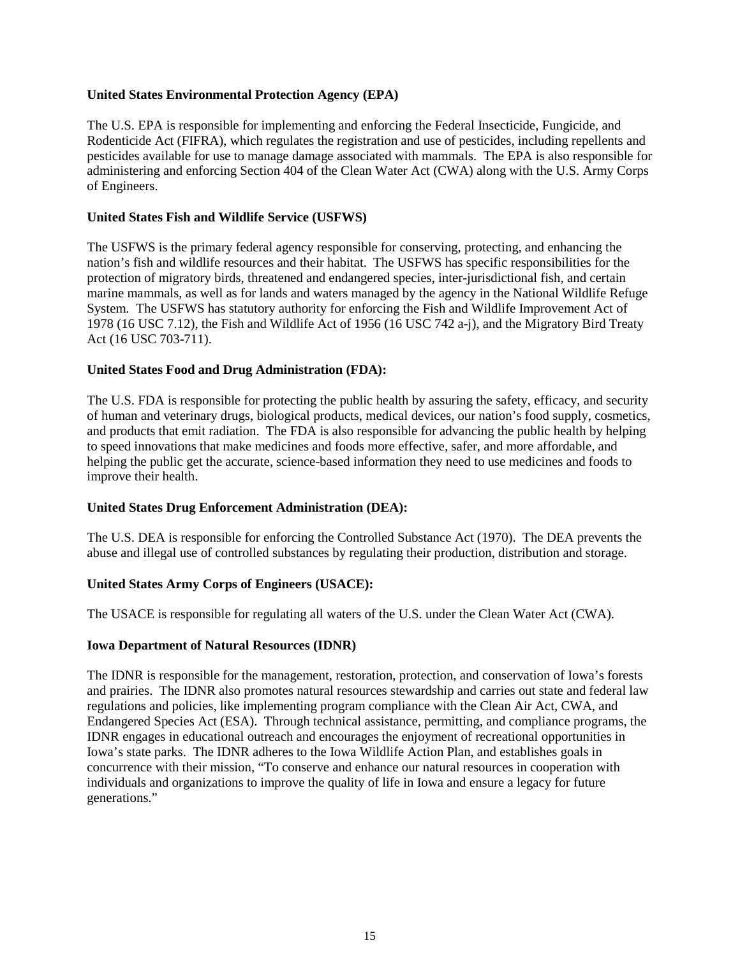#### **United States Environmental Protection Agency (EPA)**

The U.S. EPA is responsible for implementing and enforcing the Federal Insecticide, Fungicide, and Rodenticide Act (FIFRA), which regulates the registration and use of pesticides, including repellents and pesticides available for use to manage damage associated with mammals. The EPA is also responsible for administering and enforcing Section 404 of the Clean Water Act (CWA) along with the U.S. Army Corps of Engineers.

#### **United States Fish and Wildlife Service (USFWS)**

The USFWS is the primary federal agency responsible for conserving, protecting, and enhancing the nation's fish and wildlife resources and their habitat. The USFWS has specific responsibilities for the protection of migratory birds, threatened and endangered species, inter-jurisdictional fish, and certain marine mammals, as well as for lands and waters managed by the agency in the National Wildlife Refuge System. The USFWS has statutory authority for enforcing the Fish and Wildlife Improvement Act of 1978 (16 USC 7.12), the Fish and Wildlife Act of 1956 (16 USC 742 a-j), and the Migratory Bird Treaty Act (16 USC 703-711).

#### **United States Food and Drug Administration (FDA):**

The U.S. FDA is responsible for protecting the public health by assuring the safety, efficacy, and security of human and veterinary drugs, biological products, medical devices, our nation's food supply, cosmetics, and products that emit radiation. The FDA is also responsible for advancing the public health by helping to speed innovations that make medicines and foods more effective, safer, and more affordable, and helping the public get the accurate, science-based information they need to use medicines and foods to improve their health.

#### **United States Drug Enforcement Administration (DEA):**

The U.S. DEA is responsible for enforcing the Controlled Substance Act (1970). The DEA prevents the abuse and illegal use of controlled substances by regulating their production, distribution and storage.

#### **United States Army Corps of Engineers (USACE):**

The USACE is responsible for regulating all waters of the U.S. under the Clean Water Act (CWA).

#### **Iowa Department of Natural Resources (IDNR)**

The IDNR is responsible for the management, restoration, protection, and conservation of Iowa's forests and prairies. The IDNR also promotes natural resources stewardship and carries out state and federal law regulations and policies, like implementing program compliance with the Clean Air Act, CWA, and Endangered Species Act (ESA). Through technical assistance, permitting, and compliance programs, the IDNR engages in educational outreach and encourages the enjoyment of recreational opportunities in Iowa's state parks. The IDNR adheres to the Iowa Wildlife Action Plan, and establishes goals in concurrence with their mission, "To conserve and enhance our natural resources in cooperation with individuals and organizations to improve the quality of life in Iowa and ensure a legacy for future generations."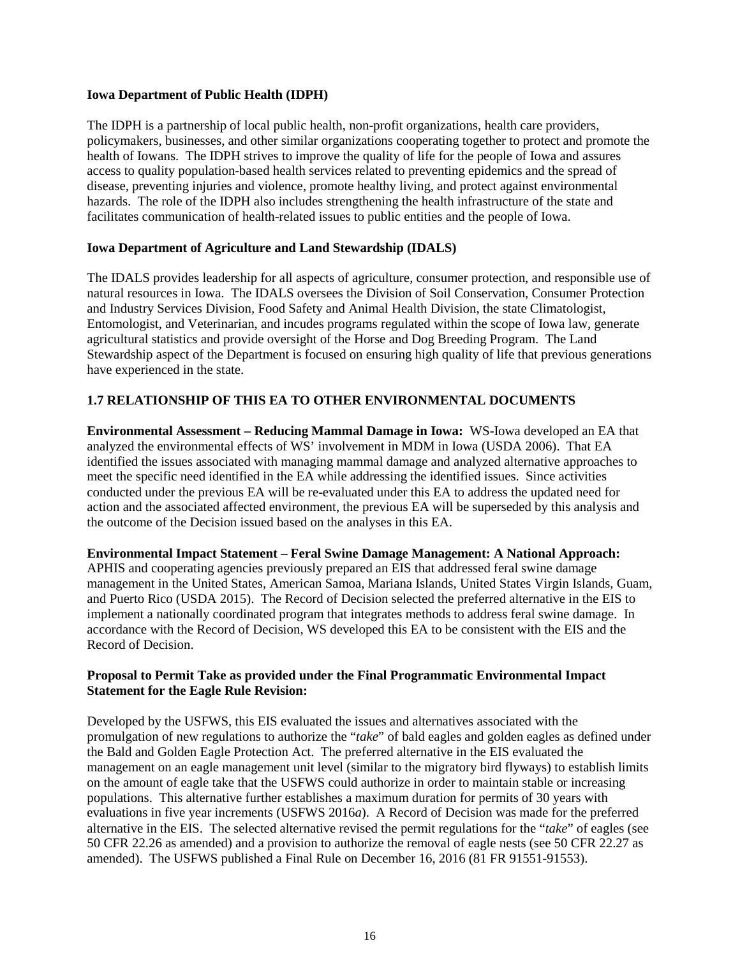#### **Iowa Department of Public Health (IDPH)**

The IDPH is a partnership of local public health, non-profit organizations, health care providers, policymakers, businesses, and other similar organizations cooperating together to protect and promote the health of Iowans. The IDPH strives to improve the quality of life for the people of Iowa and assures access to quality population-based health services related to preventing epidemics and the spread of disease, preventing injuries and violence, promote healthy living, and protect against environmental hazards. The role of the IDPH also includes strengthening the health infrastructure of the state and facilitates communication of health-related issues to public entities and the people of Iowa.

### **Iowa Department of Agriculture and Land Stewardship (IDALS)**

The IDALS provides leadership for all aspects of agriculture, consumer protection, and responsible use of natural resources in Iowa. The IDALS oversees the Division of Soil Conservation, Consumer Protection and Industry Services Division, Food Safety and Animal Health Division, the state Climatologist, Entomologist, and Veterinarian, and incudes programs regulated within the scope of Iowa law, generate agricultural statistics and provide oversight of the Horse and Dog Breeding Program. The Land Stewardship aspect of the Department is focused on ensuring high quality of life that previous generations have experienced in the state.

## **1.7 RELATIONSHIP OF THIS EA TO OTHER ENVIRONMENTAL DOCUMENTS**

**Environmental Assessment – Reducing Mammal Damage in Iowa:** WS-Iowa developed an EA that analyzed the environmental effects of WS' involvement in MDM in Iowa (USDA 2006). That EA identified the issues associated with managing mammal damage and analyzed alternative approaches to meet the specific need identified in the EA while addressing the identified issues. Since activities conducted under the previous EA will be re-evaluated under this EA to address the updated need for action and the associated affected environment, the previous EA will be superseded by this analysis and the outcome of the Decision issued based on the analyses in this EA.

### **Environmental Impact Statement – Feral Swine Damage Management: A National Approach:**

APHIS and cooperating agencies previously prepared an EIS that addressed feral swine damage management in the United States, American Samoa, Mariana Islands, United States Virgin Islands, Guam, and Puerto Rico (USDA 2015). The Record of Decision selected the preferred alternative in the EIS to implement a nationally coordinated program that integrates methods to address feral swine damage. In accordance with the Record of Decision, WS developed this EA to be consistent with the EIS and the Record of Decision.

### **Proposal to Permit Take as provided under the Final Programmatic Environmental Impact Statement for the Eagle Rule Revision:**

Developed by the USFWS, this EIS evaluated the issues and alternatives associated with the promulgation of new regulations to authorize the "*take*" of bald eagles and golden eagles as defined under the Bald and Golden Eagle Protection Act. The preferred alternative in the EIS evaluated the management on an eagle management unit level (similar to the migratory bird flyways) to establish limits on the amount of eagle take that the USFWS could authorize in order to maintain stable or increasing populations. This alternative further establishes a maximum duration for permits of 30 years with evaluations in five year increments (USFWS 2016*a*). A Record of Decision was made for the preferred alternative in the EIS. The selected alternative revised the permit regulations for the "*take*" of eagles (see 50 CFR 22.26 as amended) and a provision to authorize the removal of eagle nests (see 50 CFR 22.27 as amended). The USFWS published a Final Rule on December 16, 2016 (81 FR 91551-91553).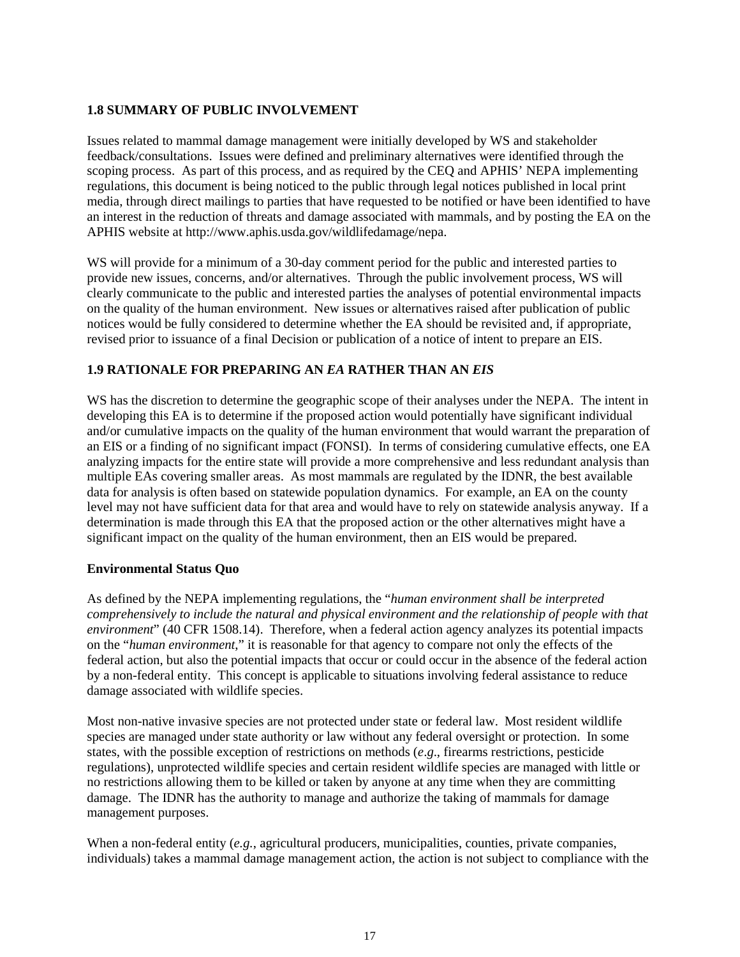# **1.8 SUMMARY OF PUBLIC INVOLVEMENT**

Issues related to mammal damage management were initially developed by WS and stakeholder feedback/consultations. Issues were defined and preliminary alternatives were identified through the scoping process. As part of this process, and as required by the CEQ and APHIS' NEPA implementing regulations, this document is being noticed to the public through legal notices published in local print media, through direct mailings to parties that have requested to be notified or have been identified to have an interest in the reduction of threats and damage associated with mammals, and by posting the EA on the APHIS website at http://www.aphis.usda.gov/wildlifedamage/nepa.

WS will provide for a minimum of a 30-day comment period for the public and interested parties to provide new issues, concerns, and/or alternatives. Through the public involvement process, WS will clearly communicate to the public and interested parties the analyses of potential environmental impacts on the quality of the human environment. New issues or alternatives raised after publication of public notices would be fully considered to determine whether the EA should be revisited and, if appropriate, revised prior to issuance of a final Decision or publication of a notice of intent to prepare an EIS.

# **1.9 RATIONALE FOR PREPARING AN** *EA* **RATHER THAN AN** *EIS*

WS has the discretion to determine the geographic scope of their analyses under the NEPA. The intent in developing this EA is to determine if the proposed action would potentially have significant individual and/or cumulative impacts on the quality of the human environment that would warrant the preparation of an EIS or a finding of no significant impact (FONSI). In terms of considering cumulative effects, one EA analyzing impacts for the entire state will provide a more comprehensive and less redundant analysis than multiple EAs covering smaller areas. As most mammals are regulated by the IDNR, the best available data for analysis is often based on statewide population dynamics. For example, an EA on the county level may not have sufficient data for that area and would have to rely on statewide analysis anyway. If a determination is made through this EA that the proposed action or the other alternatives might have a significant impact on the quality of the human environment, then an EIS would be prepared.

# **Environmental Status Quo**

As defined by the NEPA implementing regulations, the "*human environment shall be interpreted comprehensively to include the natural and physical environment and the relationship of people with that environment*" (40 CFR 1508.14). Therefore, when a federal action agency analyzes its potential impacts on the "*human environment*," it is reasonable for that agency to compare not only the effects of the federal action, but also the potential impacts that occur or could occur in the absence of the federal action by a non-federal entity. This concept is applicable to situations involving federal assistance to reduce damage associated with wildlife species.

Most non-native invasive species are not protected under state or federal law. Most resident wildlife species are managed under state authority or law without any federal oversight or protection. In some states, with the possible exception of restrictions on methods (*e*.*g*., firearms restrictions, pesticide regulations), unprotected wildlife species and certain resident wildlife species are managed with little or no restrictions allowing them to be killed or taken by anyone at any time when they are committing damage. The IDNR has the authority to manage and authorize the taking of mammals for damage management purposes.

When a non-federal entity (e.g., agricultural producers, municipalities, counties, private companies, individuals) takes a mammal damage management action, the action is not subject to compliance with the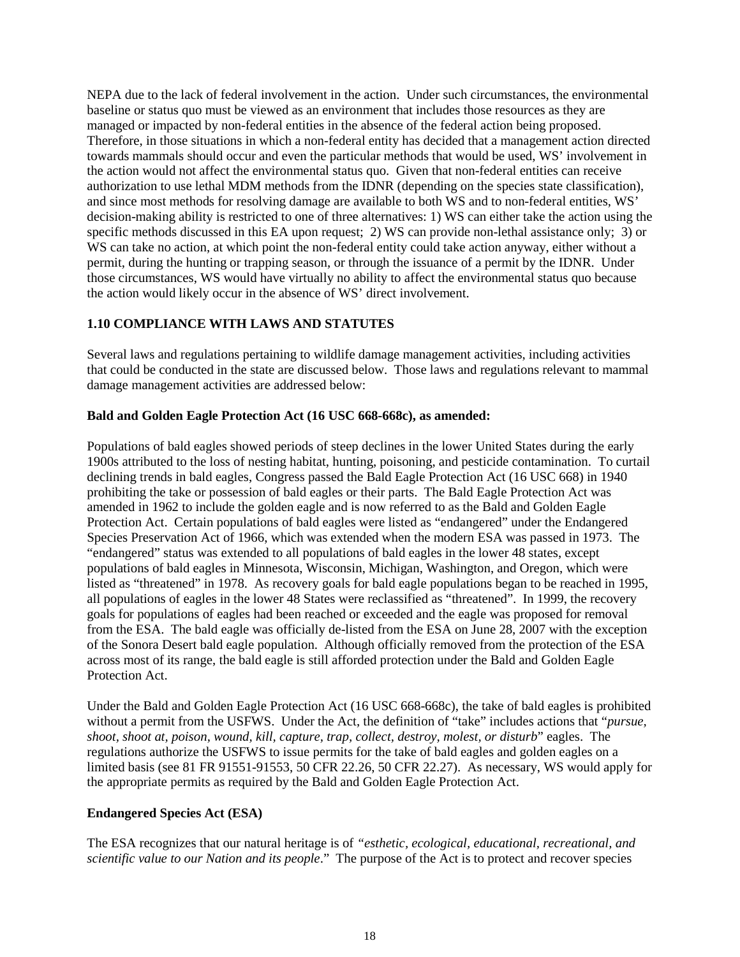NEPA due to the lack of federal involvement in the action. Under such circumstances, the environmental baseline or status quo must be viewed as an environment that includes those resources as they are managed or impacted by non-federal entities in the absence of the federal action being proposed. Therefore, in those situations in which a non-federal entity has decided that a management action directed towards mammals should occur and even the particular methods that would be used, WS' involvement in the action would not affect the environmental status quo. Given that non-federal entities can receive authorization to use lethal MDM methods from the IDNR (depending on the species state classification), and since most methods for resolving damage are available to both WS and to non-federal entities, WS' decision-making ability is restricted to one of three alternatives: 1) WS can either take the action using the specific methods discussed in this EA upon request; 2) WS can provide non-lethal assistance only; 3) or WS can take no action, at which point the non-federal entity could take action anyway, either without a permit, during the hunting or trapping season, or through the issuance of a permit by the IDNR. Under those circumstances, WS would have virtually no ability to affect the environmental status quo because the action would likely occur in the absence of WS' direct involvement.

## **1.10 COMPLIANCE WITH LAWS AND STATUTES**

Several laws and regulations pertaining to wildlife damage management activities, including activities that could be conducted in the state are discussed below. Those laws and regulations relevant to mammal damage management activities are addressed below:

## **Bald and Golden Eagle Protection Act (16 USC 668-668c), as amended:**

Populations of bald eagles showed periods of steep declines in the lower United States during the early 1900s attributed to the loss of nesting habitat, hunting, poisoning, and pesticide contamination. To curtail declining trends in bald eagles, Congress passed the Bald Eagle Protection Act (16 USC 668) in 1940 prohibiting the take or possession of bald eagles or their parts. The Bald Eagle Protection Act was amended in 1962 to include the golden eagle and is now referred to as the Bald and Golden Eagle Protection Act. Certain populations of bald eagles were listed as "endangered" under the Endangered Species Preservation Act of 1966, which was extended when the modern ESA was passed in 1973. The "endangered" status was extended to all populations of bald eagles in the lower 48 states, except populations of bald eagles in Minnesota, Wisconsin, Michigan, Washington, and Oregon, which were listed as "threatened" in 1978. As recovery goals for bald eagle populations began to be reached in 1995, all populations of eagles in the lower 48 States were reclassified as "threatened". In 1999, the recovery goals for populations of eagles had been reached or exceeded and the eagle was proposed for removal from the ESA. The bald eagle was officially de-listed from the ESA on June 28, 2007 with the exception of the Sonora Desert bald eagle population. Although officially removed from the protection of the ESA across most of its range, the bald eagle is still afforded protection under the Bald and Golden Eagle Protection Act.

Under the Bald and Golden Eagle Protection Act (16 USC 668-668c), the take of bald eagles is prohibited without a permit from the USFWS. Under the Act, the definition of "take" includes actions that "*pursue, shoot, shoot at, poison, wound, kill, capture, trap, collect, destroy, molest, or disturb*" eagles. The regulations authorize the USFWS to issue permits for the take of bald eagles and golden eagles on a limited basis (see 81 FR 91551-91553, 50 CFR 22.26, 50 CFR 22.27). As necessary, WS would apply for the appropriate permits as required by the Bald and Golden Eagle Protection Act.

### **Endangered Species Act (ESA)**

The ESA recognizes that our natural heritage is of *"esthetic, ecological, educational, recreational, and scientific value to our Nation and its people*." The purpose of the Act is to protect and recover species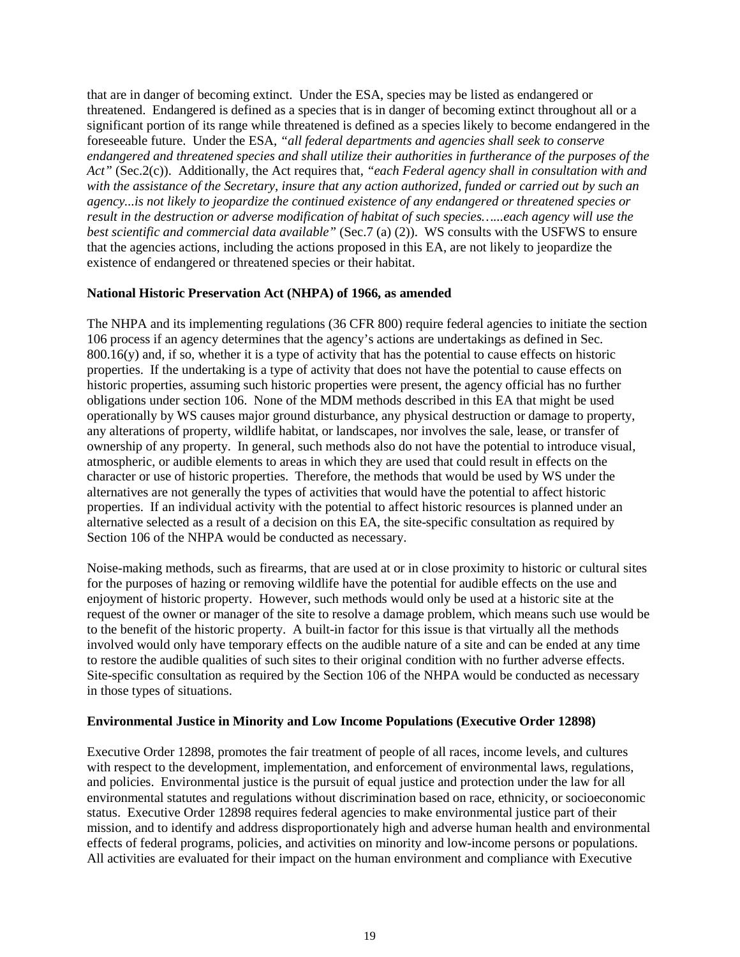that are in danger of becoming extinct. Under the ESA, species may be listed as endangered or threatened. Endangered is defined as a species that is in danger of becoming extinct throughout all or a significant portion of its range while threatened is defined as a species likely to become endangered in the foreseeable future. Under the ESA, *"all federal departments and agencies shall seek to conserve endangered and threatened species and shall utilize their authorities in furtherance of the purposes of the Act"* (Sec.2(c)). Additionally, the Act requires that, *"each Federal agency shall in consultation with and with the assistance of the Secretary, insure that any action authorized, funded or carried out by such an agency...is not likely to jeopardize the continued existence of any endangered or threatened species or result in the destruction or adverse modification of habitat of such species…...each agency will use the best scientific and commercial data available"* (Sec.7 (a) (2)). WS consults with the USFWS to ensure that the agencies actions, including the actions proposed in this EA, are not likely to jeopardize the existence of endangered or threatened species or their habitat.

### **National Historic Preservation Act (NHPA) of 1966, as amended**

The NHPA and its implementing regulations (36 CFR 800) require federal agencies to initiate the section 106 process if an agency determines that the agency's actions are undertakings as defined in Sec.  $800.16(y)$  and, if so, whether it is a type of activity that has the potential to cause effects on historic properties. If the undertaking is a type of activity that does not have the potential to cause effects on historic properties, assuming such historic properties were present, the agency official has no further obligations under section 106. None of the MDM methods described in this EA that might be used operationally by WS causes major ground disturbance, any physical destruction or damage to property, any alterations of property, wildlife habitat, or landscapes, nor involves the sale, lease, or transfer of ownership of any property. In general, such methods also do not have the potential to introduce visual, atmospheric, or audible elements to areas in which they are used that could result in effects on the character or use of historic properties. Therefore, the methods that would be used by WS under the alternatives are not generally the types of activities that would have the potential to affect historic properties. If an individual activity with the potential to affect historic resources is planned under an alternative selected as a result of a decision on this EA, the site-specific consultation as required by Section 106 of the NHPA would be conducted as necessary.

Noise-making methods, such as firearms, that are used at or in close proximity to historic or cultural sites for the purposes of hazing or removing wildlife have the potential for audible effects on the use and enjoyment of historic property. However, such methods would only be used at a historic site at the request of the owner or manager of the site to resolve a damage problem, which means such use would be to the benefit of the historic property. A built-in factor for this issue is that virtually all the methods involved would only have temporary effects on the audible nature of a site and can be ended at any time to restore the audible qualities of such sites to their original condition with no further adverse effects. Site-specific consultation as required by the Section 106 of the NHPA would be conducted as necessary in those types of situations.

### **Environmental Justice in Minority and Low Income Populations (Executive Order 12898)**

Executive Order 12898, promotes the fair treatment of people of all races, income levels, and cultures with respect to the development, implementation, and enforcement of environmental laws, regulations, and policies. Environmental justice is the pursuit of equal justice and protection under the law for all environmental statutes and regulations without discrimination based on race, ethnicity, or socioeconomic status. Executive Order 12898 requires federal agencies to make environmental justice part of their mission, and to identify and address disproportionately high and adverse human health and environmental effects of federal programs, policies, and activities on minority and low-income persons or populations. All activities are evaluated for their impact on the human environment and compliance with Executive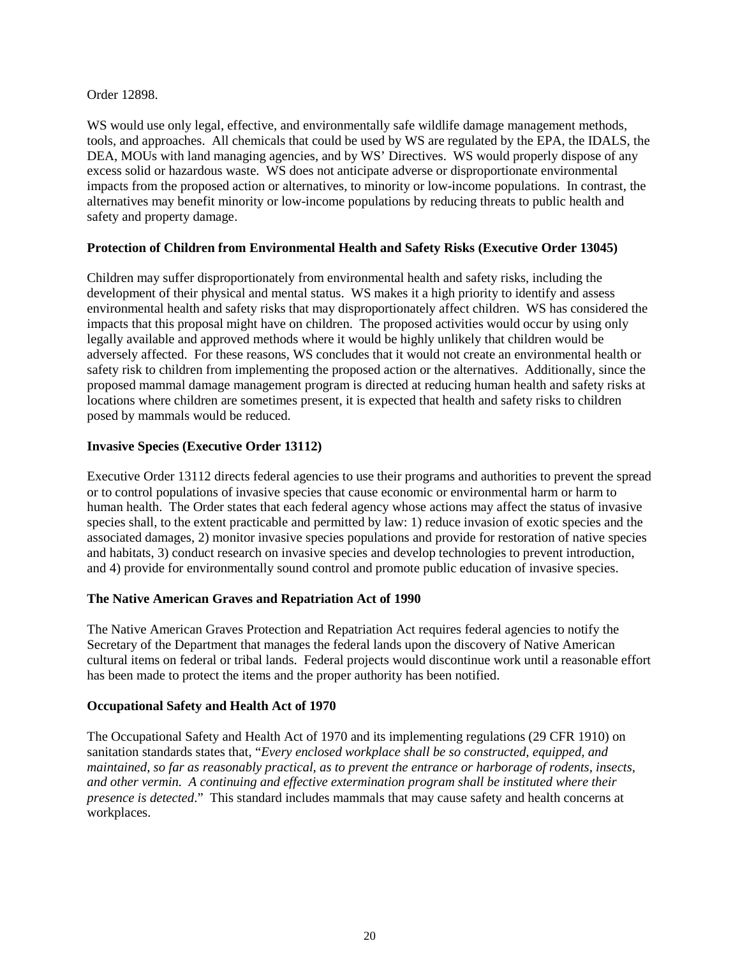Order 12898.

WS would use only legal, effective, and environmentally safe wildlife damage management methods, tools, and approaches. All chemicals that could be used by WS are regulated by the EPA, the IDALS, the DEA, MOUs with land managing agencies, and by WS' Directives. WS would properly dispose of any excess solid or hazardous waste. WS does not anticipate adverse or disproportionate environmental impacts from the proposed action or alternatives, to minority or low-income populations. In contrast, the alternatives may benefit minority or low-income populations by reducing threats to public health and safety and property damage.

### **Protection of Children from Environmental Health and Safety Risks (Executive Order 13045)**

Children may suffer disproportionately from environmental health and safety risks, including the development of their physical and mental status. WS makes it a high priority to identify and assess environmental health and safety risks that may disproportionately affect children. WS has considered the impacts that this proposal might have on children. The proposed activities would occur by using only legally available and approved methods where it would be highly unlikely that children would be adversely affected. For these reasons, WS concludes that it would not create an environmental health or safety risk to children from implementing the proposed action or the alternatives. Additionally, since the proposed mammal damage management program is directed at reducing human health and safety risks at locations where children are sometimes present, it is expected that health and safety risks to children posed by mammals would be reduced.

## **Invasive Species (Executive Order 13112)**

Executive Order 13112 directs federal agencies to use their programs and authorities to prevent the spread or to control populations of invasive species that cause economic or environmental harm or harm to human health. The Order states that each federal agency whose actions may affect the status of invasive species shall, to the extent practicable and permitted by law: 1) reduce invasion of exotic species and the associated damages, 2) monitor invasive species populations and provide for restoration of native species and habitats, 3) conduct research on invasive species and develop technologies to prevent introduction, and 4) provide for environmentally sound control and promote public education of invasive species.

### **The Native American Graves and Repatriation Act of 1990**

The Native American Graves Protection and Repatriation Act requires federal agencies to notify the Secretary of the Department that manages the federal lands upon the discovery of Native American cultural items on federal or tribal lands. Federal projects would discontinue work until a reasonable effort has been made to protect the items and the proper authority has been notified.

### **Occupational Safety and Health Act of 1970**

The Occupational Safety and Health Act of 1970 and its implementing regulations (29 CFR 1910) on sanitation standards states that, "*Every enclosed workplace shall be so constructed, equipped, and maintained, so far as reasonably practical, as to prevent the entrance or harborage of rodents, insects, and other vermin. A continuing and effective extermination program shall be instituted where their presence is detected*." This standard includes mammals that may cause safety and health concerns at workplaces.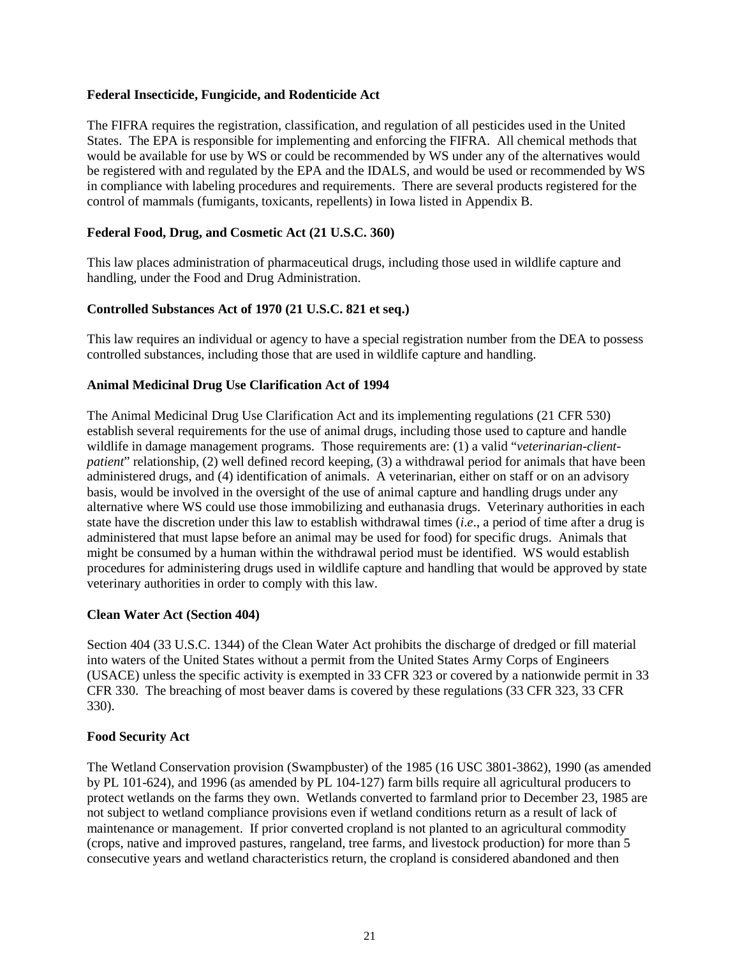#### **Federal Insecticide, Fungicide, and Rodenticide Act**

The FIFRA requires the registration, classification, and regulation of all pesticides used in the United States. The EPA is responsible for implementing and enforcing the FIFRA. All chemical methods that would be available for use by WS or could be recommended by WS under any of the alternatives would be registered with and regulated by the EPA and the IDALS, and would be used or recommended by WS in compliance with labeling procedures and requirements. There are several products registered for the control of mammals (fumigants, toxicants, repellents) in Iowa listed in Appendix B.

## **Federal Food, Drug, and Cosmetic Act (21 U.S.C. 360)**

This law places administration of pharmaceutical drugs, including those used in wildlife capture and handling, under the Food and Drug Administration.

#### **Controlled Substances Act of 1970 (21 U.S.C. 821 et seq.)**

This law requires an individual or agency to have a special registration number from the DEA to possess controlled substances, including those that are used in wildlife capture and handling.

#### **Animal Medicinal Drug Use Clarification Act of 1994**

The Animal Medicinal Drug Use Clarification Act and its implementing regulations (21 CFR 530) establish several requirements for the use of animal drugs, including those used to capture and handle wildlife in damage management programs. Those requirements are: (1) a valid "*veterinarian-clientpatient*" relationship, (2) well defined record keeping, (3) a withdrawal period for animals that have been administered drugs, and (4) identification of animals. A veterinarian, either on staff or on an advisory basis, would be involved in the oversight of the use of animal capture and handling drugs under any alternative where WS could use those immobilizing and euthanasia drugs. Veterinary authorities in each state have the discretion under this law to establish withdrawal times (*i*.*e*., a period of time after a drug is administered that must lapse before an animal may be used for food) for specific drugs. Animals that might be consumed by a human within the withdrawal period must be identified. WS would establish procedures for administering drugs used in wildlife capture and handling that would be approved by state veterinary authorities in order to comply with this law.

#### **Clean Water Act (Section 404)**

Section 404 (33 U.S.C. 1344) of the Clean Water Act prohibits the discharge of dredged or fill material into waters of the United States without a permit from the United States Army Corps of Engineers (USACE) unless the specific activity is exempted in 33 CFR 323 or covered by a nationwide permit in 33 CFR 330. The breaching of most beaver dams is covered by these regulations (33 CFR 323, 33 CFR 330).

#### **Food Security Act**

The Wetland Conservation provision (Swampbuster) of the 1985 (16 USC 3801-3862), 1990 (as amended by PL 101-624), and 1996 (as amended by PL 104-127) farm bills require all agricultural producers to protect wetlands on the farms they own. Wetlands converted to farmland prior to December 23, 1985 are not subject to wetland compliance provisions even if wetland conditions return as a result of lack of maintenance or management. If prior converted cropland is not planted to an agricultural commodity (crops, native and improved pastures, rangeland, tree farms, and livestock production) for more than 5 consecutive years and wetland characteristics return, the cropland is considered abandoned and then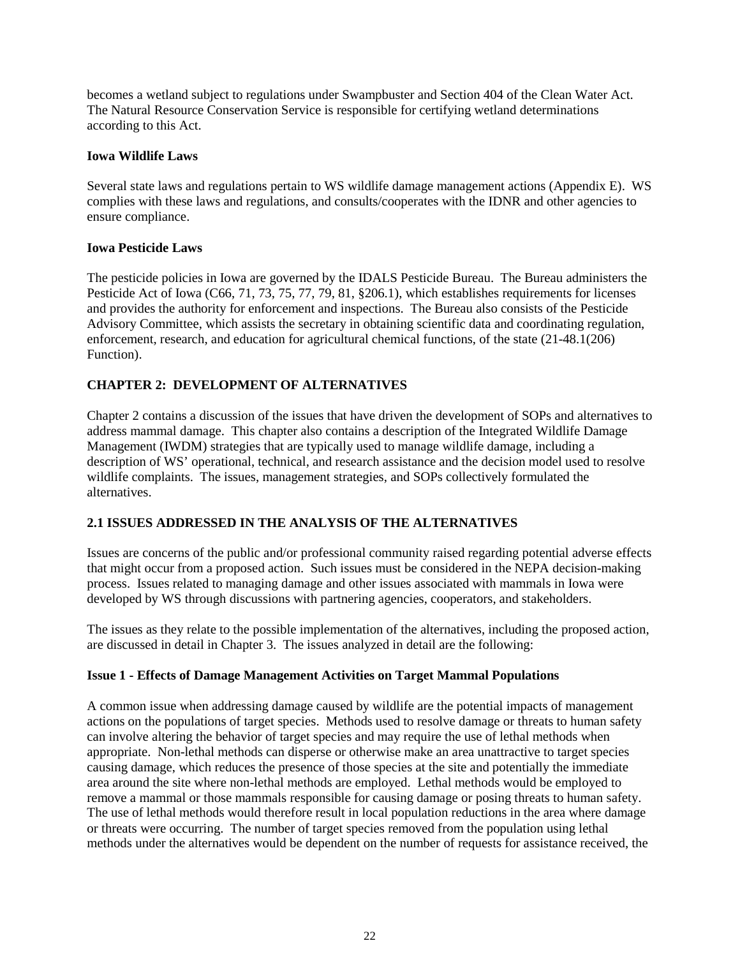becomes a wetland subject to regulations under Swampbuster and Section 404 of the Clean Water Act. The Natural Resource Conservation Service is responsible for certifying wetland determinations according to this Act.

## **Iowa Wildlife Laws**

Several state laws and regulations pertain to WS wildlife damage management actions (Appendix E). WS complies with these laws and regulations, and consults/cooperates with the IDNR and other agencies to ensure compliance.

## **Iowa Pesticide Laws**

The pesticide policies in Iowa are governed by the IDALS Pesticide Bureau. The Bureau administers the Pesticide Act of Iowa (C66, 71, 73, 75, 77, 79, 81, §206.1), which establishes requirements for licenses and provides the authority for enforcement and inspections. The Bureau also consists of the Pesticide Advisory Committee, which assists the secretary in obtaining scientific data and coordinating regulation, enforcement, research, and education for agricultural chemical functions, of the state (21-48.1(206) Function).

# **CHAPTER 2: DEVELOPMENT OF ALTERNATIVES**

Chapter 2 contains a discussion of the issues that have driven the development of SOPs and alternatives to address mammal damage. This chapter also contains a description of the Integrated Wildlife Damage Management (IWDM) strategies that are typically used to manage wildlife damage, including a description of WS' operational, technical, and research assistance and the decision model used to resolve wildlife complaints. The issues, management strategies, and SOPs collectively formulated the alternatives.

# **2.1 ISSUES ADDRESSED IN THE ANALYSIS OF THE ALTERNATIVES**

Issues are concerns of the public and/or professional community raised regarding potential adverse effects that might occur from a proposed action. Such issues must be considered in the NEPA decision-making process. Issues related to managing damage and other issues associated with mammals in Iowa were developed by WS through discussions with partnering agencies, cooperators, and stakeholders.

The issues as they relate to the possible implementation of the alternatives, including the proposed action, are discussed in detail in Chapter 3. The issues analyzed in detail are the following:

# **Issue 1 - Effects of Damage Management Activities on Target Mammal Populations**

A common issue when addressing damage caused by wildlife are the potential impacts of management actions on the populations of target species. Methods used to resolve damage or threats to human safety can involve altering the behavior of target species and may require the use of lethal methods when appropriate. Non-lethal methods can disperse or otherwise make an area unattractive to target species causing damage, which reduces the presence of those species at the site and potentially the immediate area around the site where non-lethal methods are employed. Lethal methods would be employed to remove a mammal or those mammals responsible for causing damage or posing threats to human safety. The use of lethal methods would therefore result in local population reductions in the area where damage or threats were occurring. The number of target species removed from the population using lethal methods under the alternatives would be dependent on the number of requests for assistance received, the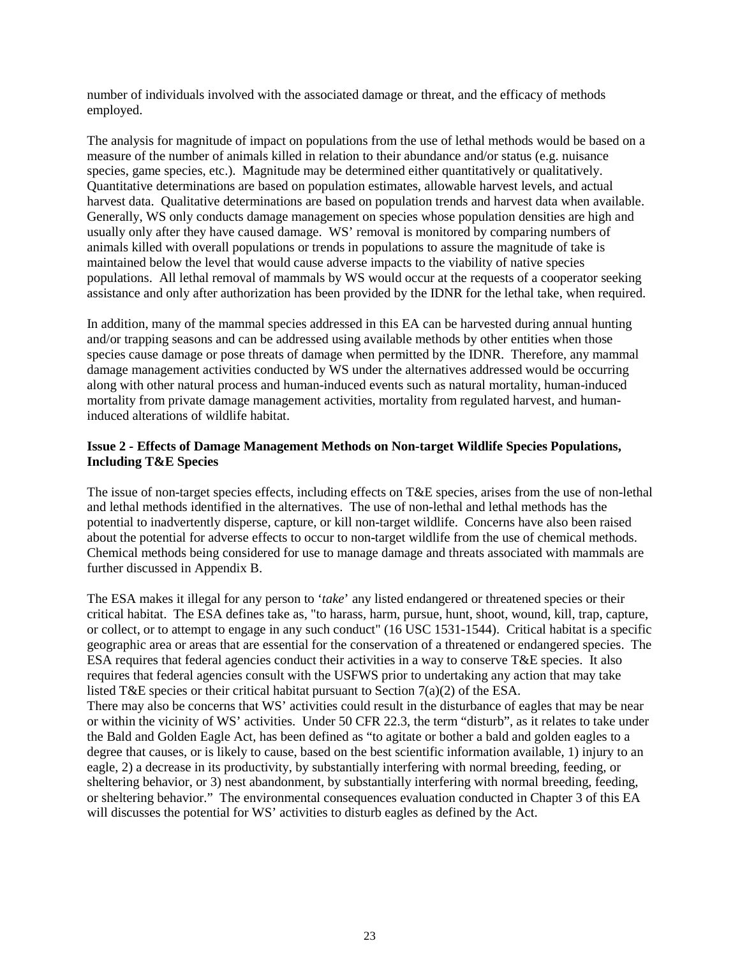number of individuals involved with the associated damage or threat, and the efficacy of methods employed.

The analysis for magnitude of impact on populations from the use of lethal methods would be based on a measure of the number of animals killed in relation to their abundance and/or status (e.g. nuisance species, game species, etc.). Magnitude may be determined either quantitatively or qualitatively. Quantitative determinations are based on population estimates, allowable harvest levels, and actual harvest data. Qualitative determinations are based on population trends and harvest data when available. Generally, WS only conducts damage management on species whose population densities are high and usually only after they have caused damage. WS' removal is monitored by comparing numbers of animals killed with overall populations or trends in populations to assure the magnitude of take is maintained below the level that would cause adverse impacts to the viability of native species populations. All lethal removal of mammals by WS would occur at the requests of a cooperator seeking assistance and only after authorization has been provided by the IDNR for the lethal take, when required.

In addition, many of the mammal species addressed in this EA can be harvested during annual hunting and/or trapping seasons and can be addressed using available methods by other entities when those species cause damage or pose threats of damage when permitted by the IDNR. Therefore, any mammal damage management activities conducted by WS under the alternatives addressed would be occurring along with other natural process and human-induced events such as natural mortality, human-induced mortality from private damage management activities, mortality from regulated harvest, and humaninduced alterations of wildlife habitat.

## **Issue 2 - Effects of Damage Management Methods on Non-target Wildlife Species Populations, Including T&E Species**

The issue of non-target species effects, including effects on T&E species, arises from the use of non-lethal and lethal methods identified in the alternatives. The use of non-lethal and lethal methods has the potential to inadvertently disperse, capture, or kill non-target wildlife. Concerns have also been raised about the potential for adverse effects to occur to non-target wildlife from the use of chemical methods. Chemical methods being considered for use to manage damage and threats associated with mammals are further discussed in Appendix B.

The ESA makes it illegal for any person to '*take*' any listed endangered or threatened species or their critical habitat. The ESA defines take as, "to harass, harm, pursue, hunt, shoot, wound, kill, trap, capture, or collect, or to attempt to engage in any such conduct" (16 USC 1531-1544). Critical habitat is a specific geographic area or areas that are essential for the conservation of a threatened or endangered species. The ESA requires that federal agencies conduct their activities in a way to conserve T&E species. It also requires that federal agencies consult with the USFWS prior to undertaking any action that may take listed T&E species or their critical habitat pursuant to Section 7(a)(2) of the ESA. There may also be concerns that WS' activities could result in the disturbance of eagles that may be near or within the vicinity of WS' activities. Under 50 CFR 22.3, the term "disturb", as it relates to take under the Bald and Golden Eagle Act, has been defined as "to agitate or bother a bald and golden eagles to a degree that causes, or is likely to cause, based on the best scientific information available, 1) injury to an eagle, 2) a decrease in its productivity, by substantially interfering with normal breeding, feeding, or sheltering behavior, or 3) nest abandonment, by substantially interfering with normal breeding, feeding, or sheltering behavior." The environmental consequences evaluation conducted in Chapter 3 of this EA will discusses the potential for WS' activities to disturb eagles as defined by the Act.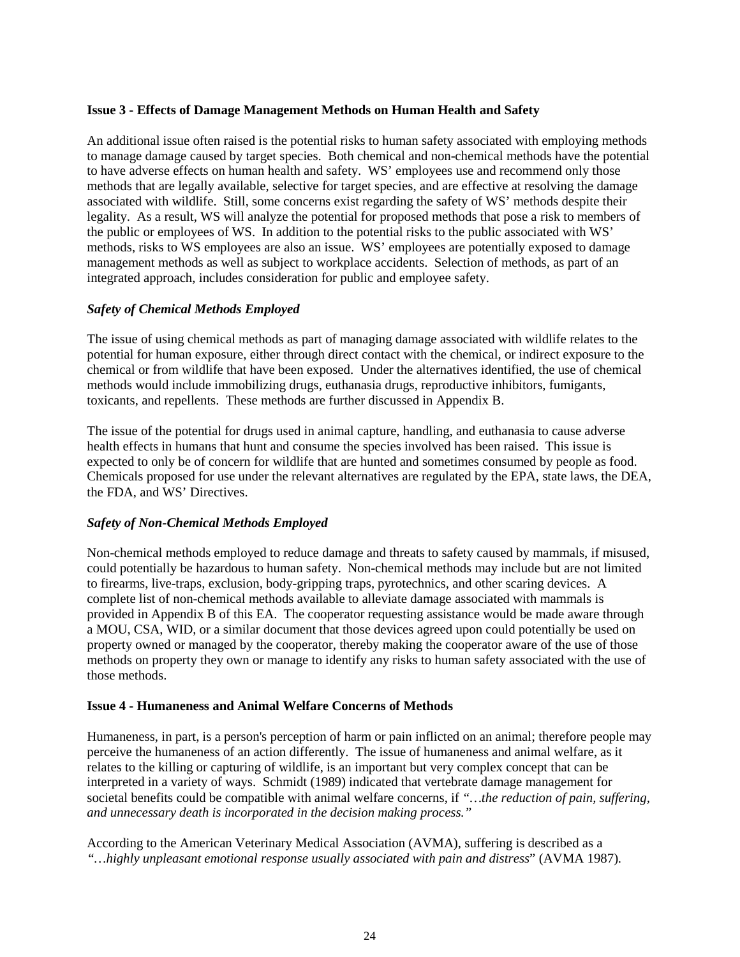## **Issue 3 - Effects of Damage Management Methods on Human Health and Safety**

An additional issue often raised is the potential risks to human safety associated with employing methods to manage damage caused by target species. Both chemical and non-chemical methods have the potential to have adverse effects on human health and safety. WS' employees use and recommend only those methods that are legally available, selective for target species, and are effective at resolving the damage associated with wildlife. Still, some concerns exist regarding the safety of WS' methods despite their legality. As a result, WS will analyze the potential for proposed methods that pose a risk to members of the public or employees of WS. In addition to the potential risks to the public associated with WS' methods, risks to WS employees are also an issue. WS' employees are potentially exposed to damage management methods as well as subject to workplace accidents. Selection of methods, as part of an integrated approach, includes consideration for public and employee safety.

## *Safety of Chemical Methods Employed*

The issue of using chemical methods as part of managing damage associated with wildlife relates to the potential for human exposure, either through direct contact with the chemical, or indirect exposure to the chemical or from wildlife that have been exposed. Under the alternatives identified, the use of chemical methods would include immobilizing drugs, euthanasia drugs, reproductive inhibitors, fumigants, toxicants, and repellents. These methods are further discussed in Appendix B.

The issue of the potential for drugs used in animal capture, handling, and euthanasia to cause adverse health effects in humans that hunt and consume the species involved has been raised. This issue is expected to only be of concern for wildlife that are hunted and sometimes consumed by people as food. Chemicals proposed for use under the relevant alternatives are regulated by the EPA, state laws, the DEA, the FDA, and WS' Directives.

### *Safety of Non-Chemical Methods Employed*

Non-chemical methods employed to reduce damage and threats to safety caused by mammals, if misused, could potentially be hazardous to human safety. Non-chemical methods may include but are not limited to firearms, live-traps, exclusion, body-gripping traps, pyrotechnics, and other scaring devices. A complete list of non-chemical methods available to alleviate damage associated with mammals is provided in Appendix B of this EA. The cooperator requesting assistance would be made aware through a MOU, CSA, WID, or a similar document that those devices agreed upon could potentially be used on property owned or managed by the cooperator, thereby making the cooperator aware of the use of those methods on property they own or manage to identify any risks to human safety associated with the use of those methods.

### **Issue 4 - Humaneness and Animal Welfare Concerns of Methods**

Humaneness, in part, is a person's perception of harm or pain inflicted on an animal; therefore people may perceive the humaneness of an action differently. The issue of humaneness and animal welfare, as it relates to the killing or capturing of wildlife, is an important but very complex concept that can be interpreted in a variety of ways. Schmidt (1989) indicated that vertebrate damage management for societal benefits could be compatible with animal welfare concerns, if *"…the reduction of pain, suffering, and unnecessary death is incorporated in the decision making process."*

According to the American Veterinary Medical Association (AVMA), suffering is described as a *"…highly unpleasant emotional response usually associated with pain and distress*" (AVMA 1987)*.*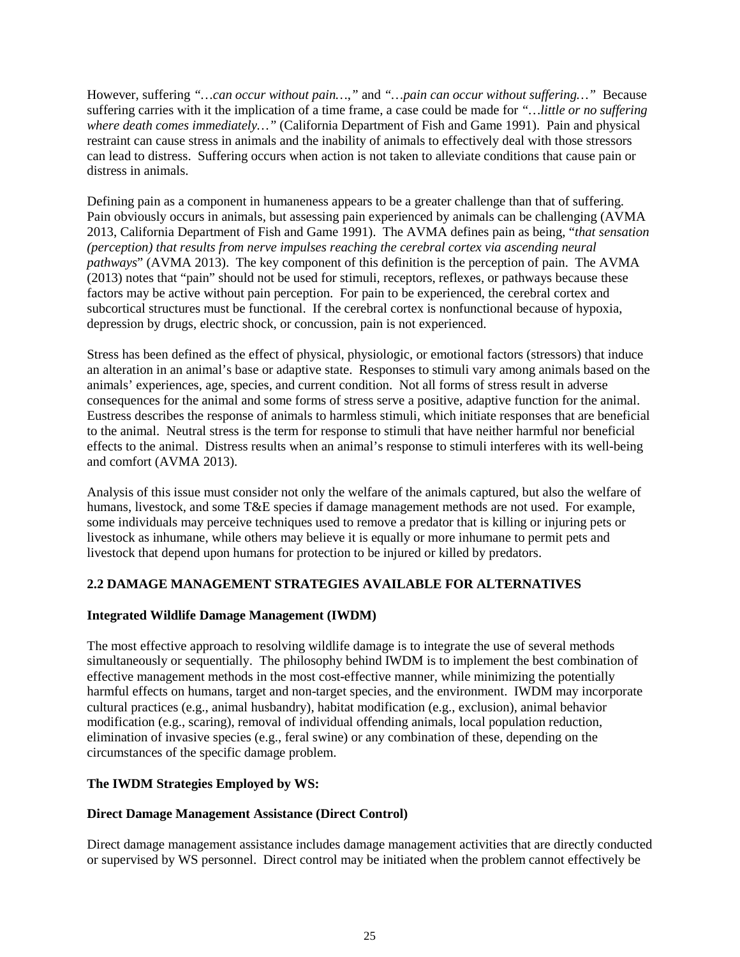However, suffering *"…can occur without pain…*,*"* and *"…pain can occur without suffering…"* Because suffering carries with it the implication of a time frame, a case could be made for *"…little or no suffering where death comes immediately…"* (California Department of Fish and Game 1991). Pain and physical restraint can cause stress in animals and the inability of animals to effectively deal with those stressors can lead to distress. Suffering occurs when action is not taken to alleviate conditions that cause pain or distress in animals.

Defining pain as a component in humaneness appears to be a greater challenge than that of suffering. Pain obviously occurs in animals, but assessing pain experienced by animals can be challenging (AVMA 2013, California Department of Fish and Game 1991). The AVMA defines pain as being, "*that sensation (perception) that results from nerve impulses reaching the cerebral cortex via ascending neural pathways*" (AVMA 2013). The key component of this definition is the perception of pain. The AVMA (2013) notes that "pain" should not be used for stimuli, receptors, reflexes, or pathways because these factors may be active without pain perception. For pain to be experienced, the cerebral cortex and subcortical structures must be functional. If the cerebral cortex is nonfunctional because of hypoxia, depression by drugs, electric shock, or concussion, pain is not experienced.

Stress has been defined as the effect of physical, physiologic, or emotional factors (stressors) that induce an alteration in an animal's base or adaptive state. Responses to stimuli vary among animals based on the animals' experiences, age, species, and current condition. Not all forms of stress result in adverse consequences for the animal and some forms of stress serve a positive, adaptive function for the animal. Eustress describes the response of animals to harmless stimuli, which initiate responses that are beneficial to the animal. Neutral stress is the term for response to stimuli that have neither harmful nor beneficial effects to the animal. Distress results when an animal's response to stimuli interferes with its well-being and comfort (AVMA 2013).

Analysis of this issue must consider not only the welfare of the animals captured, but also the welfare of humans, livestock, and some T&E species if damage management methods are not used. For example, some individuals may perceive techniques used to remove a predator that is killing or injuring pets or livestock as inhumane, while others may believe it is equally or more inhumane to permit pets and livestock that depend upon humans for protection to be injured or killed by predators.

# **2.2 DAMAGE MANAGEMENT STRATEGIES AVAILABLE FOR ALTERNATIVES**

### **Integrated Wildlife Damage Management (IWDM)**

The most effective approach to resolving wildlife damage is to integrate the use of several methods simultaneously or sequentially. The philosophy behind IWDM is to implement the best combination of effective management methods in the most cost-effective manner, while minimizing the potentially harmful effects on humans, target and non-target species, and the environment. IWDM may incorporate cultural practices (e.g., animal husbandry), habitat modification (e.g., exclusion), animal behavior modification (e.g., scaring), removal of individual offending animals, local population reduction, elimination of invasive species (e.g., feral swine) or any combination of these, depending on the circumstances of the specific damage problem.

# **The IWDM Strategies Employed by WS:**

### **Direct Damage Management Assistance (Direct Control)**

Direct damage management assistance includes damage management activities that are directly conducted or supervised by WS personnel. Direct control may be initiated when the problem cannot effectively be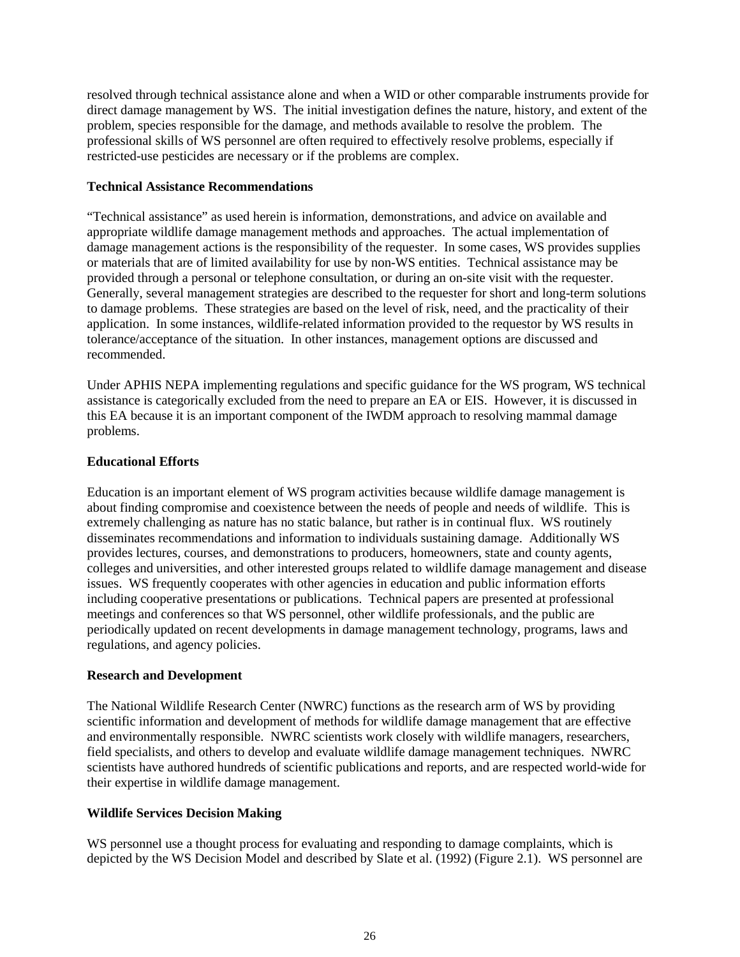resolved through technical assistance alone and when a WID or other comparable instruments provide for direct damage management by WS. The initial investigation defines the nature, history, and extent of the problem, species responsible for the damage, and methods available to resolve the problem. The professional skills of WS personnel are often required to effectively resolve problems, especially if restricted-use pesticides are necessary or if the problems are complex.

#### **Technical Assistance Recommendations**

"Technical assistance" as used herein is information, demonstrations, and advice on available and appropriate wildlife damage management methods and approaches. The actual implementation of damage management actions is the responsibility of the requester. In some cases, WS provides supplies or materials that are of limited availability for use by non-WS entities. Technical assistance may be provided through a personal or telephone consultation, or during an on-site visit with the requester. Generally, several management strategies are described to the requester for short and long-term solutions to damage problems. These strategies are based on the level of risk, need, and the practicality of their application. In some instances, wildlife-related information provided to the requestor by WS results in tolerance/acceptance of the situation. In other instances, management options are discussed and recommended.

Under APHIS NEPA implementing regulations and specific guidance for the WS program, WS technical assistance is categorically excluded from the need to prepare an EA or EIS. However, it is discussed in this EA because it is an important component of the IWDM approach to resolving mammal damage problems.

## **Educational Efforts**

Education is an important element of WS program activities because wildlife damage management is about finding compromise and coexistence between the needs of people and needs of wildlife. This is extremely challenging as nature has no static balance, but rather is in continual flux. WS routinely disseminates recommendations and information to individuals sustaining damage. Additionally WS provides lectures, courses, and demonstrations to producers, homeowners, state and county agents, colleges and universities, and other interested groups related to wildlife damage management and disease issues. WS frequently cooperates with other agencies in education and public information efforts including cooperative presentations or publications. Technical papers are presented at professional meetings and conferences so that WS personnel, other wildlife professionals, and the public are periodically updated on recent developments in damage management technology, programs, laws and regulations, and agency policies.

### **Research and Development**

The National Wildlife Research Center (NWRC) functions as the research arm of WS by providing scientific information and development of methods for wildlife damage management that are effective and environmentally responsible. NWRC scientists work closely with wildlife managers, researchers, field specialists, and others to develop and evaluate wildlife damage management techniques. NWRC scientists have authored hundreds of scientific publications and reports, and are respected world-wide for their expertise in wildlife damage management.

### **Wildlife Services Decision Making**

WS personnel use a thought process for evaluating and responding to damage complaints, which is depicted by the WS Decision Model and described by Slate et al. (1992) (Figure 2.1). WS personnel are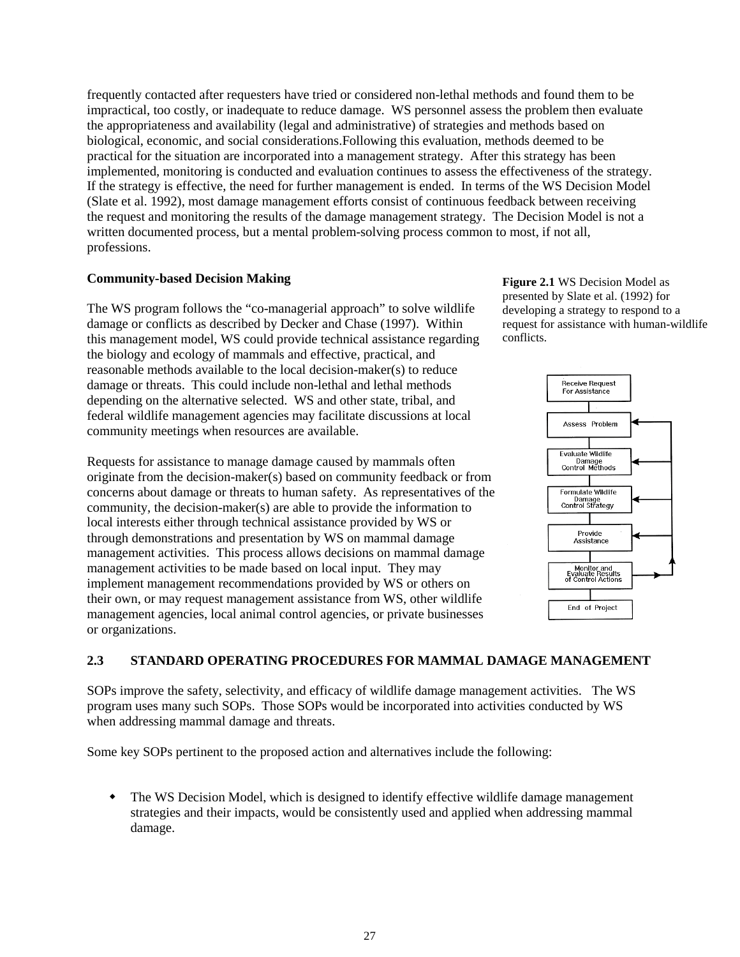frequently contacted after requesters have tried or considered non-lethal methods and found them to be impractical, too costly, or inadequate to reduce damage. WS personnel assess the problem then evaluate the appropriateness and availability (legal and administrative) of strategies and methods based on biological, economic, and social considerations.Following this evaluation, methods deemed to be practical for the situation are incorporated into a management strategy. After this strategy has been implemented, monitoring is conducted and evaluation continues to assess the effectiveness of the strategy. If the strategy is effective, the need for further management is ended. In terms of the WS Decision Model (Slate et al. 1992), most damage management efforts consist of continuous feedback between receiving the request and monitoring the results of the damage management strategy. The Decision Model is not a written documented process, but a mental problem-solving process common to most, if not all, professions.

### **Community-based Decision Making**

The WS program follows the "co-managerial approach" to solve wildlife damage or conflicts as described by Decker and Chase (1997). Within this management model, WS could provide technical assistance regarding the biology and ecology of mammals and effective, practical, and reasonable methods available to the local decision-maker(s) to reduce damage or threats. This could include non-lethal and lethal methods depending on the alternative selected. WS and other state, tribal, and federal wildlife management agencies may facilitate discussions at local community meetings when resources are available.

Requests for assistance to manage damage caused by mammals often originate from the decision-maker(s) based on community feedback or from concerns about damage or threats to human safety. As representatives of the community, the decision-maker(s) are able to provide the information to local interests either through technical assistance provided by WS or through demonstrations and presentation by WS on mammal damage management activities. This process allows decisions on mammal damage management activities to be made based on local input. They may implement management recommendations provided by WS or others on their own, or may request management assistance from WS, other wildlife management agencies, local animal control agencies, or private businesses or organizations.

**Figure 2.1** WS Decision Model as presented by Slate et al. (1992) for developing a strategy to respond to a request for assistance with human-wildlife conflicts.



# **2.3 STANDARD OPERATING PROCEDURES FOR MAMMAL DAMAGE MANAGEMENT**

SOPs improve the safety, selectivity, and efficacy of wildlife damage management activities. The WS program uses many such SOPs. Those SOPs would be incorporated into activities conducted by WS when addressing mammal damage and threats.

Some key SOPs pertinent to the proposed action and alternatives include the following:

 The WS Decision Model, which is designed to identify effective wildlife damage management strategies and their impacts, would be consistently used and applied when addressing mammal damage.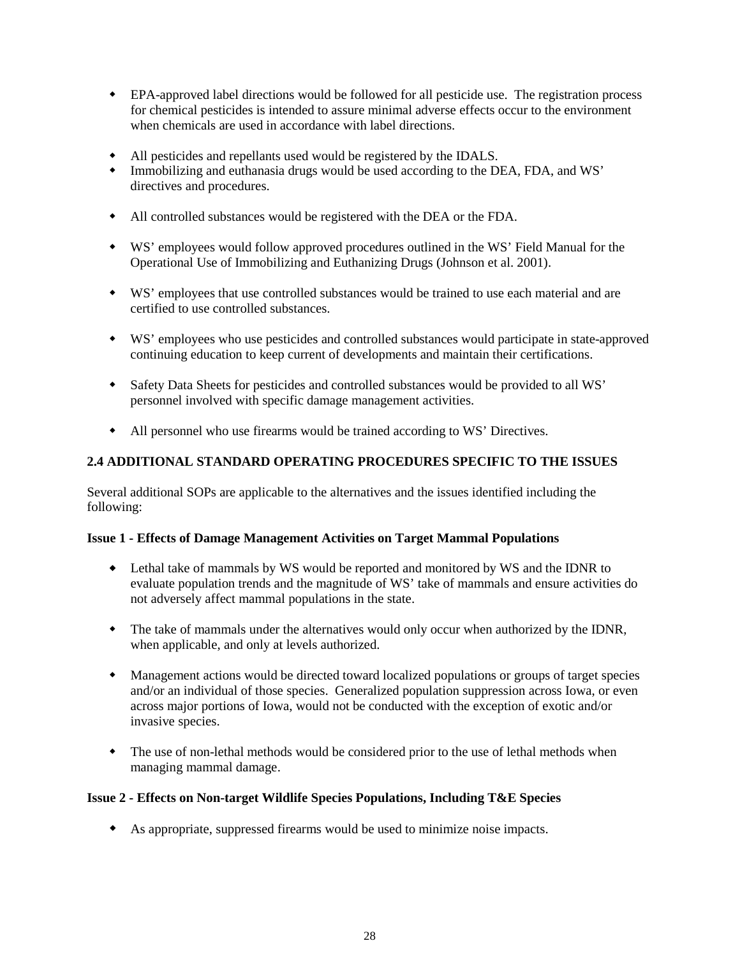- EPA-approved label directions would be followed for all pesticide use. The registration process for chemical pesticides is intended to assure minimal adverse effects occur to the environment when chemicals are used in accordance with label directions.
- All pesticides and repellants used would be registered by the IDALS.
- Immobilizing and euthanasia drugs would be used according to the DEA, FDA, and WS' directives and procedures.
- All controlled substances would be registered with the DEA or the FDA.
- WS' employees would follow approved procedures outlined in the WS' Field Manual for the Operational Use of Immobilizing and Euthanizing Drugs (Johnson et al. 2001).
- WS' employees that use controlled substances would be trained to use each material and are certified to use controlled substances.
- WS' employees who use pesticides and controlled substances would participate in state-approved continuing education to keep current of developments and maintain their certifications.
- Safety Data Sheets for pesticides and controlled substances would be provided to all WS' personnel involved with specific damage management activities.
- All personnel who use firearms would be trained according to WS' Directives.

# **2.4 ADDITIONAL STANDARD OPERATING PROCEDURES SPECIFIC TO THE ISSUES**

Several additional SOPs are applicable to the alternatives and the issues identified including the following:

### **Issue 1 - Effects of Damage Management Activities on Target Mammal Populations**

- Lethal take of mammals by WS would be reported and monitored by WS and the IDNR to evaluate population trends and the magnitude of WS' take of mammals and ensure activities do not adversely affect mammal populations in the state.
- The take of mammals under the alternatives would only occur when authorized by the IDNR, when applicable, and only at levels authorized.
- Management actions would be directed toward localized populations or groups of target species and/or an individual of those species. Generalized population suppression across Iowa, or even across major portions of Iowa, would not be conducted with the exception of exotic and/or invasive species.
- The use of non-lethal methods would be considered prior to the use of lethal methods when managing mammal damage.

### **Issue 2 - Effects on Non-target Wildlife Species Populations, Including T&E Species**

As appropriate, suppressed firearms would be used to minimize noise impacts.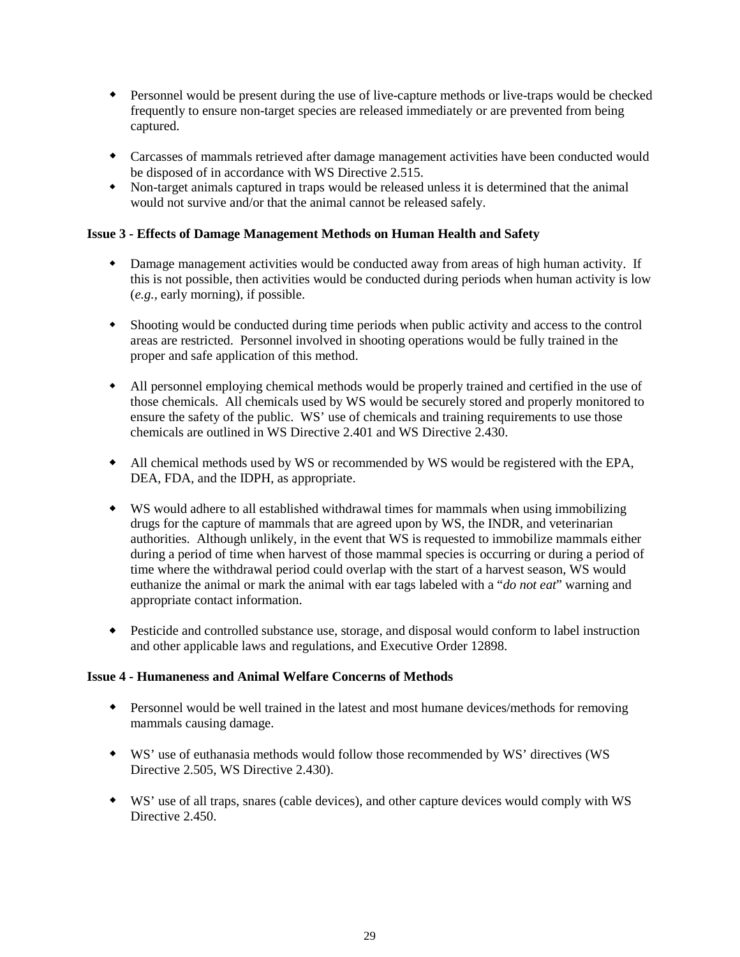- Personnel would be present during the use of live-capture methods or live-traps would be checked frequently to ensure non-target species are released immediately or are prevented from being captured.
- Carcasses of mammals retrieved after damage management activities have been conducted would be disposed of in accordance with WS Directive 2.515.
- Non-target animals captured in traps would be released unless it is determined that the animal would not survive and/or that the animal cannot be released safely.

## **Issue 3 - Effects of Damage Management Methods on Human Health and Safety**

- Damage management activities would be conducted away from areas of high human activity. If this is not possible, then activities would be conducted during periods when human activity is low (*e.g.*, early morning), if possible.
- Shooting would be conducted during time periods when public activity and access to the control areas are restricted. Personnel involved in shooting operations would be fully trained in the proper and safe application of this method.
- All personnel employing chemical methods would be properly trained and certified in the use of those chemicals. All chemicals used by WS would be securely stored and properly monitored to ensure the safety of the public. WS' use of chemicals and training requirements to use those chemicals are outlined in WS Directive 2.401 and WS Directive 2.430.
- All chemical methods used by WS or recommended by WS would be registered with the EPA, DEA, FDA, and the IDPH, as appropriate.
- WS would adhere to all established withdrawal times for mammals when using immobilizing drugs for the capture of mammals that are agreed upon by WS, the INDR, and veterinarian authorities. Although unlikely, in the event that WS is requested to immobilize mammals either during a period of time when harvest of those mammal species is occurring or during a period of time where the withdrawal period could overlap with the start of a harvest season, WS would euthanize the animal or mark the animal with ear tags labeled with a "*do not eat*" warning and appropriate contact information.
- Pesticide and controlled substance use, storage, and disposal would conform to label instruction and other applicable laws and regulations, and Executive Order 12898.

### **Issue 4 - Humaneness and Animal Welfare Concerns of Methods**

- Personnel would be well trained in the latest and most humane devices/methods for removing mammals causing damage.
- WS' use of euthanasia methods would follow those recommended by WS' directives (WS Directive 2.505, WS Directive 2.430).
- WS' use of all traps, snares (cable devices), and other capture devices would comply with WS Directive 2.450.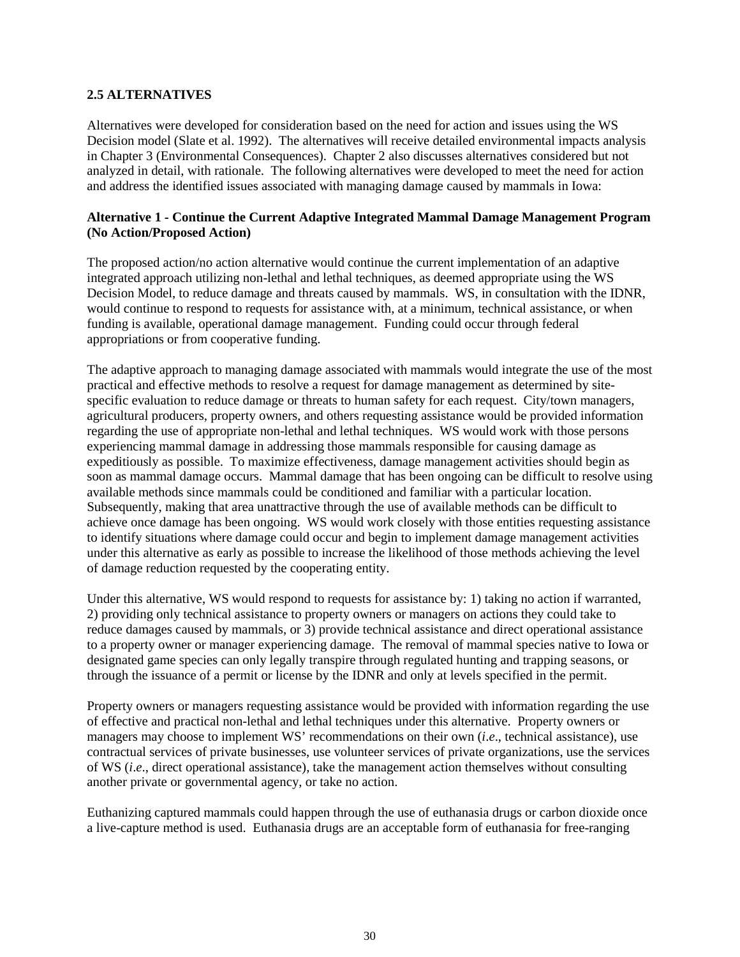#### **2.5 ALTERNATIVES**

Alternatives were developed for consideration based on the need for action and issues using the WS Decision model (Slate et al. 1992). The alternatives will receive detailed environmental impacts analysis in Chapter 3 (Environmental Consequences). Chapter 2 also discusses alternatives considered but not analyzed in detail, with rationale. The following alternatives were developed to meet the need for action and address the identified issues associated with managing damage caused by mammals in Iowa:

## **Alternative 1 - Continue the Current Adaptive Integrated Mammal Damage Management Program (No Action/Proposed Action)**

The proposed action/no action alternative would continue the current implementation of an adaptive integrated approach utilizing non-lethal and lethal techniques, as deemed appropriate using the WS Decision Model, to reduce damage and threats caused by mammals. WS, in consultation with the IDNR, would continue to respond to requests for assistance with, at a minimum, technical assistance, or when funding is available, operational damage management. Funding could occur through federal appropriations or from cooperative funding.

The adaptive approach to managing damage associated with mammals would integrate the use of the most practical and effective methods to resolve a request for damage management as determined by sitespecific evaluation to reduce damage or threats to human safety for each request. City/town managers, agricultural producers, property owners, and others requesting assistance would be provided information regarding the use of appropriate non-lethal and lethal techniques. WS would work with those persons experiencing mammal damage in addressing those mammals responsible for causing damage as expeditiously as possible. To maximize effectiveness, damage management activities should begin as soon as mammal damage occurs. Mammal damage that has been ongoing can be difficult to resolve using available methods since mammals could be conditioned and familiar with a particular location. Subsequently, making that area unattractive through the use of available methods can be difficult to achieve once damage has been ongoing. WS would work closely with those entities requesting assistance to identify situations where damage could occur and begin to implement damage management activities under this alternative as early as possible to increase the likelihood of those methods achieving the level of damage reduction requested by the cooperating entity.

Under this alternative, WS would respond to requests for assistance by: 1) taking no action if warranted, 2) providing only technical assistance to property owners or managers on actions they could take to reduce damages caused by mammals, or 3) provide technical assistance and direct operational assistance to a property owner or manager experiencing damage. The removal of mammal species native to Iowa or designated game species can only legally transpire through regulated hunting and trapping seasons, or through the issuance of a permit or license by the IDNR and only at levels specified in the permit.

Property owners or managers requesting assistance would be provided with information regarding the use of effective and practical non-lethal and lethal techniques under this alternative. Property owners or managers may choose to implement WS' recommendations on their own (*i*.*e*., technical assistance), use contractual services of private businesses, use volunteer services of private organizations, use the services of WS (*i*.*e*., direct operational assistance), take the management action themselves without consulting another private or governmental agency, or take no action.

Euthanizing captured mammals could happen through the use of euthanasia drugs or carbon dioxide once a live-capture method is used. Euthanasia drugs are an acceptable form of euthanasia for free-ranging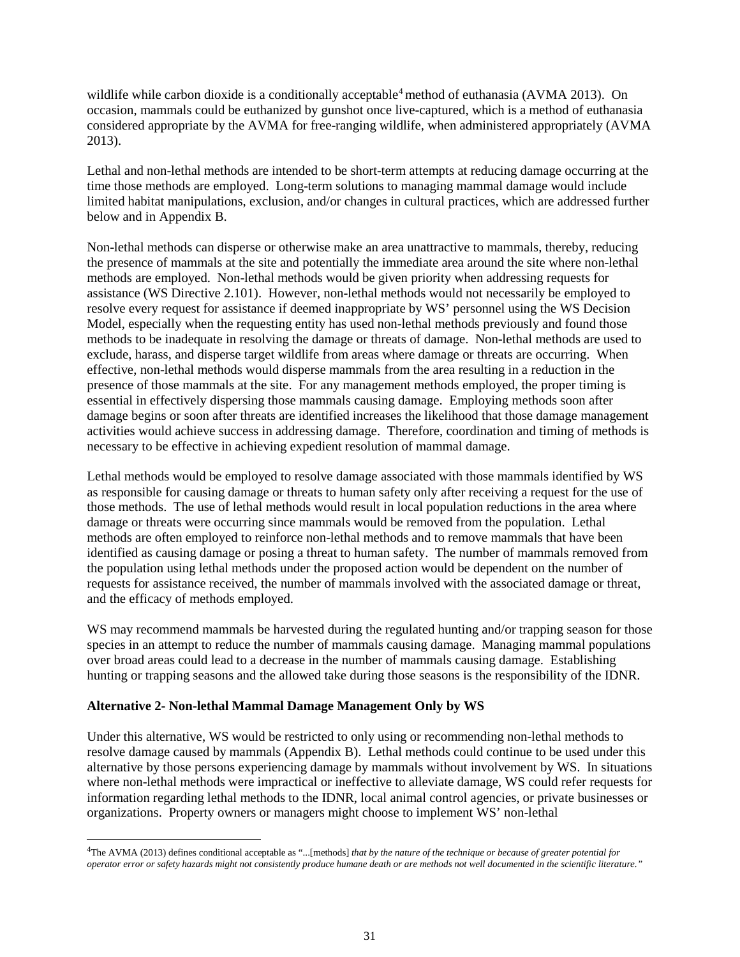wildlife while carbon dioxide is a conditionally acceptable<sup>[4](#page-33-0)</sup> method of euthanasia (AVMA 2013). On occasion, mammals could be euthanized by gunshot once live-captured, which is a method of euthanasia considered appropriate by the AVMA for free-ranging wildlife, when administered appropriately (AVMA 2013).

Lethal and non-lethal methods are intended to be short-term attempts at reducing damage occurring at the time those methods are employed. Long-term solutions to managing mammal damage would include limited habitat manipulations, exclusion, and/or changes in cultural practices, which are addressed further below and in Appendix B.

Non-lethal methods can disperse or otherwise make an area unattractive to mammals, thereby, reducing the presence of mammals at the site and potentially the immediate area around the site where non-lethal methods are employed. Non-lethal methods would be given priority when addressing requests for assistance (WS Directive 2.101). However, non-lethal methods would not necessarily be employed to resolve every request for assistance if deemed inappropriate by WS' personnel using the WS Decision Model, especially when the requesting entity has used non-lethal methods previously and found those methods to be inadequate in resolving the damage or threats of damage. Non-lethal methods are used to exclude, harass, and disperse target wildlife from areas where damage or threats are occurring. When effective, non-lethal methods would disperse mammals from the area resulting in a reduction in the presence of those mammals at the site. For any management methods employed, the proper timing is essential in effectively dispersing those mammals causing damage. Employing methods soon after damage begins or soon after threats are identified increases the likelihood that those damage management activities would achieve success in addressing damage. Therefore, coordination and timing of methods is necessary to be effective in achieving expedient resolution of mammal damage.

Lethal methods would be employed to resolve damage associated with those mammals identified by WS as responsible for causing damage or threats to human safety only after receiving a request for the use of those methods. The use of lethal methods would result in local population reductions in the area where damage or threats were occurring since mammals would be removed from the population. Lethal methods are often employed to reinforce non-lethal methods and to remove mammals that have been identified as causing damage or posing a threat to human safety. The number of mammals removed from the population using lethal methods under the proposed action would be dependent on the number of requests for assistance received, the number of mammals involved with the associated damage or threat, and the efficacy of methods employed.

WS may recommend mammals be harvested during the regulated hunting and/or trapping season for those species in an attempt to reduce the number of mammals causing damage. Managing mammal populations over broad areas could lead to a decrease in the number of mammals causing damage. Establishing hunting or trapping seasons and the allowed take during those seasons is the responsibility of the IDNR.

#### **Alternative 2- Non-lethal Mammal Damage Management Only by WS**

Under this alternative, WS would be restricted to only using or recommending non-lethal methods to resolve damage caused by mammals (Appendix B). Lethal methods could continue to be used under this alternative by those persons experiencing damage by mammals without involvement by WS. In situations where non-lethal methods were impractical or ineffective to alleviate damage, WS could refer requests for information regarding lethal methods to the IDNR, local animal control agencies, or private businesses or organizations. Property owners or managers might choose to implement WS' non-lethal

<span id="page-33-0"></span> $\frac{1}{4}$ The AVMA (2013) defines conditional acceptable as "...[methods] *that by the nature of the technique or because of greater potential for operator error or safety hazards might not consistently produce humane death or are methods not well documented in the scientific literature."*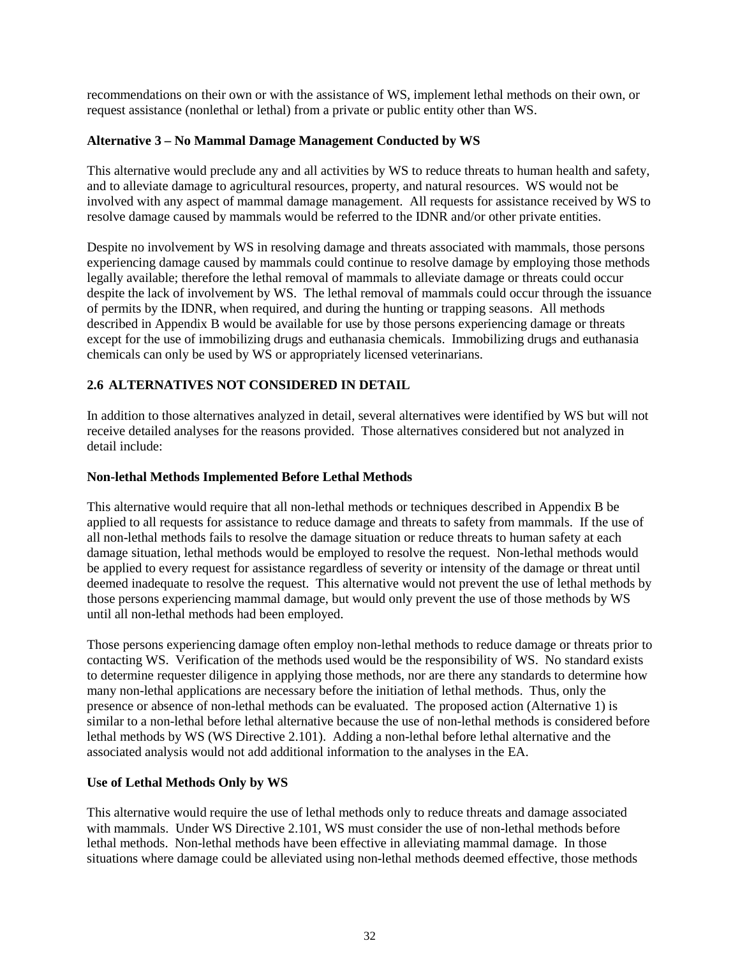recommendations on their own or with the assistance of WS, implement lethal methods on their own, or request assistance (nonlethal or lethal) from a private or public entity other than WS.

## **Alternative 3 – No Mammal Damage Management Conducted by WS**

This alternative would preclude any and all activities by WS to reduce threats to human health and safety, and to alleviate damage to agricultural resources, property, and natural resources. WS would not be involved with any aspect of mammal damage management. All requests for assistance received by WS to resolve damage caused by mammals would be referred to the IDNR and/or other private entities.

Despite no involvement by WS in resolving damage and threats associated with mammals, those persons experiencing damage caused by mammals could continue to resolve damage by employing those methods legally available; therefore the lethal removal of mammals to alleviate damage or threats could occur despite the lack of involvement by WS. The lethal removal of mammals could occur through the issuance of permits by the IDNR, when required, and during the hunting or trapping seasons. All methods described in Appendix B would be available for use by those persons experiencing damage or threats except for the use of immobilizing drugs and euthanasia chemicals. Immobilizing drugs and euthanasia chemicals can only be used by WS or appropriately licensed veterinarians.

# **2.6 ALTERNATIVES NOT CONSIDERED IN DETAIL**

In addition to those alternatives analyzed in detail, several alternatives were identified by WS but will not receive detailed analyses for the reasons provided. Those alternatives considered but not analyzed in detail include:

### **Non-lethal Methods Implemented Before Lethal Methods**

This alternative would require that all non-lethal methods or techniques described in Appendix B be applied to all requests for assistance to reduce damage and threats to safety from mammals. If the use of all non-lethal methods fails to resolve the damage situation or reduce threats to human safety at each damage situation, lethal methods would be employed to resolve the request. Non-lethal methods would be applied to every request for assistance regardless of severity or intensity of the damage or threat until deemed inadequate to resolve the request. This alternative would not prevent the use of lethal methods by those persons experiencing mammal damage, but would only prevent the use of those methods by WS until all non-lethal methods had been employed.

Those persons experiencing damage often employ non-lethal methods to reduce damage or threats prior to contacting WS. Verification of the methods used would be the responsibility of WS. No standard exists to determine requester diligence in applying those methods, nor are there any standards to determine how many non-lethal applications are necessary before the initiation of lethal methods. Thus, only the presence or absence of non-lethal methods can be evaluated. The proposed action (Alternative 1) is similar to a non-lethal before lethal alternative because the use of non-lethal methods is considered before lethal methods by WS (WS Directive 2.101). Adding a non-lethal before lethal alternative and the associated analysis would not add additional information to the analyses in the EA.

### **Use of Lethal Methods Only by WS**

This alternative would require the use of lethal methods only to reduce threats and damage associated with mammals. Under WS Directive 2.101, WS must consider the use of non-lethal methods before lethal methods. Non-lethal methods have been effective in alleviating mammal damage. In those situations where damage could be alleviated using non-lethal methods deemed effective, those methods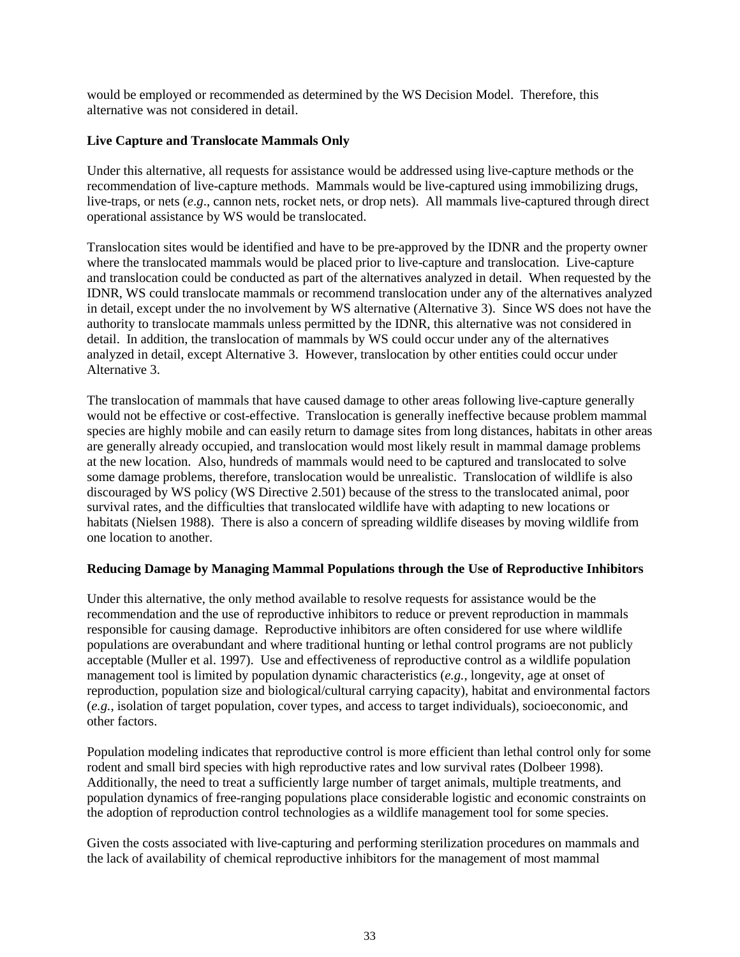would be employed or recommended as determined by the WS Decision Model. Therefore, this alternative was not considered in detail.

## **Live Capture and Translocate Mammals Only**

Under this alternative, all requests for assistance would be addressed using live-capture methods or the recommendation of live-capture methods. Mammals would be live-captured using immobilizing drugs, live-traps, or nets (*e*.*g*., cannon nets, rocket nets, or drop nets). All mammals live-captured through direct operational assistance by WS would be translocated.

Translocation sites would be identified and have to be pre-approved by the IDNR and the property owner where the translocated mammals would be placed prior to live-capture and translocation. Live-capture and translocation could be conducted as part of the alternatives analyzed in detail. When requested by the IDNR, WS could translocate mammals or recommend translocation under any of the alternatives analyzed in detail, except under the no involvement by WS alternative (Alternative 3). Since WS does not have the authority to translocate mammals unless permitted by the IDNR, this alternative was not considered in detail. In addition, the translocation of mammals by WS could occur under any of the alternatives analyzed in detail, except Alternative 3. However, translocation by other entities could occur under Alternative 3.

The translocation of mammals that have caused damage to other areas following live-capture generally would not be effective or cost-effective. Translocation is generally ineffective because problem mammal species are highly mobile and can easily return to damage sites from long distances, habitats in other areas are generally already occupied, and translocation would most likely result in mammal damage problems at the new location. Also, hundreds of mammals would need to be captured and translocated to solve some damage problems, therefore, translocation would be unrealistic. Translocation of wildlife is also discouraged by WS policy (WS Directive 2.501) because of the stress to the translocated animal, poor survival rates, and the difficulties that translocated wildlife have with adapting to new locations or habitats (Nielsen 1988). There is also a concern of spreading wildlife diseases by moving wildlife from one location to another.

### **Reducing Damage by Managing Mammal Populations through the Use of Reproductive Inhibitors**

Under this alternative, the only method available to resolve requests for assistance would be the recommendation and the use of reproductive inhibitors to reduce or prevent reproduction in mammals responsible for causing damage. Reproductive inhibitors are often considered for use where wildlife populations are overabundant and where traditional hunting or lethal control programs are not publicly acceptable (Muller et al. 1997). Use and effectiveness of reproductive control as a wildlife population management tool is limited by population dynamic characteristics (*e.g.*, longevity, age at onset of reproduction, population size and biological/cultural carrying capacity), habitat and environmental factors (*e.g.*, isolation of target population, cover types, and access to target individuals), socioeconomic, and other factors.

Population modeling indicates that reproductive control is more efficient than lethal control only for some rodent and small bird species with high reproductive rates and low survival rates (Dolbeer 1998). Additionally, the need to treat a sufficiently large number of target animals, multiple treatments, and population dynamics of free-ranging populations place considerable logistic and economic constraints on the adoption of reproduction control technologies as a wildlife management tool for some species.

Given the costs associated with live-capturing and performing sterilization procedures on mammals and the lack of availability of chemical reproductive inhibitors for the management of most mammal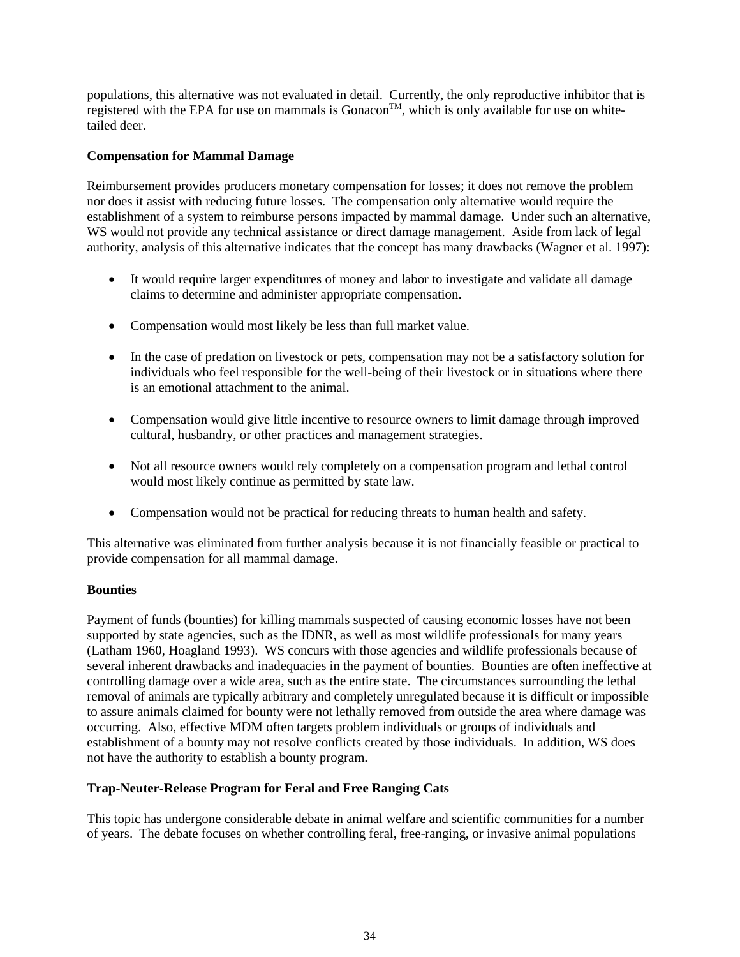populations, this alternative was not evaluated in detail. Currently, the only reproductive inhibitor that is registered with the EPA for use on mammals is Gonacon<sup>™</sup>, which is only available for use on whitetailed deer.

## **Compensation for Mammal Damage**

Reimbursement provides producers monetary compensation for losses; it does not remove the problem nor does it assist with reducing future losses. The compensation only alternative would require the establishment of a system to reimburse persons impacted by mammal damage. Under such an alternative, WS would not provide any technical assistance or direct damage management. Aside from lack of legal authority, analysis of this alternative indicates that the concept has many drawbacks (Wagner et al. 1997):

- It would require larger expenditures of money and labor to investigate and validate all damage claims to determine and administer appropriate compensation.
- Compensation would most likely be less than full market value.
- In the case of predation on livestock or pets, compensation may not be a satisfactory solution for individuals who feel responsible for the well-being of their livestock or in situations where there is an emotional attachment to the animal.
- Compensation would give little incentive to resource owners to limit damage through improved cultural, husbandry, or other practices and management strategies.
- Not all resource owners would rely completely on a compensation program and lethal control would most likely continue as permitted by state law.
- Compensation would not be practical for reducing threats to human health and safety.

This alternative was eliminated from further analysis because it is not financially feasible or practical to provide compensation for all mammal damage.

### **Bounties**

Payment of funds (bounties) for killing mammals suspected of causing economic losses have not been supported by state agencies, such as the IDNR, as well as most wildlife professionals for many years (Latham 1960, Hoagland 1993). WS concurs with those agencies and wildlife professionals because of several inherent drawbacks and inadequacies in the payment of bounties. Bounties are often ineffective at controlling damage over a wide area, such as the entire state. The circumstances surrounding the lethal removal of animals are typically arbitrary and completely unregulated because it is difficult or impossible to assure animals claimed for bounty were not lethally removed from outside the area where damage was occurring. Also, effective MDM often targets problem individuals or groups of individuals and establishment of a bounty may not resolve conflicts created by those individuals. In addition, WS does not have the authority to establish a bounty program.

### **Trap-Neuter-Release Program for Feral and Free Ranging Cats**

This topic has undergone considerable debate in animal welfare and scientific communities for a number of years. The debate focuses on whether controlling feral, free-ranging, or invasive animal populations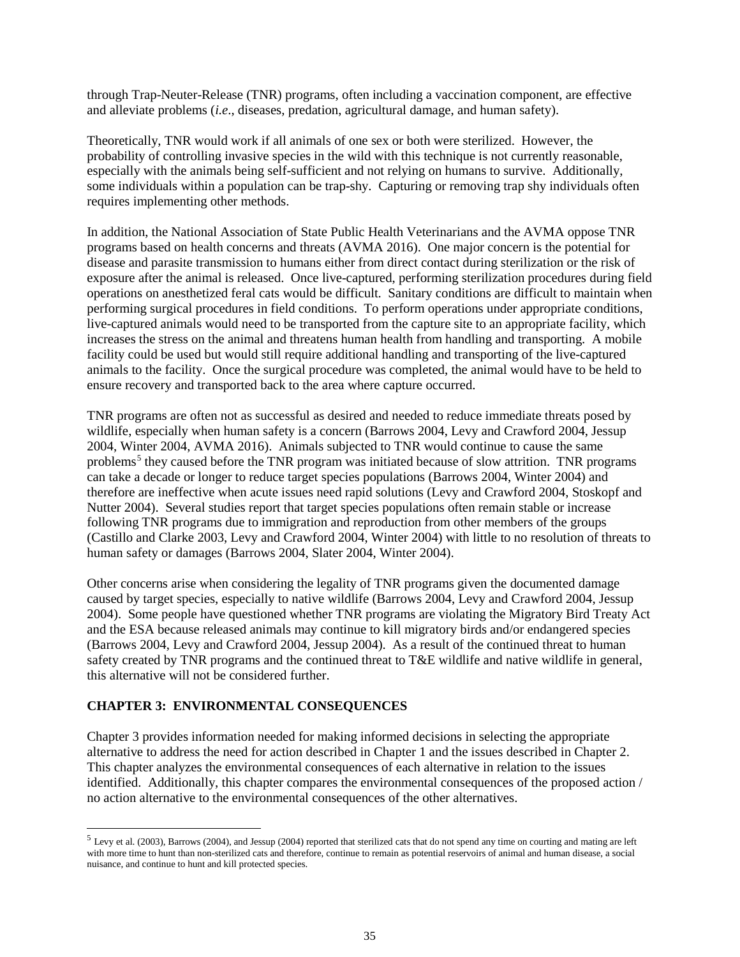through Trap-Neuter-Release (TNR) programs, often including a vaccination component, are effective and alleviate problems (*i.e*., diseases, predation, agricultural damage, and human safety).

Theoretically, TNR would work if all animals of one sex or both were sterilized. However, the probability of controlling invasive species in the wild with this technique is not currently reasonable, especially with the animals being self-sufficient and not relying on humans to survive. Additionally, some individuals within a population can be trap-shy. Capturing or removing trap shy individuals often requires implementing other methods.

In addition, the National Association of State Public Health Veterinarians and the AVMA oppose TNR programs based on health concerns and threats (AVMA 2016). One major concern is the potential for disease and parasite transmission to humans either from direct contact during sterilization or the risk of exposure after the animal is released. Once live-captured, performing sterilization procedures during field operations on anesthetized feral cats would be difficult. Sanitary conditions are difficult to maintain when performing surgical procedures in field conditions. To perform operations under appropriate conditions, live-captured animals would need to be transported from the capture site to an appropriate facility, which increases the stress on the animal and threatens human health from handling and transporting. A mobile facility could be used but would still require additional handling and transporting of the live-captured animals to the facility. Once the surgical procedure was completed, the animal would have to be held to ensure recovery and transported back to the area where capture occurred.

TNR programs are often not as successful as desired and needed to reduce immediate threats posed by wildlife, especially when human safety is a concern (Barrows 2004, Levy and Crawford 2004, Jessup 2004, Winter 2004, AVMA 2016). Animals subjected to TNR would continue to cause the same problems<sup>[5](#page-37-0)</sup> they caused before the TNR program was initiated because of slow attrition. TNR programs can take a decade or longer to reduce target species populations (Barrows 2004, Winter 2004) and therefore are ineffective when acute issues need rapid solutions (Levy and Crawford 2004, Stoskopf and Nutter 2004). Several studies report that target species populations often remain stable or increase following TNR programs due to immigration and reproduction from other members of the groups (Castillo and Clarke 2003, Levy and Crawford 2004, Winter 2004) with little to no resolution of threats to human safety or damages (Barrows 2004, Slater 2004, Winter 2004).

Other concerns arise when considering the legality of TNR programs given the documented damage caused by target species, especially to native wildlife (Barrows 2004, Levy and Crawford 2004, Jessup 2004). Some people have questioned whether TNR programs are violating the Migratory Bird Treaty Act and the ESA because released animals may continue to kill migratory birds and/or endangered species (Barrows 2004, Levy and Crawford 2004, Jessup 2004). As a result of the continued threat to human safety created by TNR programs and the continued threat to T&E wildlife and native wildlife in general, this alternative will not be considered further.

### **CHAPTER 3: ENVIRONMENTAL CONSEQUENCES**

Chapter 3 provides information needed for making informed decisions in selecting the appropriate alternative to address the need for action described in Chapter 1 and the issues described in Chapter 2. This chapter analyzes the environmental consequences of each alternative in relation to the issues identified. Additionally, this chapter compares the environmental consequences of the proposed action / no action alternative to the environmental consequences of the other alternatives.

<span id="page-37-0"></span> <sup>5</sup> Levy et al. (2003), Barrows (2004), and Jessup (2004) reported that sterilized cats that do not spend any time on courting and mating are left with more time to hunt than non-sterilized cats and therefore, continue to remain as potential reservoirs of animal and human disease, a social nuisance, and continue to hunt and kill protected species.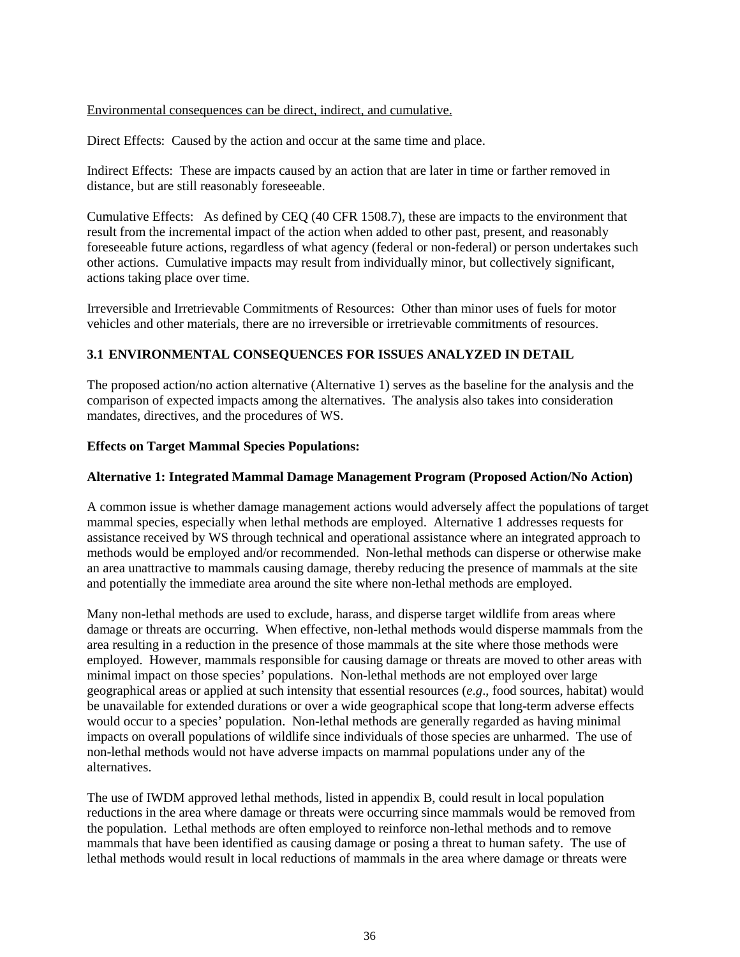### Environmental consequences can be direct, indirect, and cumulative.

Direct Effects: Caused by the action and occur at the same time and place.

Indirect Effects: These are impacts caused by an action that are later in time or farther removed in distance, but are still reasonably foreseeable.

Cumulative Effects: As defined by CEQ (40 CFR 1508.7), these are impacts to the environment that result from the incremental impact of the action when added to other past, present, and reasonably foreseeable future actions, regardless of what agency (federal or non-federal) or person undertakes such other actions. Cumulative impacts may result from individually minor, but collectively significant, actions taking place over time.

Irreversible and Irretrievable Commitments of Resources: Other than minor uses of fuels for motor vehicles and other materials, there are no irreversible or irretrievable commitments of resources.

### **3.1 ENVIRONMENTAL CONSEQUENCES FOR ISSUES ANALYZED IN DETAIL**

The proposed action/no action alternative (Alternative 1) serves as the baseline for the analysis and the comparison of expected impacts among the alternatives. The analysis also takes into consideration mandates, directives, and the procedures of WS.

### **Effects on Target Mammal Species Populations:**

### **Alternative 1: Integrated Mammal Damage Management Program (Proposed Action/No Action)**

A common issue is whether damage management actions would adversely affect the populations of target mammal species, especially when lethal methods are employed. Alternative 1 addresses requests for assistance received by WS through technical and operational assistance where an integrated approach to methods would be employed and/or recommended. Non-lethal methods can disperse or otherwise make an area unattractive to mammals causing damage, thereby reducing the presence of mammals at the site and potentially the immediate area around the site where non-lethal methods are employed.

Many non-lethal methods are used to exclude, harass, and disperse target wildlife from areas where damage or threats are occurring. When effective, non-lethal methods would disperse mammals from the area resulting in a reduction in the presence of those mammals at the site where those methods were employed. However, mammals responsible for causing damage or threats are moved to other areas with minimal impact on those species' populations. Non-lethal methods are not employed over large geographical areas or applied at such intensity that essential resources (*e*.*g*., food sources, habitat) would be unavailable for extended durations or over a wide geographical scope that long-term adverse effects would occur to a species' population. Non-lethal methods are generally regarded as having minimal impacts on overall populations of wildlife since individuals of those species are unharmed. The use of non-lethal methods would not have adverse impacts on mammal populations under any of the alternatives.

The use of IWDM approved lethal methods, listed in appendix B, could result in local population reductions in the area where damage or threats were occurring since mammals would be removed from the population. Lethal methods are often employed to reinforce non-lethal methods and to remove mammals that have been identified as causing damage or posing a threat to human safety. The use of lethal methods would result in local reductions of mammals in the area where damage or threats were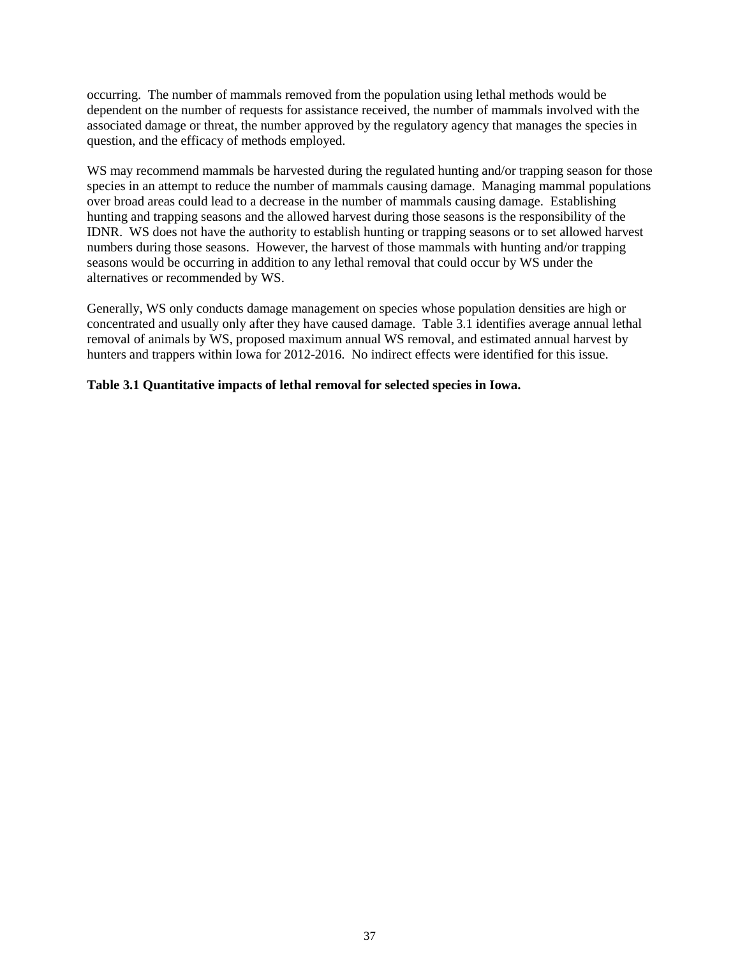occurring. The number of mammals removed from the population using lethal methods would be dependent on the number of requests for assistance received, the number of mammals involved with the associated damage or threat, the number approved by the regulatory agency that manages the species in question, and the efficacy of methods employed.

WS may recommend mammals be harvested during the regulated hunting and/or trapping season for those species in an attempt to reduce the number of mammals causing damage. Managing mammal populations over broad areas could lead to a decrease in the number of mammals causing damage. Establishing hunting and trapping seasons and the allowed harvest during those seasons is the responsibility of the IDNR. WS does not have the authority to establish hunting or trapping seasons or to set allowed harvest numbers during those seasons. However, the harvest of those mammals with hunting and/or trapping seasons would be occurring in addition to any lethal removal that could occur by WS under the alternatives or recommended by WS.

Generally, WS only conducts damage management on species whose population densities are high or concentrated and usually only after they have caused damage. Table 3.1 identifies average annual lethal removal of animals by WS, proposed maximum annual WS removal, and estimated annual harvest by hunters and trappers within Iowa for 2012-2016. No indirect effects were identified for this issue.

### **Table 3.1 Quantitative impacts of lethal removal for selected species in Iowa.**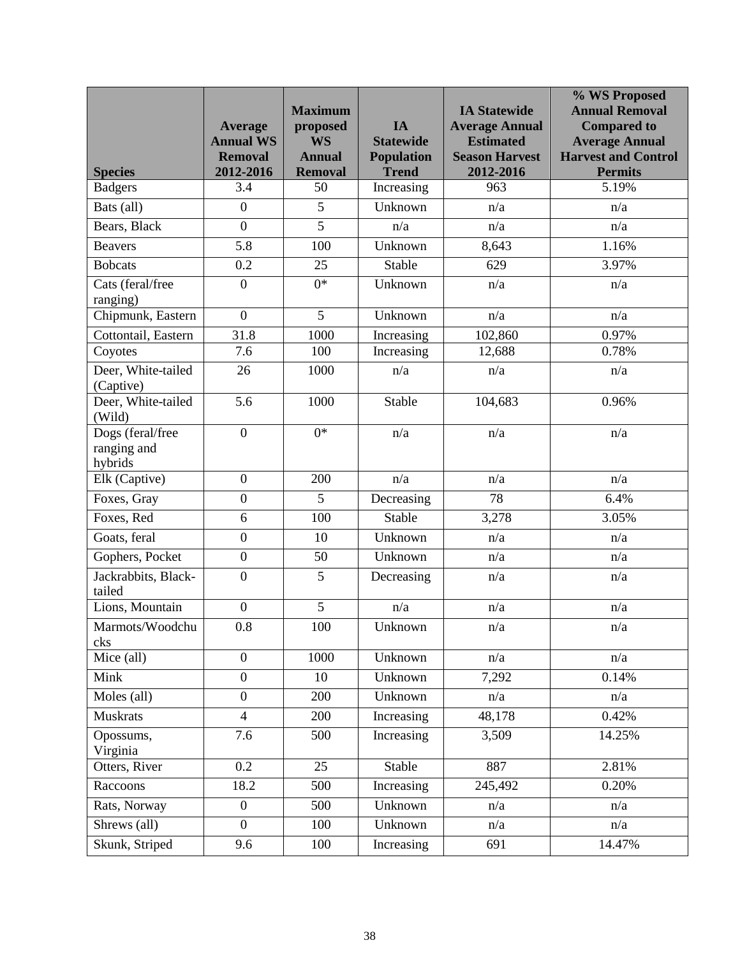|                                            | <b>Average</b>              | <b>Maximum</b><br>proposed      | IA                                | <b>IA Statewide</b><br><b>Average Annual</b> | % WS Proposed<br><b>Annual Removal</b><br><b>Compared to</b> |
|--------------------------------------------|-----------------------------|---------------------------------|-----------------------------------|----------------------------------------------|--------------------------------------------------------------|
|                                            | <b>Annual WS</b>            | <b>WS</b>                       | <b>Statewide</b>                  | <b>Estimated</b>                             | <b>Average Annual</b>                                        |
| <b>Species</b>                             | <b>Removal</b><br>2012-2016 | <b>Annual</b><br><b>Removal</b> | <b>Population</b><br><b>Trend</b> | <b>Season Harvest</b><br>2012-2016           | <b>Harvest and Control</b><br><b>Permits</b>                 |
| <b>Badgers</b>                             | 3.4                         | 50                              | Increasing                        | 963                                          | 5.19%                                                        |
| Bats (all)                                 | $\boldsymbol{0}$            | 5                               | Unknown                           | n/a                                          | n/a                                                          |
| Bears, Black                               | $\boldsymbol{0}$            | $\overline{5}$                  | n/a                               | n/a                                          | n/a                                                          |
| <b>Beavers</b>                             | 5.8                         | 100                             | Unknown                           | 8,643                                        | 1.16%                                                        |
| <b>Bobcats</b>                             | 0.2                         | 25                              | Stable                            | 629                                          | 3.97%                                                        |
| Cats (feral/free<br>ranging)               | $\overline{0}$              | $0*$                            | Unknown                           | n/a                                          | n/a                                                          |
| Chipmunk, Eastern                          | $\boldsymbol{0}$            | 5                               | Unknown                           | n/a                                          | n/a                                                          |
| Cottontail, Eastern                        | 31.8                        | 1000                            | Increasing                        | 102,860                                      | 0.97%                                                        |
| Coyotes                                    | 7.6                         | 100                             | Increasing                        | 12,688                                       | 0.78%                                                        |
| Deer, White-tailed<br>(Captive)            | 26                          | 1000                            | n/a                               | n/a                                          | n/a                                                          |
| Deer, White-tailed<br>(Wild)               | 5.6                         | 1000                            | Stable                            | 104,683                                      | 0.96%                                                        |
| Dogs (feral/free<br>ranging and<br>hybrids | $\boldsymbol{0}$            | $0*$                            | n/a                               | n/a                                          | n/a                                                          |
| Elk (Captive)                              | $\boldsymbol{0}$            | 200                             | n/a                               | n/a                                          | n/a                                                          |
| Foxes, Gray                                | $\boldsymbol{0}$            | 5                               | Decreasing                        | 78                                           | 6.4%                                                         |
| Foxes, Red                                 | 6                           | 100                             | Stable                            | 3,278                                        | 3.05%                                                        |
| Goats, feral                               | $\boldsymbol{0}$            | 10                              | Unknown                           | n/a                                          | n/a                                                          |
| Gophers, Pocket                            | $\boldsymbol{0}$            | 50                              | Unknown                           | n/a                                          | n/a                                                          |
| Jackrabbits, Black-<br>tailed              | $\overline{0}$              | $\overline{5}$                  | Decreasing                        | n/a                                          | n/a                                                          |
| Lions, Mountain                            | $\boldsymbol{0}$            | 5                               | n/a                               | n/a                                          | n/a                                                          |
| Marmots/Woodchu<br>cks                     | 0.8                         | 100                             | Unknown                           | n/a                                          | n/a                                                          |
| Mice (all)                                 | $\overline{0}$              | 1000                            | Unknown                           | n/a                                          | n/a                                                          |
| Mink                                       | $\overline{0}$              | 10                              | Unknown                           | 7,292                                        | 0.14%                                                        |
| Moles (all)                                | $\boldsymbol{0}$            | 200                             | Unknown                           | n/a                                          | n/a                                                          |
| <b>Muskrats</b>                            | $\overline{4}$              | 200                             | Increasing                        | 48,178                                       | 0.42%                                                        |
| Opossums,<br>Virginia                      | 7.6                         | 500                             | Increasing                        | 3,509                                        | 14.25%                                                       |
| Otters, River                              | $\overline{0.2}$            | 25                              | Stable                            | 887                                          | 2.81%                                                        |
| Raccoons                                   | 18.2                        | 500                             | Increasing                        | 245,492                                      | 0.20%                                                        |
| Rats, Norway                               | $\boldsymbol{0}$            | 500                             | Unknown                           | n/a                                          | n/a                                                          |
| Shrews (all)                               | $\overline{0}$              | 100                             | Unknown                           | n/a                                          | n/a                                                          |
| Skunk, Striped                             | 9.6                         | 100                             | Increasing                        | 691                                          | 14.47%                                                       |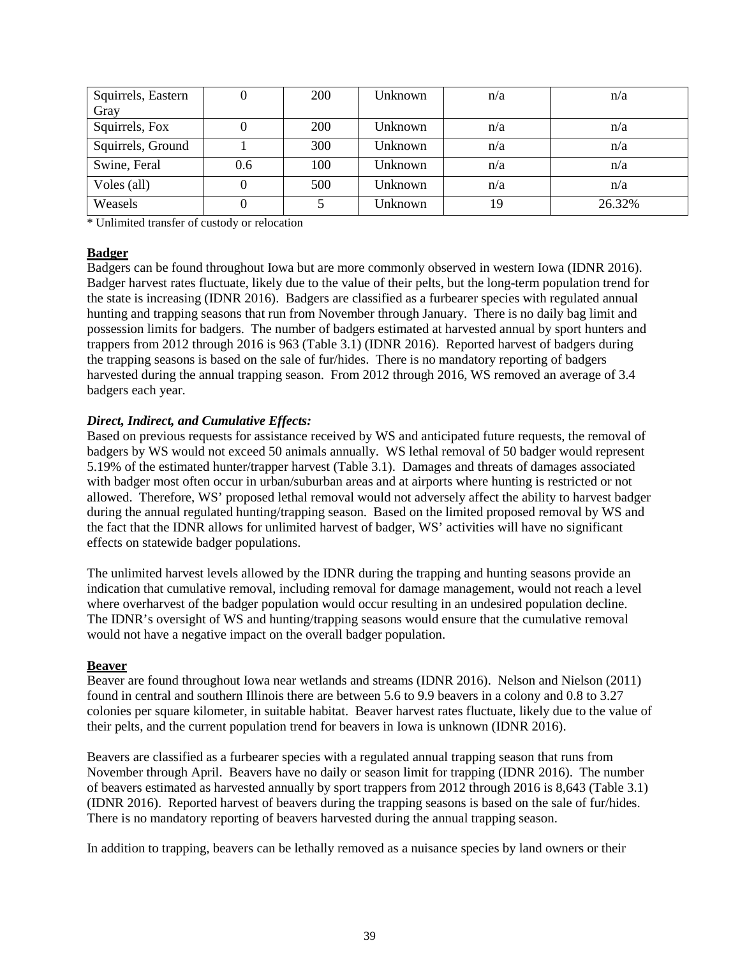| Squirrels, Eastern |     | 200 | Unknown | n/a | n/a    |
|--------------------|-----|-----|---------|-----|--------|
| Gray               |     |     |         |     |        |
| Squirrels, Fox     |     | 200 | Unknown | n/a | n/a    |
| Squirrels, Ground  |     | 300 | Unknown | n/a | n/a    |
| Swine, Feral       | 0.6 | 100 | Unknown | n/a | n/a    |
| Voles (all)        |     | 500 | Unknown | n/a | n/a    |
| Weasels            |     |     | Unknown | 19  | 26.32% |

\* Unlimited transfer of custody or relocation

### **Badger**

Badgers can be found throughout Iowa but are more commonly observed in western Iowa (IDNR 2016). Badger harvest rates fluctuate, likely due to the value of their pelts, but the long-term population trend for the state is increasing (IDNR 2016). Badgers are classified as a furbearer species with regulated annual hunting and trapping seasons that run from November through January. There is no daily bag limit and possession limits for badgers. The number of badgers estimated at harvested annual by sport hunters and trappers from 2012 through 2016 is 963 (Table 3.1) (IDNR 2016). Reported harvest of badgers during the trapping seasons is based on the sale of fur/hides. There is no mandatory reporting of badgers harvested during the annual trapping season. From 2012 through 2016, WS removed an average of 3.4 badgers each year.

## *Direct, Indirect, and Cumulative Effects:*

Based on previous requests for assistance received by WS and anticipated future requests, the removal of badgers by WS would not exceed 50 animals annually. WS lethal removal of 50 badger would represent 5.19% of the estimated hunter/trapper harvest (Table 3.1). Damages and threats of damages associated with badger most often occur in urban/suburban areas and at airports where hunting is restricted or not allowed. Therefore, WS' proposed lethal removal would not adversely affect the ability to harvest badger during the annual regulated hunting/trapping season. Based on the limited proposed removal by WS and the fact that the IDNR allows for unlimited harvest of badger, WS' activities will have no significant effects on statewide badger populations.

The unlimited harvest levels allowed by the IDNR during the trapping and hunting seasons provide an indication that cumulative removal, including removal for damage management, would not reach a level where overharvest of the badger population would occur resulting in an undesired population decline. The IDNR's oversight of WS and hunting/trapping seasons would ensure that the cumulative removal would not have a negative impact on the overall badger population.

### **Beaver**

Beaver are found throughout Iowa near wetlands and streams (IDNR 2016). Nelson and Nielson (2011) found in central and southern Illinois there are between 5.6 to 9.9 beavers in a colony and 0.8 to 3.27 colonies per square kilometer, in suitable habitat. Beaver harvest rates fluctuate, likely due to the value of their pelts, and the current population trend for beavers in Iowa is unknown (IDNR 2016).

Beavers are classified as a furbearer species with a regulated annual trapping season that runs from November through April. Beavers have no daily or season limit for trapping (IDNR 2016). The number of beavers estimated as harvested annually by sport trappers from 2012 through 2016 is 8,643 (Table 3.1) (IDNR 2016). Reported harvest of beavers during the trapping seasons is based on the sale of fur/hides. There is no mandatory reporting of beavers harvested during the annual trapping season.

In addition to trapping, beavers can be lethally removed as a nuisance species by land owners or their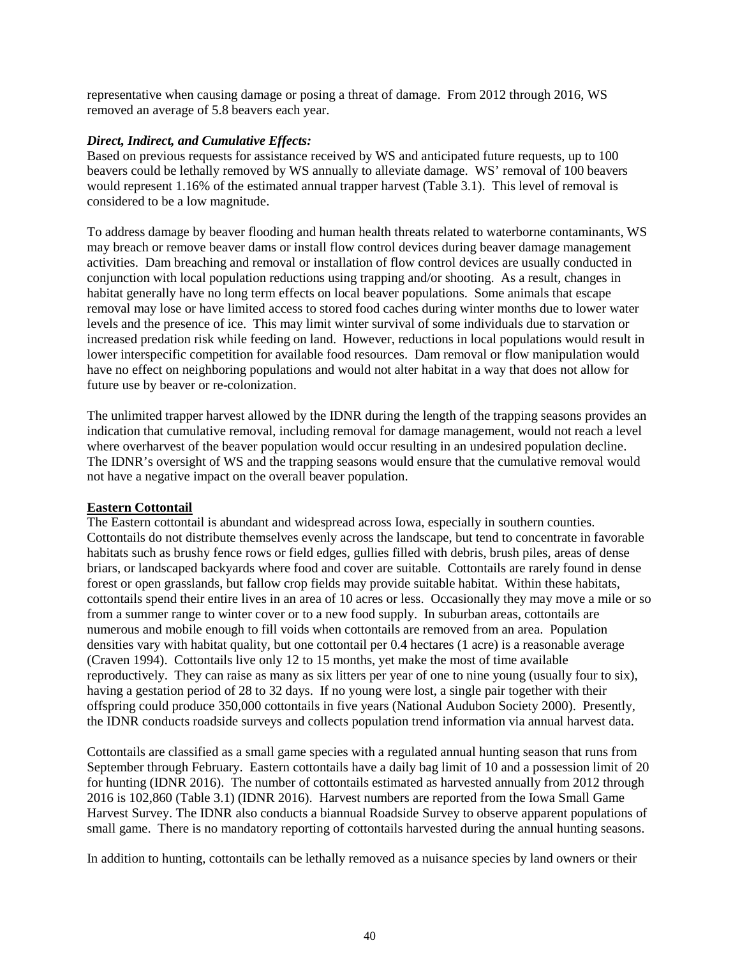representative when causing damage or posing a threat of damage. From 2012 through 2016, WS removed an average of 5.8 beavers each year.

### *Direct, Indirect, and Cumulative Effects:*

Based on previous requests for assistance received by WS and anticipated future requests, up to 100 beavers could be lethally removed by WS annually to alleviate damage. WS' removal of 100 beavers would represent 1.16% of the estimated annual trapper harvest (Table 3.1). This level of removal is considered to be a low magnitude.

To address damage by beaver flooding and human health threats related to waterborne contaminants, WS may breach or remove beaver dams or install flow control devices during beaver damage management activities. Dam breaching and removal or installation of flow control devices are usually conducted in conjunction with local population reductions using trapping and/or shooting. As a result, changes in habitat generally have no long term effects on local beaver populations. Some animals that escape removal may lose or have limited access to stored food caches during winter months due to lower water levels and the presence of ice. This may limit winter survival of some individuals due to starvation or increased predation risk while feeding on land. However, reductions in local populations would result in lower interspecific competition for available food resources. Dam removal or flow manipulation would have no effect on neighboring populations and would not alter habitat in a way that does not allow for future use by beaver or re-colonization.

The unlimited trapper harvest allowed by the IDNR during the length of the trapping seasons provides an indication that cumulative removal, including removal for damage management, would not reach a level where overharvest of the beaver population would occur resulting in an undesired population decline. The IDNR's oversight of WS and the trapping seasons would ensure that the cumulative removal would not have a negative impact on the overall beaver population.

### **Eastern Cottontail**

The Eastern cottontail is abundant and widespread across Iowa, especially in southern counties. Cottontails do not distribute themselves evenly across the landscape, but tend to concentrate in favorable habitats such as brushy fence rows or field edges, gullies filled with debris, brush piles, areas of dense briars, or landscaped backyards where food and cover are suitable. Cottontails are rarely found in dense forest or open grasslands, but fallow crop fields may provide suitable habitat. Within these habitats, cottontails spend their entire lives in an area of 10 acres or less. Occasionally they may move a mile or so from a summer range to winter cover or to a new food supply. In suburban areas, cottontails are numerous and mobile enough to fill voids when cottontails are removed from an area. Population densities vary with habitat quality, but one cottontail per 0.4 hectares (1 acre) is a reasonable average (Craven 1994). Cottontails live only 12 to 15 months, yet make the most of time available reproductively. They can raise as many as six litters per year of one to nine young (usually four to six), having a gestation period of 28 to 32 days. If no young were lost, a single pair together with their offspring could produce 350,000 cottontails in five years (National Audubon Society 2000). Presently, the IDNR conducts roadside surveys and collects population trend information via annual harvest data.

Cottontails are classified as a small game species with a regulated annual hunting season that runs from September through February. Eastern cottontails have a daily bag limit of 10 and a possession limit of 20 for hunting (IDNR 2016). The number of cottontails estimated as harvested annually from 2012 through 2016 is 102,860 (Table 3.1) (IDNR 2016). Harvest numbers are reported from the Iowa Small Game Harvest Survey. The IDNR also conducts a biannual Roadside Survey to observe apparent populations of small game. There is no mandatory reporting of cottontails harvested during the annual hunting seasons.

In addition to hunting, cottontails can be lethally removed as a nuisance species by land owners or their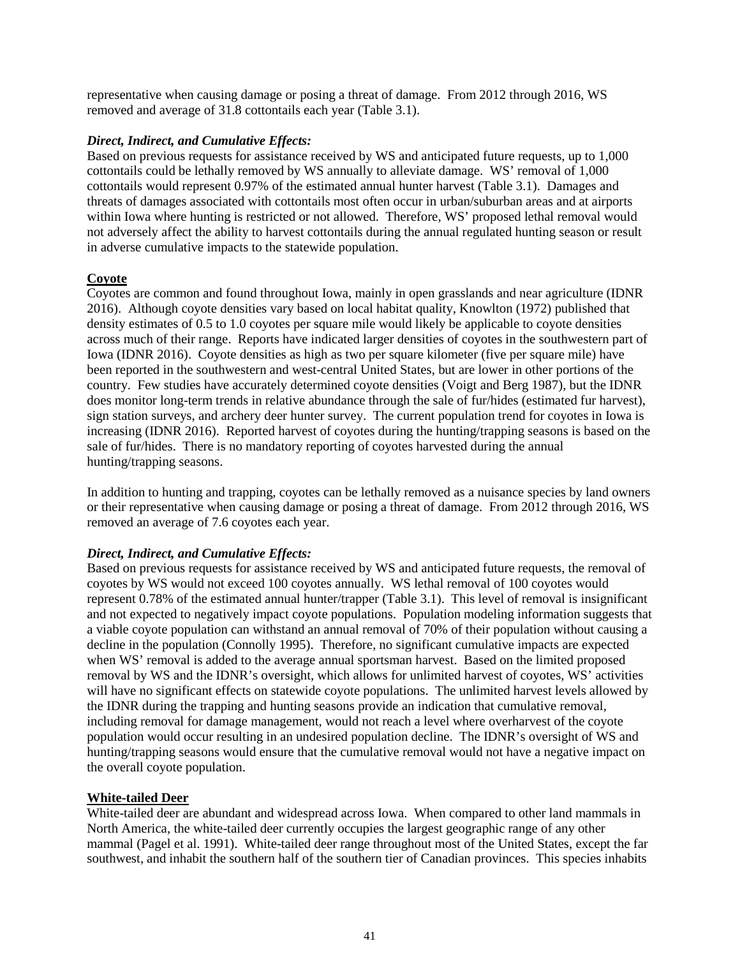representative when causing damage or posing a threat of damage. From 2012 through 2016, WS removed and average of 31.8 cottontails each year (Table 3.1).

### *Direct, Indirect, and Cumulative Effects:*

Based on previous requests for assistance received by WS and anticipated future requests, up to 1,000 cottontails could be lethally removed by WS annually to alleviate damage. WS' removal of 1,000 cottontails would represent 0.97% of the estimated annual hunter harvest (Table 3.1). Damages and threats of damages associated with cottontails most often occur in urban/suburban areas and at airports within Iowa where hunting is restricted or not allowed. Therefore, WS' proposed lethal removal would not adversely affect the ability to harvest cottontails during the annual regulated hunting season or result in adverse cumulative impacts to the statewide population.

## **Coyote**

Coyotes are common and found throughout Iowa, mainly in open grasslands and near agriculture (IDNR 2016). Although coyote densities vary based on local habitat quality, Knowlton (1972) published that density estimates of 0.5 to 1.0 coyotes per square mile would likely be applicable to coyote densities across much of their range. Reports have indicated larger densities of coyotes in the southwestern part of Iowa (IDNR 2016). Coyote densities as high as two per square kilometer (five per square mile) have been reported in the southwestern and west-central United States, but are lower in other portions of the country. Few studies have accurately determined coyote densities (Voigt and Berg 1987), but the IDNR does monitor long-term trends in relative abundance through the sale of fur/hides (estimated fur harvest), sign station surveys, and archery deer hunter survey. The current population trend for coyotes in Iowa is increasing (IDNR 2016). Reported harvest of coyotes during the hunting/trapping seasons is based on the sale of fur/hides. There is no mandatory reporting of coyotes harvested during the annual hunting/trapping seasons.

In addition to hunting and trapping, coyotes can be lethally removed as a nuisance species by land owners or their representative when causing damage or posing a threat of damage. From 2012 through 2016, WS removed an average of 7.6 coyotes each year.

### *Direct, Indirect, and Cumulative Effects:*

Based on previous requests for assistance received by WS and anticipated future requests, the removal of coyotes by WS would not exceed 100 coyotes annually. WS lethal removal of 100 coyotes would represent 0.78% of the estimated annual hunter/trapper (Table 3.1). This level of removal is insignificant and not expected to negatively impact coyote populations. Population modeling information suggests that a viable coyote population can withstand an annual removal of 70% of their population without causing a decline in the population (Connolly 1995). Therefore, no significant cumulative impacts are expected when WS' removal is added to the average annual sportsman harvest. Based on the limited proposed removal by WS and the IDNR's oversight, which allows for unlimited harvest of coyotes, WS' activities will have no significant effects on statewide coyote populations. The unlimited harvest levels allowed by the IDNR during the trapping and hunting seasons provide an indication that cumulative removal, including removal for damage management, would not reach a level where overharvest of the coyote population would occur resulting in an undesired population decline. The IDNR's oversight of WS and hunting/trapping seasons would ensure that the cumulative removal would not have a negative impact on the overall coyote population.

# **White-tailed Deer**

White-tailed deer are abundant and widespread across Iowa. When compared to other land mammals in North America, the white-tailed deer currently occupies the largest geographic range of any other mammal (Pagel et al. 1991). White-tailed deer range throughout most of the United States, except the far southwest, and inhabit the southern half of the southern tier of Canadian provinces. This species inhabits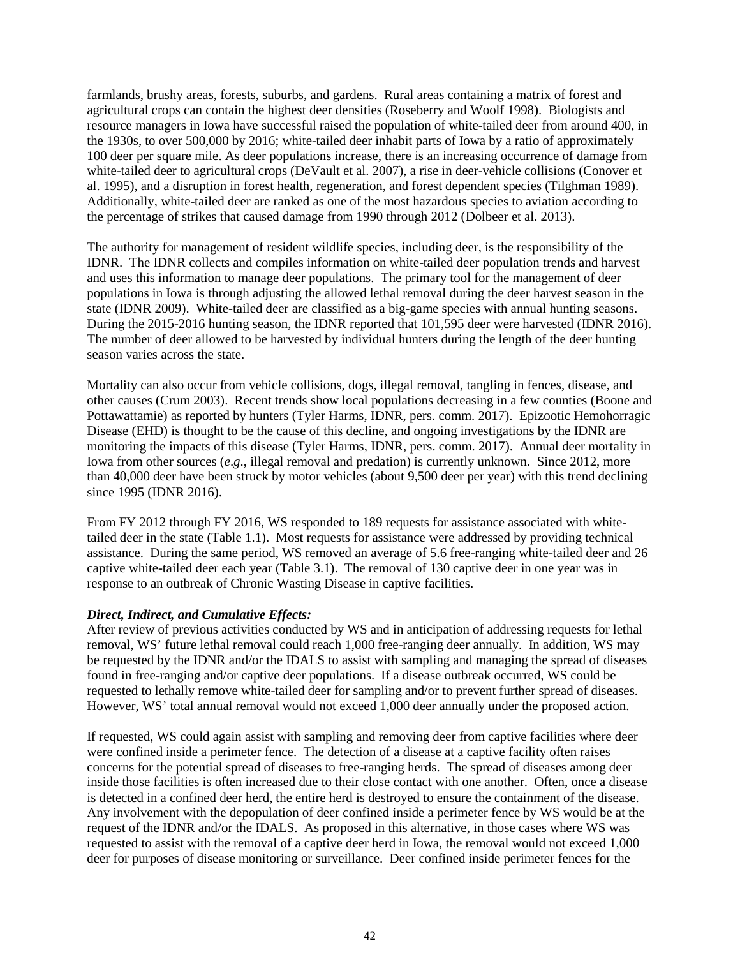farmlands, brushy areas, forests, suburbs, and gardens. Rural areas containing a matrix of forest and agricultural crops can contain the highest deer densities (Roseberry and Woolf 1998). Biologists and resource managers in Iowa have successful raised the population of white-tailed deer from around 400, in the 1930s, to over 500,000 by 2016; white-tailed deer inhabit parts of Iowa by a ratio of approximately 100 deer per square mile. As deer populations increase, there is an increasing occurrence of damage from white-tailed deer to agricultural crops (DeVault et al. 2007), a rise in deer-vehicle collisions (Conover et al. 1995), and a disruption in forest health, regeneration, and forest dependent species (Tilghman 1989). Additionally, white-tailed deer are ranked as one of the most hazardous species to aviation according to the percentage of strikes that caused damage from 1990 through 2012 (Dolbeer et al. 2013).

The authority for management of resident wildlife species, including deer, is the responsibility of the IDNR. The IDNR collects and compiles information on white-tailed deer population trends and harvest and uses this information to manage deer populations. The primary tool for the management of deer populations in Iowa is through adjusting the allowed lethal removal during the deer harvest season in the state (IDNR 2009). White-tailed deer are classified as a big-game species with annual hunting seasons. During the 2015-2016 hunting season, the IDNR reported that 101,595 deer were harvested (IDNR 2016). The number of deer allowed to be harvested by individual hunters during the length of the deer hunting season varies across the state.

Mortality can also occur from vehicle collisions, dogs, illegal removal, tangling in fences, disease, and other causes (Crum 2003). Recent trends show local populations decreasing in a few counties (Boone and Pottawattamie) as reported by hunters (Tyler Harms, IDNR, pers. comm. 2017). Epizootic Hemohorragic Disease (EHD) is thought to be the cause of this decline, and ongoing investigations by the IDNR are monitoring the impacts of this disease (Tyler Harms, IDNR, pers. comm. 2017). Annual deer mortality in Iowa from other sources (*e.g.*, illegal removal and predation) is currently unknown. Since 2012, more than 40,000 deer have been struck by motor vehicles (about 9,500 deer per year) with this trend declining since 1995 (IDNR 2016).

From FY 2012 through FY 2016, WS responded to 189 requests for assistance associated with whitetailed deer in the state (Table 1.1). Most requests for assistance were addressed by providing technical assistance. During the same period, WS removed an average of 5.6 free-ranging white-tailed deer and 26 captive white-tailed deer each year (Table 3.1). The removal of 130 captive deer in one year was in response to an outbreak of Chronic Wasting Disease in captive facilities.

### *Direct, Indirect, and Cumulative Effects:*

After review of previous activities conducted by WS and in anticipation of addressing requests for lethal removal, WS' future lethal removal could reach 1,000 free-ranging deer annually. In addition, WS may be requested by the IDNR and/or the IDALS to assist with sampling and managing the spread of diseases found in free-ranging and/or captive deer populations. If a disease outbreak occurred, WS could be requested to lethally remove white-tailed deer for sampling and/or to prevent further spread of diseases. However, WS' total annual removal would not exceed 1,000 deer annually under the proposed action.

If requested, WS could again assist with sampling and removing deer from captive facilities where deer were confined inside a perimeter fence. The detection of a disease at a captive facility often raises concerns for the potential spread of diseases to free-ranging herds. The spread of diseases among deer inside those facilities is often increased due to their close contact with one another. Often, once a disease is detected in a confined deer herd, the entire herd is destroyed to ensure the containment of the disease. Any involvement with the depopulation of deer confined inside a perimeter fence by WS would be at the request of the IDNR and/or the IDALS. As proposed in this alternative, in those cases where WS was requested to assist with the removal of a captive deer herd in Iowa, the removal would not exceed 1,000 deer for purposes of disease monitoring or surveillance. Deer confined inside perimeter fences for the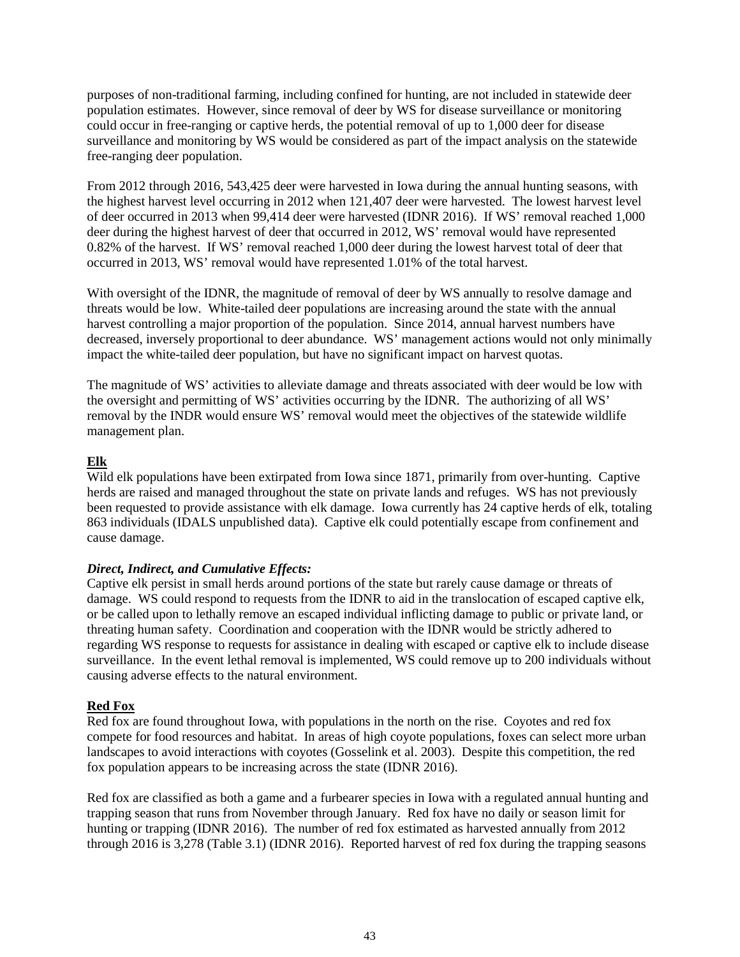purposes of non-traditional farming, including confined for hunting, are not included in statewide deer population estimates. However, since removal of deer by WS for disease surveillance or monitoring could occur in free-ranging or captive herds, the potential removal of up to 1,000 deer for disease surveillance and monitoring by WS would be considered as part of the impact analysis on the statewide free-ranging deer population.

From 2012 through 2016, 543,425 deer were harvested in Iowa during the annual hunting seasons, with the highest harvest level occurring in 2012 when 121,407 deer were harvested. The lowest harvest level of deer occurred in 2013 when 99,414 deer were harvested (IDNR 2016). If WS' removal reached 1,000 deer during the highest harvest of deer that occurred in 2012, WS' removal would have represented 0.82% of the harvest. If WS' removal reached 1,000 deer during the lowest harvest total of deer that occurred in 2013, WS' removal would have represented 1.01% of the total harvest.

With oversight of the IDNR, the magnitude of removal of deer by WS annually to resolve damage and threats would be low. White-tailed deer populations are increasing around the state with the annual harvest controlling a major proportion of the population. Since 2014, annual harvest numbers have decreased, inversely proportional to deer abundance. WS' management actions would not only minimally impact the white-tailed deer population, but have no significant impact on harvest quotas.

The magnitude of WS' activities to alleviate damage and threats associated with deer would be low with the oversight and permitting of WS' activities occurring by the IDNR. The authorizing of all WS' removal by the INDR would ensure WS' removal would meet the objectives of the statewide wildlife management plan.

## **Elk**

Wild elk populations have been extirpated from Iowa since 1871, primarily from over-hunting. Captive herds are raised and managed throughout the state on private lands and refuges. WS has not previously been requested to provide assistance with elk damage. Iowa currently has 24 captive herds of elk, totaling 863 individuals (IDALS unpublished data). Captive elk could potentially escape from confinement and cause damage.

### *Direct, Indirect, and Cumulative Effects:*

Captive elk persist in small herds around portions of the state but rarely cause damage or threats of damage. WS could respond to requests from the IDNR to aid in the translocation of escaped captive elk, or be called upon to lethally remove an escaped individual inflicting damage to public or private land, or threating human safety. Coordination and cooperation with the IDNR would be strictly adhered to regarding WS response to requests for assistance in dealing with escaped or captive elk to include disease surveillance. In the event lethal removal is implemented, WS could remove up to 200 individuals without causing adverse effects to the natural environment.

# **Red Fox**

Red fox are found throughout Iowa, with populations in the north on the rise. Coyotes and red fox compete for food resources and habitat. In areas of high coyote populations, foxes can select more urban landscapes to avoid interactions with coyotes (Gosselink et al. 2003). Despite this competition, the red fox population appears to be increasing across the state (IDNR 2016).

Red fox are classified as both a game and a furbearer species in Iowa with a regulated annual hunting and trapping season that runs from November through January. Red fox have no daily or season limit for hunting or trapping (IDNR 2016). The number of red fox estimated as harvested annually from 2012 through 2016 is 3,278 (Table 3.1) (IDNR 2016). Reported harvest of red fox during the trapping seasons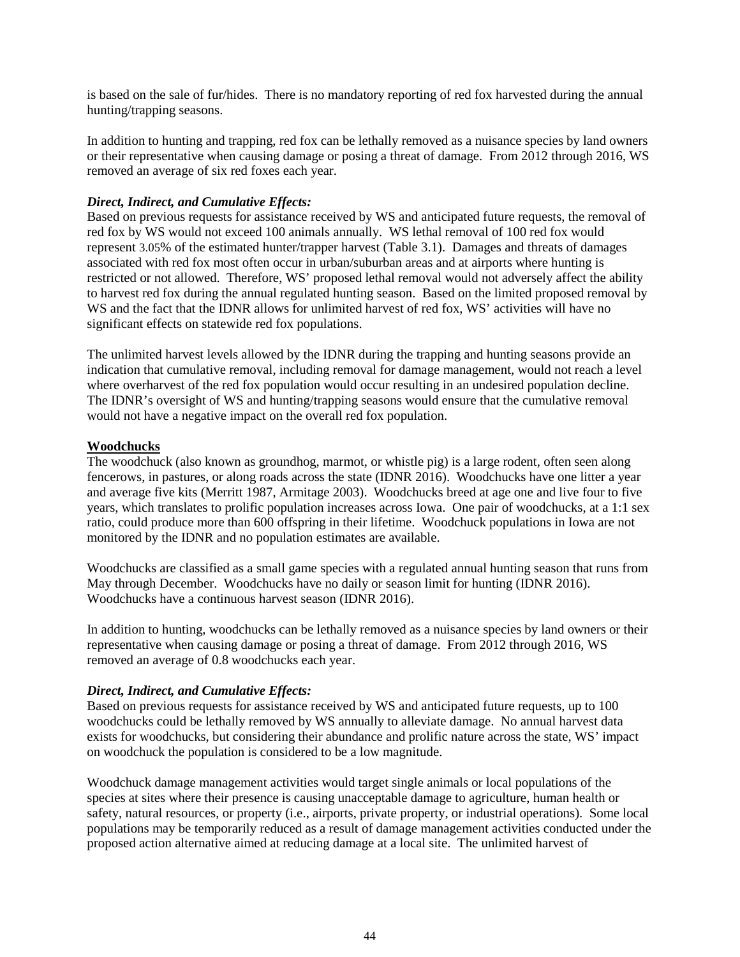is based on the sale of fur/hides. There is no mandatory reporting of red fox harvested during the annual hunting/trapping seasons.

In addition to hunting and trapping, red fox can be lethally removed as a nuisance species by land owners or their representative when causing damage or posing a threat of damage. From 2012 through 2016, WS removed an average of six red foxes each year.

### *Direct, Indirect, and Cumulative Effects:*

Based on previous requests for assistance received by WS and anticipated future requests, the removal of red fox by WS would not exceed 100 animals annually. WS lethal removal of 100 red fox would represent 3.05% of the estimated hunter/trapper harvest (Table 3.1). Damages and threats of damages associated with red fox most often occur in urban/suburban areas and at airports where hunting is restricted or not allowed. Therefore, WS' proposed lethal removal would not adversely affect the ability to harvest red fox during the annual regulated hunting season. Based on the limited proposed removal by WS and the fact that the IDNR allows for unlimited harvest of red fox, WS' activities will have no significant effects on statewide red fox populations.

The unlimited harvest levels allowed by the IDNR during the trapping and hunting seasons provide an indication that cumulative removal, including removal for damage management, would not reach a level where overharvest of the red fox population would occur resulting in an undesired population decline. The IDNR's oversight of WS and hunting/trapping seasons would ensure that the cumulative removal would not have a negative impact on the overall red fox population.

### **Woodchucks**

The woodchuck (also known as groundhog, marmot, or whistle pig) is a large rodent, often seen along fencerows, in pastures, or along roads across the state (IDNR 2016). Woodchucks have one litter a year and average five kits (Merritt 1987, Armitage 2003). Woodchucks breed at age one and live four to five years, which translates to prolific population increases across Iowa. One pair of woodchucks, at a 1:1 sex ratio, could produce more than 600 offspring in their lifetime. Woodchuck populations in Iowa are not monitored by the IDNR and no population estimates are available.

Woodchucks are classified as a small game species with a regulated annual hunting season that runs from May through December. Woodchucks have no daily or season limit for hunting (IDNR 2016). Woodchucks have a continuous harvest season (IDNR 2016).

In addition to hunting, woodchucks can be lethally removed as a nuisance species by land owners or their representative when causing damage or posing a threat of damage. From 2012 through 2016, WS removed an average of 0.8 woodchucks each year.

### *Direct, Indirect, and Cumulative Effects:*

Based on previous requests for assistance received by WS and anticipated future requests, up to 100 woodchucks could be lethally removed by WS annually to alleviate damage. No annual harvest data exists for woodchucks, but considering their abundance and prolific nature across the state, WS' impact on woodchuck the population is considered to be a low magnitude.

Woodchuck damage management activities would target single animals or local populations of the species at sites where their presence is causing unacceptable damage to agriculture, human health or safety, natural resources, or property (i.e., airports, private property, or industrial operations). Some local populations may be temporarily reduced as a result of damage management activities conducted under the proposed action alternative aimed at reducing damage at a local site. The unlimited harvest of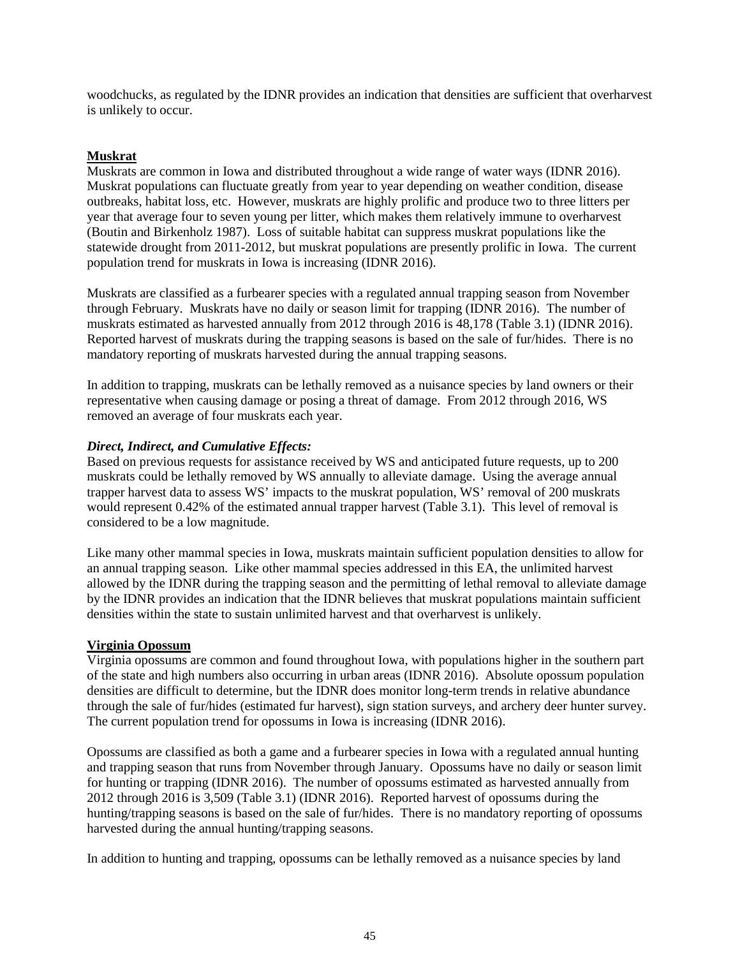woodchucks, as regulated by the IDNR provides an indication that densities are sufficient that overharvest is unlikely to occur.

# **Muskrat**

Muskrats are common in Iowa and distributed throughout a wide range of water ways (IDNR 2016). Muskrat populations can fluctuate greatly from year to year depending on weather condition, disease outbreaks, habitat loss, etc. However, muskrats are highly prolific and produce two to three litters per year that average four to seven young per litter, which makes them relatively immune to overharvest (Boutin and Birkenholz 1987). Loss of suitable habitat can suppress muskrat populations like the statewide drought from 2011-2012, but muskrat populations are presently prolific in Iowa. The current population trend for muskrats in Iowa is increasing (IDNR 2016).

Muskrats are classified as a furbearer species with a regulated annual trapping season from November through February. Muskrats have no daily or season limit for trapping (IDNR 2016). The number of muskrats estimated as harvested annually from 2012 through 2016 is 48,178 (Table 3.1) (IDNR 2016). Reported harvest of muskrats during the trapping seasons is based on the sale of fur/hides. There is no mandatory reporting of muskrats harvested during the annual trapping seasons.

In addition to trapping, muskrats can be lethally removed as a nuisance species by land owners or their representative when causing damage or posing a threat of damage. From 2012 through 2016, WS removed an average of four muskrats each year.

### *Direct, Indirect, and Cumulative Effects:*

Based on previous requests for assistance received by WS and anticipated future requests, up to 200 muskrats could be lethally removed by WS annually to alleviate damage. Using the average annual trapper harvest data to assess WS' impacts to the muskrat population, WS' removal of 200 muskrats would represent 0.42% of the estimated annual trapper harvest (Table 3.1). This level of removal is considered to be a low magnitude.

Like many other mammal species in Iowa, muskrats maintain sufficient population densities to allow for an annual trapping season. Like other mammal species addressed in this EA, the unlimited harvest allowed by the IDNR during the trapping season and the permitting of lethal removal to alleviate damage by the IDNR provides an indication that the IDNR believes that muskrat populations maintain sufficient densities within the state to sustain unlimited harvest and that overharvest is unlikely.

# **Virginia Opossum**

Virginia opossums are common and found throughout Iowa, with populations higher in the southern part of the state and high numbers also occurring in urban areas (IDNR 2016). Absolute opossum population densities are difficult to determine, but the IDNR does monitor long-term trends in relative abundance through the sale of fur/hides (estimated fur harvest), sign station surveys, and archery deer hunter survey. The current population trend for opossums in Iowa is increasing (IDNR 2016).

Opossums are classified as both a game and a furbearer species in Iowa with a regulated annual hunting and trapping season that runs from November through January. Opossums have no daily or season limit for hunting or trapping (IDNR 2016). The number of opossums estimated as harvested annually from 2012 through 2016 is 3,509 (Table 3.1) (IDNR 2016). Reported harvest of opossums during the hunting/trapping seasons is based on the sale of fur/hides. There is no mandatory reporting of opossums harvested during the annual hunting/trapping seasons.

In addition to hunting and trapping, opossums can be lethally removed as a nuisance species by land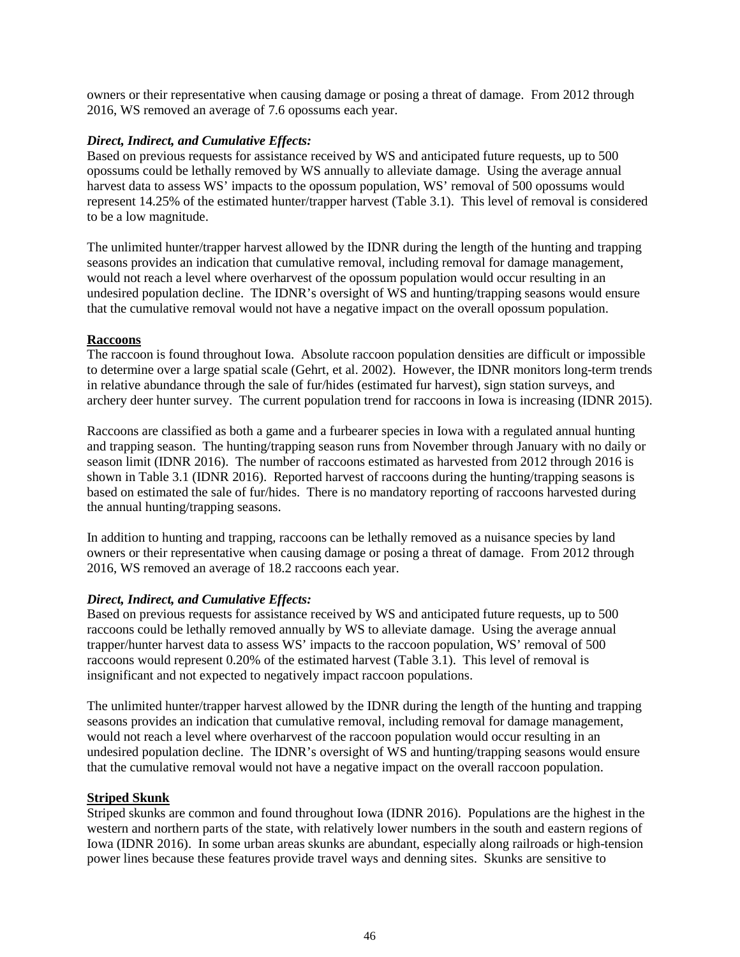owners or their representative when causing damage or posing a threat of damage. From 2012 through 2016, WS removed an average of 7.6 opossums each year.

### *Direct, Indirect, and Cumulative Effects:*

Based on previous requests for assistance received by WS and anticipated future requests, up to 500 opossums could be lethally removed by WS annually to alleviate damage. Using the average annual harvest data to assess WS' impacts to the opossum population, WS' removal of 500 opossums would represent 14.25% of the estimated hunter/trapper harvest (Table 3.1). This level of removal is considered to be a low magnitude.

The unlimited hunter/trapper harvest allowed by the IDNR during the length of the hunting and trapping seasons provides an indication that cumulative removal, including removal for damage management, would not reach a level where overharvest of the opossum population would occur resulting in an undesired population decline. The IDNR's oversight of WS and hunting/trapping seasons would ensure that the cumulative removal would not have a negative impact on the overall opossum population.

## **Raccoons**

The raccoon is found throughout Iowa. Absolute raccoon population densities are difficult or impossible to determine over a large spatial scale (Gehrt, et al. 2002). However, the IDNR monitors long-term trends in relative abundance through the sale of fur/hides (estimated fur harvest), sign station surveys, and archery deer hunter survey. The current population trend for raccoons in Iowa is increasing (IDNR 2015).

Raccoons are classified as both a game and a furbearer species in Iowa with a regulated annual hunting and trapping season. The hunting/trapping season runs from November through January with no daily or season limit (IDNR 2016). The number of raccoons estimated as harvested from 2012 through 2016 is shown in Table 3.1 (IDNR 2016). Reported harvest of raccoons during the hunting/trapping seasons is based on estimated the sale of fur/hides. There is no mandatory reporting of raccoons harvested during the annual hunting/trapping seasons.

In addition to hunting and trapping, raccoons can be lethally removed as a nuisance species by land owners or their representative when causing damage or posing a threat of damage. From 2012 through 2016, WS removed an average of 18.2 raccoons each year.

# *Direct, Indirect, and Cumulative Effects:*

Based on previous requests for assistance received by WS and anticipated future requests, up to 500 raccoons could be lethally removed annually by WS to alleviate damage. Using the average annual trapper/hunter harvest data to assess WS' impacts to the raccoon population, WS' removal of 500 raccoons would represent 0.20% of the estimated harvest (Table 3.1). This level of removal is insignificant and not expected to negatively impact raccoon populations.

The unlimited hunter/trapper harvest allowed by the IDNR during the length of the hunting and trapping seasons provides an indication that cumulative removal, including removal for damage management, would not reach a level where overharvest of the raccoon population would occur resulting in an undesired population decline. The IDNR's oversight of WS and hunting/trapping seasons would ensure that the cumulative removal would not have a negative impact on the overall raccoon population.

### **Striped Skunk**

Striped skunks are common and found throughout Iowa (IDNR 2016). Populations are the highest in the western and northern parts of the state, with relatively lower numbers in the south and eastern regions of Iowa (IDNR 2016). In some urban areas skunks are abundant, especially along railroads or high-tension power lines because these features provide travel ways and denning sites. Skunks are sensitive to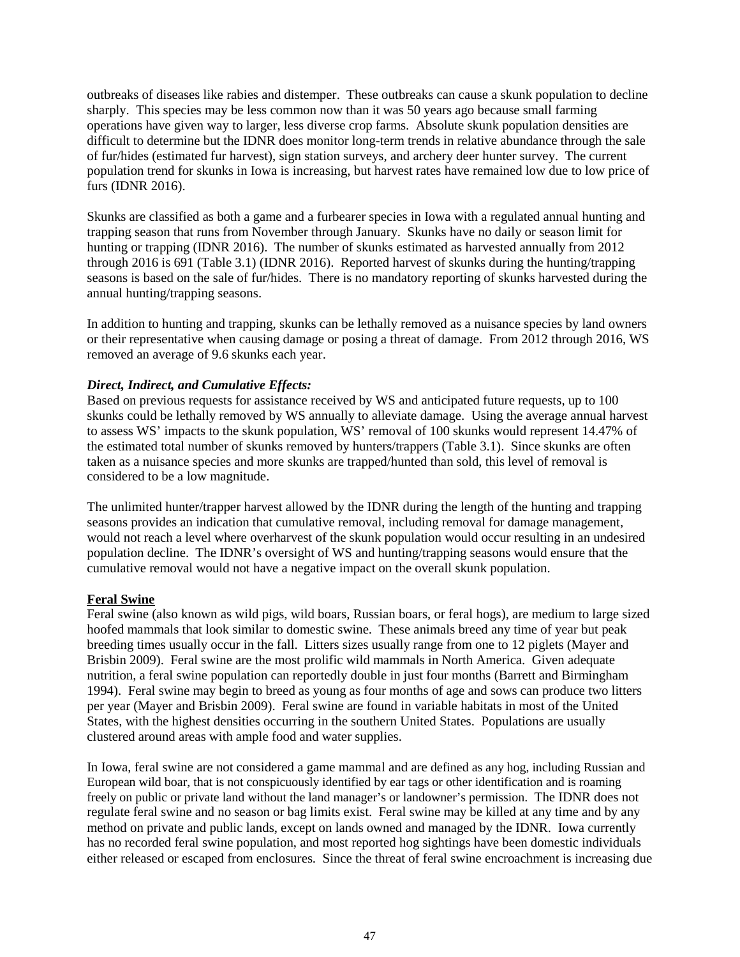outbreaks of diseases like rabies and distemper. These outbreaks can cause a skunk population to decline sharply. This species may be less common now than it was 50 years ago because small farming operations have given way to larger, less diverse crop farms. Absolute skunk population densities are difficult to determine but the IDNR does monitor long-term trends in relative abundance through the sale of fur/hides (estimated fur harvest), sign station surveys, and archery deer hunter survey. The current population trend for skunks in Iowa is increasing, but harvest rates have remained low due to low price of furs (IDNR 2016).

Skunks are classified as both a game and a furbearer species in Iowa with a regulated annual hunting and trapping season that runs from November through January. Skunks have no daily or season limit for hunting or trapping (IDNR 2016). The number of skunks estimated as harvested annually from 2012 through 2016 is 691 (Table 3.1) (IDNR 2016). Reported harvest of skunks during the hunting/trapping seasons is based on the sale of fur/hides. There is no mandatory reporting of skunks harvested during the annual hunting/trapping seasons.

In addition to hunting and trapping, skunks can be lethally removed as a nuisance species by land owners or their representative when causing damage or posing a threat of damage. From 2012 through 2016, WS removed an average of 9.6 skunks each year.

### *Direct, Indirect, and Cumulative Effects:*

Based on previous requests for assistance received by WS and anticipated future requests, up to 100 skunks could be lethally removed by WS annually to alleviate damage. Using the average annual harvest to assess WS' impacts to the skunk population, WS' removal of 100 skunks would represent 14.47% of the estimated total number of skunks removed by hunters/trappers (Table 3.1). Since skunks are often taken as a nuisance species and more skunks are trapped/hunted than sold, this level of removal is considered to be a low magnitude.

The unlimited hunter/trapper harvest allowed by the IDNR during the length of the hunting and trapping seasons provides an indication that cumulative removal, including removal for damage management, would not reach a level where overharvest of the skunk population would occur resulting in an undesired population decline. The IDNR's oversight of WS and hunting/trapping seasons would ensure that the cumulative removal would not have a negative impact on the overall skunk population.

#### **Feral Swine**

Feral swine (also known as wild pigs, wild boars, Russian boars, or feral hogs), are medium to large sized hoofed mammals that look similar to domestic swine. These animals breed any time of year but peak breeding times usually occur in the fall. Litters sizes usually range from one to 12 piglets (Mayer and Brisbin 2009). Feral swine are the most prolific wild mammals in North America. Given adequate nutrition, a feral swine population can reportedly double in just four months (Barrett and Birmingham 1994). Feral swine may begin to breed as young as four months of age and sows can produce two litters per year (Mayer and Brisbin 2009). Feral swine are found in variable habitats in most of the United States, with the highest densities occurring in the southern United States. Populations are usually clustered around areas with ample food and water supplies.

In Iowa, feral swine are not considered a game mammal and are defined as any hog, including Russian and European wild boar, that is not conspicuously identified by ear tags or other identification and is roaming freely on public or private land without the land manager's or landowner's permission. The IDNR does not regulate feral swine and no season or bag limits exist. Feral swine may be killed at any time and by any method on private and public lands, except on lands owned and managed by the IDNR. Iowa currently has no recorded feral swine population, and most reported hog sightings have been domestic individuals either released or escaped from enclosures. Since the threat of feral swine encroachment is increasing due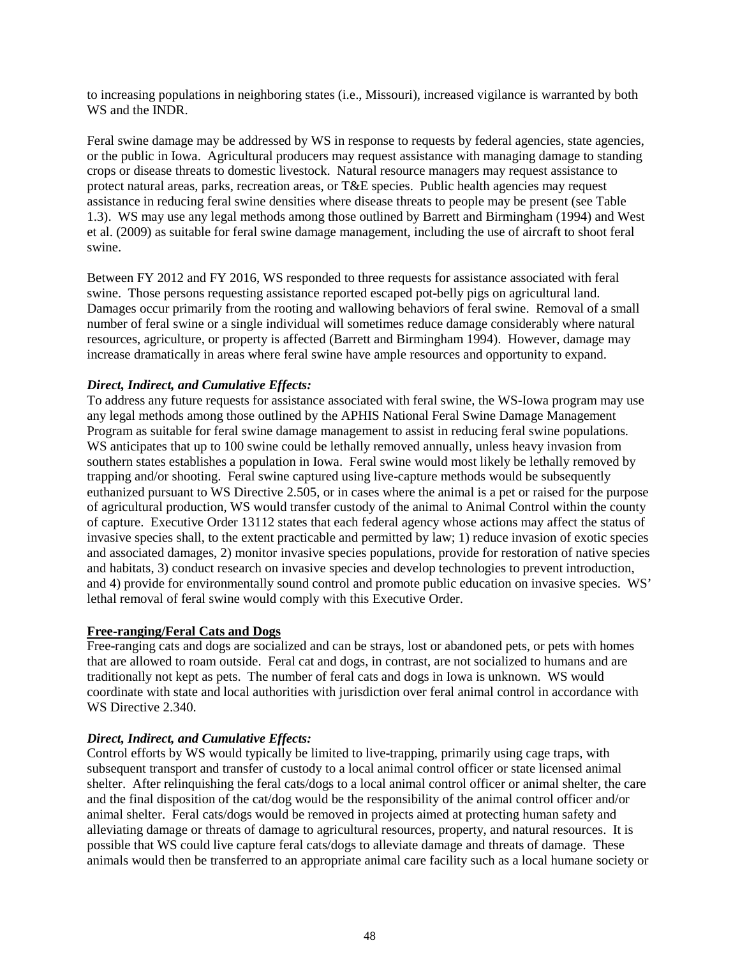to increasing populations in neighboring states (i.e., Missouri), increased vigilance is warranted by both WS and the INDR.

Feral swine damage may be addressed by WS in response to requests by federal agencies, state agencies, or the public in Iowa. Agricultural producers may request assistance with managing damage to standing crops or disease threats to domestic livestock. Natural resource managers may request assistance to protect natural areas, parks, recreation areas, or T&E species. Public health agencies may request assistance in reducing feral swine densities where disease threats to people may be present (see Table 1.3). WS may use any legal methods among those outlined by Barrett and Birmingham (1994) and West et al. (2009) as suitable for feral swine damage management, including the use of aircraft to shoot feral swine.

Between FY 2012 and FY 2016, WS responded to three requests for assistance associated with feral swine. Those persons requesting assistance reported escaped pot-belly pigs on agricultural land. Damages occur primarily from the rooting and wallowing behaviors of feral swine. Removal of a small number of feral swine or a single individual will sometimes reduce damage considerably where natural resources, agriculture, or property is affected (Barrett and Birmingham 1994). However, damage may increase dramatically in areas where feral swine have ample resources and opportunity to expand.

### *Direct, Indirect, and Cumulative Effects:*

To address any future requests for assistance associated with feral swine, the WS-Iowa program may use any legal methods among those outlined by the APHIS National Feral Swine Damage Management Program as suitable for feral swine damage management to assist in reducing feral swine populations. WS anticipates that up to 100 swine could be lethally removed annually, unless heavy invasion from southern states establishes a population in Iowa. Feral swine would most likely be lethally removed by trapping and/or shooting. Feral swine captured using live-capture methods would be subsequently euthanized pursuant to WS Directive 2.505, or in cases where the animal is a pet or raised for the purpose of agricultural production, WS would transfer custody of the animal to Animal Control within the county of capture. Executive Order 13112 states that each federal agency whose actions may affect the status of invasive species shall, to the extent practicable and permitted by law; 1) reduce invasion of exotic species and associated damages, 2) monitor invasive species populations, provide for restoration of native species and habitats, 3) conduct research on invasive species and develop technologies to prevent introduction, and 4) provide for environmentally sound control and promote public education on invasive species. WS' lethal removal of feral swine would comply with this Executive Order.

### **Free-ranging/Feral Cats and Dogs**

Free-ranging cats and dogs are socialized and can be strays, lost or abandoned pets, or pets with homes that are allowed to roam outside. Feral cat and dogs, in contrast, are not socialized to humans and are traditionally not kept as pets. The number of feral cats and dogs in Iowa is unknown. WS would coordinate with state and local authorities with jurisdiction over feral animal control in accordance with WS Directive 2.340.

### *Direct, Indirect, and Cumulative Effects:*

Control efforts by WS would typically be limited to live-trapping, primarily using cage traps, with subsequent transport and transfer of custody to a local animal control officer or state licensed animal shelter. After relinquishing the feral cats/dogs to a local animal control officer or animal shelter, the care and the final disposition of the cat/dog would be the responsibility of the animal control officer and/or animal shelter. Feral cats/dogs would be removed in projects aimed at protecting human safety and alleviating damage or threats of damage to agricultural resources, property, and natural resources. It is possible that WS could live capture feral cats/dogs to alleviate damage and threats of damage. These animals would then be transferred to an appropriate animal care facility such as a local humane society or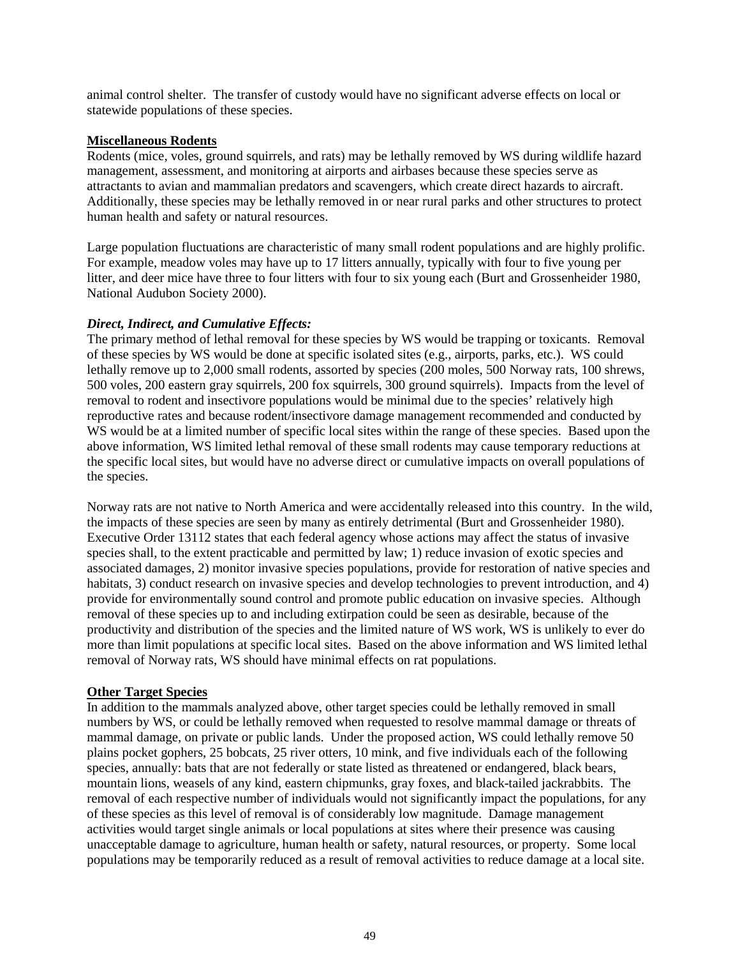animal control shelter. The transfer of custody would have no significant adverse effects on local or statewide populations of these species.

### **Miscellaneous Rodents**

Rodents (mice, voles, ground squirrels, and rats) may be lethally removed by WS during wildlife hazard management, assessment, and monitoring at airports and airbases because these species serve as attractants to avian and mammalian predators and scavengers, which create direct hazards to aircraft. Additionally, these species may be lethally removed in or near rural parks and other structures to protect human health and safety or natural resources.

Large population fluctuations are characteristic of many small rodent populations and are highly prolific. For example, meadow voles may have up to 17 litters annually, typically with four to five young per litter, and deer mice have three to four litters with four to six young each (Burt and Grossenheider 1980, National Audubon Society 2000).

### *Direct, Indirect, and Cumulative Effects:*

The primary method of lethal removal for these species by WS would be trapping or toxicants. Removal of these species by WS would be done at specific isolated sites (e.g., airports, parks, etc.). WS could lethally remove up to 2,000 small rodents, assorted by species (200 moles, 500 Norway rats, 100 shrews, 500 voles, 200 eastern gray squirrels, 200 fox squirrels, 300 ground squirrels). Impacts from the level of removal to rodent and insectivore populations would be minimal due to the species' relatively high reproductive rates and because rodent/insectivore damage management recommended and conducted by WS would be at a limited number of specific local sites within the range of these species. Based upon the above information, WS limited lethal removal of these small rodents may cause temporary reductions at the specific local sites, but would have no adverse direct or cumulative impacts on overall populations of the species.

Norway rats are not native to North America and were accidentally released into this country. In the wild, the impacts of these species are seen by many as entirely detrimental (Burt and Grossenheider 1980). Executive Order 13112 states that each federal agency whose actions may affect the status of invasive species shall, to the extent practicable and permitted by law; 1) reduce invasion of exotic species and associated damages, 2) monitor invasive species populations, provide for restoration of native species and habitats, 3) conduct research on invasive species and develop technologies to prevent introduction, and 4) provide for environmentally sound control and promote public education on invasive species. Although removal of these species up to and including extirpation could be seen as desirable, because of the productivity and distribution of the species and the limited nature of WS work, WS is unlikely to ever do more than limit populations at specific local sites. Based on the above information and WS limited lethal removal of Norway rats, WS should have minimal effects on rat populations.

### **Other Target Species**

In addition to the mammals analyzed above, other target species could be lethally removed in small numbers by WS, or could be lethally removed when requested to resolve mammal damage or threats of mammal damage, on private or public lands. Under the proposed action, WS could lethally remove 50 plains pocket gophers, 25 bobcats, 25 river otters, 10 mink, and five individuals each of the following species, annually: bats that are not federally or state listed as threatened or endangered, black bears, mountain lions, weasels of any kind, eastern chipmunks, gray foxes, and black-tailed jackrabbits. The removal of each respective number of individuals would not significantly impact the populations, for any of these species as this level of removal is of considerably low magnitude. Damage management activities would target single animals or local populations at sites where their presence was causing unacceptable damage to agriculture, human health or safety, natural resources, or property. Some local populations may be temporarily reduced as a result of removal activities to reduce damage at a local site.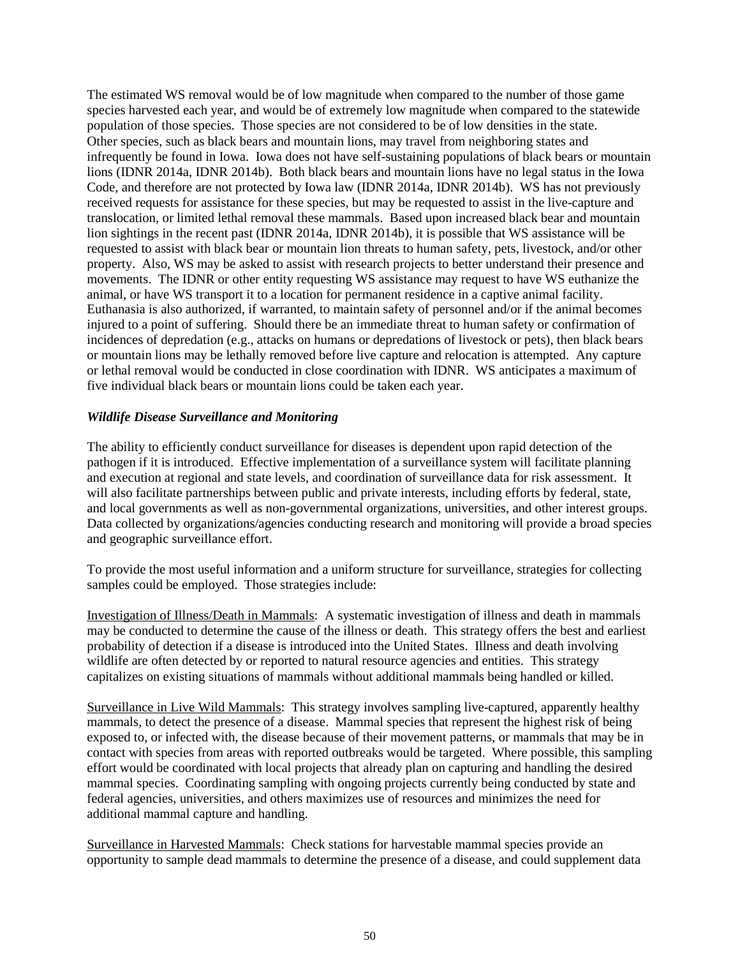The estimated WS removal would be of low magnitude when compared to the number of those game species harvested each year, and would be of extremely low magnitude when compared to the statewide population of those species. Those species are not considered to be of low densities in the state. Other species, such as black bears and mountain lions, may travel from neighboring states and infrequently be found in Iowa. Iowa does not have self-sustaining populations of black bears or mountain lions (IDNR 2014a, IDNR 2014b). Both black bears and mountain lions have no legal status in the Iowa Code, and therefore are not protected by Iowa law (IDNR 2014a, IDNR 2014b). WS has not previously received requests for assistance for these species, but may be requested to assist in the live-capture and translocation, or limited lethal removal these mammals. Based upon increased black bear and mountain lion sightings in the recent past (IDNR 2014a, IDNR 2014b), it is possible that WS assistance will be requested to assist with black bear or mountain lion threats to human safety, pets, livestock, and/or other property. Also, WS may be asked to assist with research projects to better understand their presence and movements. The IDNR or other entity requesting WS assistance may request to have WS euthanize the animal, or have WS transport it to a location for permanent residence in a captive animal facility. Euthanasia is also authorized, if warranted, to maintain safety of personnel and/or if the animal becomes injured to a point of suffering. Should there be an immediate threat to human safety or confirmation of incidences of depredation (e.g., attacks on humans or depredations of livestock or pets), then black bears or mountain lions may be lethally removed before live capture and relocation is attempted. Any capture or lethal removal would be conducted in close coordination with IDNR. WS anticipates a maximum of five individual black bears or mountain lions could be taken each year.

### *Wildlife Disease Surveillance and Monitoring*

The ability to efficiently conduct surveillance for diseases is dependent upon rapid detection of the pathogen if it is introduced. Effective implementation of a surveillance system will facilitate planning and execution at regional and state levels, and coordination of surveillance data for risk assessment. It will also facilitate partnerships between public and private interests, including efforts by federal, state, and local governments as well as non-governmental organizations, universities, and other interest groups. Data collected by organizations/agencies conducting research and monitoring will provide a broad species and geographic surveillance effort.

To provide the most useful information and a uniform structure for surveillance, strategies for collecting samples could be employed. Those strategies include:

Investigation of Illness/Death in Mammals: A systematic investigation of illness and death in mammals may be conducted to determine the cause of the illness or death. This strategy offers the best and earliest probability of detection if a disease is introduced into the United States. Illness and death involving wildlife are often detected by or reported to natural resource agencies and entities. This strategy capitalizes on existing situations of mammals without additional mammals being handled or killed.

Surveillance in Live Wild Mammals: This strategy involves sampling live-captured, apparently healthy mammals, to detect the presence of a disease. Mammal species that represent the highest risk of being exposed to, or infected with, the disease because of their movement patterns, or mammals that may be in contact with species from areas with reported outbreaks would be targeted. Where possible, this sampling effort would be coordinated with local projects that already plan on capturing and handling the desired mammal species. Coordinating sampling with ongoing projects currently being conducted by state and federal agencies, universities, and others maximizes use of resources and minimizes the need for additional mammal capture and handling.

Surveillance in Harvested Mammals: Check stations for harvestable mammal species provide an opportunity to sample dead mammals to determine the presence of a disease, and could supplement data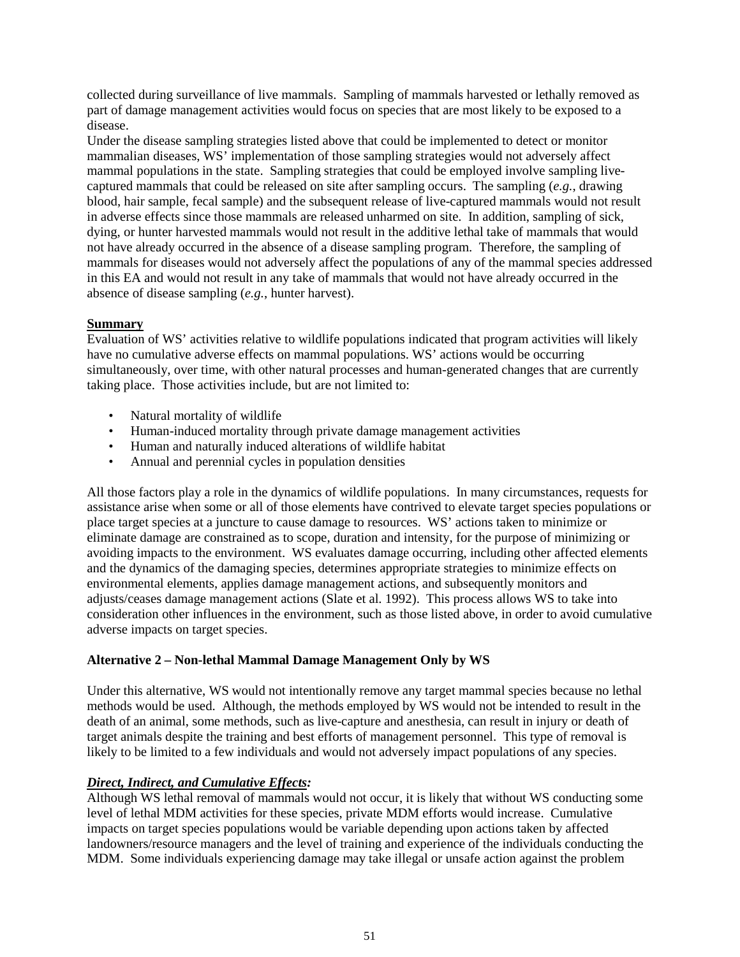collected during surveillance of live mammals. Sampling of mammals harvested or lethally removed as part of damage management activities would focus on species that are most likely to be exposed to a disease.

Under the disease sampling strategies listed above that could be implemented to detect or monitor mammalian diseases, WS' implementation of those sampling strategies would not adversely affect mammal populations in the state. Sampling strategies that could be employed involve sampling livecaptured mammals that could be released on site after sampling occurs. The sampling (*e.g.*, drawing blood, hair sample, fecal sample) and the subsequent release of live-captured mammals would not result in adverse effects since those mammals are released unharmed on site. In addition, sampling of sick, dying, or hunter harvested mammals would not result in the additive lethal take of mammals that would not have already occurred in the absence of a disease sampling program. Therefore, the sampling of mammals for diseases would not adversely affect the populations of any of the mammal species addressed in this EA and would not result in any take of mammals that would not have already occurred in the absence of disease sampling (*e.g.*, hunter harvest).

## **Summary**

Evaluation of WS' activities relative to wildlife populations indicated that program activities will likely have no cumulative adverse effects on mammal populations. WS' actions would be occurring simultaneously, over time, with other natural processes and human-generated changes that are currently taking place. Those activities include, but are not limited to:

- Natural mortality of wildlife
- Human-induced mortality through private damage management activities
- Human and naturally induced alterations of wildlife habitat
- Annual and perennial cycles in population densities

All those factors play a role in the dynamics of wildlife populations. In many circumstances, requests for assistance arise when some or all of those elements have contrived to elevate target species populations or place target species at a juncture to cause damage to resources. WS' actions taken to minimize or eliminate damage are constrained as to scope, duration and intensity, for the purpose of minimizing or avoiding impacts to the environment. WS evaluates damage occurring, including other affected elements and the dynamics of the damaging species, determines appropriate strategies to minimize effects on environmental elements, applies damage management actions, and subsequently monitors and adjusts/ceases damage management actions (Slate et al. 1992). This process allows WS to take into consideration other influences in the environment, such as those listed above, in order to avoid cumulative adverse impacts on target species.

### **Alternative 2 – Non-lethal Mammal Damage Management Only by WS**

Under this alternative, WS would not intentionally remove any target mammal species because no lethal methods would be used. Although, the methods employed by WS would not be intended to result in the death of an animal, some methods, such as live-capture and anesthesia, can result in injury or death of target animals despite the training and best efforts of management personnel. This type of removal is likely to be limited to a few individuals and would not adversely impact populations of any species.

### *Direct, Indirect, and Cumulative Effects:*

Although WS lethal removal of mammals would not occur, it is likely that without WS conducting some level of lethal MDM activities for these species, private MDM efforts would increase. Cumulative impacts on target species populations would be variable depending upon actions taken by affected landowners/resource managers and the level of training and experience of the individuals conducting the MDM. Some individuals experiencing damage may take illegal or unsafe action against the problem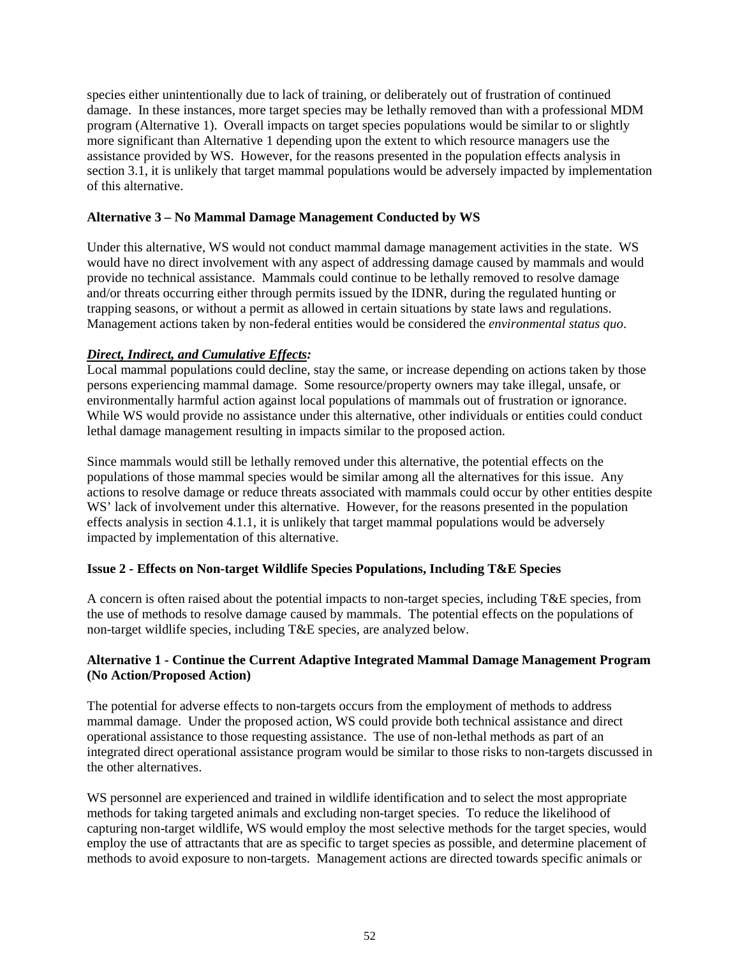species either unintentionally due to lack of training, or deliberately out of frustration of continued damage. In these instances, more target species may be lethally removed than with a professional MDM program (Alternative 1). Overall impacts on target species populations would be similar to or slightly more significant than Alternative 1 depending upon the extent to which resource managers use the assistance provided by WS. However, for the reasons presented in the population effects analysis in section 3.1, it is unlikely that target mammal populations would be adversely impacted by implementation of this alternative.

## **Alternative 3 – No Mammal Damage Management Conducted by WS**

Under this alternative, WS would not conduct mammal damage management activities in the state. WS would have no direct involvement with any aspect of addressing damage caused by mammals and would provide no technical assistance. Mammals could continue to be lethally removed to resolve damage and/or threats occurring either through permits issued by the IDNR, during the regulated hunting or trapping seasons, or without a permit as allowed in certain situations by state laws and regulations. Management actions taken by non-federal entities would be considered the *environmental status quo*.

## *Direct, Indirect, and Cumulative Effects:*

Local mammal populations could decline, stay the same, or increase depending on actions taken by those persons experiencing mammal damage. Some resource/property owners may take illegal, unsafe, or environmentally harmful action against local populations of mammals out of frustration or ignorance. While WS would provide no assistance under this alternative, other individuals or entities could conduct lethal damage management resulting in impacts similar to the proposed action.

Since mammals would still be lethally removed under this alternative, the potential effects on the populations of those mammal species would be similar among all the alternatives for this issue. Any actions to resolve damage or reduce threats associated with mammals could occur by other entities despite WS' lack of involvement under this alternative. However, for the reasons presented in the population effects analysis in section 4.1.1, it is unlikely that target mammal populations would be adversely impacted by implementation of this alternative.

# **Issue 2 - Effects on Non-target Wildlife Species Populations, Including T&E Species**

A concern is often raised about the potential impacts to non-target species, including T&E species, from the use of methods to resolve damage caused by mammals. The potential effects on the populations of non-target wildlife species, including T&E species, are analyzed below.

### **Alternative 1 - Continue the Current Adaptive Integrated Mammal Damage Management Program (No Action/Proposed Action)**

The potential for adverse effects to non-targets occurs from the employment of methods to address mammal damage. Under the proposed action, WS could provide both technical assistance and direct operational assistance to those requesting assistance. The use of non-lethal methods as part of an integrated direct operational assistance program would be similar to those risks to non-targets discussed in the other alternatives.

WS personnel are experienced and trained in wildlife identification and to select the most appropriate methods for taking targeted animals and excluding non-target species. To reduce the likelihood of capturing non-target wildlife, WS would employ the most selective methods for the target species, would employ the use of attractants that are as specific to target species as possible, and determine placement of methods to avoid exposure to non-targets. Management actions are directed towards specific animals or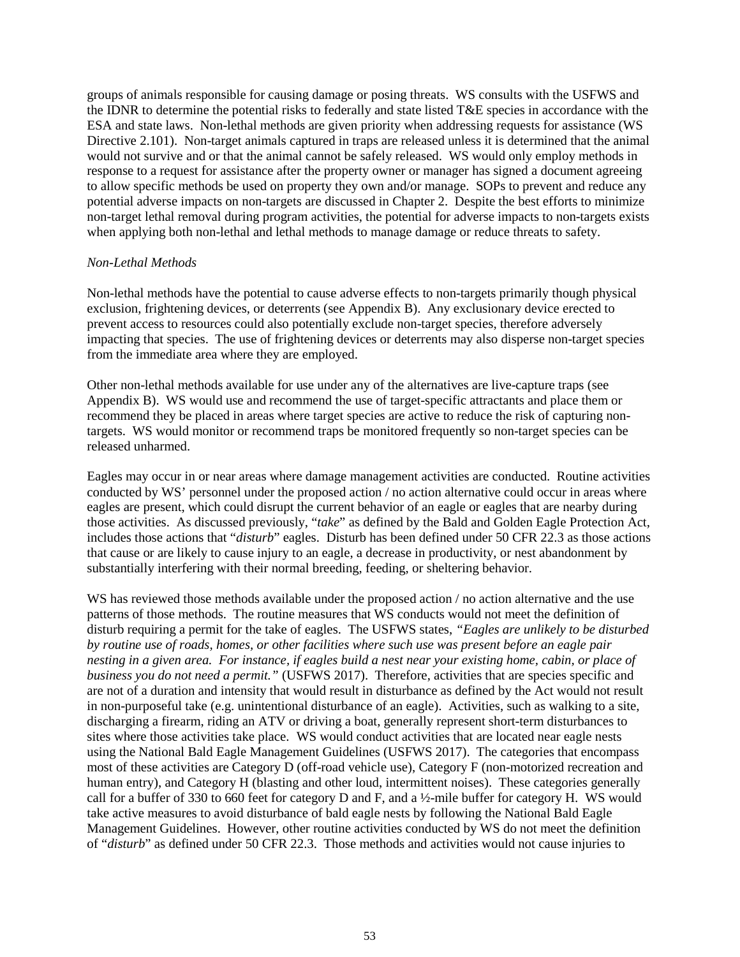groups of animals responsible for causing damage or posing threats. WS consults with the USFWS and the IDNR to determine the potential risks to federally and state listed T&E species in accordance with the ESA and state laws. Non-lethal methods are given priority when addressing requests for assistance (WS Directive 2.101). Non-target animals captured in traps are released unless it is determined that the animal would not survive and or that the animal cannot be safely released. WS would only employ methods in response to a request for assistance after the property owner or manager has signed a document agreeing to allow specific methods be used on property they own and/or manage. SOPs to prevent and reduce any potential adverse impacts on non-targets are discussed in Chapter 2. Despite the best efforts to minimize non-target lethal removal during program activities, the potential for adverse impacts to non-targets exists when applying both non-lethal and lethal methods to manage damage or reduce threats to safety.

### *Non-Lethal Methods*

Non-lethal methods have the potential to cause adverse effects to non-targets primarily though physical exclusion, frightening devices, or deterrents (see Appendix B). Any exclusionary device erected to prevent access to resources could also potentially exclude non-target species, therefore adversely impacting that species. The use of frightening devices or deterrents may also disperse non-target species from the immediate area where they are employed.

Other non-lethal methods available for use under any of the alternatives are live-capture traps (see Appendix B). WS would use and recommend the use of target-specific attractants and place them or recommend they be placed in areas where target species are active to reduce the risk of capturing nontargets. WS would monitor or recommend traps be monitored frequently so non-target species can be released unharmed.

Eagles may occur in or near areas where damage management activities are conducted. Routine activities conducted by WS' personnel under the proposed action / no action alternative could occur in areas where eagles are present, which could disrupt the current behavior of an eagle or eagles that are nearby during those activities. As discussed previously, "*take*" as defined by the Bald and Golden Eagle Protection Act, includes those actions that "*disturb*" eagles. Disturb has been defined under 50 CFR 22.3 as those actions that cause or are likely to cause injury to an eagle, a decrease in productivity, or nest abandonment by substantially interfering with their normal breeding, feeding, or sheltering behavior.

WS has reviewed those methods available under the proposed action / no action alternative and the use patterns of those methods. The routine measures that WS conducts would not meet the definition of disturb requiring a permit for the take of eagles. The USFWS states, *"Eagles are unlikely to be disturbed by routine use of roads, homes, or other facilities where such use was present before an eagle pair nesting in a given area. For instance, if eagles build a nest near your existing home, cabin, or place of business you do not need a permit."* (USFWS 2017). Therefore, activities that are species specific and are not of a duration and intensity that would result in disturbance as defined by the Act would not result in non-purposeful take (e.g. unintentional disturbance of an eagle). Activities, such as walking to a site, discharging a firearm, riding an ATV or driving a boat, generally represent short-term disturbances to sites where those activities take place. WS would conduct activities that are located near eagle nests using the National Bald Eagle Management Guidelines (USFWS 2017). The categories that encompass most of these activities are Category D (off-road vehicle use), Category F (non-motorized recreation and human entry), and Category H (blasting and other loud, intermittent noises). These categories generally call for a buffer of 330 to 660 feet for category D and F, and a ½-mile buffer for category H. WS would take active measures to avoid disturbance of bald eagle nests by following the National Bald Eagle Management Guidelines. However, other routine activities conducted by WS do not meet the definition of "*disturb*" as defined under 50 CFR 22.3. Those methods and activities would not cause injuries to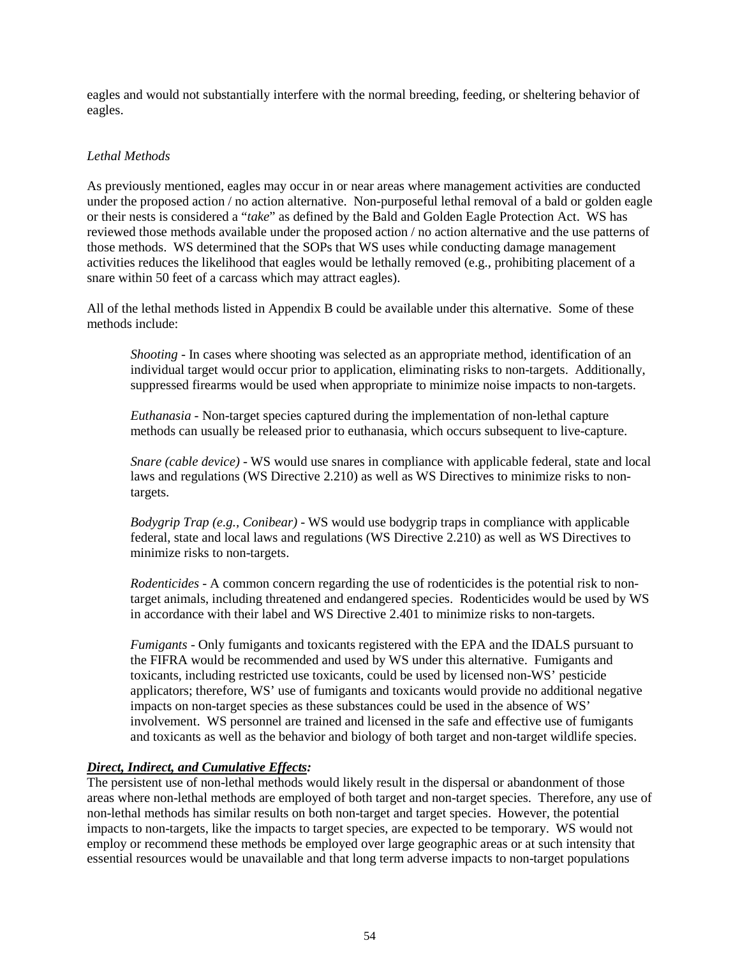eagles and would not substantially interfere with the normal breeding, feeding, or sheltering behavior of eagles.

## *Lethal Methods*

As previously mentioned, eagles may occur in or near areas where management activities are conducted under the proposed action / no action alternative. Non-purposeful lethal removal of a bald or golden eagle or their nests is considered a "*take*" as defined by the Bald and Golden Eagle Protection Act. WS has reviewed those methods available under the proposed action / no action alternative and the use patterns of those methods. WS determined that the SOPs that WS uses while conducting damage management activities reduces the likelihood that eagles would be lethally removed (e.g., prohibiting placement of a snare within 50 feet of a carcass which may attract eagles).

All of the lethal methods listed in Appendix B could be available under this alternative. Some of these methods include:

*Shooting* - In cases where shooting was selected as an appropriate method, identification of an individual target would occur prior to application, eliminating risks to non-targets. Additionally, suppressed firearms would be used when appropriate to minimize noise impacts to non-targets.

*Euthanasia -* Non-target species captured during the implementation of non-lethal capture methods can usually be released prior to euthanasia, which occurs subsequent to live-capture.

*Snare (cable device)* - WS would use snares in compliance with applicable federal, state and local laws and regulations (WS Directive 2.210) as well as WS Directives to minimize risks to nontargets.

*Bodygrip Trap (e.g., Conibear)* - WS would use bodygrip traps in compliance with applicable federal, state and local laws and regulations (WS Directive 2.210) as well as WS Directives to minimize risks to non-targets.

*Rodenticides* - A common concern regarding the use of rodenticides is the potential risk to nontarget animals, including threatened and endangered species. Rodenticides would be used by WS in accordance with their label and WS Directive 2.401 to minimize risks to non-targets.

*Fumigants* - Only fumigants and toxicants registered with the EPA and the IDALS pursuant to the FIFRA would be recommended and used by WS under this alternative. Fumigants and toxicants, including restricted use toxicants, could be used by licensed non-WS' pesticide applicators; therefore, WS' use of fumigants and toxicants would provide no additional negative impacts on non-target species as these substances could be used in the absence of WS' involvement. WS personnel are trained and licensed in the safe and effective use of fumigants and toxicants as well as the behavior and biology of both target and non-target wildlife species.

### *Direct, Indirect, and Cumulative Effects:*

The persistent use of non-lethal methods would likely result in the dispersal or abandonment of those areas where non-lethal methods are employed of both target and non-target species. Therefore, any use of non-lethal methods has similar results on both non-target and target species. However, the potential impacts to non-targets, like the impacts to target species, are expected to be temporary. WS would not employ or recommend these methods be employed over large geographic areas or at such intensity that essential resources would be unavailable and that long term adverse impacts to non-target populations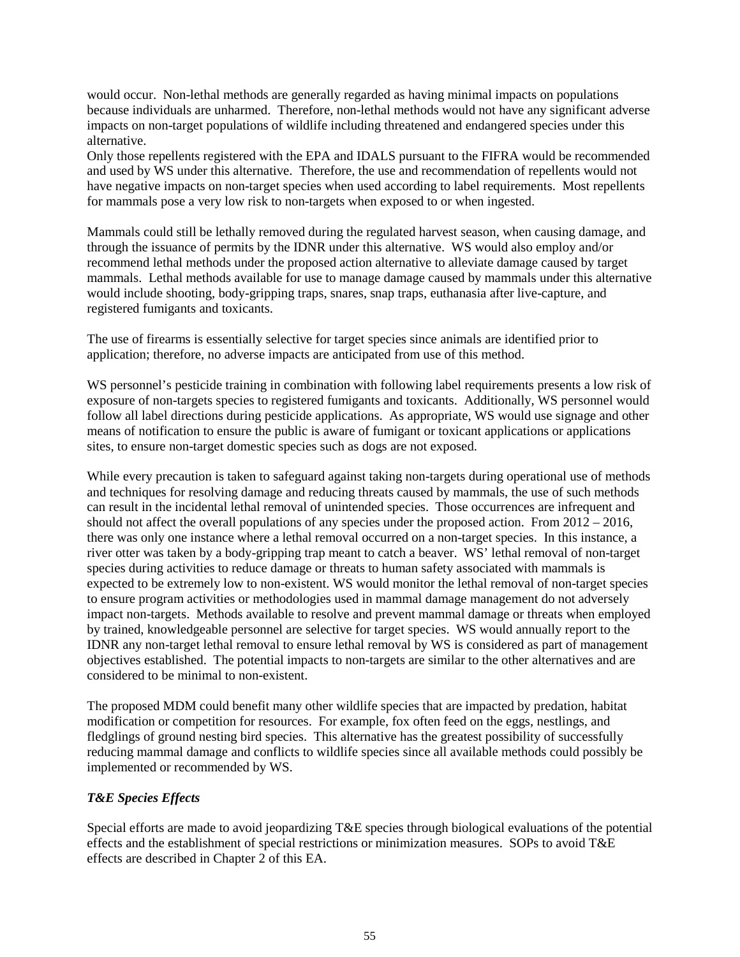would occur. Non-lethal methods are generally regarded as having minimal impacts on populations because individuals are unharmed. Therefore, non-lethal methods would not have any significant adverse impacts on non-target populations of wildlife including threatened and endangered species under this alternative.

Only those repellents registered with the EPA and IDALS pursuant to the FIFRA would be recommended and used by WS under this alternative. Therefore, the use and recommendation of repellents would not have negative impacts on non-target species when used according to label requirements. Most repellents for mammals pose a very low risk to non-targets when exposed to or when ingested.

Mammals could still be lethally removed during the regulated harvest season, when causing damage, and through the issuance of permits by the IDNR under this alternative. WS would also employ and/or recommend lethal methods under the proposed action alternative to alleviate damage caused by target mammals. Lethal methods available for use to manage damage caused by mammals under this alternative would include shooting, body-gripping traps, snares, snap traps, euthanasia after live-capture, and registered fumigants and toxicants.

The use of firearms is essentially selective for target species since animals are identified prior to application; therefore, no adverse impacts are anticipated from use of this method.

WS personnel's pesticide training in combination with following label requirements presents a low risk of exposure of non-targets species to registered fumigants and toxicants. Additionally, WS personnel would follow all label directions during pesticide applications. As appropriate, WS would use signage and other means of notification to ensure the public is aware of fumigant or toxicant applications or applications sites, to ensure non-target domestic species such as dogs are not exposed.

While every precaution is taken to safeguard against taking non-targets during operational use of methods and techniques for resolving damage and reducing threats caused by mammals, the use of such methods can result in the incidental lethal removal of unintended species. Those occurrences are infrequent and should not affect the overall populations of any species under the proposed action. From  $2012 - 2016$ , there was only one instance where a lethal removal occurred on a non-target species. In this instance, a river otter was taken by a body-gripping trap meant to catch a beaver. WS' lethal removal of non-target species during activities to reduce damage or threats to human safety associated with mammals is expected to be extremely low to non-existent. WS would monitor the lethal removal of non-target species to ensure program activities or methodologies used in mammal damage management do not adversely impact non-targets. Methods available to resolve and prevent mammal damage or threats when employed by trained, knowledgeable personnel are selective for target species. WS would annually report to the IDNR any non-target lethal removal to ensure lethal removal by WS is considered as part of management objectives established. The potential impacts to non-targets are similar to the other alternatives and are considered to be minimal to non-existent.

The proposed MDM could benefit many other wildlife species that are impacted by predation, habitat modification or competition for resources. For example, fox often feed on the eggs, nestlings, and fledglings of ground nesting bird species. This alternative has the greatest possibility of successfully reducing mammal damage and conflicts to wildlife species since all available methods could possibly be implemented or recommended by WS.

### *T&E Species Effects*

Special efforts are made to avoid jeopardizing T&E species through biological evaluations of the potential effects and the establishment of special restrictions or minimization measures. SOPs to avoid T&E effects are described in Chapter 2 of this EA.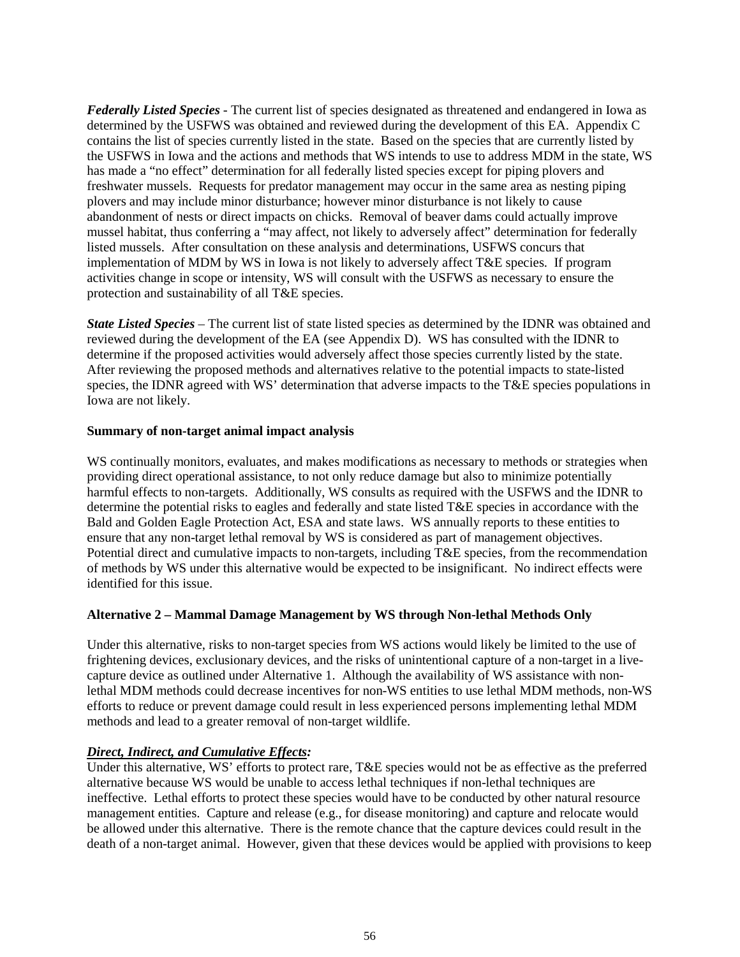*Federally Listed Species* - The current list of species designated as threatened and endangered in Iowa as determined by the USFWS was obtained and reviewed during the development of this EA. Appendix C contains the list of species currently listed in the state. Based on the species that are currently listed by the USFWS in Iowa and the actions and methods that WS intends to use to address MDM in the state, WS has made a "no effect" determination for all federally listed species except for piping plovers and freshwater mussels. Requests for predator management may occur in the same area as nesting piping plovers and may include minor disturbance; however minor disturbance is not likely to cause abandonment of nests or direct impacts on chicks. Removal of beaver dams could actually improve mussel habitat, thus conferring a "may affect, not likely to adversely affect" determination for federally listed mussels. After consultation on these analysis and determinations, USFWS concurs that implementation of MDM by WS in Iowa is not likely to adversely affect T&E species. If program activities change in scope or intensity, WS will consult with the USFWS as necessary to ensure the protection and sustainability of all T&E species.

*State Listed Species* – The current list of state listed species as determined by the IDNR was obtained and reviewed during the development of the EA (see Appendix D). WS has consulted with the IDNR to determine if the proposed activities would adversely affect those species currently listed by the state. After reviewing the proposed methods and alternatives relative to the potential impacts to state-listed species, the IDNR agreed with WS' determination that adverse impacts to the T&E species populations in Iowa are not likely.

### **Summary of non-target animal impact analysis**

WS continually monitors, evaluates, and makes modifications as necessary to methods or strategies when providing direct operational assistance, to not only reduce damage but also to minimize potentially harmful effects to non-targets. Additionally, WS consults as required with the USFWS and the IDNR to determine the potential risks to eagles and federally and state listed T&E species in accordance with the Bald and Golden Eagle Protection Act, ESA and state laws. WS annually reports to these entities to ensure that any non-target lethal removal by WS is considered as part of management objectives. Potential direct and cumulative impacts to non-targets, including T&E species, from the recommendation of methods by WS under this alternative would be expected to be insignificant. No indirect effects were identified for this issue.

# **Alternative 2 – Mammal Damage Management by WS through Non-lethal Methods Only**

Under this alternative, risks to non-target species from WS actions would likely be limited to the use of frightening devices, exclusionary devices, and the risks of unintentional capture of a non-target in a livecapture device as outlined under Alternative 1. Although the availability of WS assistance with nonlethal MDM methods could decrease incentives for non-WS entities to use lethal MDM methods, non-WS efforts to reduce or prevent damage could result in less experienced persons implementing lethal MDM methods and lead to a greater removal of non-target wildlife.

### *Direct, Indirect, and Cumulative Effects:*

Under this alternative, WS' efforts to protect rare, T&E species would not be as effective as the preferred alternative because WS would be unable to access lethal techniques if non-lethal techniques are ineffective. Lethal efforts to protect these species would have to be conducted by other natural resource management entities. Capture and release (e.g., for disease monitoring) and capture and relocate would be allowed under this alternative. There is the remote chance that the capture devices could result in the death of a non-target animal. However, given that these devices would be applied with provisions to keep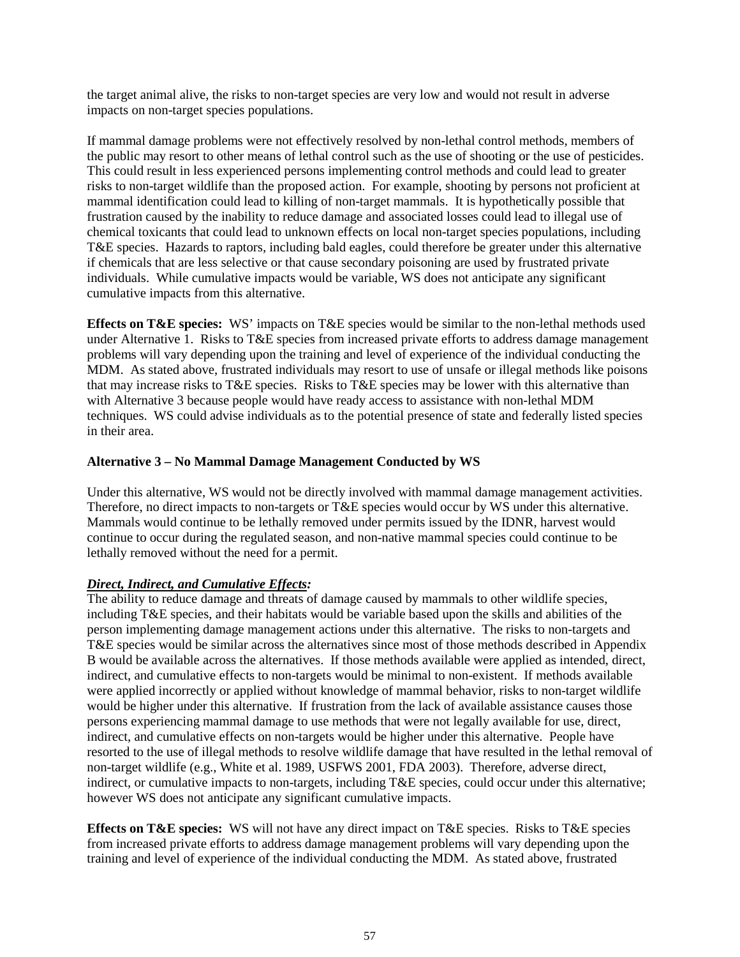the target animal alive, the risks to non-target species are very low and would not result in adverse impacts on non-target species populations.

If mammal damage problems were not effectively resolved by non-lethal control methods, members of the public may resort to other means of lethal control such as the use of shooting or the use of pesticides. This could result in less experienced persons implementing control methods and could lead to greater risks to non-target wildlife than the proposed action. For example, shooting by persons not proficient at mammal identification could lead to killing of non-target mammals. It is hypothetically possible that frustration caused by the inability to reduce damage and associated losses could lead to illegal use of chemical toxicants that could lead to unknown effects on local non-target species populations, including T&E species. Hazards to raptors, including bald eagles, could therefore be greater under this alternative if chemicals that are less selective or that cause secondary poisoning are used by frustrated private individuals. While cumulative impacts would be variable, WS does not anticipate any significant cumulative impacts from this alternative.

**Effects on T&E species:** WS' impacts on T&E species would be similar to the non-lethal methods used under Alternative 1. Risks to T&E species from increased private efforts to address damage management problems will vary depending upon the training and level of experience of the individual conducting the MDM. As stated above, frustrated individuals may resort to use of unsafe or illegal methods like poisons that may increase risks to T&E species. Risks to T&E species may be lower with this alternative than with Alternative 3 because people would have ready access to assistance with non-lethal MDM techniques. WS could advise individuals as to the potential presence of state and federally listed species in their area.

## **Alternative 3 – No Mammal Damage Management Conducted by WS**

Under this alternative, WS would not be directly involved with mammal damage management activities. Therefore, no direct impacts to non-targets or T&E species would occur by WS under this alternative. Mammals would continue to be lethally removed under permits issued by the IDNR, harvest would continue to occur during the regulated season, and non-native mammal species could continue to be lethally removed without the need for a permit.

### *Direct, Indirect, and Cumulative Effects:*

The ability to reduce damage and threats of damage caused by mammals to other wildlife species, including T&E species, and their habitats would be variable based upon the skills and abilities of the person implementing damage management actions under this alternative. The risks to non-targets and T&E species would be similar across the alternatives since most of those methods described in Appendix B would be available across the alternatives. If those methods available were applied as intended, direct, indirect, and cumulative effects to non-targets would be minimal to non-existent. If methods available were applied incorrectly or applied without knowledge of mammal behavior, risks to non-target wildlife would be higher under this alternative. If frustration from the lack of available assistance causes those persons experiencing mammal damage to use methods that were not legally available for use, direct, indirect, and cumulative effects on non-targets would be higher under this alternative. People have resorted to the use of illegal methods to resolve wildlife damage that have resulted in the lethal removal of non-target wildlife (e.g., White et al. 1989, USFWS 2001, FDA 2003). Therefore, adverse direct, indirect, or cumulative impacts to non-targets, including T&E species, could occur under this alternative; however WS does not anticipate any significant cumulative impacts.

**Effects on T&E species:** WS will not have any direct impact on T&E species. Risks to T&E species from increased private efforts to address damage management problems will vary depending upon the training and level of experience of the individual conducting the MDM. As stated above, frustrated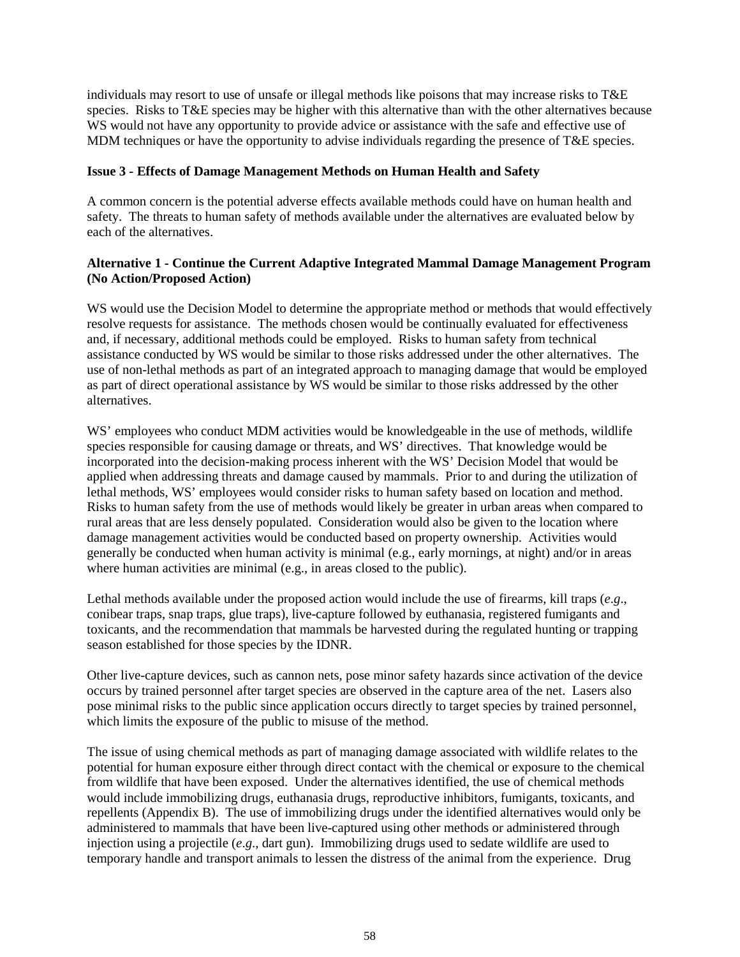individuals may resort to use of unsafe or illegal methods like poisons that may increase risks to T&E species. Risks to T&E species may be higher with this alternative than with the other alternatives because WS would not have any opportunity to provide advice or assistance with the safe and effective use of MDM techniques or have the opportunity to advise individuals regarding the presence of T&E species.

### **Issue 3 - Effects of Damage Management Methods on Human Health and Safety**

A common concern is the potential adverse effects available methods could have on human health and safety. The threats to human safety of methods available under the alternatives are evaluated below by each of the alternatives.

## **Alternative 1 - Continue the Current Adaptive Integrated Mammal Damage Management Program (No Action/Proposed Action)**

WS would use the Decision Model to determine the appropriate method or methods that would effectively resolve requests for assistance. The methods chosen would be continually evaluated for effectiveness and, if necessary, additional methods could be employed. Risks to human safety from technical assistance conducted by WS would be similar to those risks addressed under the other alternatives. The use of non-lethal methods as part of an integrated approach to managing damage that would be employed as part of direct operational assistance by WS would be similar to those risks addressed by the other alternatives.

WS' employees who conduct MDM activities would be knowledgeable in the use of methods, wildlife species responsible for causing damage or threats, and WS' directives. That knowledge would be incorporated into the decision-making process inherent with the WS' Decision Model that would be applied when addressing threats and damage caused by mammals. Prior to and during the utilization of lethal methods, WS' employees would consider risks to human safety based on location and method. Risks to human safety from the use of methods would likely be greater in urban areas when compared to rural areas that are less densely populated. Consideration would also be given to the location where damage management activities would be conducted based on property ownership. Activities would generally be conducted when human activity is minimal (e.g., early mornings, at night) and/or in areas where human activities are minimal (e.g., in areas closed to the public).

Lethal methods available under the proposed action would include the use of firearms, kill traps (*e*.*g*., conibear traps, snap traps, glue traps), live-capture followed by euthanasia, registered fumigants and toxicants, and the recommendation that mammals be harvested during the regulated hunting or trapping season established for those species by the IDNR.

Other live-capture devices, such as cannon nets, pose minor safety hazards since activation of the device occurs by trained personnel after target species are observed in the capture area of the net. Lasers also pose minimal risks to the public since application occurs directly to target species by trained personnel, which limits the exposure of the public to misuse of the method.

The issue of using chemical methods as part of managing damage associated with wildlife relates to the potential for human exposure either through direct contact with the chemical or exposure to the chemical from wildlife that have been exposed. Under the alternatives identified, the use of chemical methods would include immobilizing drugs, euthanasia drugs, reproductive inhibitors, fumigants, toxicants, and repellents (Appendix B). The use of immobilizing drugs under the identified alternatives would only be administered to mammals that have been live-captured using other methods or administered through injection using a projectile (*e*.*g*., dart gun). Immobilizing drugs used to sedate wildlife are used to temporary handle and transport animals to lessen the distress of the animal from the experience. Drug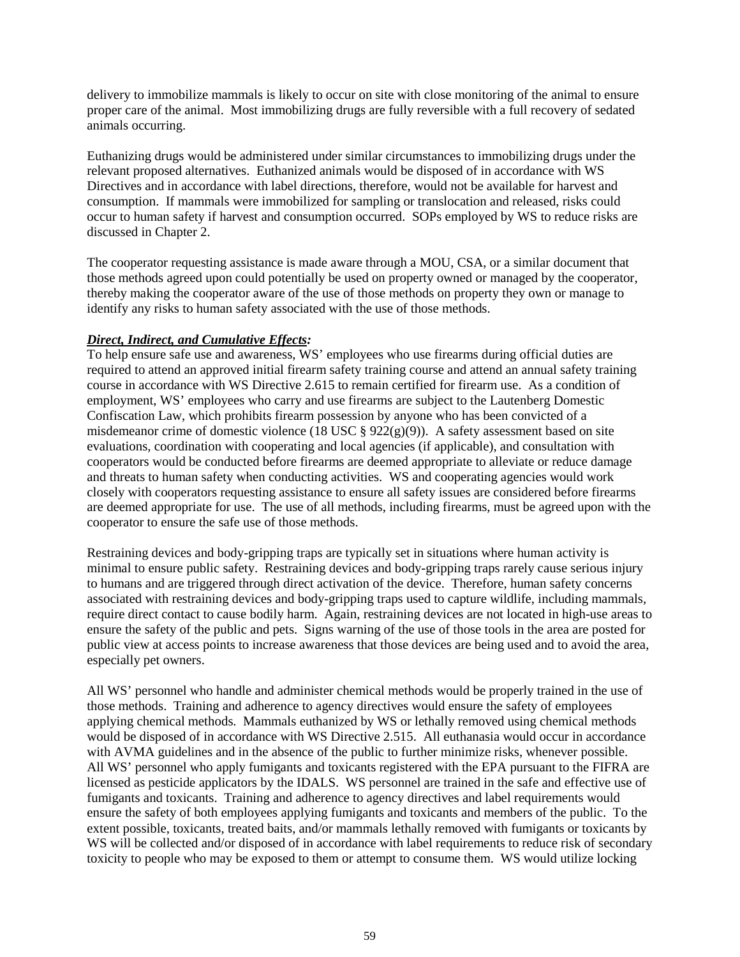delivery to immobilize mammals is likely to occur on site with close monitoring of the animal to ensure proper care of the animal. Most immobilizing drugs are fully reversible with a full recovery of sedated animals occurring.

Euthanizing drugs would be administered under similar circumstances to immobilizing drugs under the relevant proposed alternatives. Euthanized animals would be disposed of in accordance with WS Directives and in accordance with label directions, therefore, would not be available for harvest and consumption. If mammals were immobilized for sampling or translocation and released, risks could occur to human safety if harvest and consumption occurred. SOPs employed by WS to reduce risks are discussed in Chapter 2.

The cooperator requesting assistance is made aware through a MOU, CSA, or a similar document that those methods agreed upon could potentially be used on property owned or managed by the cooperator, thereby making the cooperator aware of the use of those methods on property they own or manage to identify any risks to human safety associated with the use of those methods.

### *Direct, Indirect, and Cumulative Effects:*

To help ensure safe use and awareness, WS' employees who use firearms during official duties are required to attend an approved initial firearm safety training course and attend an annual safety training course in accordance with WS Directive 2.615 to remain certified for firearm use. As a condition of employment, WS' employees who carry and use firearms are subject to the Lautenberg Domestic Confiscation Law, which prohibits firearm possession by anyone who has been convicted of a misdemeanor crime of domestic violence (18 USC §  $922(g)(9)$ ). A safety assessment based on site evaluations, coordination with cooperating and local agencies (if applicable), and consultation with cooperators would be conducted before firearms are deemed appropriate to alleviate or reduce damage and threats to human safety when conducting activities. WS and cooperating agencies would work closely with cooperators requesting assistance to ensure all safety issues are considered before firearms are deemed appropriate for use. The use of all methods, including firearms, must be agreed upon with the cooperator to ensure the safe use of those methods.

Restraining devices and body-gripping traps are typically set in situations where human activity is minimal to ensure public safety. Restraining devices and body-gripping traps rarely cause serious injury to humans and are triggered through direct activation of the device. Therefore, human safety concerns associated with restraining devices and body-gripping traps used to capture wildlife, including mammals, require direct contact to cause bodily harm. Again, restraining devices are not located in high-use areas to ensure the safety of the public and pets. Signs warning of the use of those tools in the area are posted for public view at access points to increase awareness that those devices are being used and to avoid the area, especially pet owners.

All WS' personnel who handle and administer chemical methods would be properly trained in the use of those methods. Training and adherence to agency directives would ensure the safety of employees applying chemical methods. Mammals euthanized by WS or lethally removed using chemical methods would be disposed of in accordance with WS Directive 2.515. All euthanasia would occur in accordance with AVMA guidelines and in the absence of the public to further minimize risks, whenever possible. All WS' personnel who apply fumigants and toxicants registered with the EPA pursuant to the FIFRA are licensed as pesticide applicators by the IDALS. WS personnel are trained in the safe and effective use of fumigants and toxicants. Training and adherence to agency directives and label requirements would ensure the safety of both employees applying fumigants and toxicants and members of the public. To the extent possible, toxicants, treated baits, and/or mammals lethally removed with fumigants or toxicants by WS will be collected and/or disposed of in accordance with label requirements to reduce risk of secondary toxicity to people who may be exposed to them or attempt to consume them. WS would utilize locking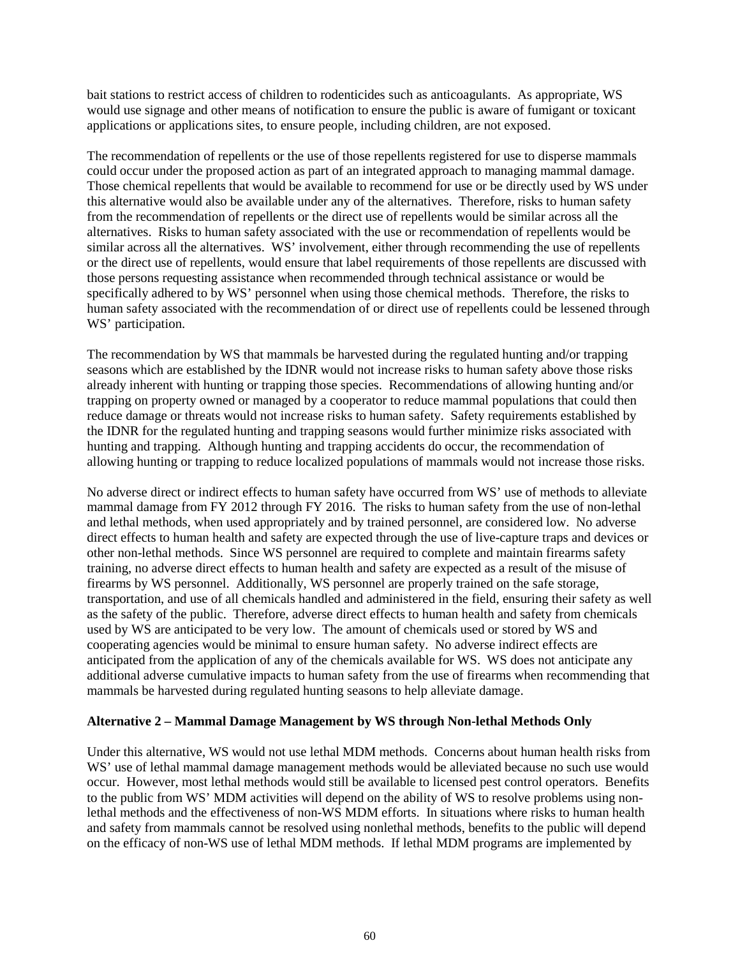bait stations to restrict access of children to rodenticides such as anticoagulants. As appropriate, WS would use signage and other means of notification to ensure the public is aware of fumigant or toxicant applications or applications sites, to ensure people, including children, are not exposed.

The recommendation of repellents or the use of those repellents registered for use to disperse mammals could occur under the proposed action as part of an integrated approach to managing mammal damage. Those chemical repellents that would be available to recommend for use or be directly used by WS under this alternative would also be available under any of the alternatives. Therefore, risks to human safety from the recommendation of repellents or the direct use of repellents would be similar across all the alternatives. Risks to human safety associated with the use or recommendation of repellents would be similar across all the alternatives. WS' involvement, either through recommending the use of repellents or the direct use of repellents, would ensure that label requirements of those repellents are discussed with those persons requesting assistance when recommended through technical assistance or would be specifically adhered to by WS' personnel when using those chemical methods. Therefore, the risks to human safety associated with the recommendation of or direct use of repellents could be lessened through WS' participation.

The recommendation by WS that mammals be harvested during the regulated hunting and/or trapping seasons which are established by the IDNR would not increase risks to human safety above those risks already inherent with hunting or trapping those species. Recommendations of allowing hunting and/or trapping on property owned or managed by a cooperator to reduce mammal populations that could then reduce damage or threats would not increase risks to human safety. Safety requirements established by the IDNR for the regulated hunting and trapping seasons would further minimize risks associated with hunting and trapping. Although hunting and trapping accidents do occur, the recommendation of allowing hunting or trapping to reduce localized populations of mammals would not increase those risks.

No adverse direct or indirect effects to human safety have occurred from WS' use of methods to alleviate mammal damage from FY 2012 through FY 2016. The risks to human safety from the use of non-lethal and lethal methods, when used appropriately and by trained personnel, are considered low. No adverse direct effects to human health and safety are expected through the use of live-capture traps and devices or other non-lethal methods. Since WS personnel are required to complete and maintain firearms safety training, no adverse direct effects to human health and safety are expected as a result of the misuse of firearms by WS personnel. Additionally, WS personnel are properly trained on the safe storage, transportation, and use of all chemicals handled and administered in the field, ensuring their safety as well as the safety of the public. Therefore, adverse direct effects to human health and safety from chemicals used by WS are anticipated to be very low. The amount of chemicals used or stored by WS and cooperating agencies would be minimal to ensure human safety. No adverse indirect effects are anticipated from the application of any of the chemicals available for WS. WS does not anticipate any additional adverse cumulative impacts to human safety from the use of firearms when recommending that mammals be harvested during regulated hunting seasons to help alleviate damage.

### **Alternative 2 – Mammal Damage Management by WS through Non-lethal Methods Only**

Under this alternative, WS would not use lethal MDM methods. Concerns about human health risks from WS' use of lethal mammal damage management methods would be alleviated because no such use would occur. However, most lethal methods would still be available to licensed pest control operators. Benefits to the public from WS' MDM activities will depend on the ability of WS to resolve problems using nonlethal methods and the effectiveness of non-WS MDM efforts. In situations where risks to human health and safety from mammals cannot be resolved using nonlethal methods, benefits to the public will depend on the efficacy of non-WS use of lethal MDM methods. If lethal MDM programs are implemented by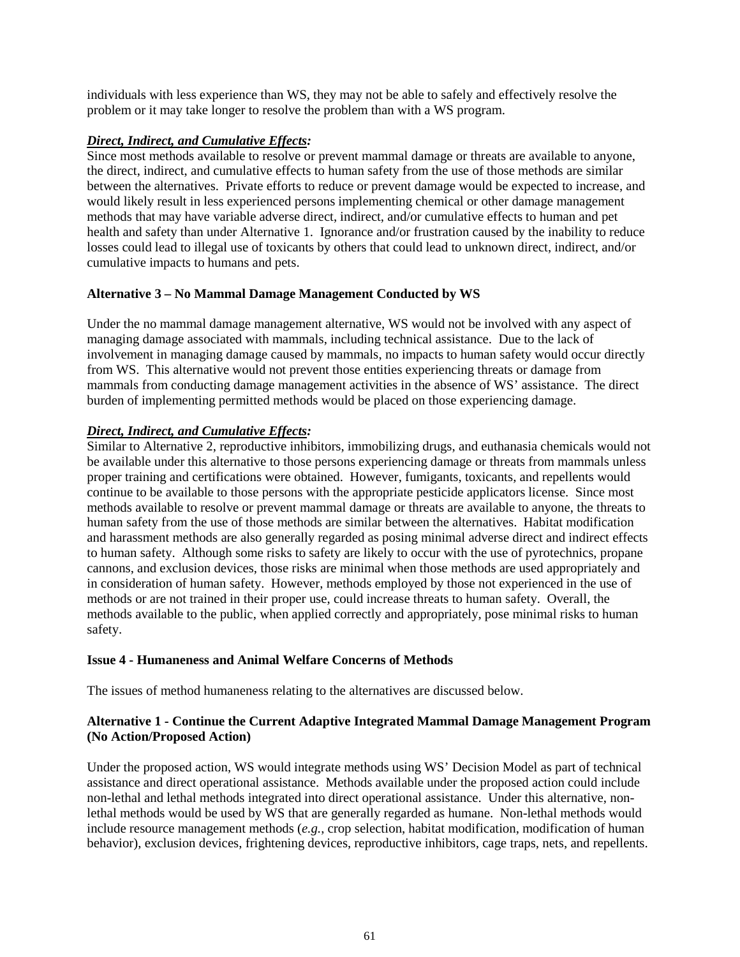individuals with less experience than WS, they may not be able to safely and effectively resolve the problem or it may take longer to resolve the problem than with a WS program.

### *Direct, Indirect, and Cumulative Effects:*

Since most methods available to resolve or prevent mammal damage or threats are available to anyone, the direct, indirect, and cumulative effects to human safety from the use of those methods are similar between the alternatives. Private efforts to reduce or prevent damage would be expected to increase, and would likely result in less experienced persons implementing chemical or other damage management methods that may have variable adverse direct, indirect, and/or cumulative effects to human and pet health and safety than under Alternative 1. Ignorance and/or frustration caused by the inability to reduce losses could lead to illegal use of toxicants by others that could lead to unknown direct, indirect, and/or cumulative impacts to humans and pets.

## **Alternative 3 – No Mammal Damage Management Conducted by WS**

Under the no mammal damage management alternative, WS would not be involved with any aspect of managing damage associated with mammals, including technical assistance. Due to the lack of involvement in managing damage caused by mammals, no impacts to human safety would occur directly from WS. This alternative would not prevent those entities experiencing threats or damage from mammals from conducting damage management activities in the absence of WS' assistance. The direct burden of implementing permitted methods would be placed on those experiencing damage.

# *Direct, Indirect, and Cumulative Effects:*

Similar to Alternative 2, reproductive inhibitors, immobilizing drugs, and euthanasia chemicals would not be available under this alternative to those persons experiencing damage or threats from mammals unless proper training and certifications were obtained. However, fumigants, toxicants, and repellents would continue to be available to those persons with the appropriate pesticide applicators license. Since most methods available to resolve or prevent mammal damage or threats are available to anyone, the threats to human safety from the use of those methods are similar between the alternatives. Habitat modification and harassment methods are also generally regarded as posing minimal adverse direct and indirect effects to human safety. Although some risks to safety are likely to occur with the use of pyrotechnics, propane cannons, and exclusion devices, those risks are minimal when those methods are used appropriately and in consideration of human safety. However, methods employed by those not experienced in the use of methods or are not trained in their proper use, could increase threats to human safety. Overall, the methods available to the public, when applied correctly and appropriately, pose minimal risks to human safety.

### **Issue 4 - Humaneness and Animal Welfare Concerns of Methods**

The issues of method humaneness relating to the alternatives are discussed below.

## **Alternative 1 - Continue the Current Adaptive Integrated Mammal Damage Management Program (No Action/Proposed Action)**

Under the proposed action, WS would integrate methods using WS' Decision Model as part of technical assistance and direct operational assistance. Methods available under the proposed action could include non-lethal and lethal methods integrated into direct operational assistance. Under this alternative, nonlethal methods would be used by WS that are generally regarded as humane. Non-lethal methods would include resource management methods (*e.g.*, crop selection, habitat modification, modification of human behavior), exclusion devices, frightening devices, reproductive inhibitors, cage traps, nets, and repellents.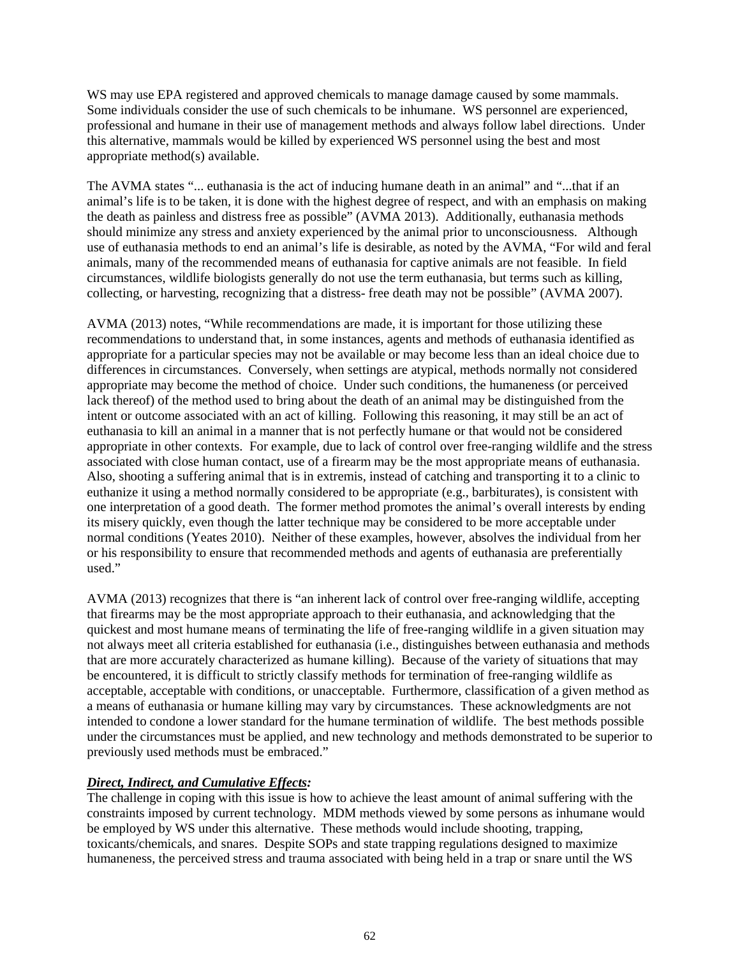WS may use EPA registered and approved chemicals to manage damage caused by some mammals. Some individuals consider the use of such chemicals to be inhumane. WS personnel are experienced, professional and humane in their use of management methods and always follow label directions. Under this alternative, mammals would be killed by experienced WS personnel using the best and most appropriate method(s) available.

The AVMA states "... euthanasia is the act of inducing humane death in an animal" and "...that if an animal's life is to be taken, it is done with the highest degree of respect, and with an emphasis on making the death as painless and distress free as possible" (AVMA 2013). Additionally, euthanasia methods should minimize any stress and anxiety experienced by the animal prior to unconsciousness. Although use of euthanasia methods to end an animal's life is desirable, as noted by the AVMA, "For wild and feral animals, many of the recommended means of euthanasia for captive animals are not feasible. In field circumstances, wildlife biologists generally do not use the term euthanasia, but terms such as killing, collecting, or harvesting, recognizing that a distress- free death may not be possible" (AVMA 2007).

AVMA (2013) notes, "While recommendations are made, it is important for those utilizing these recommendations to understand that, in some instances, agents and methods of euthanasia identified as appropriate for a particular species may not be available or may become less than an ideal choice due to differences in circumstances. Conversely, when settings are atypical, methods normally not considered appropriate may become the method of choice. Under such conditions, the humaneness (or perceived lack thereof) of the method used to bring about the death of an animal may be distinguished from the intent or outcome associated with an act of killing. Following this reasoning, it may still be an act of euthanasia to kill an animal in a manner that is not perfectly humane or that would not be considered appropriate in other contexts. For example, due to lack of control over free-ranging wildlife and the stress associated with close human contact, use of a firearm may be the most appropriate means of euthanasia. Also, shooting a suffering animal that is in extremis, instead of catching and transporting it to a clinic to euthanize it using a method normally considered to be appropriate (e.g., barbiturates), is consistent with one interpretation of a good death. The former method promotes the animal's overall interests by ending its misery quickly, even though the latter technique may be considered to be more acceptable under normal conditions (Yeates 2010). Neither of these examples, however, absolves the individual from her or his responsibility to ensure that recommended methods and agents of euthanasia are preferentially used."

AVMA (2013) recognizes that there is "an inherent lack of control over free-ranging wildlife, accepting that firearms may be the most appropriate approach to their euthanasia, and acknowledging that the quickest and most humane means of terminating the life of free-ranging wildlife in a given situation may not always meet all criteria established for euthanasia (i.e., distinguishes between euthanasia and methods that are more accurately characterized as humane killing). Because of the variety of situations that may be encountered, it is difficult to strictly classify methods for termination of free-ranging wildlife as acceptable, acceptable with conditions, or unacceptable. Furthermore, classification of a given method as a means of euthanasia or humane killing may vary by circumstances. These acknowledgments are not intended to condone a lower standard for the humane termination of wildlife. The best methods possible under the circumstances must be applied, and new technology and methods demonstrated to be superior to previously used methods must be embraced."

### *Direct, Indirect, and Cumulative Effects:*

The challenge in coping with this issue is how to achieve the least amount of animal suffering with the constraints imposed by current technology. MDM methods viewed by some persons as inhumane would be employed by WS under this alternative. These methods would include shooting, trapping, toxicants/chemicals, and snares. Despite SOPs and state trapping regulations designed to maximize humaneness, the perceived stress and trauma associated with being held in a trap or snare until the WS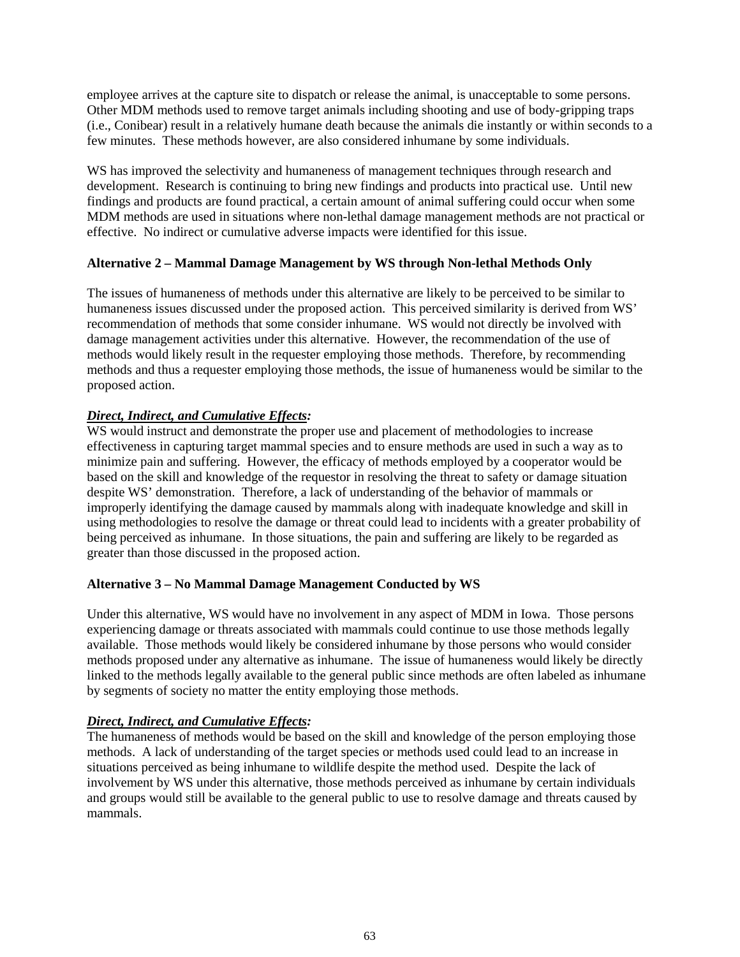employee arrives at the capture site to dispatch or release the animal, is unacceptable to some persons. Other MDM methods used to remove target animals including shooting and use of body-gripping traps (i.e., Conibear) result in a relatively humane death because the animals die instantly or within seconds to a few minutes. These methods however, are also considered inhumane by some individuals.

WS has improved the selectivity and humaneness of management techniques through research and development. Research is continuing to bring new findings and products into practical use. Until new findings and products are found practical, a certain amount of animal suffering could occur when some MDM methods are used in situations where non-lethal damage management methods are not practical or effective. No indirect or cumulative adverse impacts were identified for this issue.

## **Alternative 2 – Mammal Damage Management by WS through Non-lethal Methods Only**

The issues of humaneness of methods under this alternative are likely to be perceived to be similar to humaneness issues discussed under the proposed action. This perceived similarity is derived from WS' recommendation of methods that some consider inhumane. WS would not directly be involved with damage management activities under this alternative. However, the recommendation of the use of methods would likely result in the requester employing those methods. Therefore, by recommending methods and thus a requester employing those methods, the issue of humaneness would be similar to the proposed action.

## *Direct, Indirect, and Cumulative Effects:*

WS would instruct and demonstrate the proper use and placement of methodologies to increase effectiveness in capturing target mammal species and to ensure methods are used in such a way as to minimize pain and suffering. However, the efficacy of methods employed by a cooperator would be based on the skill and knowledge of the requestor in resolving the threat to safety or damage situation despite WS' demonstration. Therefore, a lack of understanding of the behavior of mammals or improperly identifying the damage caused by mammals along with inadequate knowledge and skill in using methodologies to resolve the damage or threat could lead to incidents with a greater probability of being perceived as inhumane. In those situations, the pain and suffering are likely to be regarded as greater than those discussed in the proposed action.

### **Alternative 3 – No Mammal Damage Management Conducted by WS**

Under this alternative, WS would have no involvement in any aspect of MDM in Iowa. Those persons experiencing damage or threats associated with mammals could continue to use those methods legally available. Those methods would likely be considered inhumane by those persons who would consider methods proposed under any alternative as inhumane. The issue of humaneness would likely be directly linked to the methods legally available to the general public since methods are often labeled as inhumane by segments of society no matter the entity employing those methods.

### *Direct, Indirect, and Cumulative Effects:*

The humaneness of methods would be based on the skill and knowledge of the person employing those methods. A lack of understanding of the target species or methods used could lead to an increase in situations perceived as being inhumane to wildlife despite the method used. Despite the lack of involvement by WS under this alternative, those methods perceived as inhumane by certain individuals and groups would still be available to the general public to use to resolve damage and threats caused by mammals.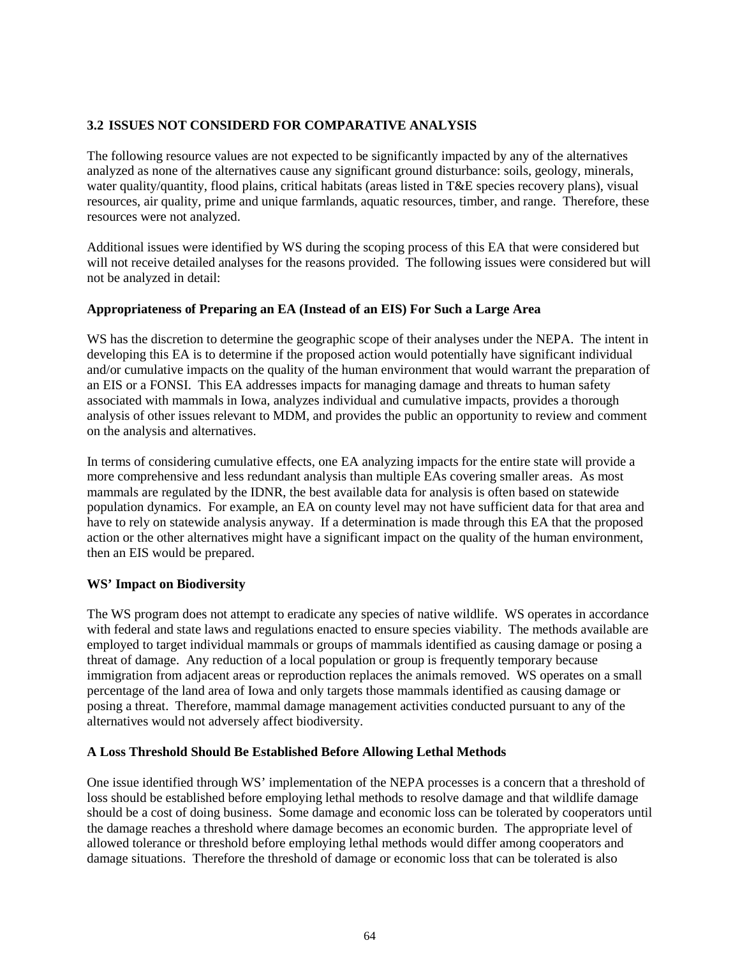# **3.2 ISSUES NOT CONSIDERD FOR COMPARATIVE ANALYSIS**

The following resource values are not expected to be significantly impacted by any of the alternatives analyzed as none of the alternatives cause any significant ground disturbance: soils, geology, minerals, water quality/quantity, flood plains, critical habitats (areas listed in T&E species recovery plans), visual resources, air quality, prime and unique farmlands, aquatic resources, timber, and range. Therefore, these resources were not analyzed.

Additional issues were identified by WS during the scoping process of this EA that were considered but will not receive detailed analyses for the reasons provided. The following issues were considered but will not be analyzed in detail:

## **Appropriateness of Preparing an EA (Instead of an EIS) For Such a Large Area**

WS has the discretion to determine the geographic scope of their analyses under the NEPA. The intent in developing this EA is to determine if the proposed action would potentially have significant individual and/or cumulative impacts on the quality of the human environment that would warrant the preparation of an EIS or a FONSI. This EA addresses impacts for managing damage and threats to human safety associated with mammals in Iowa, analyzes individual and cumulative impacts, provides a thorough analysis of other issues relevant to MDM, and provides the public an opportunity to review and comment on the analysis and alternatives.

In terms of considering cumulative effects, one EA analyzing impacts for the entire state will provide a more comprehensive and less redundant analysis than multiple EAs covering smaller areas. As most mammals are regulated by the IDNR, the best available data for analysis is often based on statewide population dynamics. For example, an EA on county level may not have sufficient data for that area and have to rely on statewide analysis anyway. If a determination is made through this EA that the proposed action or the other alternatives might have a significant impact on the quality of the human environment, then an EIS would be prepared.

### **WS' Impact on Biodiversity**

The WS program does not attempt to eradicate any species of native wildlife. WS operates in accordance with federal and state laws and regulations enacted to ensure species viability. The methods available are employed to target individual mammals or groups of mammals identified as causing damage or posing a threat of damage. Any reduction of a local population or group is frequently temporary because immigration from adjacent areas or reproduction replaces the animals removed. WS operates on a small percentage of the land area of Iowa and only targets those mammals identified as causing damage or posing a threat. Therefore, mammal damage management activities conducted pursuant to any of the alternatives would not adversely affect biodiversity.

### **A Loss Threshold Should Be Established Before Allowing Lethal Methods**

One issue identified through WS' implementation of the NEPA processes is a concern that a threshold of loss should be established before employing lethal methods to resolve damage and that wildlife damage should be a cost of doing business. Some damage and economic loss can be tolerated by cooperators until the damage reaches a threshold where damage becomes an economic burden. The appropriate level of allowed tolerance or threshold before employing lethal methods would differ among cooperators and damage situations. Therefore the threshold of damage or economic loss that can be tolerated is also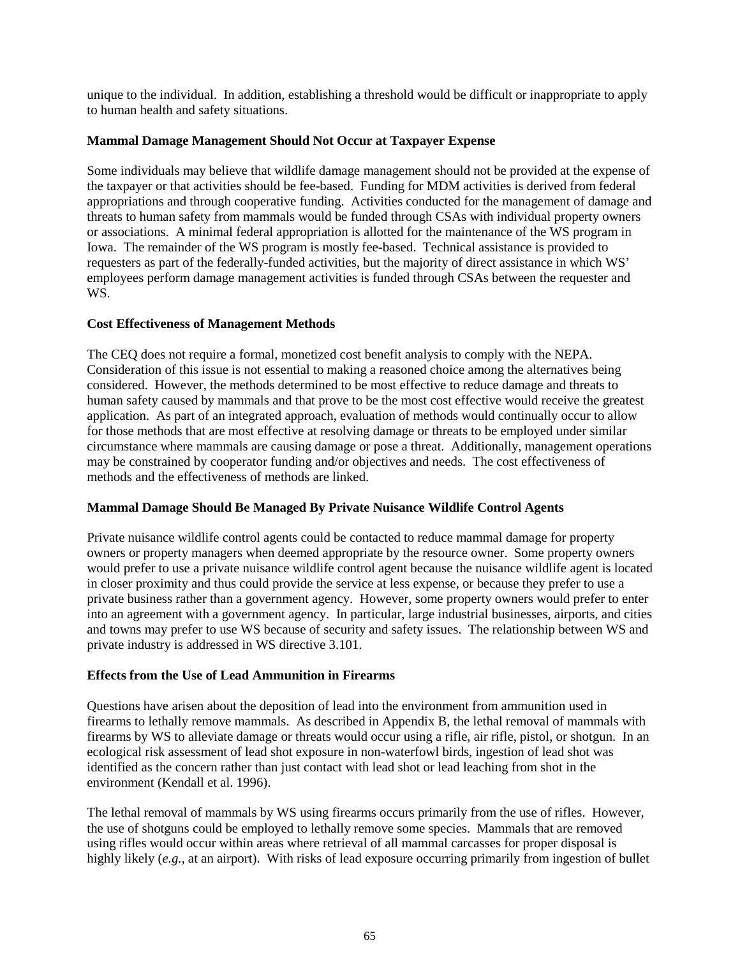unique to the individual. In addition, establishing a threshold would be difficult or inappropriate to apply to human health and safety situations.

## **Mammal Damage Management Should Not Occur at Taxpayer Expense**

Some individuals may believe that wildlife damage management should not be provided at the expense of the taxpayer or that activities should be fee-based. Funding for MDM activities is derived from federal appropriations and through cooperative funding. Activities conducted for the management of damage and threats to human safety from mammals would be funded through CSAs with individual property owners or associations. A minimal federal appropriation is allotted for the maintenance of the WS program in Iowa. The remainder of the WS program is mostly fee-based. Technical assistance is provided to requesters as part of the federally-funded activities, but the majority of direct assistance in which WS' employees perform damage management activities is funded through CSAs between the requester and WS.

## **Cost Effectiveness of Management Methods**

The CEQ does not require a formal, monetized cost benefit analysis to comply with the NEPA. Consideration of this issue is not essential to making a reasoned choice among the alternatives being considered. However, the methods determined to be most effective to reduce damage and threats to human safety caused by mammals and that prove to be the most cost effective would receive the greatest application. As part of an integrated approach, evaluation of methods would continually occur to allow for those methods that are most effective at resolving damage or threats to be employed under similar circumstance where mammals are causing damage or pose a threat. Additionally, management operations may be constrained by cooperator funding and/or objectives and needs. The cost effectiveness of methods and the effectiveness of methods are linked.

### **Mammal Damage Should Be Managed By Private Nuisance Wildlife Control Agents**

Private nuisance wildlife control agents could be contacted to reduce mammal damage for property owners or property managers when deemed appropriate by the resource owner. Some property owners would prefer to use a private nuisance wildlife control agent because the nuisance wildlife agent is located in closer proximity and thus could provide the service at less expense, or because they prefer to use a private business rather than a government agency. However, some property owners would prefer to enter into an agreement with a government agency. In particular, large industrial businesses, airports, and cities and towns may prefer to use WS because of security and safety issues. The relationship between WS and private industry is addressed in WS directive 3.101.

# **Effects from the Use of Lead Ammunition in Firearms**

Questions have arisen about the deposition of lead into the environment from ammunition used in firearms to lethally remove mammals. As described in Appendix B, the lethal removal of mammals with firearms by WS to alleviate damage or threats would occur using a rifle, air rifle, pistol, or shotgun. In an ecological risk assessment of lead shot exposure in non-waterfowl birds, ingestion of lead shot was identified as the concern rather than just contact with lead shot or lead leaching from shot in the environment (Kendall et al. 1996).

The lethal removal of mammals by WS using firearms occurs primarily from the use of rifles. However, the use of shotguns could be employed to lethally remove some species. Mammals that are removed using rifles would occur within areas where retrieval of all mammal carcasses for proper disposal is highly likely (*e.g.,* at an airport). With risks of lead exposure occurring primarily from ingestion of bullet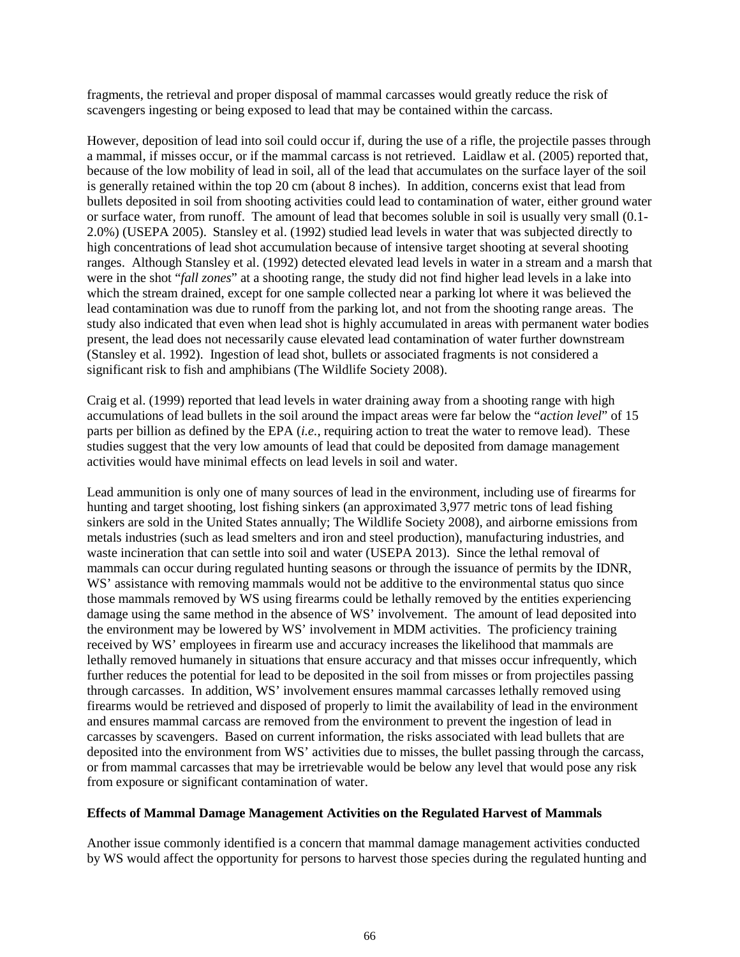fragments, the retrieval and proper disposal of mammal carcasses would greatly reduce the risk of scavengers ingesting or being exposed to lead that may be contained within the carcass.

However, deposition of lead into soil could occur if, during the use of a rifle, the projectile passes through a mammal, if misses occur, or if the mammal carcass is not retrieved. Laidlaw et al. (2005) reported that, because of the low mobility of lead in soil, all of the lead that accumulates on the surface layer of the soil is generally retained within the top 20 cm (about 8 inches). In addition, concerns exist that lead from bullets deposited in soil from shooting activities could lead to contamination of water, either ground water or surface water, from runoff. The amount of lead that becomes soluble in soil is usually very small (0.1- 2.0%) (USEPA 2005). Stansley et al. (1992) studied lead levels in water that was subjected directly to high concentrations of lead shot accumulation because of intensive target shooting at several shooting ranges. Although Stansley et al. (1992) detected elevated lead levels in water in a stream and a marsh that were in the shot "*fall zones*" at a shooting range, the study did not find higher lead levels in a lake into which the stream drained, except for one sample collected near a parking lot where it was believed the lead contamination was due to runoff from the parking lot, and not from the shooting range areas. The study also indicated that even when lead shot is highly accumulated in areas with permanent water bodies present, the lead does not necessarily cause elevated lead contamination of water further downstream (Stansley et al. 1992). Ingestion of lead shot, bullets or associated fragments is not considered a significant risk to fish and amphibians (The Wildlife Society 2008).

Craig et al. (1999) reported that lead levels in water draining away from a shooting range with high accumulations of lead bullets in the soil around the impact areas were far below the "*action level*" of 15 parts per billion as defined by the EPA (*i.e.*, requiring action to treat the water to remove lead). These studies suggest that the very low amounts of lead that could be deposited from damage management activities would have minimal effects on lead levels in soil and water.

Lead ammunition is only one of many sources of lead in the environment, including use of firearms for hunting and target shooting, lost fishing sinkers (an approximated 3,977 metric tons of lead fishing sinkers are sold in the United States annually; The Wildlife Society 2008), and airborne emissions from metals industries (such as lead smelters and iron and steel production), manufacturing industries, and waste incineration that can settle into soil and water (USEPA 2013). Since the lethal removal of mammals can occur during regulated hunting seasons or through the issuance of permits by the IDNR, WS' assistance with removing mammals would not be additive to the environmental status quo since those mammals removed by WS using firearms could be lethally removed by the entities experiencing damage using the same method in the absence of WS' involvement. The amount of lead deposited into the environment may be lowered by WS' involvement in MDM activities. The proficiency training received by WS' employees in firearm use and accuracy increases the likelihood that mammals are lethally removed humanely in situations that ensure accuracy and that misses occur infrequently, which further reduces the potential for lead to be deposited in the soil from misses or from projectiles passing through carcasses. In addition, WS' involvement ensures mammal carcasses lethally removed using firearms would be retrieved and disposed of properly to limit the availability of lead in the environment and ensures mammal carcass are removed from the environment to prevent the ingestion of lead in carcasses by scavengers. Based on current information, the risks associated with lead bullets that are deposited into the environment from WS' activities due to misses, the bullet passing through the carcass, or from mammal carcasses that may be irretrievable would be below any level that would pose any risk from exposure or significant contamination of water.

### **Effects of Mammal Damage Management Activities on the Regulated Harvest of Mammals**

Another issue commonly identified is a concern that mammal damage management activities conducted by WS would affect the opportunity for persons to harvest those species during the regulated hunting and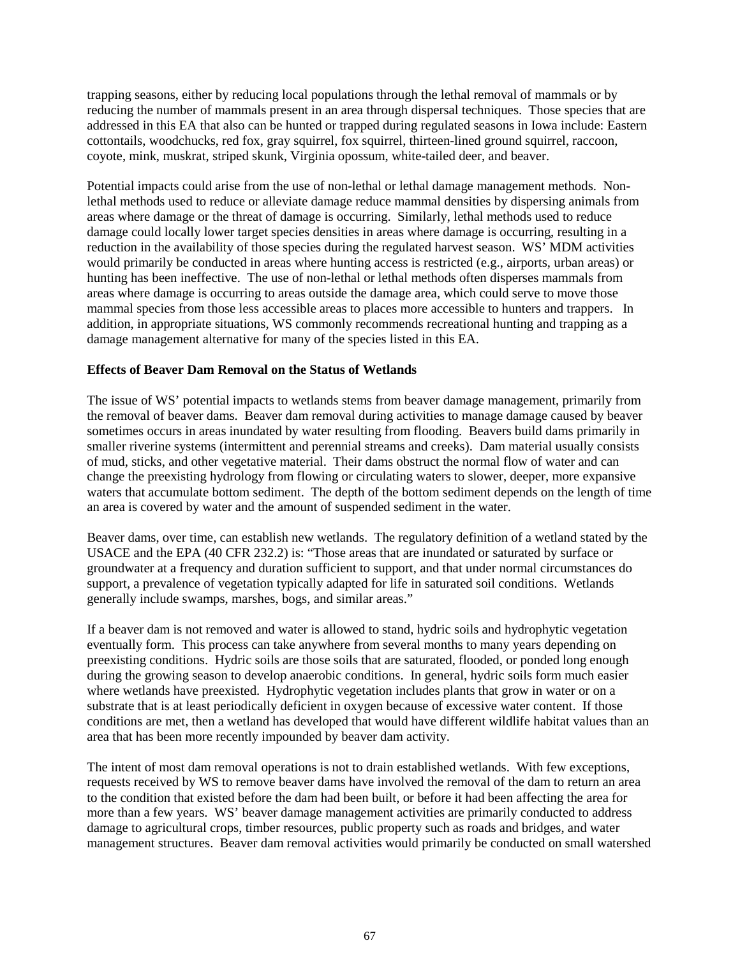trapping seasons, either by reducing local populations through the lethal removal of mammals or by reducing the number of mammals present in an area through dispersal techniques. Those species that are addressed in this EA that also can be hunted or trapped during regulated seasons in Iowa include: Eastern cottontails, woodchucks, red fox, gray squirrel, fox squirrel, thirteen-lined ground squirrel, raccoon, coyote, mink, muskrat, striped skunk, Virginia opossum, white-tailed deer, and beaver.

Potential impacts could arise from the use of non-lethal or lethal damage management methods. Nonlethal methods used to reduce or alleviate damage reduce mammal densities by dispersing animals from areas where damage or the threat of damage is occurring. Similarly, lethal methods used to reduce damage could locally lower target species densities in areas where damage is occurring, resulting in a reduction in the availability of those species during the regulated harvest season. WS' MDM activities would primarily be conducted in areas where hunting access is restricted (e.g., airports, urban areas) or hunting has been ineffective. The use of non-lethal or lethal methods often disperses mammals from areas where damage is occurring to areas outside the damage area, which could serve to move those mammal species from those less accessible areas to places more accessible to hunters and trappers. In addition, in appropriate situations, WS commonly recommends recreational hunting and trapping as a damage management alternative for many of the species listed in this EA.

### **Effects of Beaver Dam Removal on the Status of Wetlands**

The issue of WS' potential impacts to wetlands stems from beaver damage management, primarily from the removal of beaver dams. Beaver dam removal during activities to manage damage caused by beaver sometimes occurs in areas inundated by water resulting from flooding. Beavers build dams primarily in smaller riverine systems (intermittent and perennial streams and creeks). Dam material usually consists of mud, sticks, and other vegetative material. Their dams obstruct the normal flow of water and can change the preexisting hydrology from flowing or circulating waters to slower, deeper, more expansive waters that accumulate bottom sediment. The depth of the bottom sediment depends on the length of time an area is covered by water and the amount of suspended sediment in the water.

Beaver dams, over time, can establish new wetlands. The regulatory definition of a wetland stated by the USACE and the EPA (40 CFR 232.2) is: "Those areas that are inundated or saturated by surface or groundwater at a frequency and duration sufficient to support, and that under normal circumstances do support, a prevalence of vegetation typically adapted for life in saturated soil conditions. Wetlands generally include swamps, marshes, bogs, and similar areas."

If a beaver dam is not removed and water is allowed to stand, hydric soils and hydrophytic vegetation eventually form. This process can take anywhere from several months to many years depending on preexisting conditions. Hydric soils are those soils that are saturated, flooded, or ponded long enough during the growing season to develop anaerobic conditions. In general, hydric soils form much easier where wetlands have preexisted. Hydrophytic vegetation includes plants that grow in water or on a substrate that is at least periodically deficient in oxygen because of excessive water content. If those conditions are met, then a wetland has developed that would have different wildlife habitat values than an area that has been more recently impounded by beaver dam activity.

The intent of most dam removal operations is not to drain established wetlands. With few exceptions, requests received by WS to remove beaver dams have involved the removal of the dam to return an area to the condition that existed before the dam had been built, or before it had been affecting the area for more than a few years. WS' beaver damage management activities are primarily conducted to address damage to agricultural crops, timber resources, public property such as roads and bridges, and water management structures. Beaver dam removal activities would primarily be conducted on small watershed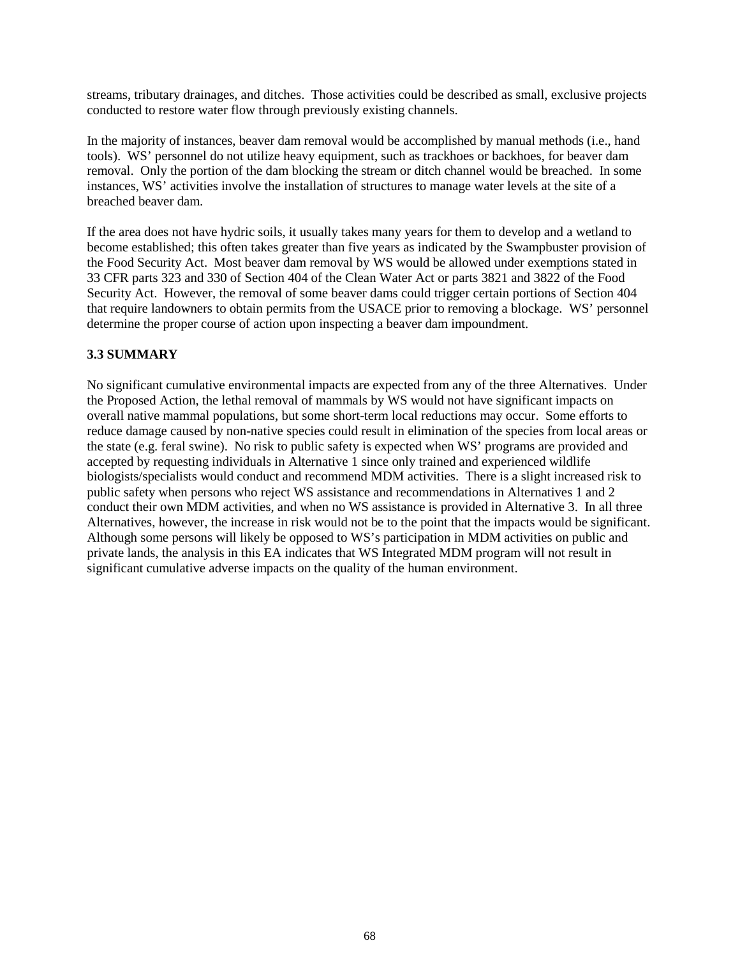streams, tributary drainages, and ditches. Those activities could be described as small, exclusive projects conducted to restore water flow through previously existing channels.

In the majority of instances, beaver dam removal would be accomplished by manual methods (i.e., hand tools). WS' personnel do not utilize heavy equipment, such as trackhoes or backhoes, for beaver dam removal. Only the portion of the dam blocking the stream or ditch channel would be breached. In some instances, WS' activities involve the installation of structures to manage water levels at the site of a breached beaver dam.

If the area does not have hydric soils, it usually takes many years for them to develop and a wetland to become established; this often takes greater than five years as indicated by the Swampbuster provision of the Food Security Act. Most beaver dam removal by WS would be allowed under exemptions stated in 33 CFR parts 323 and 330 of Section 404 of the Clean Water Act or parts 3821 and 3822 of the Food Security Act. However, the removal of some beaver dams could trigger certain portions of Section 404 that require landowners to obtain permits from the USACE prior to removing a blockage. WS' personnel determine the proper course of action upon inspecting a beaver dam impoundment.

### **3.3 SUMMARY**

No significant cumulative environmental impacts are expected from any of the three Alternatives. Under the Proposed Action, the lethal removal of mammals by WS would not have significant impacts on overall native mammal populations, but some short-term local reductions may occur. Some efforts to reduce damage caused by non-native species could result in elimination of the species from local areas or the state (e.g. feral swine). No risk to public safety is expected when WS' programs are provided and accepted by requesting individuals in Alternative 1 since only trained and experienced wildlife biologists/specialists would conduct and recommend MDM activities. There is a slight increased risk to public safety when persons who reject WS assistance and recommendations in Alternatives 1 and 2 conduct their own MDM activities, and when no WS assistance is provided in Alternative 3. In all three Alternatives, however, the increase in risk would not be to the point that the impacts would be significant. Although some persons will likely be opposed to WS's participation in MDM activities on public and private lands, the analysis in this EA indicates that WS Integrated MDM program will not result in significant cumulative adverse impacts on the quality of the human environment.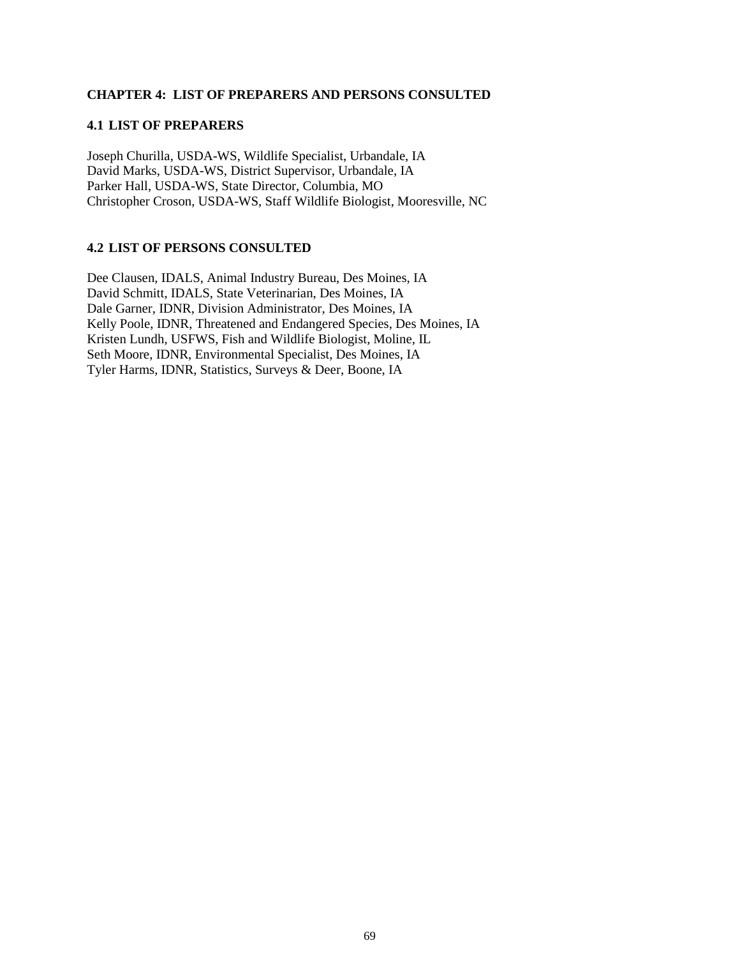### **CHAPTER 4: LIST OF PREPARERS AND PERSONS CONSULTED**

#### **4.1 LIST OF PREPARERS**

Joseph Churilla, USDA-WS, Wildlife Specialist, Urbandale, IA David Marks, USDA-WS, District Supervisor, Urbandale, IA Parker Hall, USDA-WS, State Director, Columbia, MO Christopher Croson, USDA-WS, Staff Wildlife Biologist, Mooresville, NC

## **4.2 LIST OF PERSONS CONSULTED**

Dee Clausen, IDALS, Animal Industry Bureau, Des Moines, IA David Schmitt, IDALS, State Veterinarian, Des Moines, IA Dale Garner, IDNR, Division Administrator, Des Moines, IA Kelly Poole, IDNR, Threatened and Endangered Species, Des Moines, IA Kristen Lundh, USFWS, Fish and Wildlife Biologist, Moline, IL Seth Moore, IDNR, Environmental Specialist, Des Moines, IA Tyler Harms, IDNR, Statistics, Surveys & Deer, Boone, IA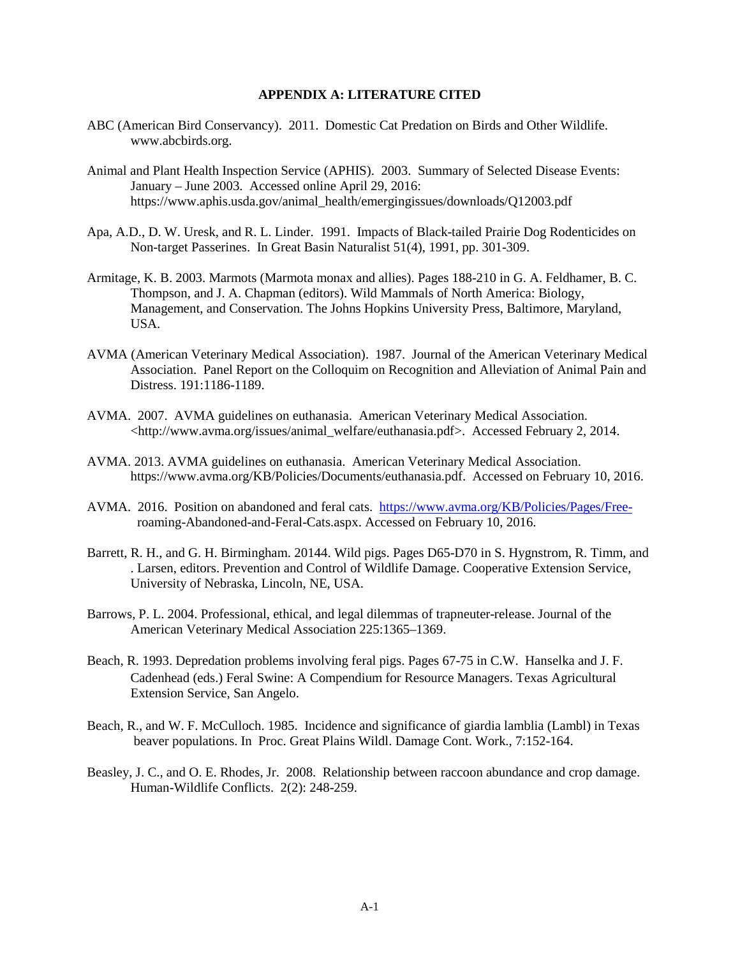#### **APPENDIX A: LITERATURE CITED**

- ABC (American Bird Conservancy). 2011. Domestic Cat Predation on Birds and Other Wildlife. www.abcbirds.org.
- Animal and Plant Health Inspection Service (APHIS). 2003. Summary of Selected Disease Events: January – June 2003. Accessed online April 29, 2016: https://www.aphis.usda.gov/animal\_health/emergingissues/downloads/Q12003.pdf
- Apa, A.D., D. W. Uresk, and R. L. Linder. 1991. Impacts of Black-tailed Prairie Dog Rodenticides on Non-target Passerines. In Great Basin Naturalist 51(4), 1991, pp. 301-309.
- Armitage, K. B. 2003. Marmots (Marmota monax and allies). Pages 188-210 in G. A. Feldhamer, B. C. Thompson, and J. A. Chapman (editors). Wild Mammals of North America: Biology, Management, and Conservation. The Johns Hopkins University Press, Baltimore, Maryland, USA.
- AVMA (American Veterinary Medical Association). 1987. Journal of the American Veterinary Medical Association. Panel Report on the Colloquim on Recognition and Alleviation of Animal Pain and Distress. 191:1186-1189.
- AVMA. 2007. AVMA guidelines on euthanasia. American Veterinary Medical Association. <http://www.avma.org/issues/animal\_welfare/euthanasia.pdf>. Accessed February 2, 2014.
- AVMA. 2013. AVMA guidelines on euthanasia. American Veterinary Medical Association. https://www.avma.org/KB/Policies/Documents/euthanasia.pdf. Accessed on February 10, 2016.
- AVMA. 2016. Position on abandoned and feral cats. [https://www.avma.org/KB/Policies/Pages/Free](https://www.avma.org/KB/Policies/Pages/Free-)  roaming-Abandoned-and-Feral-Cats.aspx. Accessed on February 10, 2016.
- Barrett, R. H., and G. H. Birmingham. 20144. Wild pigs. Pages D65-D70 in S. Hygnstrom, R. Timm, and . Larsen, editors. Prevention and Control of Wildlife Damage. Cooperative Extension Service, University of Nebraska, Lincoln, NE, USA.
- Barrows, P. L. 2004. Professional, ethical, and legal dilemmas of trapneuter-release. Journal of the American Veterinary Medical Association 225:1365–1369.
- Beach, R. 1993. Depredation problems involving feral pigs. Pages 67-75 in C.W. Hanselka and J. F. Cadenhead (eds.) Feral Swine: A Compendium for Resource Managers. Texas Agricultural Extension Service, San Angelo.
- Beach, R., and W. F. McCulloch. 1985. Incidence and significance of giardia lamblia (Lambl) in Texas beaver populations. In Proc. Great Plains Wildl. Damage Cont. Work., 7:152-164.
- Beasley, J. C., and O. E. Rhodes, Jr. 2008. Relationship between raccoon abundance and crop damage. Human-Wildlife Conflicts. 2(2): 248-259.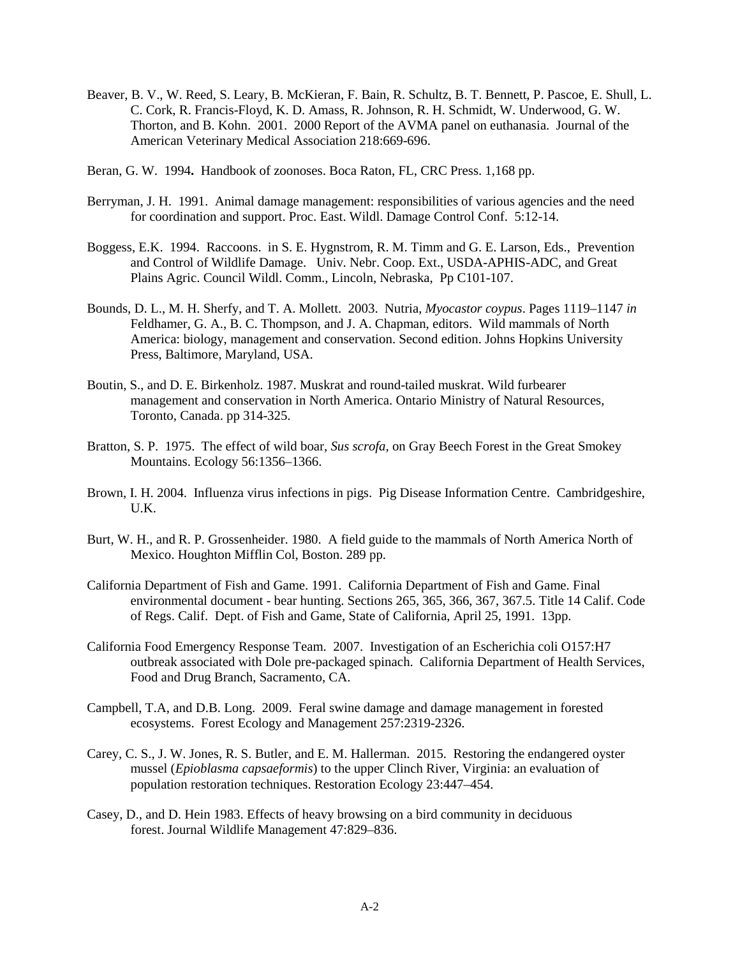- Beaver, B. V., W. Reed, S. Leary, B. McKieran, F. Bain, R. Schultz, B. T. Bennett, P. Pascoe, E. Shull, L. C. Cork, R. Francis-Floyd, K. D. Amass, R. Johnson, R. H. Schmidt, W. Underwood, G. W. Thorton, and B. Kohn. 2001. 2000 Report of the AVMA panel on euthanasia. Journal of the American Veterinary Medical Association 218:669-696.
- Beran, G. W. 1994**.** Handbook of zoonoses. Boca Raton, FL, CRC Press. 1,168 pp.
- Berryman, J. H. 1991. Animal damage management: responsibilities of various agencies and the need for coordination and support. Proc. East. Wildl. Damage Control Conf. 5:12-14.
- Boggess, E.K. 1994. Raccoons. in S. E. Hygnstrom, R. M. Timm and G. E. Larson, Eds., Prevention and Control of Wildlife Damage. Univ. Nebr. Coop. Ext., USDA-APHIS-ADC, and Great Plains Agric. Council Wildl. Comm., Lincoln, Nebraska, Pp C101-107.
- Bounds, D. L., M. H. Sherfy, and T. A. Mollett. 2003. Nutria, *Myocastor coypus*. Pages 1119–1147 *in* Feldhamer, G. A., B. C. Thompson, and J. A. Chapman, editors. Wild mammals of North America: biology, management and conservation. Second edition. Johns Hopkins University Press, Baltimore, Maryland, USA.
- Boutin, S., and D. E. Birkenholz. 1987. Muskrat and round-tailed muskrat. Wild furbearer management and conservation in North America. Ontario Ministry of Natural Resources, Toronto, Canada. pp 314-325.
- Bratton, S. P. 1975. The effect of wild boar, *Sus scrofa*, on Gray Beech Forest in the Great Smokey Mountains. Ecology 56:1356–1366.
- Brown, I. H. 2004. Influenza virus infections in pigs. Pig Disease Information Centre. Cambridgeshire, U.K.
- Burt, W. H., and R. P. Grossenheider. 1980. A field guide to the mammals of North America North of Mexico. Houghton Mifflin Col, Boston. 289 pp.
- California Department of Fish and Game. 1991. California Department of Fish and Game. Final environmental document - bear hunting. Sections 265, 365, 366, 367, 367.5. Title 14 Calif. Code of Regs. Calif. Dept. of Fish and Game, State of California, April 25, 1991. 13pp.
- California Food Emergency Response Team. 2007. Investigation of an Escherichia coli O157:H7 outbreak associated with Dole pre-packaged spinach. California Department of Health Services, Food and Drug Branch, Sacramento, CA.
- Campbell, T.A, and D.B. Long. 2009. Feral swine damage and damage management in forested ecosystems. Forest Ecology and Management 257:2319-2326.
- Carey, C. S., J. W. Jones, R. S. Butler, and E. M. Hallerman. 2015. Restoring the endangered oyster mussel (*Epioblasma capsaeformis*) to the upper Clinch River, Virginia: an evaluation of population restoration techniques. Restoration Ecology 23:447–454.
- Casey, D., and D. Hein 1983. Effects of heavy browsing on a bird community in deciduous forest. Journal Wildlife Management 47:829–836.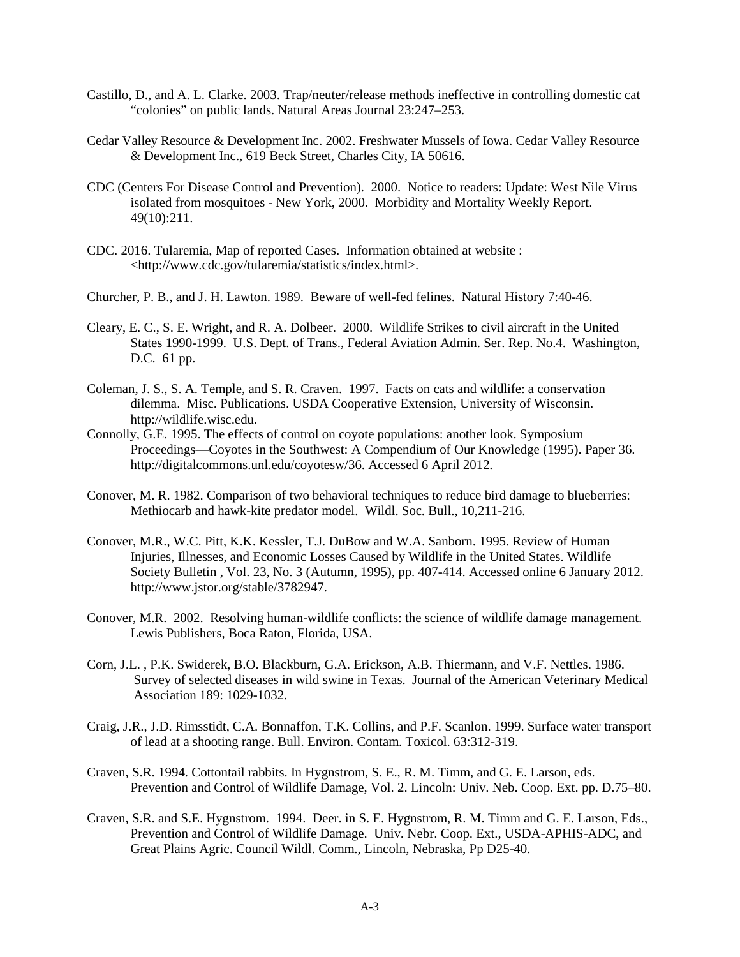- Castillo, D., and A. L. Clarke. 2003. Trap/neuter/release methods ineffective in controlling domestic cat "colonies" on public lands. Natural Areas Journal 23:247–253.
- Cedar Valley Resource & Development Inc. 2002. Freshwater Mussels of Iowa. Cedar Valley Resource & Development Inc., 619 Beck Street, Charles City, IA 50616.
- CDC (Centers For Disease Control and Prevention). 2000. Notice to readers: Update: West Nile Virus isolated from mosquitoes - New York, 2000. Morbidity and Mortality Weekly Report. 49(10):211.
- CDC. 2016. Tularemia, Map of reported Cases. Information obtained at website : <http://www.cdc.gov/tularemia/statistics/index.html>.
- Churcher, P. B., and J. H. Lawton. 1989. Beware of well-fed felines. Natural History 7:40-46.
- Cleary, E. C., S. E. Wright, and R. A. Dolbeer. 2000. Wildlife Strikes to civil aircraft in the United States 1990-1999. U.S. Dept. of Trans., Federal Aviation Admin. Ser. Rep. No.4. Washington, D.C. 61 pp.
- Coleman, J. S., S. A. Temple, and S. R. Craven. 1997. Facts on cats and wildlife: a conservation dilemma. Misc. Publications. USDA Cooperative Extension, University of Wisconsin. http://wildlife.wisc.edu.
- Connolly, G.E. 1995. The effects of control on coyote populations: another look. Symposium Proceedings—Coyotes in the Southwest: A Compendium of Our Knowledge (1995). Paper 36. http://digitalcommons.unl.edu/coyotesw/36. Accessed 6 April 2012.
- Conover, M. R. 1982. Comparison of two behavioral techniques to reduce bird damage to blueberries: Methiocarb and hawk-kite predator model. Wildl. Soc. Bull., 10,211-216.
- Conover, M.R., W.C. Pitt, K.K. Kessler, T.J. DuBow and W.A. Sanborn. 1995. Review of Human Injuries, Illnesses, and Economic Losses Caused by Wildlife in the United States. Wildlife Society Bulletin , Vol. 23, No. 3 (Autumn, 1995), pp. 407-414. Accessed online 6 January 2012. http://www.jstor.org/stable/3782947.
- Conover, M.R. 2002. Resolving human-wildlife conflicts: the science of wildlife damage management. Lewis Publishers, Boca Raton, Florida, USA.
- Corn, J.L. , P.K. Swiderek, B.O. Blackburn, G.A. Erickson, A.B. Thiermann, and V.F. Nettles. 1986. Survey of selected diseases in wild swine in Texas. Journal of the American Veterinary Medical Association 189: 1029-1032.
- Craig, J.R., J.D. Rimsstidt, C.A. Bonnaffon, T.K. Collins, and P.F. Scanlon. 1999. Surface water transport of lead at a shooting range. Bull. Environ. Contam. Toxicol. 63:312-319.
- Craven, S.R. 1994. Cottontail rabbits. In Hygnstrom, S. E., R. M. Timm, and G. E. Larson, eds. Prevention and Control of Wildlife Damage, Vol. 2. Lincoln: Univ. Neb. Coop. Ext. pp. D.75–80.
- Craven, S.R. and S.E. Hygnstrom. 1994. Deer. in S. E. Hygnstrom, R. M. Timm and G. E. Larson, Eds., Prevention and Control of Wildlife Damage. Univ. Nebr. Coop. Ext., USDA-APHIS-ADC, and Great Plains Agric. Council Wildl. Comm., Lincoln, Nebraska, Pp D25-40.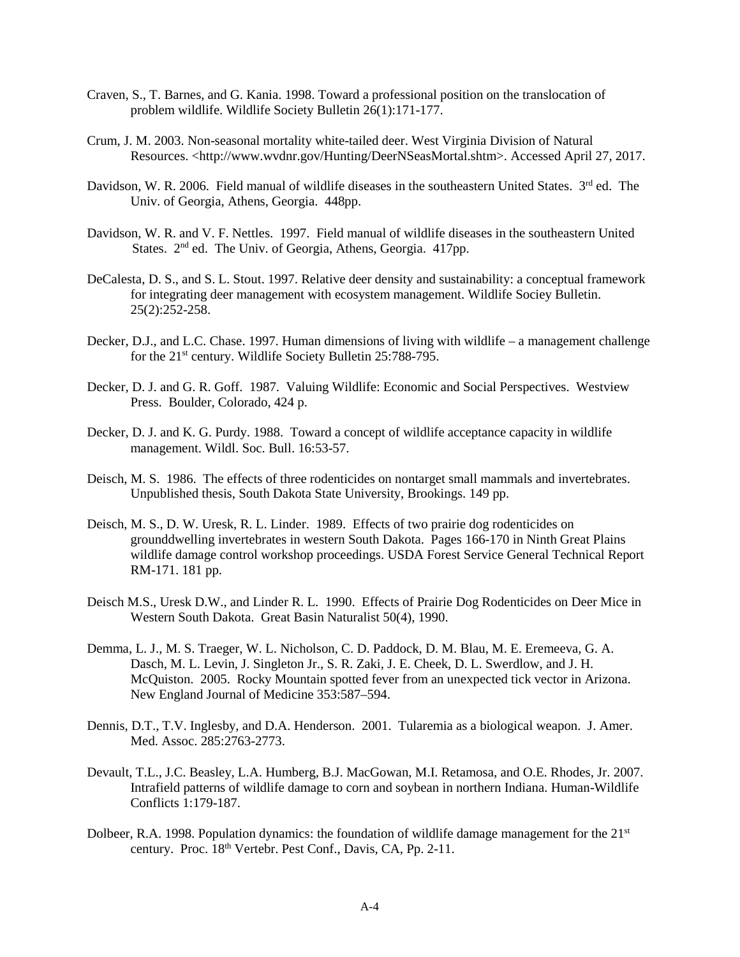- Craven, S., T. Barnes, and G. Kania. 1998. Toward a professional position on the translocation of problem wildlife. Wildlife Society Bulletin 26(1):171-177.
- Crum, J. M. 2003. Non-seasonal mortality white-tailed deer. West Virginia Division of Natural Resources. <http://www.wvdnr.gov/Hunting/DeerNSeasMortal.shtm>. Accessed April 27, 2017.
- Davidson, W. R. 2006. Field manual of wildlife diseases in the southeastern United States. 3<sup>rd</sup> ed. The Univ. of Georgia, Athens, Georgia. 448pp.
- Davidson, W. R. and V. F. Nettles. 1997. Field manual of wildlife diseases in the southeastern United States.  $2<sup>nd</sup>$  ed. The Univ. of Georgia, Athens, Georgia. 417pp.
- DeCalesta, D. S., and S. L. Stout. 1997. Relative deer density and sustainability: a conceptual framework for integrating deer management with ecosystem management. Wildlife Sociey Bulletin. 25(2):252-258.
- Decker, D.J., and L.C. Chase. 1997. Human dimensions of living with wildlife a management challenge for the 21<sup>st</sup> century. Wildlife Society Bulletin 25:788-795.
- Decker, D. J. and G. R. Goff. 1987. Valuing Wildlife: Economic and Social Perspectives. Westview Press. Boulder, Colorado, 424 p.
- Decker, D. J. and K. G. Purdy. 1988. Toward a concept of wildlife acceptance capacity in wildlife management. Wildl. Soc. Bull. 16:53-57.
- Deisch, M. S. 1986. The effects of three rodenticides on nontarget small mammals and invertebrates. Unpublished thesis, South Dakota State University, Brookings. 149 pp.
- Deisch, M. S., D. W. Uresk, R. L. Linder. 1989.Effects of two prairie dog rodenticides on grounddwelling invertebrates in western South Dakota. Pages 166-170 in Ninth Great Plains wildlife damage control workshop proceedings. USDA Forest Service General Technical Report RM-171. 181 pp.
- Deisch M.S., Uresk D.W., and Linder R. L. 1990. Effects of Prairie Dog Rodenticides on Deer Mice in Western South Dakota. Great Basin Naturalist 50(4), 1990.
- Demma, L. J., M. S. Traeger, W. L. Nicholson, C. D. Paddock, D. M. Blau, M. E. Eremeeva, G. A. Dasch, M. L. Levin, J. Singleton Jr., S. R. Zaki, J. E. Cheek, D. L. Swerdlow, and J. H. McQuiston. 2005. Rocky Mountain spotted fever from an unexpected tick vector in Arizona. New England Journal of Medicine 353:587–594.
- Dennis, D.T., T.V. Inglesby, and D.A. Henderson. 2001. Tularemia as a biological weapon. J. Amer. Med. Assoc. 285:2763-2773.
- Devault, T.L., J.C. Beasley, L.A. Humberg, B.J. MacGowan, M.I. Retamosa, and O.E. Rhodes, Jr. 2007. Intrafield patterns of wildlife damage to corn and soybean in northern Indiana. Human-Wildlife Conflicts 1:179-187.
- Dolbeer, R.A. 1998. Population dynamics: the foundation of wildlife damage management for the 21<sup>st</sup> century. Proc. 18<sup>th</sup> Vertebr. Pest Conf., Davis, CA, Pp. 2-11.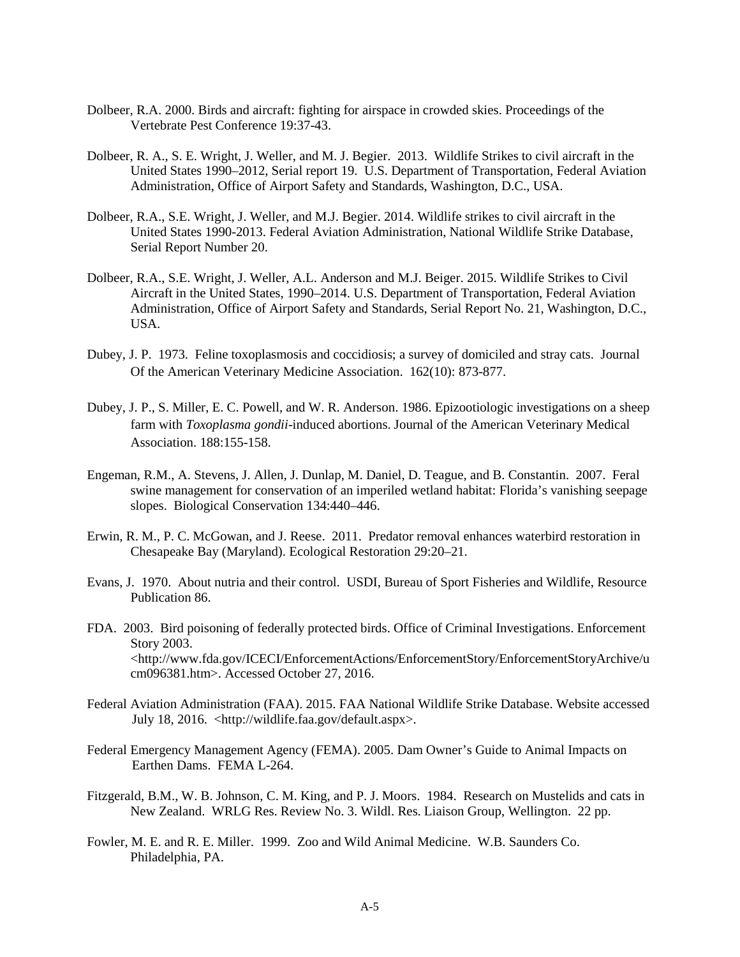- Dolbeer, R.A. 2000. Birds and aircraft: fighting for airspace in crowded skies. Proceedings of the Vertebrate Pest Conference 19:37-43.
- Dolbeer, R. A., S. E. Wright, J. Weller, and M. J. Begier. 2013. Wildlife Strikes to civil aircraft in the United States 1990–2012, Serial report 19. U.S. Department of Transportation, Federal Aviation Administration, Office of Airport Safety and Standards, Washington, D.C., USA.
- Dolbeer, R.A., S.E. Wright, J. Weller, and M.J. Begier. 2014. Wildlife strikes to civil aircraft in the United States 1990-2013. Federal Aviation Administration, National Wildlife Strike Database, Serial Report Number 20.
- Dolbeer, R.A., S.E. Wright, J. Weller, A.L. Anderson and M.J. Beiger. 2015. Wildlife Strikes to Civil Aircraft in the United States, 1990–2014. U.S. Department of Transportation, Federal Aviation Administration, Office of Airport Safety and Standards, Serial Report No. 21, Washington, D.C., USA.
- Dubey, J. P. 1973. Feline toxoplasmosis and coccidiosis; a survey of domiciled and stray cats. Journal Of the American Veterinary Medicine Association. 162(10): 873-877.
- Dubey, J. P., S. Miller, E. C. Powell, and W. R. Anderson. 1986. Epizootiologic investigations on a sheep farm with *Toxoplasma gondii*-induced abortions. Journal of the American Veterinary Medical Association. 188:155-158.
- Engeman, R.M., A. Stevens, J. Allen, J. Dunlap, M. Daniel, D. Teague, and B. Constantin. 2007. Feral swine management for conservation of an imperiled wetland habitat: Florida's vanishing seepage slopes. Biological Conservation 134:440–446.
- Erwin, R. M., P. C. McGowan, and J. Reese. 2011. Predator removal enhances waterbird restoration in Chesapeake Bay (Maryland). Ecological Restoration 29:20–21.
- Evans, J. 1970. About nutria and their control. USDI, Bureau of Sport Fisheries and Wildlife, Resource Publication 86.
- FDA. 2003. Bird poisoning of federally protected birds. Office of Criminal Investigations. Enforcement Story 2003. <http://www.fda.gov/ICECI/EnforcementActions/EnforcementStory/EnforcementStoryArchive/u cm096381.htm>. Accessed October 27, 2016.
- Federal Aviation Administration (FAA). 2015. FAA National Wildlife Strike Database. Website accessed July 18, 2016. <http://wildlife.faa.gov/default.aspx>.
- Federal Emergency Management Agency (FEMA). 2005. Dam Owner's Guide to Animal Impacts on Earthen Dams. FEMA L-264.
- Fitzgerald, B.M., W. B. Johnson, C. M. King, and P. J. Moors. 1984. Research on Mustelids and cats in New Zealand. WRLG Res. Review No. 3. Wildl. Res. Liaison Group, Wellington. 22 pp.
- Fowler, M. E. and R. E. Miller. 1999. Zoo and Wild Animal Medicine. W.B. Saunders Co. Philadelphia, PA.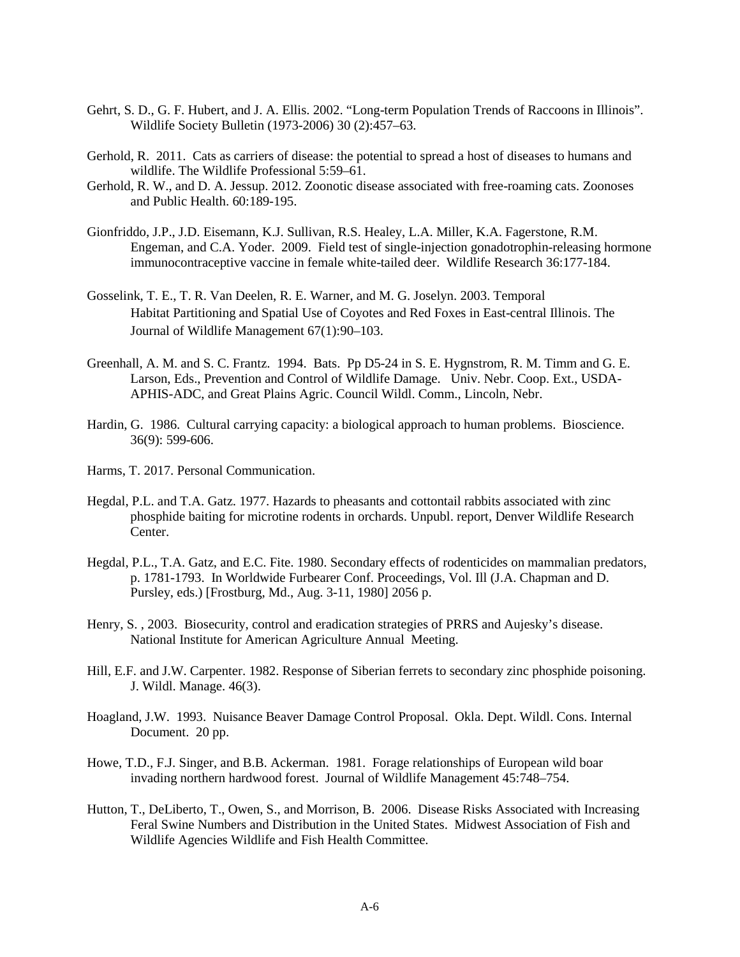- Gehrt, S. D., G. F. Hubert, and J. A. Ellis. 2002. "Long-term Population Trends of Raccoons in Illinois". Wildlife Society Bulletin (1973-2006) 30 (2):457–63.
- Gerhold, R. 2011. Cats as carriers of disease: the potential to spread a host of diseases to humans and wildlife. The Wildlife Professional 5:59–61.
- Gerhold, R. W., and D. A. Jessup. 2012. Zoonotic disease associated with free-roaming cats. Zoonoses and Public Health. 60:189-195.
- Gionfriddo, J.P., J.D. Eisemann, K.J. Sullivan, R.S. Healey, L.A. Miller, K.A. Fagerstone, R.M. Engeman, and C.A. Yoder. 2009. Field test of single-injection gonadotrophin-releasing hormone immunocontraceptive vaccine in female white-tailed deer. Wildlife Research 36:177-184.
- Gosselink, T. E., T. R. Van Deelen, R. E. Warner, and M. G. Joselyn. 2003. Temporal Habitat Partitioning and Spatial Use of Coyotes and Red Foxes in East-central Illinois. The Journal of Wildlife Management 67(1):90–103.
- Greenhall, A. M. and S. C. Frantz. 1994. Bats. Pp D5-24 in S. E. Hygnstrom, R. M. Timm and G. E. Larson, Eds., Prevention and Control of Wildlife Damage. Univ. Nebr. Coop. Ext., USDA-APHIS-ADC, and Great Plains Agric. Council Wildl. Comm., Lincoln, Nebr.
- Hardin, G. 1986. Cultural carrying capacity: a biological approach to human problems. Bioscience. 36(9): 599-606.
- Harms, T. 2017. Personal Communication.
- Hegdal, P.L. and T.A. Gatz. 1977. Hazards to pheasants and cottontail rabbits associated with zinc phosphide baiting for microtine rodents in orchards. Unpubl. report, Denver Wildlife Research Center.
- Hegdal, P.L., T.A. Gatz, and E.C. Fite. 1980. Secondary effects of rodenticides on mammalian predators, p. 1781-1793. In Worldwide Furbearer Conf. Proceedings, Vol. Ill (J.A. Chapman and D. Pursley, eds.) [Frostburg, Md., Aug. 3-11, 1980] 2056 p.
- Henry, S. , 2003. Biosecurity, control and eradication strategies of PRRS and Aujesky's disease. National Institute for American Agriculture Annual Meeting.
- Hill, E.F. and J.W. Carpenter. 1982. Response of Siberian ferrets to secondary zinc phosphide poisoning. J. Wildl. Manage. 46(3).
- Hoagland, J.W. 1993. Nuisance Beaver Damage Control Proposal. Okla. Dept. Wildl. Cons. Internal Document. 20 pp.
- Howe, T.D., F.J. Singer, and B.B. Ackerman. 1981. Forage relationships of European wild boar invading northern hardwood forest. Journal of Wildlife Management 45:748–754.
- Hutton, T., DeLiberto, T., Owen, S., and Morrison, B. 2006. Disease Risks Associated with Increasing Feral Swine Numbers and Distribution in the United States. Midwest Association of Fish and Wildlife Agencies Wildlife and Fish Health Committee.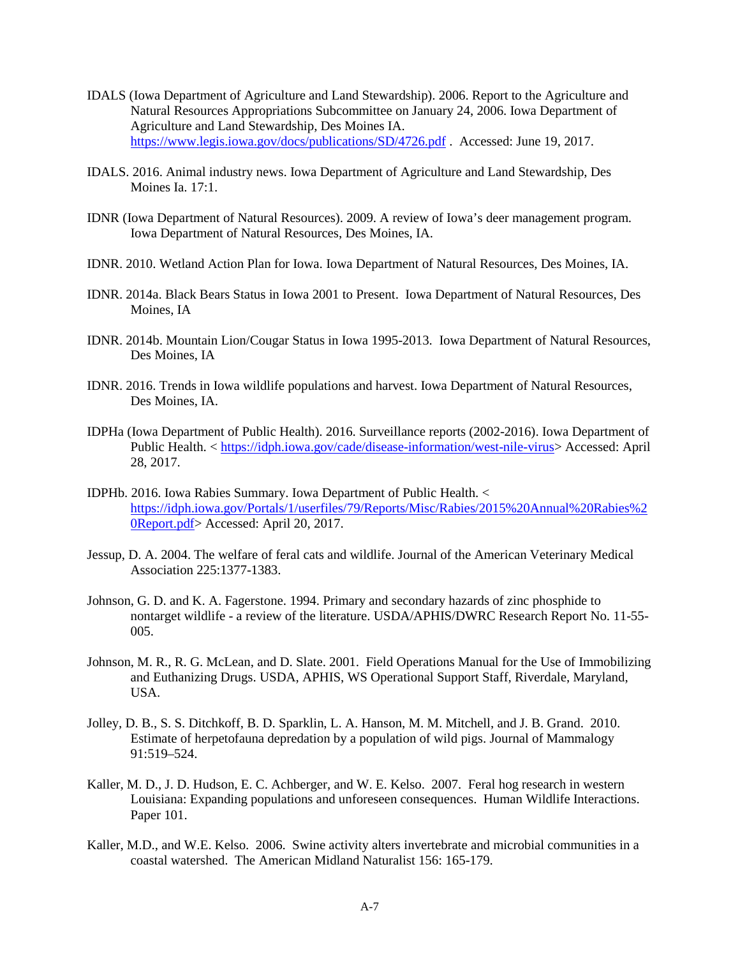- IDALS (Iowa Department of Agriculture and Land Stewardship). 2006. Report to the Agriculture and Natural Resources Appropriations Subcommittee on January 24, 2006. Iowa Department of Agriculture and Land Stewardship, Des Moines IA. <https://www.legis.iowa.gov/docs/publications/SD/4726.pdf> . Accessed: June 19, 2017.
- IDALS. 2016. Animal industry news. Iowa Department of Agriculture and Land Stewardship, Des Moines Ia. 17:1.
- IDNR (Iowa Department of Natural Resources). 2009. A review of Iowa's deer management program. Iowa Department of Natural Resources, Des Moines, IA.
- IDNR. 2010. Wetland Action Plan for Iowa. Iowa Department of Natural Resources, Des Moines, IA.
- IDNR. 2014a. Black Bears Status in Iowa 2001 to Present. Iowa Department of Natural Resources, Des Moines, IA
- IDNR. 2014b. Mountain Lion/Cougar Status in Iowa 1995-2013. Iowa Department of Natural Resources, Des Moines, IA
- IDNR. 2016. Trends in Iowa wildlife populations and harvest. Iowa Department of Natural Resources, Des Moines, IA.
- IDPHa (Iowa Department of Public Health). 2016. Surveillance reports (2002-2016). Iowa Department of Public Health. < [https://idph.iowa.gov/cade/disease-information/west-nile-virus>](https://idph.iowa.gov/cade/disease-information/west-nile-virus) Accessed: April 28, 2017.
- IDPHb. 2016. Iowa Rabies Summary. Iowa Department of Public Health. < [https://idph.iowa.gov/Portals/1/userfiles/79/Reports/Misc/Rabies/2015%20Annual%20Rabies%2](https://idph.iowa.gov/Portals/1/userfiles/79/Reports/Misc/Rabies/2015%20Annual%20Rabies%20Report.pdf) [0Report.pdf>](https://idph.iowa.gov/Portals/1/userfiles/79/Reports/Misc/Rabies/2015%20Annual%20Rabies%20Report.pdf) Accessed: April 20, 2017.
- Jessup, D. A. 2004. The welfare of feral cats and wildlife. Journal of the American Veterinary Medical Association 225:1377-1383.
- Johnson, G. D. and K. A. Fagerstone. 1994. Primary and secondary hazards of zinc phosphide to nontarget wildlife - a review of the literature. USDA/APHIS/DWRC Research Report No. 11-55- 005.
- Johnson, M. R., R. G. McLean, and D. Slate. 2001. Field Operations Manual for the Use of Immobilizing and Euthanizing Drugs. USDA, APHIS, WS Operational Support Staff, Riverdale, Maryland, USA.
- Jolley, D. B., S. S. Ditchkoff, B. D. Sparklin, L. A. Hanson, M. M. Mitchell, and J. B. Grand. 2010. Estimate of herpetofauna depredation by a population of wild pigs. Journal of Mammalogy 91:519–524.
- Kaller, M. D., J. D. Hudson, E. C. Achberger, and W. E. Kelso. 2007. Feral hog research in western Louisiana: Expanding populations and unforeseen consequences. Human Wildlife Interactions. Paper 101.
- Kaller, M.D., and W.E. Kelso. 2006. Swine activity alters invertebrate and microbial communities in a coastal watershed. The American Midland Naturalist 156: 165-179.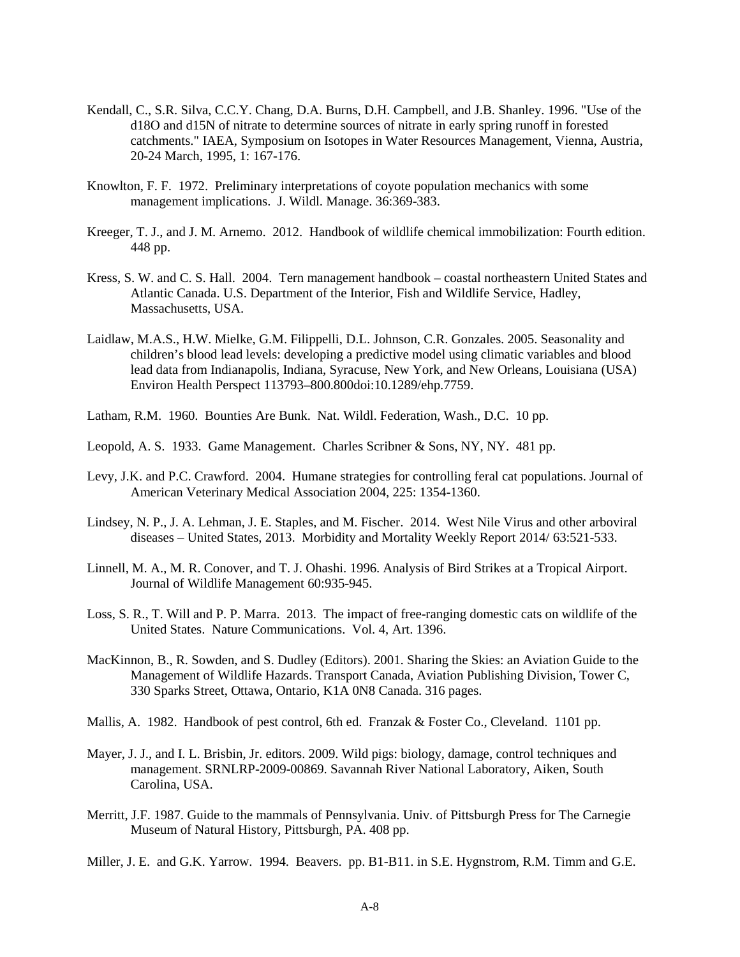- Kendall, C., S.R. Silva, C.C.Y. Chang, D.A. Burns, D.H. Campbell, and J.B. Shanley. 1996. "Use of the d18O and d15N of nitrate to determine sources of nitrate in early spring runoff in forested catchments." IAEA, Symposium on Isotopes in Water Resources Management, Vienna, Austria, 20-24 March, 1995, 1: 167-176.
- Knowlton, F. F. 1972. Preliminary interpretations of coyote population mechanics with some management implications. J. Wildl. Manage. 36:369-383.
- Kreeger, T. J., and J. M. Arnemo. 2012. Handbook of wildlife chemical immobilization: Fourth edition. 448 pp.
- Kress, S. W. and C. S. Hall. 2004. Tern management handbook coastal northeastern United States and Atlantic Canada. U.S. Department of the Interior, Fish and Wildlife Service, Hadley, Massachusetts, USA.
- Laidlaw, M.A.S., H.W. Mielke, G.M. Filippelli, D.L. Johnson, C.R. Gonzales. 2005. Seasonality and children's blood lead levels: developing a predictive model using climatic variables and blood lead data from Indianapolis, Indiana, Syracuse, New York, and New Orleans, Louisiana (USA) Environ Health Perspect 113793–800.800doi:10.1289/ehp.7759.
- Latham, R.M. 1960. Bounties Are Bunk. Nat. Wildl. Federation, Wash., D.C. 10 pp.
- Leopold, A. S. 1933. Game Management. Charles Scribner & Sons, NY, NY. 481 pp.
- Levy, J.K. and P.C. Crawford. 2004. Humane strategies for controlling feral cat populations. Journal of American Veterinary Medical Association 2004, 225: 1354-1360.
- Lindsey, N. P., J. A. Lehman, J. E. Staples, and M. Fischer. 2014. West Nile Virus and other arboviral diseases – United States, 2013. Morbidity and Mortality Weekly Report 2014/ 63:521-533.
- Linnell, M. A., M. R. Conover, and T. J. Ohashi. 1996. Analysis of Bird Strikes at a Tropical Airport. Journal of Wildlife Management 60:935-945.
- Loss, S. R., T. Will and P. P. Marra. 2013. The impact of free-ranging domestic cats on wildlife of the United States. Nature Communications. Vol. 4, Art. 1396.
- MacKinnon, B., R. Sowden, and S. Dudley (Editors). 2001. Sharing the Skies: an Aviation Guide to the Management of Wildlife Hazards. Transport Canada, Aviation Publishing Division, Tower C, 330 Sparks Street, Ottawa, Ontario, K1A 0N8 Canada. 316 pages.
- Mallis, A. 1982. Handbook of pest control, 6th ed. Franzak & Foster Co., Cleveland. 1101 pp.
- Mayer, J. J., and I. L. Brisbin, Jr. editors. 2009. Wild pigs: biology, damage, control techniques and management. SRNLRP-2009-00869. Savannah River National Laboratory, Aiken, South Carolina, USA.
- Merritt, J.F. 1987. Guide to the mammals of Pennsylvania. Univ. of Pittsburgh Press for The Carnegie Museum of Natural History, Pittsburgh, PA. 408 pp.
- Miller, J. E. and G.K. Yarrow. 1994. Beavers. pp. B1-B11. in S.E. Hygnstrom, R.M. Timm and G.E.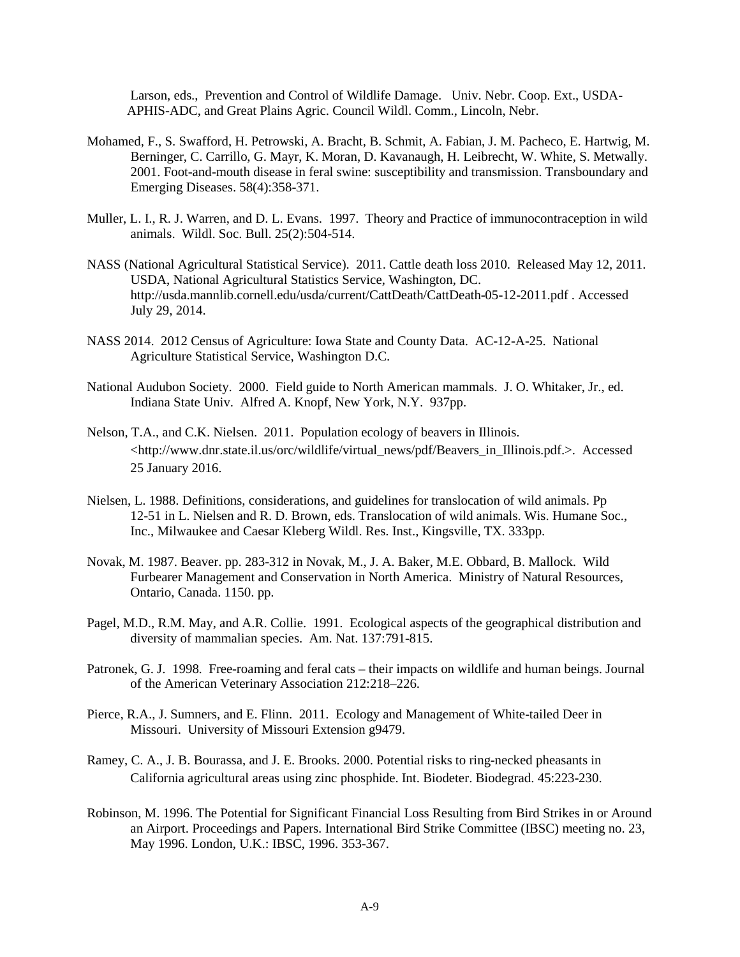Larson, eds., Prevention and Control of Wildlife Damage. Univ. Nebr. Coop. Ext., USDA- APHIS-ADC, and Great Plains Agric. Council Wildl. Comm., Lincoln, Nebr.

- Mohamed, F., S. Swafford, H. Petrowski, A. Bracht, B. Schmit, A. Fabian, J. M. Pacheco, E. Hartwig, M. Berninger, C. Carrillo, G. Mayr, K. Moran, D. Kavanaugh, H. Leibrecht, W. White, S. Metwally. 2001. Foot-and-mouth disease in feral swine: susceptibility and transmission. Transboundary and Emerging Diseases. 58(4):358-371.
- Muller, L. I., R. J. Warren, and D. L. Evans. 1997. Theory and Practice of immunocontraception in wild animals. Wildl. Soc. Bull. 25(2):504-514.
- NASS (National Agricultural Statistical Service). 2011. Cattle death loss 2010. Released May 12, 2011. USDA, National Agricultural Statistics Service, Washington, DC. http://usda.mannlib.cornell.edu/usda/current/CattDeath/CattDeath-05-12-2011.pdf . Accessed July 29, 2014.
- NASS 2014. 2012 Census of Agriculture: Iowa State and County Data. AC-12-A-25. National Agriculture Statistical Service, Washington D.C.
- National Audubon Society. 2000. Field guide to North American mammals. J. O. Whitaker, Jr., ed. Indiana State Univ. Alfred A. Knopf, New York, N.Y. 937pp.
- Nelson, T.A., and C.K. Nielsen. 2011. Population ecology of beavers in Illinois. [<http://www.dnr.state.il.us/orc/wildlife/virtual\\_news/pdf/Beavers\\_in\\_Illinois.pdf.](http://www.dnr.state.il.us/orc/wildlife/virtual_news/pdf/Beavers_in_Illinois.pdf)>. Accessed 25 January 2016.
- Nielsen, L. 1988. Definitions, considerations, and guidelines for translocation of wild animals. Pp 12-51 in L. Nielsen and R. D. Brown, eds. Translocation of wild animals. Wis. Humane Soc., Inc., Milwaukee and Caesar Kleberg Wildl. Res. Inst., Kingsville, TX. 333pp.
- Novak, M. 1987. Beaver. pp. 283-312 in Novak, M., J. A. Baker, M.E. Obbard, B. Mallock. Wild Furbearer Management and Conservation in North America. Ministry of Natural Resources, Ontario, Canada. 1150. pp.
- Pagel, M.D., R.M. May, and A.R. Collie. 1991. Ecological aspects of the geographical distribution and diversity of mammalian species. Am. Nat. 137:791-815.
- Patronek, G. J. 1998. Free-roaming and feral cats their impacts on wildlife and human beings. Journal of the American Veterinary Association 212:218–226.
- Pierce, R.A., J. Sumners, and E. Flinn. 2011. Ecology and Management of White-tailed Deer in Missouri. University of Missouri Extension g9479.
- Ramey, C. A., J. B. Bourassa, and J. E. Brooks. 2000. Potential risks to ring-necked pheasants in California agricultural areas using zinc phosphide. Int. Biodeter. Biodegrad. 45:223-230.
- Robinson, M. 1996. The Potential for Significant Financial Loss Resulting from Bird Strikes in or Around an Airport. Proceedings and Papers. International Bird Strike Committee (IBSC) meeting no. 23, May 1996. London, U.K.: IBSC, 1996. 353-367.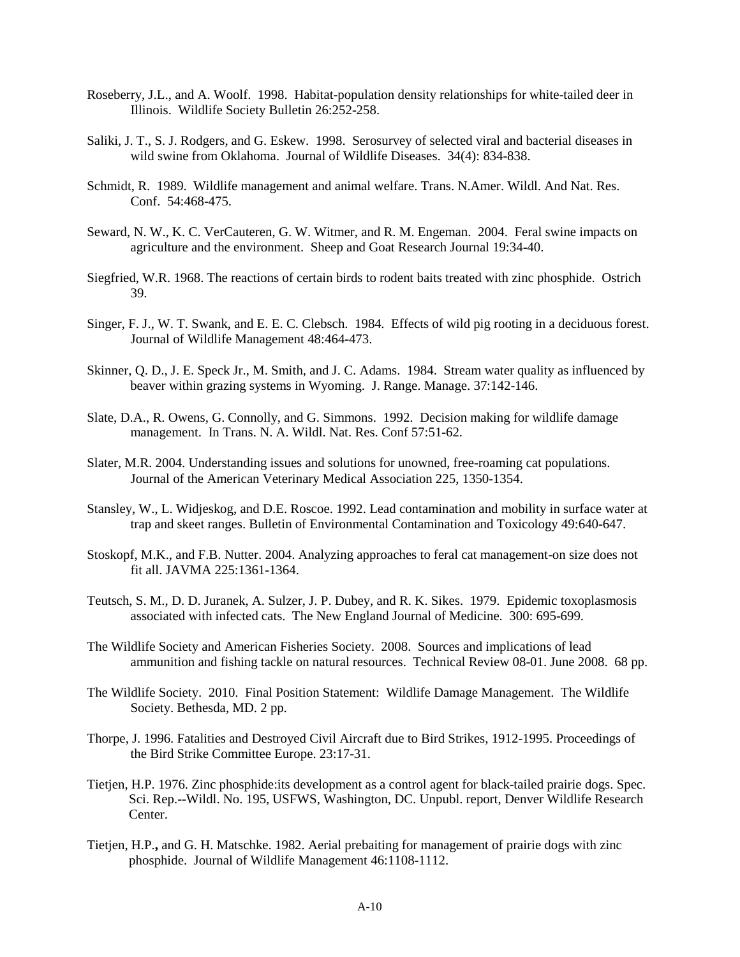- Roseberry, J.L., and A. Woolf. 1998. Habitat-population density relationships for white-tailed deer in Illinois. Wildlife Society Bulletin 26:252-258.
- Saliki, J. T., S. J. Rodgers, and G. Eskew. 1998. Serosurvey of selected viral and bacterial diseases in wild swine from Oklahoma. Journal of Wildlife Diseases. 34(4): 834-838.
- Schmidt, R. 1989. Wildlife management and animal welfare. Trans. N.Amer. Wildl. And Nat. Res. Conf. 54:468-475.
- Seward, N. W., K. C. VerCauteren, G. W. Witmer, and R. M. Engeman. 2004. Feral swine impacts on agriculture and the environment. Sheep and Goat Research Journal 19:34-40.
- Siegfried, W.R. 1968. The reactions of certain birds to rodent baits treated with zinc phosphide. Ostrich 39.
- Singer, F. J., W. T. Swank, and E. E. C. Clebsch. 1984. Effects of wild pig rooting in a deciduous forest. Journal of Wildlife Management 48:464-473.
- Skinner, Q. D., J. E. Speck Jr., M. Smith, and J. C. Adams. 1984. Stream water quality as influenced by beaver within grazing systems in Wyoming. J. Range. Manage. 37:142-146.
- Slate, D.A., R. Owens, G. Connolly, and G. Simmons. 1992. Decision making for wildlife damage management. In Trans. N. A. Wildl. Nat. Res. Conf 57:51-62.
- Slater, M.R. 2004. Understanding issues and solutions for unowned, free-roaming cat populations. Journal of the American Veterinary Medical Association 225, 1350-1354.
- Stansley, W., L. Widjeskog, and D.E. Roscoe. 1992. Lead contamination and mobility in surface water at trap and skeet ranges. Bulletin of Environmental Contamination and Toxicology 49:640-647.
- Stoskopf, M.K., and F.B. Nutter. 2004. Analyzing approaches to feral cat management-on size does not fit all. JAVMA 225:1361-1364.
- Teutsch, S. M., D. D. Juranek, A. Sulzer, J. P. Dubey, and R. K. Sikes. 1979. Epidemic toxoplasmosis associated with infected cats. The New England Journal of Medicine. 300: 695-699.
- The Wildlife Society and American Fisheries Society. 2008. Sources and implications of lead ammunition and fishing tackle on natural resources. Technical Review 08-01. June 2008. 68 pp.
- The Wildlife Society. 2010. Final Position Statement: Wildlife Damage Management. The Wildlife Society. Bethesda, MD. 2 pp.
- Thorpe, J. 1996. Fatalities and Destroyed Civil Aircraft due to Bird Strikes, 1912-1995. Proceedings of the Bird Strike Committee Europe. 23:17-31.
- Tietjen, H.P. 1976. Zinc phosphide:its development as a control agent for black-tailed prairie dogs. Spec. Sci. Rep.--Wildl. No. 195, USFWS, Washington, DC. Unpubl. report, Denver Wildlife Research Center.
- Tietjen, H.P.**,** and G. H. Matschke. 1982. Aerial prebaiting for management of prairie dogs with zinc phosphide. Journal of Wildlife Management 46:1108-1112.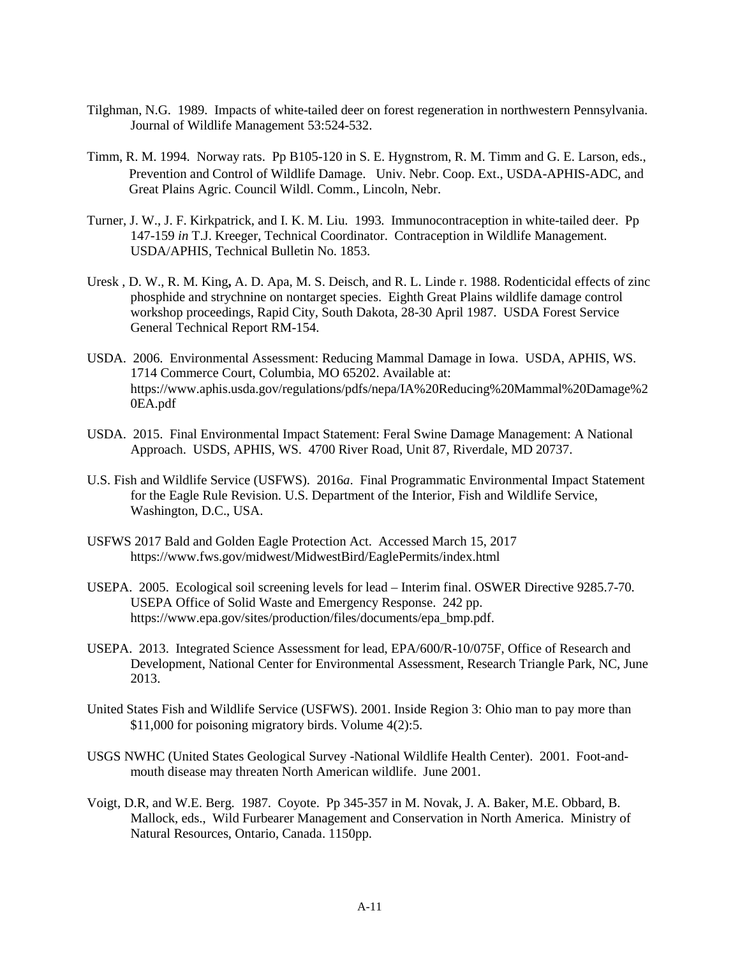- Tilghman, N.G. 1989. Impacts of white-tailed deer on forest regeneration in northwestern Pennsylvania. Journal of Wildlife Management 53:524-532.
- Timm, R. M. 1994. Norway rats. Pp B105-120 in S. E. Hygnstrom, R. M. Timm and G. E. Larson, eds., Prevention and Control of Wildlife Damage. Univ. Nebr. Coop. Ext., USDA-APHIS-ADC, and Great Plains Agric. Council Wildl. Comm., Lincoln, Nebr.
- Turner, J. W., J. F. Kirkpatrick, and I. K. M. Liu. 1993. Immunocontraception in white-tailed deer. Pp 147-159 *in* T.J. Kreeger, Technical Coordinator. Contraception in Wildlife Management. USDA/APHIS, Technical Bulletin No. 1853.
- Uresk , D. W., R. M. King**,** A. D. Apa, M. S. Deisch, and R. L. Linde r. 1988. Rodenticidal effects of zinc phosphide and strychnine on nontarget species. Eighth Great Plains wildlife damage control workshop proceedings, Rapid City, South Dakota, 28-30 April 1987. USDA Forest Service General Technical Report RM-154.
- USDA. 2006. Environmental Assessment: Reducing Mammal Damage in Iowa. USDA, APHIS, WS. 1714 Commerce Court, Columbia, MO 65202. Available at: https://www.aphis.usda.gov/regulations/pdfs/nepa/IA%20Reducing%20Mammal%20Damage%2 0EA.pdf
- USDA. 2015. Final Environmental Impact Statement: Feral Swine Damage Management: A National Approach. USDS, APHIS, WS. 4700 River Road, Unit 87, Riverdale, MD 20737.
- U.S. Fish and Wildlife Service (USFWS). 2016*a*. Final Programmatic Environmental Impact Statement for the Eagle Rule Revision. U.S. Department of the Interior, Fish and Wildlife Service, Washington, D.C., USA.
- USFWS 2017 Bald and Golden Eagle Protection Act. Accessed March 15, 2017 https://www.fws.gov/midwest/MidwestBird/EaglePermits/index.html
- USEPA. 2005. Ecological soil screening levels for lead Interim final. OSWER Directive 9285.7-70. USEPA Office of Solid Waste and Emergency Response. 242 pp. https://www.epa.gov/sites/production/files/documents/epa\_bmp.pdf.
- USEPA. 2013. Integrated Science Assessment for lead, EPA/600/R-10/075F, Office of Research and Development, National Center for Environmental Assessment, Research Triangle Park, NC, June 2013.
- United States Fish and Wildlife Service (USFWS). 2001. Inside Region 3: Ohio man to pay more than \$11,000 for poisoning migratory birds. Volume 4(2):5.
- USGS NWHC (United States Geological Survey -National Wildlife Health Center). 2001. Foot-andmouth disease may threaten North American wildlife. June 2001.
- Voigt, D.R, and W.E. Berg. 1987. Coyote. Pp 345-357 in M. Novak, J. A. Baker, M.E. Obbard, B. Mallock, eds., Wild Furbearer Management and Conservation in North America. Ministry of Natural Resources, Ontario, Canada. 1150pp.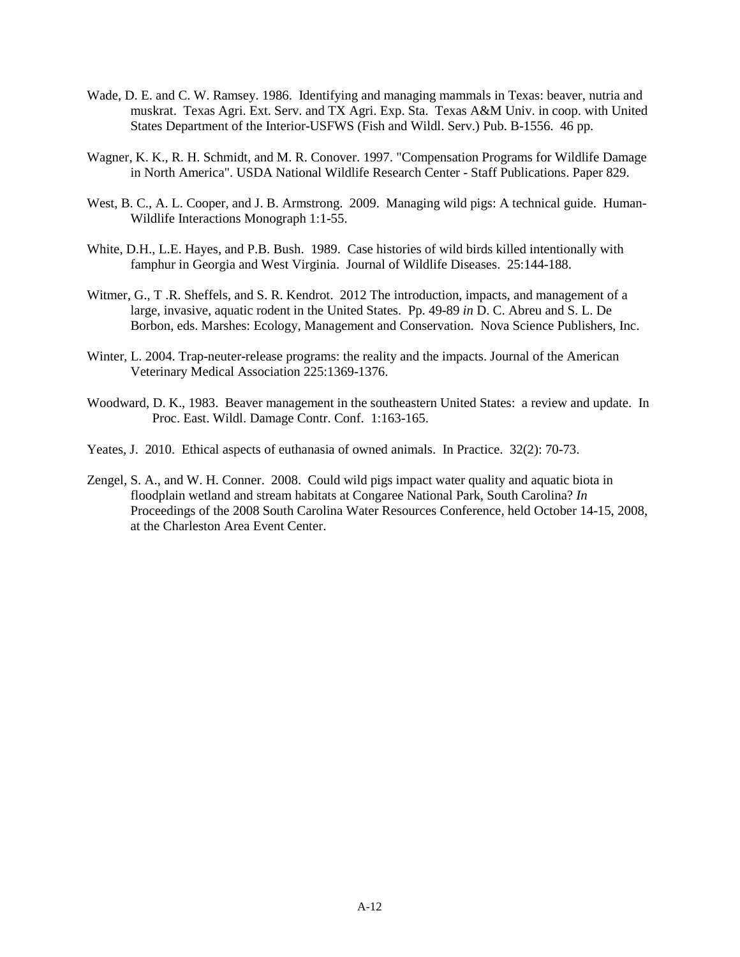- Wade, D. E. and C. W. Ramsey. 1986. Identifying and managing mammals in Texas: beaver, nutria and muskrat. Texas Agri. Ext. Serv. and TX Agri. Exp. Sta. Texas A&M Univ. in coop. with United States Department of the Interior-USFWS (Fish and Wildl. Serv.) Pub. B-1556. 46 pp.
- Wagner, K. K., R. H. Schmidt, and M. R. Conover. 1997. "Compensation Programs for Wildlife Damage in North America". USDA National Wildlife Research Center - Staff Publications. Paper 829.
- West, B. C., A. L. Cooper, and J. B. Armstrong. 2009. Managing wild pigs: A technical guide. Human-Wildlife Interactions Monograph 1:1-55.
- White, D.H., L.E. Hayes, and P.B. Bush. 1989. Case histories of wild birds killed intentionally with famphur in Georgia and West Virginia. Journal of Wildlife Diseases. 25:144-188.
- Witmer, G., T .R. Sheffels, and S. R. Kendrot. 2012 The introduction, impacts, and management of a large, invasive, aquatic rodent in the United States. Pp. 49-89 *in* D. C. Abreu and S. L. De Borbon, eds. Marshes: Ecology, Management and Conservation. Nova Science Publishers, Inc.
- Winter, L. 2004. Trap-neuter-release programs: the reality and the impacts. Journal of the American Veterinary Medical Association 225:1369-1376.
- Woodward, D. K., 1983. Beaver management in the southeastern United States: a review and update. In Proc. East. Wildl. Damage Contr. Conf. 1:163-165.
- Yeates, J. 2010. Ethical aspects of euthanasia of owned animals. In Practice. 32(2): 70-73.
- Zengel, S. A., and W. H. Conner. 2008. Could wild pigs impact water quality and aquatic biota in floodplain wetland and stream habitats at Congaree National Park, South Carolina? *In*  Proceedings of the 2008 South Carolina Water Resources Conference, held October 14-15, 2008, at the Charleston Area Event Center.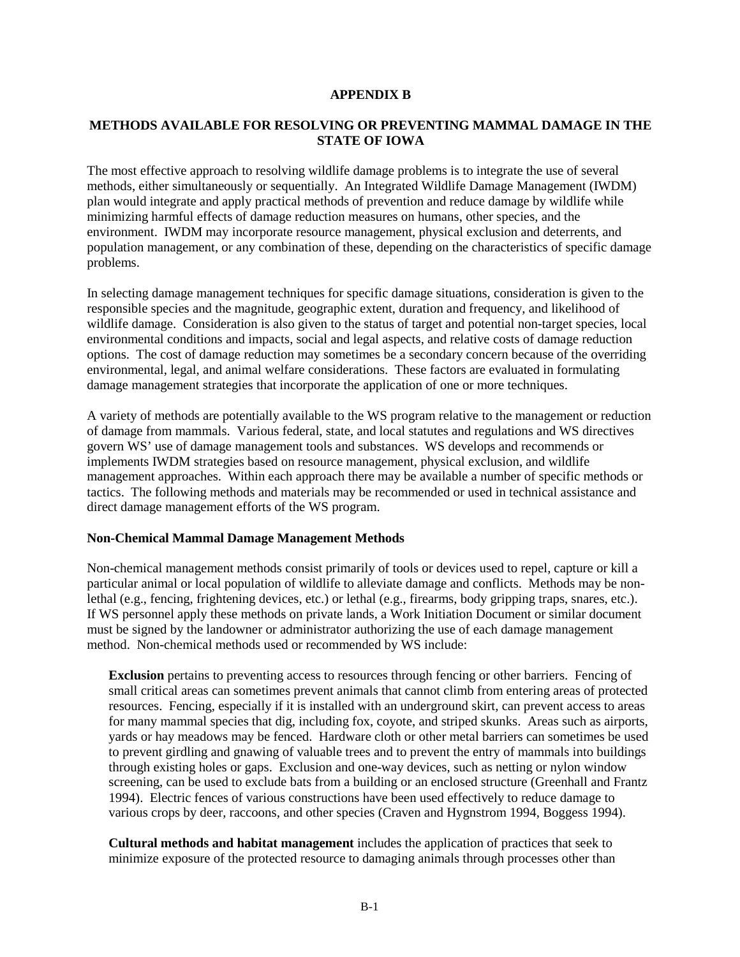#### **APPENDIX B**

### **METHODS AVAILABLE FOR RESOLVING OR PREVENTING MAMMAL DAMAGE IN THE STATE OF IOWA**

The most effective approach to resolving wildlife damage problems is to integrate the use of several methods, either simultaneously or sequentially. An Integrated Wildlife Damage Management (IWDM) plan would integrate and apply practical methods of prevention and reduce damage by wildlife while minimizing harmful effects of damage reduction measures on humans, other species, and the environment. IWDM may incorporate resource management, physical exclusion and deterrents, and population management, or any combination of these, depending on the characteristics of specific damage problems.

In selecting damage management techniques for specific damage situations, consideration is given to the responsible species and the magnitude, geographic extent, duration and frequency, and likelihood of wildlife damage. Consideration is also given to the status of target and potential non-target species, local environmental conditions and impacts, social and legal aspects, and relative costs of damage reduction options. The cost of damage reduction may sometimes be a secondary concern because of the overriding environmental, legal, and animal welfare considerations. These factors are evaluated in formulating damage management strategies that incorporate the application of one or more techniques.

A variety of methods are potentially available to the WS program relative to the management or reduction of damage from mammals. Various federal, state, and local statutes and regulations and WS directives govern WS' use of damage management tools and substances. WS develops and recommends or implements IWDM strategies based on resource management, physical exclusion, and wildlife management approaches. Within each approach there may be available a number of specific methods or tactics. The following methods and materials may be recommended or used in technical assistance and direct damage management efforts of the WS program.

### **Non-Chemical Mammal Damage Management Methods**

Non-chemical management methods consist primarily of tools or devices used to repel, capture or kill a particular animal or local population of wildlife to alleviate damage and conflicts. Methods may be nonlethal (e.g., fencing, frightening devices, etc.) or lethal (e.g., firearms, body gripping traps, snares, etc.). If WS personnel apply these methods on private lands, a Work Initiation Document or similar document must be signed by the landowner or administrator authorizing the use of each damage management method. Non-chemical methods used or recommended by WS include:

**Exclusion** pertains to preventing access to resources through fencing or other barriers. Fencing of small critical areas can sometimes prevent animals that cannot climb from entering areas of protected resources. Fencing, especially if it is installed with an underground skirt, can prevent access to areas for many mammal species that dig, including fox, coyote, and striped skunks. Areas such as airports, yards or hay meadows may be fenced. Hardware cloth or other metal barriers can sometimes be used to prevent girdling and gnawing of valuable trees and to prevent the entry of mammals into buildings through existing holes or gaps. Exclusion and one-way devices, such as netting or nylon window screening, can be used to exclude bats from a building or an enclosed structure (Greenhall and Frantz 1994). Electric fences of various constructions have been used effectively to reduce damage to various crops by deer, raccoons, and other species (Craven and Hygnstrom 1994, Boggess 1994).

**Cultural methods and habitat management** includes the application of practices that seek to minimize exposure of the protected resource to damaging animals through processes other than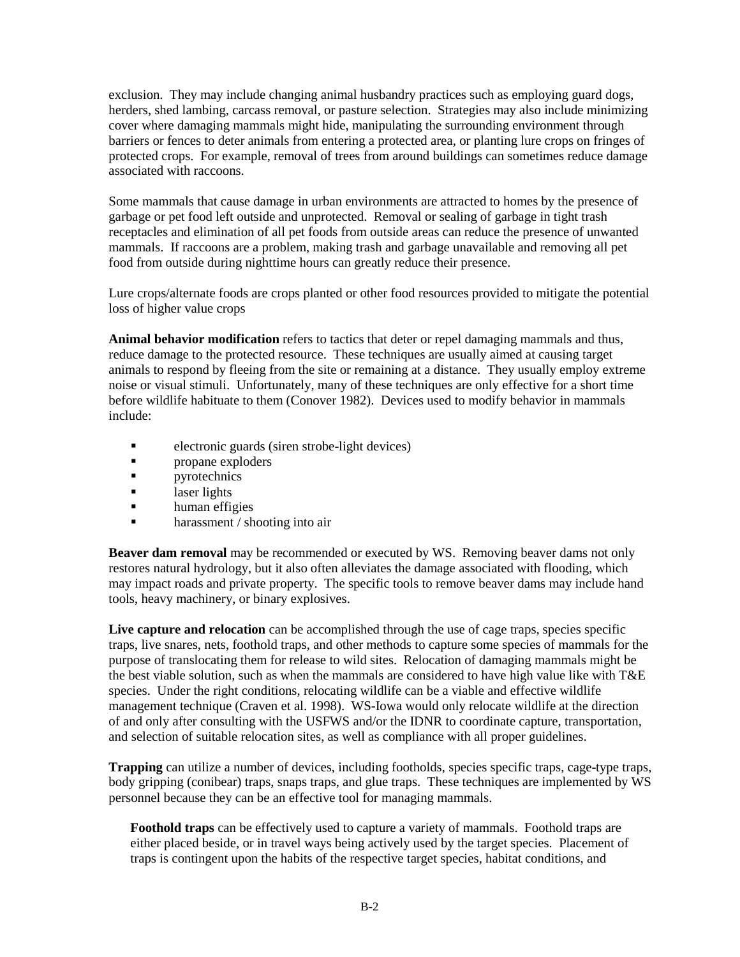exclusion. They may include changing animal husbandry practices such as employing guard dogs, herders, shed lambing, carcass removal, or pasture selection. Strategies may also include minimizing cover where damaging mammals might hide, manipulating the surrounding environment through barriers or fences to deter animals from entering a protected area, or planting lure crops on fringes of protected crops. For example, removal of trees from around buildings can sometimes reduce damage associated with raccoons.

Some mammals that cause damage in urban environments are attracted to homes by the presence of garbage or pet food left outside and unprotected. Removal or sealing of garbage in tight trash receptacles and elimination of all pet foods from outside areas can reduce the presence of unwanted mammals. If raccoons are a problem, making trash and garbage unavailable and removing all pet food from outside during nighttime hours can greatly reduce their presence.

Lure crops/alternate foods are crops planted or other food resources provided to mitigate the potential loss of higher value crops

**Animal behavior modification** refers to tactics that deter or repel damaging mammals and thus, reduce damage to the protected resource. These techniques are usually aimed at causing target animals to respond by fleeing from the site or remaining at a distance. They usually employ extreme noise or visual stimuli. Unfortunately, many of these techniques are only effective for a short time before wildlife habituate to them (Conover 1982). Devices used to modify behavior in mammals include:

- electronic guards (siren strobe-light devices)
- **propane** exploders
- **pyrotechnics**
- **a** laser lights
- **human** effigies
- **harassment** / shooting into air

**Beaver dam removal** may be recommended or executed by WS. Removing beaver dams not only restores natural hydrology, but it also often alleviates the damage associated with flooding, which may impact roads and private property. The specific tools to remove beaver dams may include hand tools, heavy machinery, or binary explosives.

Live capture and relocation can be accomplished through the use of cage traps, species specific traps, live snares, nets, foothold traps, and other methods to capture some species of mammals for the purpose of translocating them for release to wild sites. Relocation of damaging mammals might be the best viable solution, such as when the mammals are considered to have high value like with T&E species. Under the right conditions, relocating wildlife can be a viable and effective wildlife management technique (Craven et al. 1998). WS-Iowa would only relocate wildlife at the direction of and only after consulting with the USFWS and/or the IDNR to coordinate capture, transportation, and selection of suitable relocation sites, as well as compliance with all proper guidelines.

**Trapping** can utilize a number of devices, including footholds, species specific traps, cage-type traps, body gripping (conibear) traps, snaps traps, and glue traps. These techniques are implemented by WS personnel because they can be an effective tool for managing mammals.

**Foothold traps** can be effectively used to capture a variety of mammals. Foothold traps are either placed beside, or in travel ways being actively used by the target species. Placement of traps is contingent upon the habits of the respective target species, habitat conditions, and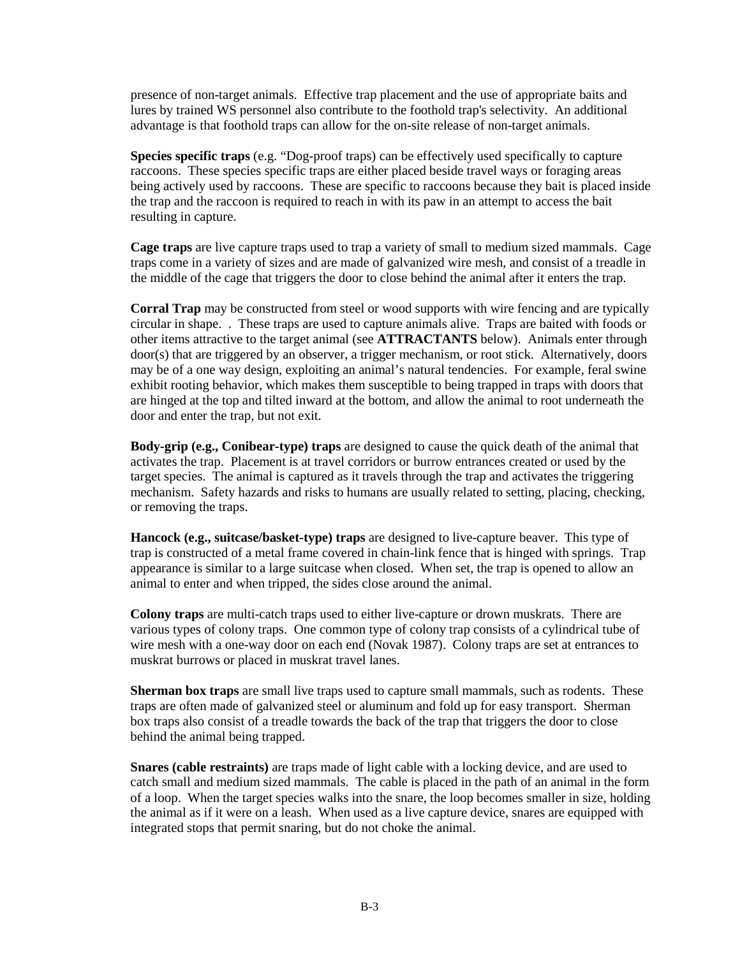presence of non-target animals. Effective trap placement and the use of appropriate baits and lures by trained WS personnel also contribute to the foothold trap's selectivity. An additional advantage is that foothold traps can allow for the on-site release of non-target animals.

**Species specific traps** (e.g. "Dog-proof traps) can be effectively used specifically to capture raccoons. These species specific traps are either placed beside travel ways or foraging areas being actively used by raccoons. These are specific to raccoons because they bait is placed inside the trap and the raccoon is required to reach in with its paw in an attempt to access the bait resulting in capture.

**Cage traps** are live capture traps used to trap a variety of small to medium sized mammals. Cage traps come in a variety of sizes and are made of galvanized wire mesh, and consist of a treadle in the middle of the cage that triggers the door to close behind the animal after it enters the trap.

**Corral Trap** may be constructed from steel or wood supports with wire fencing and are typically circular in shape. . These traps are used to capture animals alive. Traps are baited with foods or other items attractive to the target animal (see **ATTRACTANTS** below). Animals enter through door(s) that are triggered by an observer, a trigger mechanism, or root stick. Alternatively, doors may be of a one way design, exploiting an animal's natural tendencies. For example, feral swine exhibit rooting behavior, which makes them susceptible to being trapped in traps with doors that are hinged at the top and tilted inward at the bottom, and allow the animal to root underneath the door and enter the trap, but not exit.

**Body-grip (e.g., Conibear-type) traps** are designed to cause the quick death of the animal that activates the trap. Placement is at travel corridors or burrow entrances created or used by the target species. The animal is captured as it travels through the trap and activates the triggering mechanism. Safety hazards and risks to humans are usually related to setting, placing, checking, or removing the traps.

**Hancock (e.g., suitcase/basket-type) traps** are designed to live-capture beaver. This type of trap is constructed of a metal frame covered in chain-link fence that is hinged with springs. Trap appearance is similar to a large suitcase when closed. When set, the trap is opened to allow an animal to enter and when tripped, the sides close around the animal.

**Colony traps** are multi-catch traps used to either live-capture or drown muskrats. There are various types of colony traps. One common type of colony trap consists of a cylindrical tube of wire mesh with a one-way door on each end (Novak 1987). Colony traps are set at entrances to muskrat burrows or placed in muskrat travel lanes.

**Sherman box traps** are small live traps used to capture small mammals, such as rodents. These traps are often made of galvanized steel or aluminum and fold up for easy transport. Sherman box traps also consist of a treadle towards the back of the trap that triggers the door to close behind the animal being trapped.

**Snares (cable restraints)** are traps made of light cable with a locking device, and are used to catch small and medium sized mammals. The cable is placed in the path of an animal in the form of a loop. When the target species walks into the snare, the loop becomes smaller in size, holding the animal as if it were on a leash. When used as a live capture device, snares are equipped with integrated stops that permit snaring, but do not choke the animal.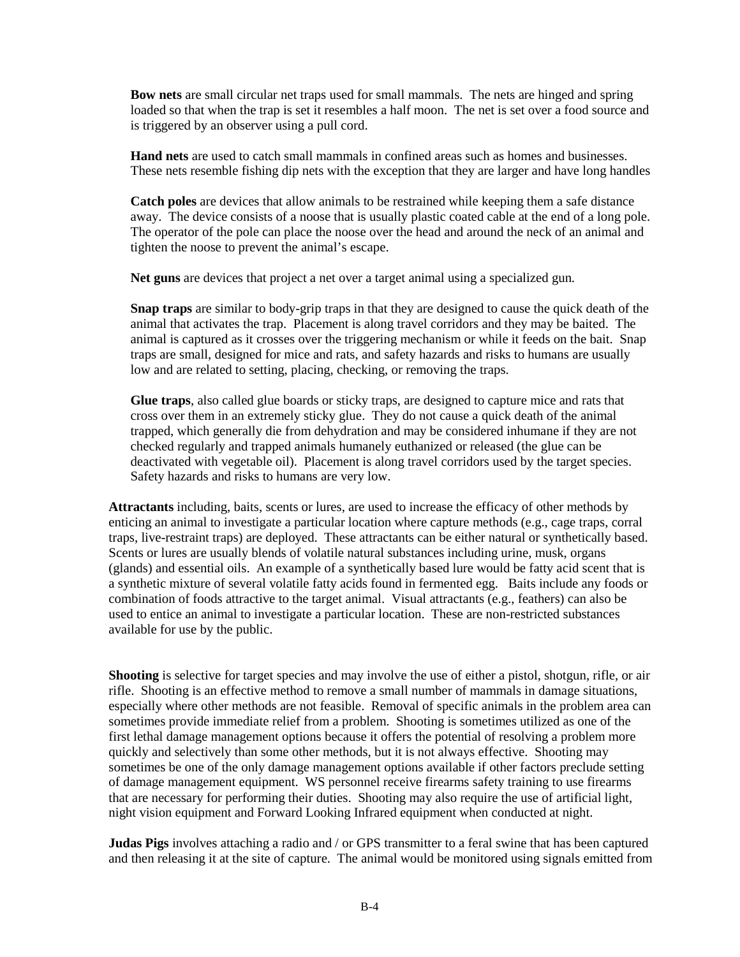**Bow nets** are small circular net traps used for small mammals. The nets are hinged and spring loaded so that when the trap is set it resembles a half moon. The net is set over a food source and is triggered by an observer using a pull cord.

**Hand nets** are used to catch small mammals in confined areas such as homes and businesses. These nets resemble fishing dip nets with the exception that they are larger and have long handles

**Catch poles** are devices that allow animals to be restrained while keeping them a safe distance away. The device consists of a noose that is usually plastic coated cable at the end of a long pole. The operator of the pole can place the noose over the head and around the neck of an animal and tighten the noose to prevent the animal's escape.

**Net guns** are devices that project a net over a target animal using a specialized gun.

**Snap traps** are similar to body-grip traps in that they are designed to cause the quick death of the animal that activates the trap. Placement is along travel corridors and they may be baited. The animal is captured as it crosses over the triggering mechanism or while it feeds on the bait. Snap traps are small, designed for mice and rats, and safety hazards and risks to humans are usually low and are related to setting, placing, checking, or removing the traps.

**Glue traps**, also called glue boards or sticky traps, are designed to capture mice and rats that cross over them in an extremely sticky glue. They do not cause a quick death of the animal trapped, which generally die from dehydration and may be considered inhumane if they are not checked regularly and trapped animals humanely euthanized or released (the glue can be deactivated with vegetable oil). Placement is along travel corridors used by the target species. Safety hazards and risks to humans are very low.

**Attractants** including, baits, scents or lures, are used to increase the efficacy of other methods by enticing an animal to investigate a particular location where capture methods (e.g., cage traps, corral traps, live-restraint traps) are deployed. These attractants can be either natural or synthetically based. Scents or lures are usually blends of volatile natural substances including urine, musk, organs (glands) and essential oils. An example of a synthetically based lure would be fatty acid scent that is a synthetic mixture of several volatile fatty acids found in fermented egg. Baits include any foods or combination of foods attractive to the target animal. Visual attractants (e.g., feathers) can also be used to entice an animal to investigate a particular location. These are non-restricted substances available for use by the public.

**Shooting** is selective for target species and may involve the use of either a pistol, shotgun, rifle, or air rifle. Shooting is an effective method to remove a small number of mammals in damage situations, especially where other methods are not feasible. Removal of specific animals in the problem area can sometimes provide immediate relief from a problem. Shooting is sometimes utilized as one of the first lethal damage management options because it offers the potential of resolving a problem more quickly and selectively than some other methods, but it is not always effective. Shooting may sometimes be one of the only damage management options available if other factors preclude setting of damage management equipment. WS personnel receive firearms safety training to use firearms that are necessary for performing their duties. Shooting may also require the use of artificial light, night vision equipment and Forward Looking Infrared equipment when conducted at night.

**Judas Pigs** involves attaching a radio and / or GPS transmitter to a feral swine that has been captured and then releasing it at the site of capture. The animal would be monitored using signals emitted from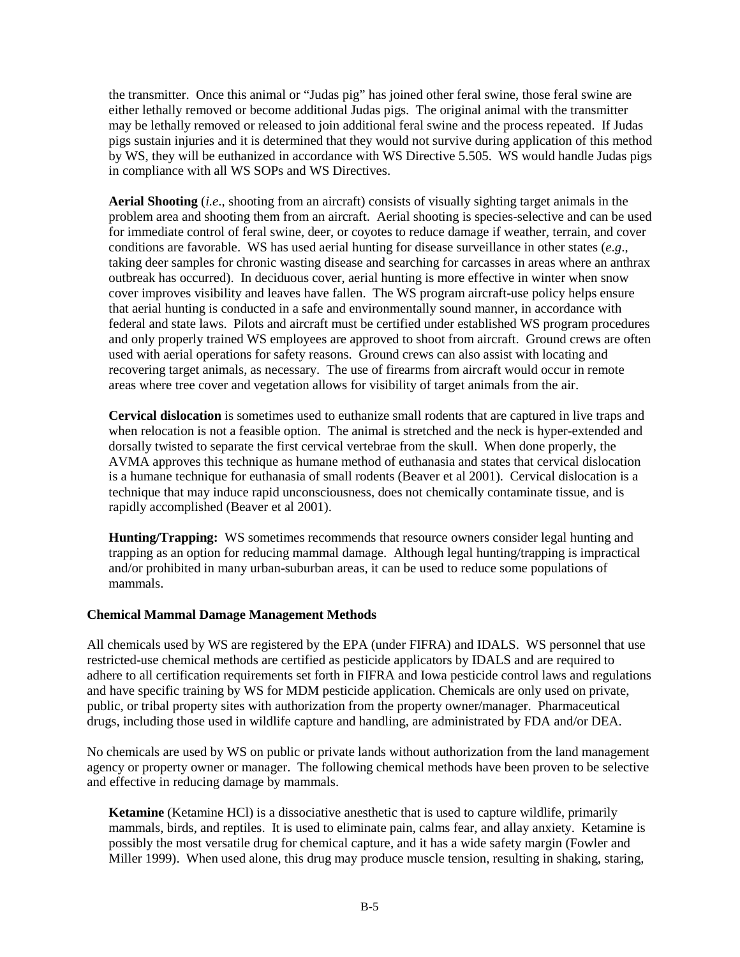the transmitter. Once this animal or "Judas pig" has joined other feral swine, those feral swine are either lethally removed or become additional Judas pigs. The original animal with the transmitter may be lethally removed or released to join additional feral swine and the process repeated. If Judas pigs sustain injuries and it is determined that they would not survive during application of this method by WS, they will be euthanized in accordance with WS Directive 5.505. WS would handle Judas pigs in compliance with all WS SOPs and WS Directives.

**Aerial Shooting** (*i.e*., shooting from an aircraft) consists of visually sighting target animals in the problem area and shooting them from an aircraft. Aerial shooting is species-selective and can be used for immediate control of feral swine, deer, or coyotes to reduce damage if weather, terrain, and cover conditions are favorable. WS has used aerial hunting for disease surveillance in other states (*e*.*g*., taking deer samples for chronic wasting disease and searching for carcasses in areas where an anthrax outbreak has occurred). In deciduous cover, aerial hunting is more effective in winter when snow cover improves visibility and leaves have fallen. The WS program aircraft-use policy helps ensure that aerial hunting is conducted in a safe and environmentally sound manner, in accordance with federal and state laws. Pilots and aircraft must be certified under established WS program procedures and only properly trained WS employees are approved to shoot from aircraft. Ground crews are often used with aerial operations for safety reasons. Ground crews can also assist with locating and recovering target animals, as necessary. The use of firearms from aircraft would occur in remote areas where tree cover and vegetation allows for visibility of target animals from the air.

**Cervical dislocation** is sometimes used to euthanize small rodents that are captured in live traps and when relocation is not a feasible option. The animal is stretched and the neck is hyper-extended and dorsally twisted to separate the first cervical vertebrae from the skull. When done properly, the AVMA approves this technique as humane method of euthanasia and states that cervical dislocation is a humane technique for euthanasia of small rodents (Beaver et al 2001). Cervical dislocation is a technique that may induce rapid unconsciousness, does not chemically contaminate tissue, and is rapidly accomplished (Beaver et al 2001).

**Hunting/Trapping:** WS sometimes recommends that resource owners consider legal hunting and trapping as an option for reducing mammal damage. Although legal hunting/trapping is impractical and/or prohibited in many urban-suburban areas, it can be used to reduce some populations of mammals.

### **Chemical Mammal Damage Management Methods**

All chemicals used by WS are registered by the EPA (under FIFRA) and IDALS. WS personnel that use restricted-use chemical methods are certified as pesticide applicators by IDALS and are required to adhere to all certification requirements set forth in FIFRA and Iowa pesticide control laws and regulations and have specific training by WS for MDM pesticide application. Chemicals are only used on private, public, or tribal property sites with authorization from the property owner/manager. Pharmaceutical drugs, including those used in wildlife capture and handling, are administrated by FDA and/or DEA.

No chemicals are used by WS on public or private lands without authorization from the land management agency or property owner or manager. The following chemical methods have been proven to be selective and effective in reducing damage by mammals.

**Ketamine** (Ketamine HCl) is a dissociative anesthetic that is used to capture wildlife, primarily mammals, birds, and reptiles. It is used to eliminate pain, calms fear, and allay anxiety. Ketamine is possibly the most versatile drug for chemical capture, and it has a wide safety margin (Fowler and Miller 1999). When used alone, this drug may produce muscle tension, resulting in shaking, staring,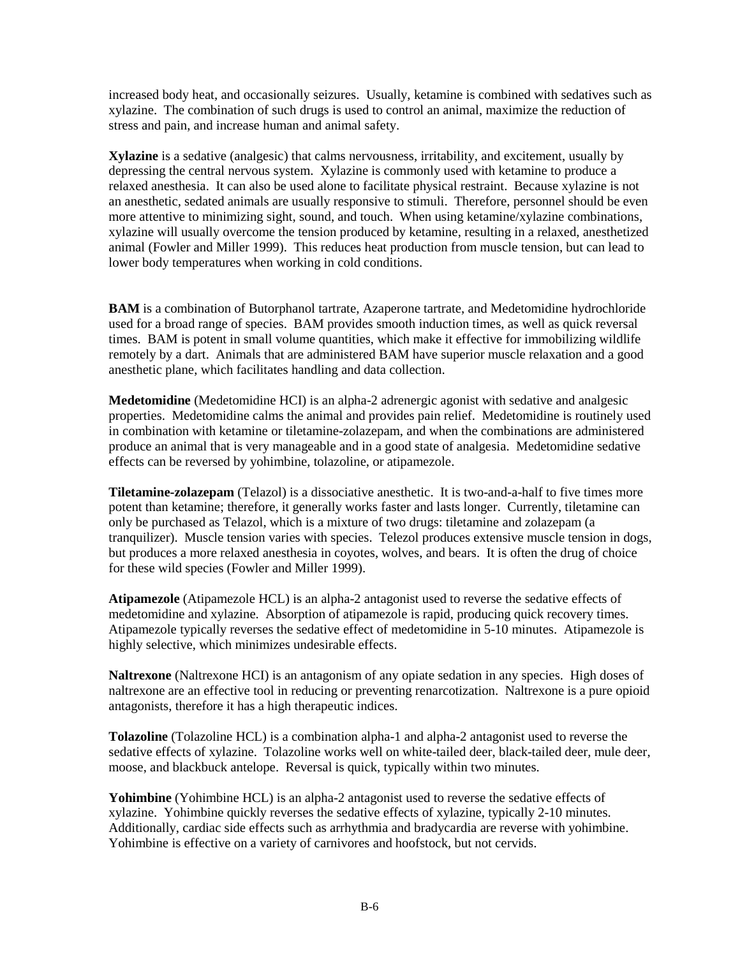increased body heat, and occasionally seizures. Usually, ketamine is combined with sedatives such as xylazine. The combination of such drugs is used to control an animal, maximize the reduction of stress and pain, and increase human and animal safety.

**Xylazine** is a sedative (analgesic) that calms nervousness, irritability, and excitement, usually by depressing the central nervous system. Xylazine is commonly used with ketamine to produce a relaxed anesthesia. It can also be used alone to facilitate physical restraint. Because xylazine is not an anesthetic, sedated animals are usually responsive to stimuli. Therefore, personnel should be even more attentive to minimizing sight, sound, and touch. When using ketamine/xylazine combinations, xylazine will usually overcome the tension produced by ketamine, resulting in a relaxed, anesthetized animal (Fowler and Miller 1999). This reduces heat production from muscle tension, but can lead to lower body temperatures when working in cold conditions.

**BAM** is a combination of Butorphanol tartrate, Azaperone tartrate, and Medetomidine hydrochloride used for a broad range of species. BAM provides smooth induction times, as well as quick reversal times. BAM is potent in small volume quantities, which make it effective for immobilizing wildlife remotely by a dart. Animals that are administered BAM have superior muscle relaxation and a good anesthetic plane, which facilitates handling and data collection.

**Medetomidine** (Medetomidine HCI) is an alpha-2 adrenergic agonist with sedative and analgesic properties. Medetomidine calms the animal and provides pain relief. Medetomidine is routinely used in combination with ketamine or tiletamine-zolazepam, and when the combinations are administered produce an animal that is very manageable and in a good state of analgesia. Medetomidine sedative effects can be reversed by yohimbine, tolazoline, or atipamezole.

**Tiletamine-zolazepam** (Telazol) is a dissociative anesthetic. It is two-and-a-half to five times more potent than ketamine; therefore, it generally works faster and lasts longer. Currently, tiletamine can only be purchased as Telazol, which is a mixture of two drugs: tiletamine and zolazepam (a tranquilizer). Muscle tension varies with species. Telezol produces extensive muscle tension in dogs, but produces a more relaxed anesthesia in coyotes, wolves, and bears. It is often the drug of choice for these wild species (Fowler and Miller 1999).

**Atipamezole** (Atipamezole HCL) is an alpha-2 antagonist used to reverse the sedative effects of medetomidine and xylazine. Absorption of atipamezole is rapid, producing quick recovery times. Atipamezole typically reverses the sedative effect of medetomidine in 5-10 minutes. Atipamezole is highly selective, which minimizes undesirable effects.

**Naltrexone** (Naltrexone HCI) is an antagonism of any opiate sedation in any species. High doses of naltrexone are an effective tool in reducing or preventing renarcotization. Naltrexone is a pure opioid antagonists, therefore it has a high therapeutic indices.

**Tolazoline** (Tolazoline HCL) is a combination alpha-1 and alpha-2 antagonist used to reverse the sedative effects of xylazine. Tolazoline works well on white-tailed deer, black-tailed deer, mule deer, moose, and blackbuck antelope. Reversal is quick, typically within two minutes.

**Yohimbine** (Yohimbine HCL) is an alpha-2 antagonist used to reverse the sedative effects of xylazine. Yohimbine quickly reverses the sedative effects of xylazine, typically 2-10 minutes. Additionally, cardiac side effects such as arrhythmia and bradycardia are reverse with yohimbine. Yohimbine is effective on a variety of carnivores and hoofstock, but not cervids.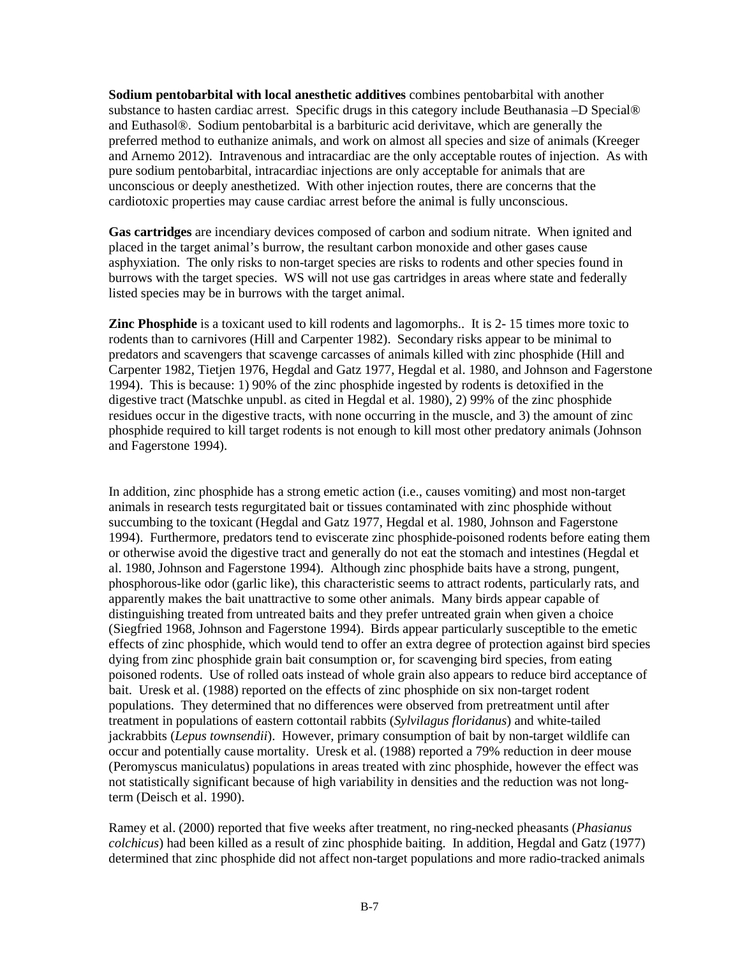**Sodium pentobarbital with local anesthetic additives** combines pentobarbital with another substance to hasten cardiac arrest. Specific drugs in this category include Beuthanasia –D Special® and Euthasol®. Sodium pentobarbital is a barbituric acid derivitave, which are generally the preferred method to euthanize animals, and work on almost all species and size of animals (Kreeger and Arnemo 2012). Intravenous and intracardiac are the only acceptable routes of injection. As with pure sodium pentobarbital, intracardiac injections are only acceptable for animals that are unconscious or deeply anesthetized. With other injection routes, there are concerns that the cardiotoxic properties may cause cardiac arrest before the animal is fully unconscious.

**Gas cartridges** are incendiary devices composed of carbon and sodium nitrate. When ignited and placed in the target animal's burrow, the resultant carbon monoxide and other gases cause asphyxiation. The only risks to non-target species are risks to rodents and other species found in burrows with the target species. WS will not use gas cartridges in areas where state and federally listed species may be in burrows with the target animal.

**Zinc Phosphide** is a toxicant used to kill rodents and lagomorphs.. It is 2-15 times more toxic to rodents than to carnivores (Hill and Carpenter 1982). Secondary risks appear to be minimal to predators and scavengers that scavenge carcasses of animals killed with zinc phosphide (Hill and Carpenter 1982, Tietjen 1976, Hegdal and Gatz 1977, Hegdal et al. 1980, and Johnson and Fagerstone 1994). This is because: 1) 90% of the zinc phosphide ingested by rodents is detoxified in the digestive tract (Matschke unpubl. as cited in Hegdal et al. 1980), 2) 99% of the zinc phosphide residues occur in the digestive tracts, with none occurring in the muscle, and 3) the amount of zinc phosphide required to kill target rodents is not enough to kill most other predatory animals (Johnson and Fagerstone 1994).

In addition, zinc phosphide has a strong emetic action (i.e., causes vomiting) and most non-target animals in research tests regurgitated bait or tissues contaminated with zinc phosphide without succumbing to the toxicant (Hegdal and Gatz 1977, Hegdal et al. 1980, Johnson and Fagerstone 1994). Furthermore, predators tend to eviscerate zinc phosphide-poisoned rodents before eating them or otherwise avoid the digestive tract and generally do not eat the stomach and intestines (Hegdal et al. 1980, Johnson and Fagerstone 1994). Although zinc phosphide baits have a strong, pungent, phosphorous-like odor (garlic like), this characteristic seems to attract rodents, particularly rats, and apparently makes the bait unattractive to some other animals. Many birds appear capable of distinguishing treated from untreated baits and they prefer untreated grain when given a choice (Siegfried 1968, Johnson and Fagerstone 1994). Birds appear particularly susceptible to the emetic effects of zinc phosphide, which would tend to offer an extra degree of protection against bird species dying from zinc phosphide grain bait consumption or, for scavenging bird species, from eating poisoned rodents. Use of rolled oats instead of whole grain also appears to reduce bird acceptance of bait. Uresk et al. (1988) reported on the effects of zinc phosphide on six non-target rodent populations. They determined that no differences were observed from pretreatment until after treatment in populations of eastern cottontail rabbits (*Sylvilagus floridanus*) and white-tailed jackrabbits (*Lepus townsendii*). However, primary consumption of bait by non-target wildlife can occur and potentially cause mortality. Uresk et al. (1988) reported a 79% reduction in deer mouse (Peromyscus maniculatus) populations in areas treated with zinc phosphide, however the effect was not statistically significant because of high variability in densities and the reduction was not longterm (Deisch et al. 1990).

Ramey et al. (2000) reported that five weeks after treatment, no ring-necked pheasants (*Phasianus colchicus*) had been killed as a result of zinc phosphide baiting. In addition, Hegdal and Gatz (1977) determined that zinc phosphide did not affect non-target populations and more radio-tracked animals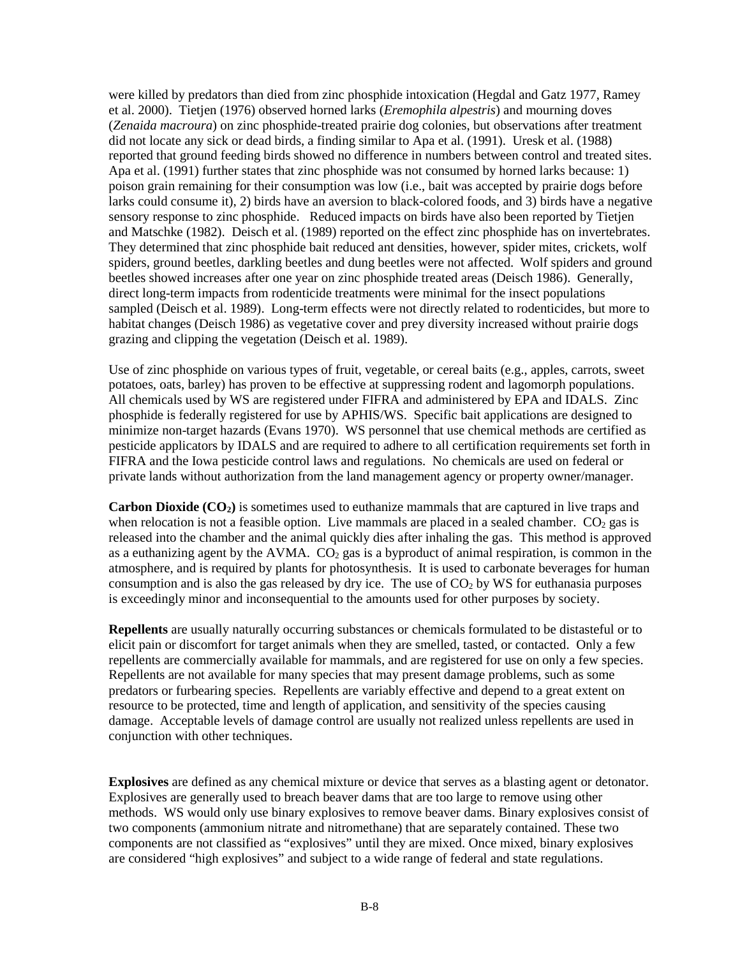were killed by predators than died from zinc phosphide intoxication (Hegdal and Gatz 1977, Ramey et al. 2000). Tietjen (1976) observed horned larks (*Eremophila alpestris*) and mourning doves (*Zenaida macroura*) on zinc phosphide-treated prairie dog colonies, but observations after treatment did not locate any sick or dead birds, a finding similar to Apa et al. (1991). Uresk et al. (1988) reported that ground feeding birds showed no difference in numbers between control and treated sites. Apa et al. (1991) further states that zinc phosphide was not consumed by horned larks because: 1) poison grain remaining for their consumption was low (i.e., bait was accepted by prairie dogs before larks could consume it), 2) birds have an aversion to black-colored foods, and 3) birds have a negative sensory response to zinc phosphide. Reduced impacts on birds have also been reported by Tietjen and Matschke (1982). Deisch et al. (1989) reported on the effect zinc phosphide has on invertebrates. They determined that zinc phosphide bait reduced ant densities, however, spider mites, crickets, wolf spiders, ground beetles, darkling beetles and dung beetles were not affected. Wolf spiders and ground beetles showed increases after one year on zinc phosphide treated areas (Deisch 1986). Generally, direct long-term impacts from rodenticide treatments were minimal for the insect populations sampled (Deisch et al. 1989). Long-term effects were not directly related to rodenticides, but more to habitat changes (Deisch 1986) as vegetative cover and prey diversity increased without prairie dogs grazing and clipping the vegetation (Deisch et al. 1989).

Use of zinc phosphide on various types of fruit, vegetable, or cereal baits (e.g., apples, carrots, sweet potatoes, oats, barley) has proven to be effective at suppressing rodent and lagomorph populations. All chemicals used by WS are registered under FIFRA and administered by EPA and IDALS. Zinc phosphide is federally registered for use by APHIS/WS. Specific bait applications are designed to minimize non-target hazards (Evans 1970). WS personnel that use chemical methods are certified as pesticide applicators by IDALS and are required to adhere to all certification requirements set forth in FIFRA and the Iowa pesticide control laws and regulations. No chemicals are used on federal or private lands without authorization from the land management agency or property owner/manager.

**Carbon Dioxide (CO2)** is sometimes used to euthanize mammals that are captured in live traps and when relocation is not a feasible option. Live mammals are placed in a sealed chamber.  $CO<sub>2</sub>$  gas is released into the chamber and the animal quickly dies after inhaling the gas. This method is approved as a euthanizing agent by the AVMA.  $CO<sub>2</sub>$  gas is a byproduct of animal respiration, is common in the atmosphere, and is required by plants for photosynthesis. It is used to carbonate beverages for human consumption and is also the gas released by dry ice. The use of  $CO<sub>2</sub>$  by WS for euthanasia purposes is exceedingly minor and inconsequential to the amounts used for other purposes by society.

**Repellents** are usually naturally occurring substances or chemicals formulated to be distasteful or to elicit pain or discomfort for target animals when they are smelled, tasted, or contacted. Only a few repellents are commercially available for mammals, and are registered for use on only a few species. Repellents are not available for many species that may present damage problems, such as some predators or furbearing species. Repellents are variably effective and depend to a great extent on resource to be protected, time and length of application, and sensitivity of the species causing damage. Acceptable levels of damage control are usually not realized unless repellents are used in conjunction with other techniques.

**Explosives** are defined as any chemical mixture or device that serves as a blasting agent or detonator. Explosives are generally used to breach beaver dams that are too large to remove using other methods. WS would only use binary explosives to remove beaver dams. Binary explosives consist of two components (ammonium nitrate and nitromethane) that are separately contained. These two components are not classified as "explosives" until they are mixed. Once mixed, binary explosives are considered "high explosives" and subject to a wide range of federal and state regulations.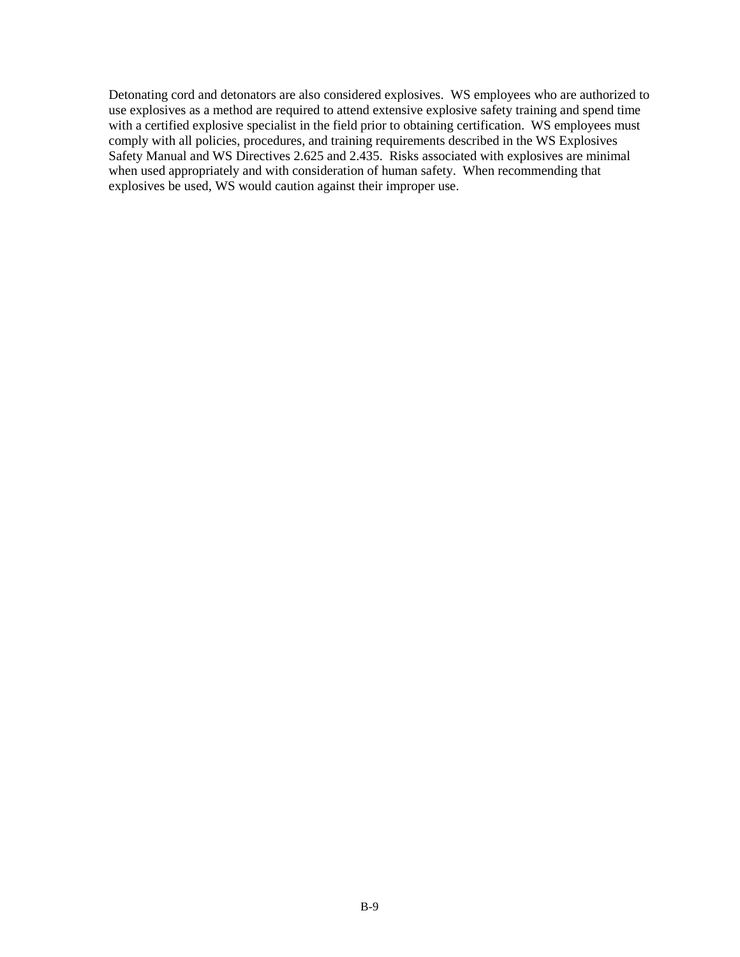Detonating cord and detonators are also considered explosives. WS employees who are authorized to use explosives as a method are required to attend extensive explosive safety training and spend time with a certified explosive specialist in the field prior to obtaining certification. WS employees must comply with all policies, procedures, and training requirements described in the WS Explosives Safety Manual and WS Directives 2.625 and 2.435. Risks associated with explosives are minimal when used appropriately and with consideration of human safety. When recommending that explosives be used, WS would caution against their improper use.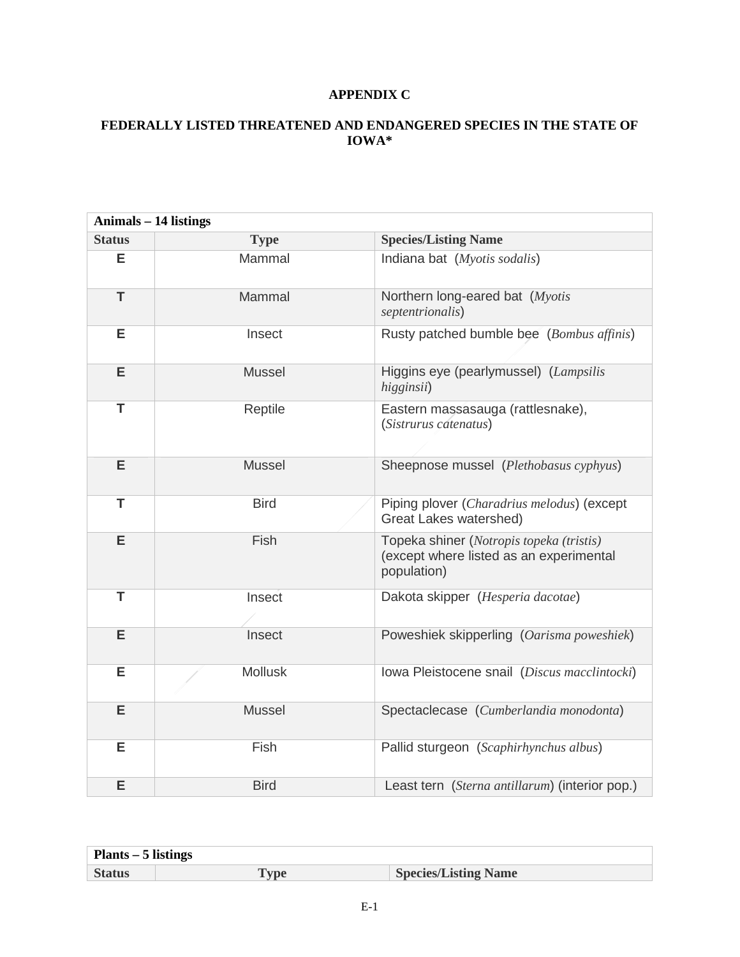# **APPENDIX C**

# **FEDERALLY LISTED THREATENED AND ENDANGERED SPECIES IN THE STATE OF IOWA\***

|               | <b>Animals - 14 listings</b> |                                                                                                    |
|---------------|------------------------------|----------------------------------------------------------------------------------------------------|
| <b>Status</b> | <b>Type</b>                  | <b>Species/Listing Name</b>                                                                        |
| Е             | Mammal                       | Indiana bat (Myotis sodalis)                                                                       |
| T             | Mammal                       | Northern long-eared bat (Myotis<br>septentrionalis)                                                |
| Е             | Insect                       | Rusty patched bumble bee (Bombus affinis)                                                          |
| E             | <b>Mussel</b>                | Higgins eye (pearlymussel) (Lampsilis<br>higginsii)                                                |
| T             | Reptile                      | Eastern massasauga (rattlesnake),<br>(Sistrurus catenatus)                                         |
| E             | <b>Mussel</b>                | Sheepnose mussel (Plethobasus cyphyus)                                                             |
| T             | <b>Bird</b>                  | Piping plover (Charadrius melodus) (except<br>Great Lakes watershed)                               |
| E             | Fish                         | Topeka shiner (Notropis topeka (tristis)<br>(except where listed as an experimental<br>population) |
| T             | Insect                       | Dakota skipper (Hesperia dacotae)                                                                  |
| E             | Insect                       | Poweshiek skipperling (Oarisma poweshiek)                                                          |
| Е             | <b>Mollusk</b>               | Iowa Pleistocene snail (Discus macclintocki)                                                       |
| E             | <b>Mussel</b>                | Spectaclecase (Cumberlandia monodonta)                                                             |
| E             | Fish                         | Pallid sturgeon (Scaphirhynchus albus)                                                             |
| E             | <b>Bird</b>                  | Least tern (Sterna antillarum) (interior pop.)                                                     |

| Plants – 5 listings |     |                             |
|---------------------|-----|-----------------------------|
| <b>Status</b>       | vpe | <b>Species/Listing Name</b> |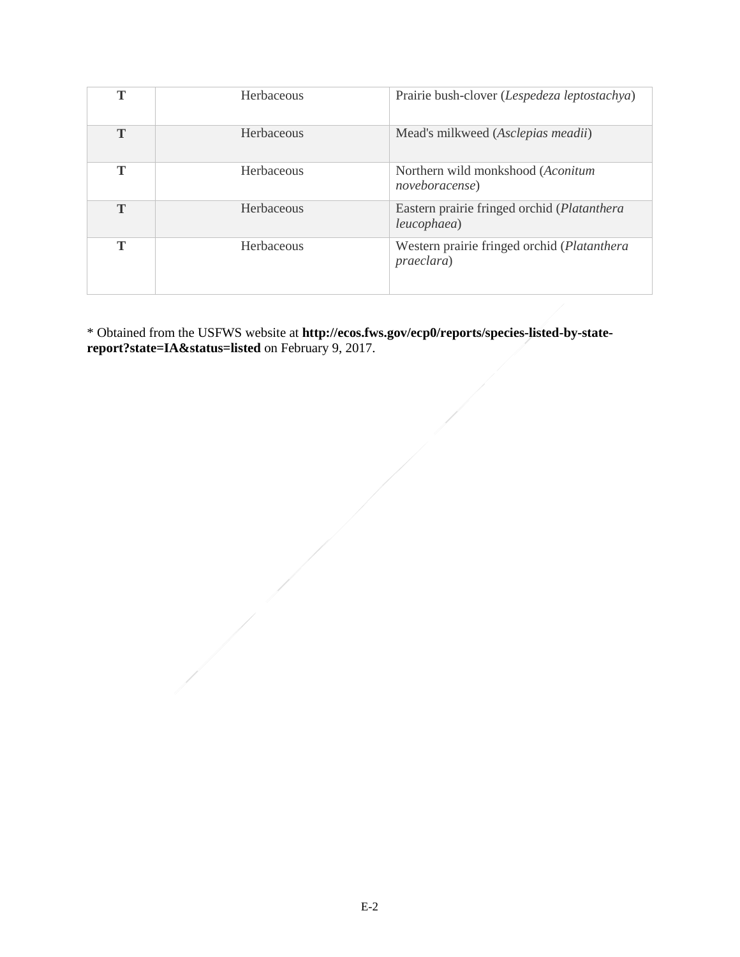| т | Herbaceous | Prairie bush-clover (Lespedeza leptostachya)                |
|---|------------|-------------------------------------------------------------|
| T | Herbaceous | Mead's milkweed (Asclepias meadii)                          |
| т | Herbaceous | Northern wild monkshood (Aconitum<br><i>noveboracense</i> ) |
| T | Herbaceous | Eastern prairie fringed orchid (Platanthera<br>leucophaea)  |
| т | Herbaceous | Western prairie fringed orchid (Platanthera<br>praeclara)   |

\* Obtained from the USFWS website at **http://ecos.fws.gov/ecp0/reports/species-listed-by-statereport?state=IA&status=listed** on February 9, 2017.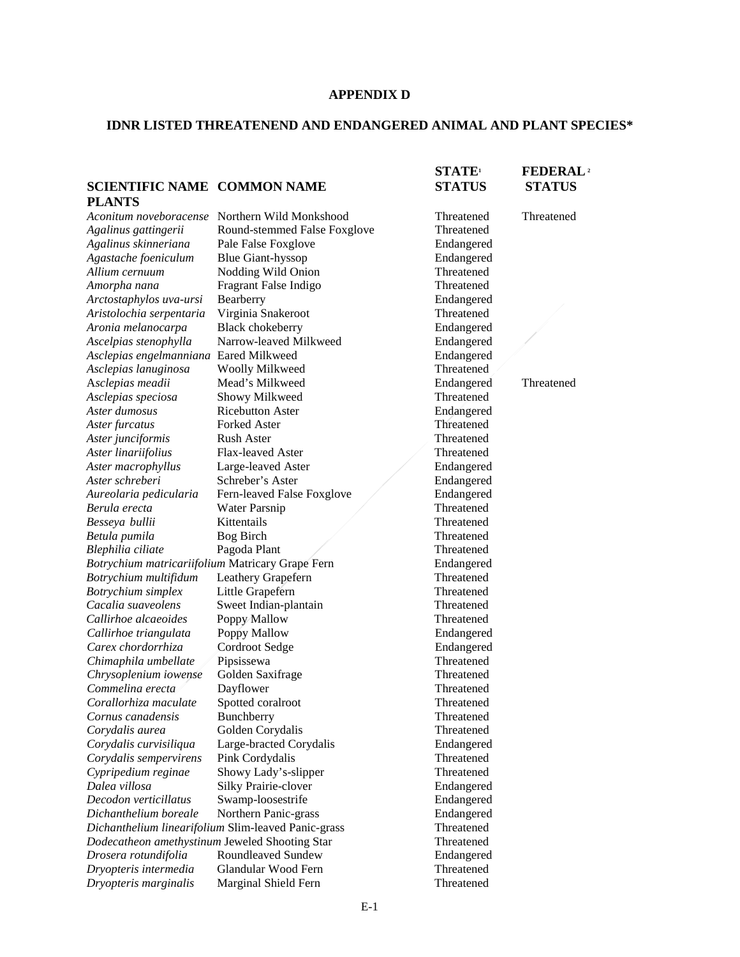#### **APPENDIX D**

### **IDNR LISTED THREATENEND AND ENDANGERED ANIMAL AND PLANT SPECIES\***

#### **STATE1 FEDERAL2 SCIENTIFIC NAME COMMON NAME STATUS STATUS PLANTS** *Aconitum noveboracense* Northern Wild Monkshood Threatened Threatened *Agalinus gattingerii* Round-stemmed False Foxglove Threatened *Agalinus skinneriana* Pale False Foxglove Endangered *Agastache foeniculum* Blue Giant-hyssop **Endangered**<br>Allium cernuum Nodding Wild Onion Threatened **Nodding Wild Onion** *Amorpha nana* Fragrant False Indigo Threatened *Arctostaphylos uva-ursi* Bearberry Endangered *Aristolochia serpentaria Aronia melanocarpa* Black chokeberry Endangered *Ascelpias stenophylla* Narrow-leaved Milkweed Endangered *Asclepias engelmanniana* Eared Milkweed Endangered *Asclepias lanuginosa* Woolly Milkweed Threatened A*sclepias meadii* Mead's Milkweed Endangered Threatened *Asclepias speciosa* Showy Milkweed Threatened Aster dumosus **Ricebutton Aster** Endangered *Aster furcatus* Forked Aster **Forked Aster Fixage Property** Fine Threatened Aster **Threatened** Aster junciformis Aster linariifolius Flax-leaved Aster Threatened *Aster macrophyllus* Large-leaved Aster **Endangered**<br> *Aster schreberi* Schreber's Aster **Endangered** Endangered **Schreber's Aster** *Aureolaria pedicularia* Fern-leaved False Foxglove / Endangered *Berula erecta* **Water Parsnip 1986 Threatened Threatened Resseva bullii Kittentails Threatened** *Besseya bullii* Kittentails *Betula pumila* Bog Birch **Threatened** Bog Birch **Theatened** *Blephilia ciliate* Pagoda Plant **Pagoda Plant Threatened** *Botrychium matricariifolium* Matricary Grape Fern Endangered *Botrychium multifidum* Leathery Grapefern Threatened *Botrychium simplex* Little Grapefern Little Graphic Cacalia suaveolens Sweet Indian-plantain Threatened Threatened **Sweet Indian-plantain** *Callirhoe alcaeoides* Poppy Mallow Threatened *Callirhoe triangulata* Poppy Mallow Endangered *Carex chordorrhiza* Cordroot Sedge Endangered *Chimaphila umbellate* Pipsissewa Threatened *Chrysoplenium iowense* Golden Saxifrage Threatened *Commelina erecta* Dayflower Threatened *Corallorhiza maculate* Spotted coralroot Threatened **Cornus canadensis Bunchberry Cornus Constanting Corporation Threatened Corporation Corporation Corporation Corporation Corporation Corporation Corporation Corporation Corporation Corporation Co** *Corydalis aurea* Golden Corydalis *Corydalis curvisiliqua* Large-bracted Corydalis Endangered *Corydalis sempervirens* Pink Cordydalis Threatened *Cypripedium reginae* Showy Lady's-slipper Threatened *Dalea villosa* Silky Prairie-clover Endangered *Decodon verticillatus* Swamp-loosestrife Endangered *Dichanthelium boreale* Northern Panic-grass Endangered *Dichanthelium linearifolium* Slim-leaved Panic-grass Threatened *Dodecatheon amethystinum Jeweled Shooting Star* Threatened *Drosera rotundifolia* Roundleaved Sundew Endangered *Dryopteris intermedia* Glandular Wood Fern Threatened *Dryopteris marginalis* Marginal Shield Fern Threatened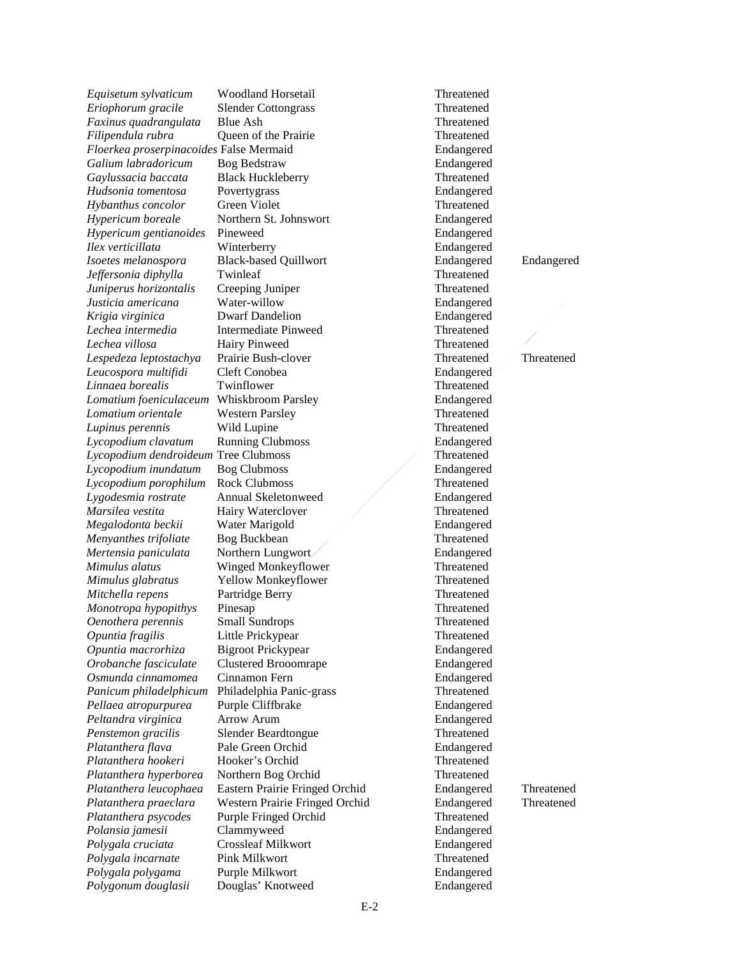*Eriophorum gracile* Slender Cottongrass *Lomatium foeniculaceum* Whiskbroom Parsley *Mimulus alatus* Winged Monkeyflower *Monotropa hypopithys* Pinesap *Panicum philadelphicum* Philadelphia Panic-grass

*Equisetum sylvaticum* Woodland Horsetail Threatened Threatened Eriophorum gracile Slender Cottongrass Threatened *Faxinus quadrangulata* Blue Ash Threatened *Filipendula rubra* Queen of the Prairie Threatened *Floerkea proserpinacoides* False Mermaid Endangered *Galium labradoricum* Bog Bedstraw Endangered *Gaylussacia baccata* Black Huckleberry Threatened *Hudsonia tomentosa* Povertygrass **Endangered Endangered** *Hybanthus concolor* Green Violet Threatened *Hypericum boreale* Northern St. Johnswort Endangered *Hypericum gentianoides* Pineweed **Endangered** Endangered Endangered Endangered Endangered *Ilex verticillata* Winterberry Endangered *Isoetes melanospora* Black-based Quillwort Endangered Endangered *Jeffersonia diphylla* Twinleaf Threatened Threatened *Juniperus horizontalis* Creeping Juniper Threatened *Justicia americana* Water-willow Endangered *Krigia virginica* Dwarf Dandelion Endangered *Lechea intermedia* Intermediate Pinweed Threatened *Lechea villosa* Hairy Pinweed **Threatened** Threatened *Lespedeza leptostachya* Prairie Bush-clover **Threatened** Threatened *Lespedeza leptostachya* Prairie Bush-clover Threatened Threatened Threatened *Leucospora multifidi* Cleft Conobea Endangered *Linnaea borealis* Twinflower Threatened<br> *Lomatium foeniculaceum* Whiskbroom Parsley **Threatened** Endangered *Lomatium orientale* Western Parsley Threatened *Lupinus perennis* Wild Lupine Threatened *Lycopodium clavatum* Running Clubmoss Endangered *Lycopodium dendroideum* Tree Clubmoss Threatened *Lycopodium inundatum* Bog Clubmoss **Endangered** Bog Clubmoss **Endangered** *Lycopodium porophilum* Rock Clubmoss Threatened *Lygodesmia rostrate* Annual Skeletonweed Endangered *Marsilea vestita* Hairy Waterclover Threatened *Megalodonta beckii* Water Marigold Endangered *Menyanthes trifoliate* Bog Buckbean **Threatened** Threatened *Mertensia paniculata* Northern Lungwort Endangered *Mimulus glabratus* Yellow Monkeyflower Threatened *Mitchella repens* Partridge Berry **Partridge Threatened** *Monotropa hypopithys* Pinesap **Property Property Property** *Property Property Property Property Property Property Property Property Property Oenothera perennis* Small Sundrops Threatened *Opuntia fragilis* Little Prickypear Threatened *Opuntia macrorhiza* Bigroot Prickypear Endangered *Orobanche fasciculate* Clustered Brooomrape Endangered *Osmunda cinnamomea* Cinnamon Fern **Endangered**<br> *Panicum philadelphicum* Philadelphia Panic-grass Threatened Pellaea atropurpurea Purple Cliffbrake **Endangered** *Peltandra virginica* Arrow Arum Endangered *Penstemon gracilis* Slender Beardtongue Threatened *Platanthera flava* Pale Green Orchid Endangered *Platanthera hookeri* Hooker's Orchid Threatened *Platanthera hyperborea* Northern Bog Orchid Threatened *Platanthera leucophaea* Eastern Prairie Fringed Orchid Endangered Threatened *Platanthera praeclara* Western Prairie Fringed Orchid Endangered Threatened *Platanthera psycodes* Purple Fringed Orchid Threatened *Polansia jamesii* Clammyweed Endangered *Polygala cruciata* Crossleaf Milkwort Endangered *Polygala incarnate* Pink Milkwort Threatened *Polygala polygama* Purple Milkwort Endangered *Polygonum douglasii* Douglas' Knotweed Endangered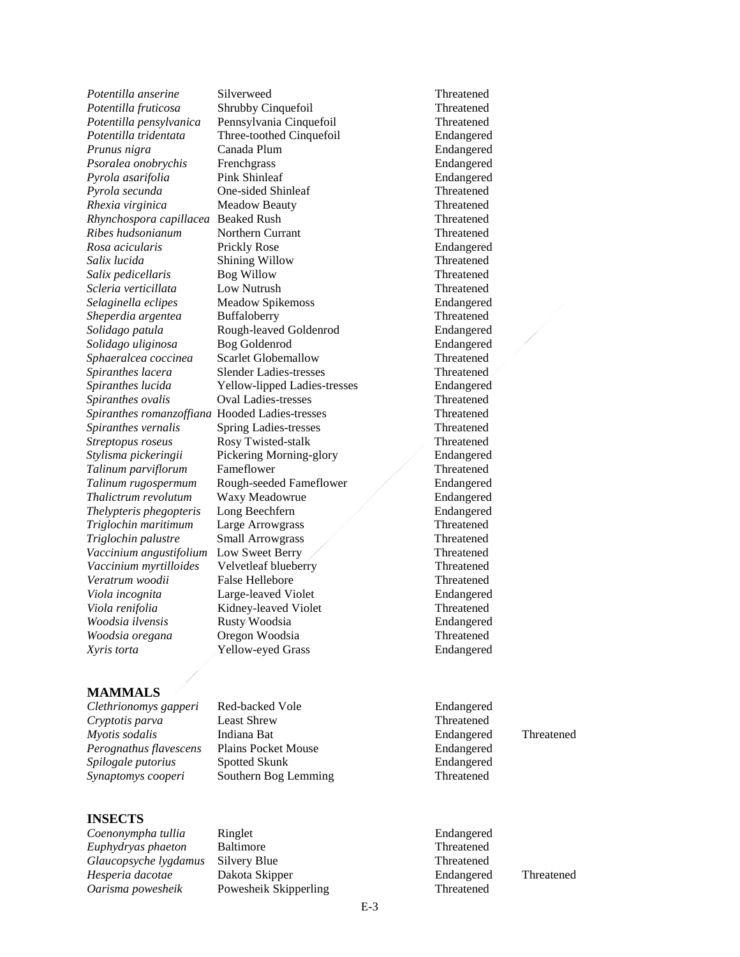*Potentilla anserine* Silverweed **Threatened Threatened Potentilla fruticosa Shrubby Cinquefoil Threatened** *Potentilla fruticosa* Shrubby Cinquefoil Sphaeralcea coccinea *Spiranthes ovalis* Oval Ladies-tresses *Vaccinium myrtilloides* Velvetleaf blueberry *Woodsia oregana* Oregon Woodsia Threatened *Xyris torta* Yellow-eyed Grass Endangered

#### **MAMMALS**

*Clethrionomys gapperi* Red-backed Vole Endangered *Cryptotis parva* Least Shrew Threatened *Myotis sodalis* Indiana Bat Endangered Threatened *Perognathus flavescens* Plains Pocket Mouse Endangered *Spilogale putorius* Spotted Skunk Endangered *Synaptomys cooperi* Southern Bog Lemming Threatened

#### **INSECTS**

*Coenonympha tullia* Ringlet Endangered *Euphydryas phaeton* Baltimore Threatened *Glaucopsyche lygdamus* Silvery Blue Threatened *Hesperia dacotae* Dakota Skipper Endangered Threatened *Oarisma powesheik* Powesheik Skipperling Threatened

*Potentilla pensylvanica* Pennsylvania Cinquefoil Threatened *Potentilla tridentata* Three-toothed Cinquefoil Endangered *Prunus nigra* Canada Plum **Endangered** Endangered *Psoralea onobrychis* Frenchgrass Endangered *Pyrola asarifolia* Pink Shinleaf Philadelectric Endangered *Pyrola secunda* One-sided Shinleaf Threatened *Rhexia virginica* Meadow Beauty Threatened *Rhynchospora capillacea* Beaked Rush Threatened *Ribes hudsonianum* Northern Currant Threatened *Rosa acicularis* Prickly Rose Endangered *Salix lucida* Shining Willow Threatened *Salix pedicellaris* Bog Willow Threatened *Scleria verticillata* Low Nutrush Threatened *Selaginella eclipes* Meadow Spikemoss Endangered *Sheperdia argentea* Buffaloberry **Threatened Threatened** *Solidago patula* Rough-leaved Goldenrod Endangered *Solidago uliginosa* Bog Goldenrod **Bog Endangered** Endangered **Endangered** Scarlet Globemallow **Endangered Endangered** *Spiranthes lacera* Slender Ladies-tresses Threatened *Spiranthes lucida* Yellow-lipped Ladies-tresses Endangered<br>
Spiranthes ovalis Oval Ladies-tresses Threatened *Spiranthes romanzoffiana* Hooded Ladies-tresses Threatened *Spiranthes vernalis* Spring Ladies-tresses Threatened *Streptopus roseus* Rosy Twisted-stalk Threatened *Stylisma pickeringii* Pickering Morning-glory Endangered *Talinum parviflorum* Fameflower Threatened *Talinum rugospermum* Rough-seeded Fameflower **Endangered** *Thalictrum revolutum* Waxy Meadowrue Endangered *Thelypteris phegopteris* Long Beechfern **Endangered** Endangered *Triglochin maritimum* Large Arrowgrass Threatened **Triglochin palustre** Small Arrowgrass Threatened Vaccinium angustifolium Low Sweet Berry Threatened *Vaccinium angustifolium* Low Sweet Berry Threatened Vaccinium myrtilloides Velvetleaf blueberry Threatened *Veratrum woodii* False Hellebore Threatened *Viola incognita* Large-leaved Violet Endangered *Viola renifolia* Kidney-leaved Violet Threatened *Woodsia ilvensis* Rusty Woodsia Endangered

E-3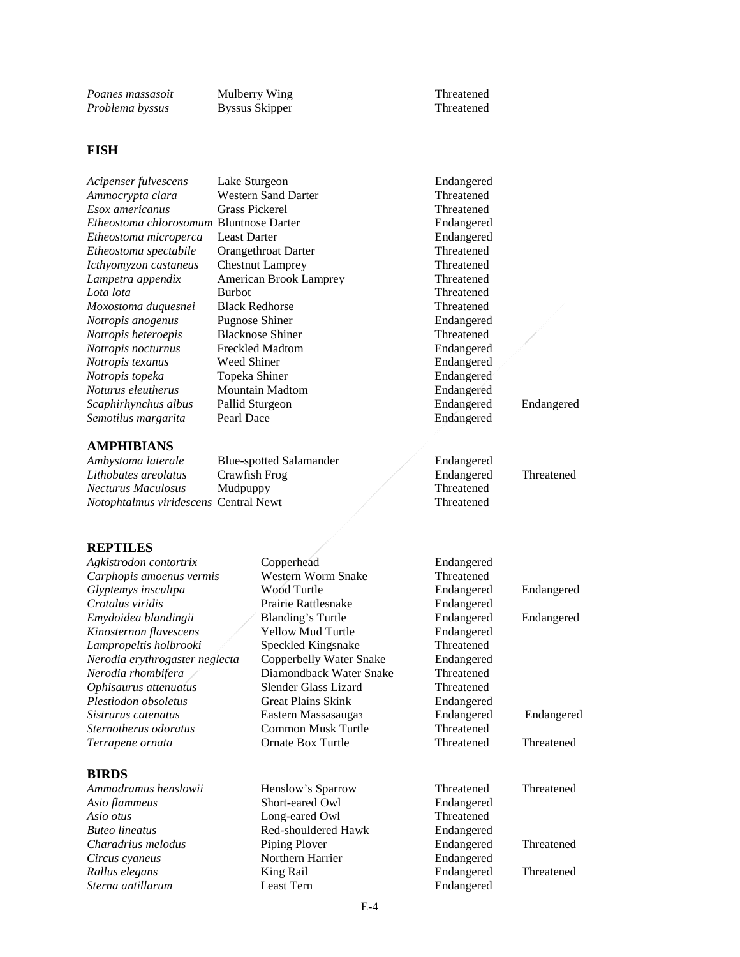*Poanes massasoit* Mulberry Wing Threatened Problema byssus Skipper Streatened Threatened Problema byssus Skipper Stream Threatened Threatened Stream Stream Stream Stream Stream Stream Stream Stream Stream Stream Stream St *Problema byssus* 

#### **FISH**

| Acipenser fulvescens                           | Lake Sturgeon                  | Endangered |            |
|------------------------------------------------|--------------------------------|------------|------------|
| Ammocrypta clara                               | <b>Western Sand Darter</b>     | Threatened |            |
| Esox americanus                                | <b>Grass Pickerel</b>          | Threatened |            |
| <i>Etheostoma chlorosomum</i> Bluntnose Darter |                                | Endangered |            |
| Etheostoma microperca                          | <b>Least Darter</b>            | Endangered |            |
| Etheostoma spectabile                          | Orangethroat Darter            | Threatened |            |
| Icthyomyzon castaneus                          | <b>Chestnut Lamprey</b>        | Threatened |            |
| Lampetra appendix                              | <b>American Brook Lamprey</b>  | Threatened |            |
| Lota lota                                      | <b>Burbot</b>                  | Threatened |            |
| Moxostoma duquesnei                            | <b>Black Redhorse</b>          | Threatened |            |
| Notropis anogenus                              | Pugnose Shiner                 | Endangered |            |
| Notropis heteroepis                            | <b>Blacknose Shiner</b>        | Threatened |            |
| Notropis nocturnus                             | <b>Freckled Madtom</b>         | Endangered |            |
| Notropis texanus                               | Weed Shiner                    | Endangered |            |
| Notropis topeka                                | Topeka Shiner                  | Endangered |            |
| Noturus eleutherus                             | Mountain Madtom                | Endangered |            |
| Scaphirhynchus albus                           | Pallid Sturgeon                | Endangered | Endangered |
| Semotilus margarita                            | Pearl Dace                     | Endangered |            |
| <b>AMPHIBIANS</b>                              |                                |            |            |
| Ambystoma laterale                             | <b>Blue-spotted Salamander</b> | Endangered |            |
| Lithobates areolatus                           | Crawfish Frog                  | Endangered | Threatened |
| <b>Necturus Maculosus</b>                      | Mudpuppy                       | Threatened |            |
| Notophtalmus viridescens Central Newt          |                                | Threatened |            |
|                                                |                                |            |            |

#### **REPTILES**

*Agkistrodon contortrix* Copperhead **Endangered**<br>
Carphopis amoenus vermis Western Worm Snake Threatened *Carphopis amoenus vermis* Western Wor<br> *Glyptemys inscultna* Wood Turtle *Glyptemys inscultpa* Wood Turtle **Endangered** Endangered *Crotalus viridis* Prairie Rattlesnake Endangered Endangered *Endangered Emydoidea blandingii* Blanding's Turtle Endangered Endangered **Kinosternon flavescens** *Lampropeltis holbrooki* Speckled Kingsnake<br>*Nerodia erythrogaster neglecta* Copperbelly Water Snake *Nerodia erythrogaster neglecta Nerodia rhombifera* Diamondback Water Snake *Ophisaurus attenuatus* Slender Glass Lizard *Plestiodon obsoletus* Great Plains Skink *Sistrurus catenatus* Eastern Massasauga3 Endangered Endangered Sternotherus odoratus **Common Musk Turtle** 

### **BIRDS**

*Asio flammeus* Short-eared Owl<br> *Asio otus* Long-eared Owl *Buteo lineatus* Red-shouldered Hawk<br> *Charadrius melodus* Piping Plover *Charadrius melodus* Piping Plover Endangered Threatened Circus cyaneus **Property** Northern Harrier Endangered Threatened *Circus cyaneus* Northern Harrier Endangered *Rallus elegans* King Rail Endangered Threatened *Sterna antillarum* Least Tern Endangered

Prairie Rattlesnake<br>Blanding's Turtle

Long-eared Owl

| Carphopis amoenus vermis       | Western Worm Snake        | Threatened |            |
|--------------------------------|---------------------------|------------|------------|
| Glyptemys inscultpa            | Wood Turtle               | Endangered | Endangered |
| Crotalus viridis               | Prairie Rattlesnake       | Endangered |            |
| Emydoidea blandingii           | <b>Blanding's Turtle</b>  | Endangered | Endangered |
| Kinosternon flavescens         | Yellow Mud Turtle         | Endangered |            |
| Lampropeltis holbrooki         | Speckled Kingsnake        | Threatened |            |
| Nerodia erythrogaster neglecta | Copperbelly Water Snake   | Endangered |            |
| Nerodia rhombifera             | Diamondback Water Snake   | Threatened |            |
| Ophisaurus attenuatus          | Slender Glass Lizard      | Threatened |            |
| Plestiodon obsoletus           | <b>Great Plains Skink</b> | Endangered |            |
| Sistrurus catenatus            | Eastern Massasaugas       | Endangered | Endangered |
| Sternotherus odoratus          | Common Musk Turtle        | Threatened |            |
| Terrapene ornata               | Ornate Box Turtle         | Threatened | Threatened |
| <b>BIRDS</b>                   |                           |            |            |
| Ammodramus henslowii           | Henslow's Sparrow         | Threatened | Threatened |
| Asio flammeus                  | Short-eared Owl           | Endangered |            |
| Asio otus                      | Long-eared Owl            | Threatened |            |
| <b>Buteo lineatus</b>          | Red-shouldered Hawk       | Endangered |            |
|                                |                           |            |            |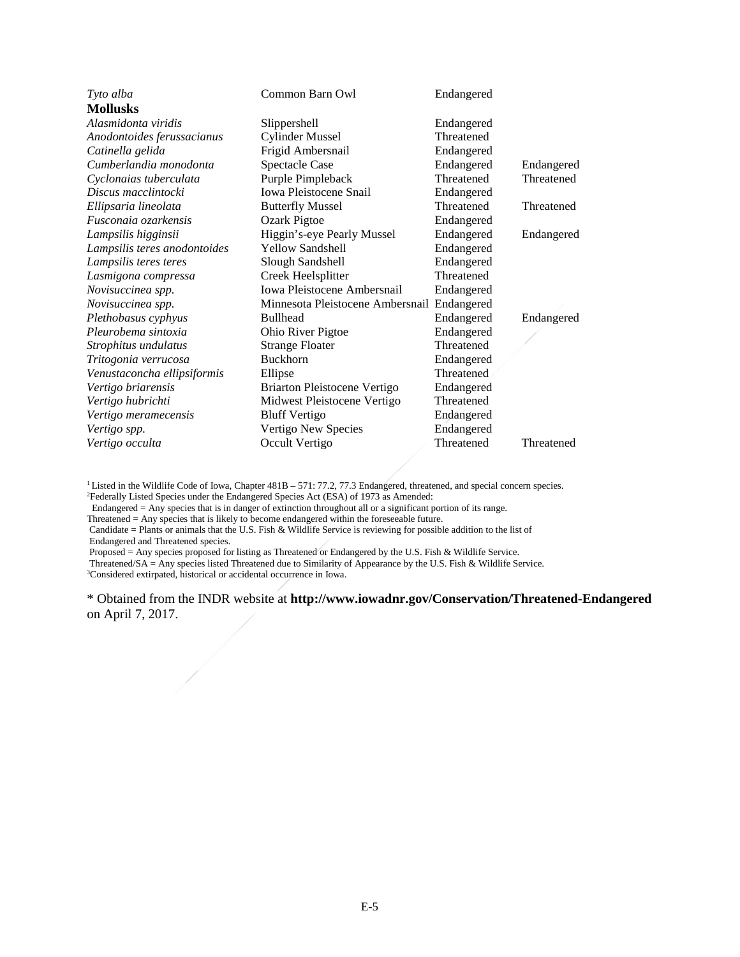| Tyto alba                    | Common Barn Owl                  | Endangered |            |
|------------------------------|----------------------------------|------------|------------|
| <b>Mollusks</b>              |                                  |            |            |
| Alasmidonta viridis          | Slippershell                     | Endangered |            |
| Anodontoides ferussacianus   | <b>Cylinder Mussel</b>           | Threatened |            |
| Catinella gelida             | Frigid Ambersnail                | Endangered |            |
| Cumberlandia monodonta       | <b>Spectacle Case</b>            | Endangered | Endangered |
| Cyclonaias tuberculata       | Purple Pimpleback                | Threatened | Threatened |
| Discus macclintocki          | <b>Iowa Pleistocene Snail</b>    | Endangered |            |
| Ellipsaria lineolata         | <b>Butterfly Mussel</b>          | Threatened | Threatened |
| Fusconaia ozarkensis         | Ozark Pigtoe                     | Endangered |            |
| Lampsilis higginsii          | Higgin's-eye Pearly Mussel       | Endangered | Endangered |
| Lampsilis teres anodontoides | <b>Yellow Sandshell</b>          | Endangered |            |
| Lampsilis teres teres        | Slough Sandshell                 | Endangered |            |
| Lasmigona compressa          | Creek Heelsplitter               | Threatened |            |
| Novisuccinea spp.            | Iowa Pleistocene Ambersnail      | Endangered |            |
| Novisuccinea spp.            | Minnesota Pleistocene Ambersnail | Endangered |            |
| Plethobasus cyphyus          | <b>Bullhead</b>                  | Endangered | Endangered |
| Pleurobema sintoxia          | Ohio River Pigtoe                | Endangered |            |
| Strophitus undulatus         | <b>Strange Floater</b>           | Threatened |            |
| Tritogonia verrucosa         | <b>Buckhorn</b>                  | Endangered |            |
| Venustaconcha ellipsiformis  | Ellipse                          | Threatened |            |
| Vertigo briarensis           | Briarton Pleistocene Vertigo     | Endangered |            |
| Vertigo hubrichti            | Midwest Pleistocene Vertigo      | Threatened |            |
| Vertigo meramecensis         | <b>Bluff Vertigo</b>             | Endangered |            |
| Vertigo spp.                 | Vertigo New Species              | Endangered |            |
| Vertigo occulta              | Occult Vertigo                   | Threatened | Threatened |

<sup>1</sup> Listed in the Wildlife Code of Iowa, Chapter 481B – 571: 77.2, 77.3 Endangered, threatened, and special concern species. <sup>2</sup> Federally Listed Species under the Endangered Species Act (ESA) of 1973 as Amended:

Endangered = Any species that is in danger of extinction throughout all or a significant portion of its range.

Threatened = Any species that is likely to become endangered within the foreseeable future.

Candidate = Plants or animals that the U.S. Fish & Wildlife Service is reviewing for possible addition to the list of Endangered and Threatened species.

Proposed = Any species proposed for listing as Threatened or Endangered by the U.S. Fish & Wildlife Service.

Threatened/SA = Any species listed Threatened due to Similarity of Appearance by the U.S. Fish & Wildlife Service.

<sup>3</sup>Considered extirpated, historical or accidental occurrence in Iowa.

\* Obtained from the INDR website at **http://www.iowadnr.gov/Conservation/Threatened-Endangered**  on April 7, 2017.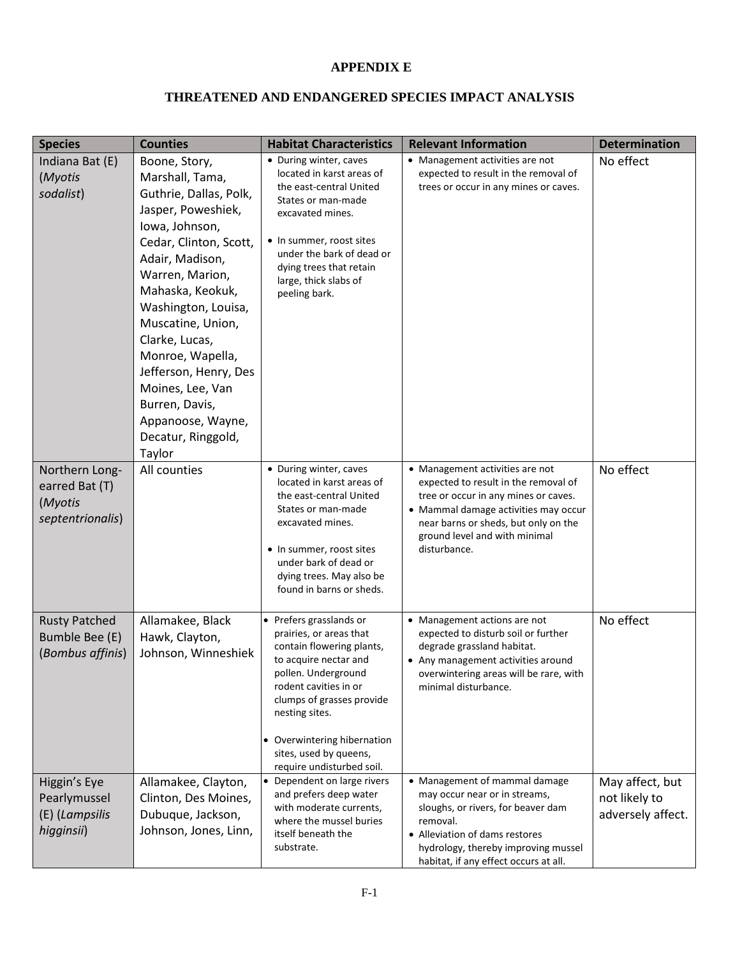# **APPENDIX E**

### **THREATENED AND ENDANGERED SPECIES IMPACT ANALYSIS**

| <b>Species</b>                                                  | <b>Counties</b>                                                                                                                                                                                                                                                                                                                                                                              | <b>Habitat Characteristics</b>                                                                                                                                                                                                                                                                | <b>Relevant Information</b>                                                                                                                                                                                                                      | <b>Determination</b>                                  |
|-----------------------------------------------------------------|----------------------------------------------------------------------------------------------------------------------------------------------------------------------------------------------------------------------------------------------------------------------------------------------------------------------------------------------------------------------------------------------|-----------------------------------------------------------------------------------------------------------------------------------------------------------------------------------------------------------------------------------------------------------------------------------------------|--------------------------------------------------------------------------------------------------------------------------------------------------------------------------------------------------------------------------------------------------|-------------------------------------------------------|
| Indiana Bat (E)<br>(Myotis<br>sodalist)                         | Boone, Story,<br>Marshall, Tama,<br>Guthrie, Dallas, Polk,<br>Jasper, Poweshiek,<br>lowa, Johnson,<br>Cedar, Clinton, Scott,<br>Adair, Madison,<br>Warren, Marion,<br>Mahaska, Keokuk,<br>Washington, Louisa,<br>Muscatine, Union,<br>Clarke, Lucas,<br>Monroe, Wapella,<br>Jefferson, Henry, Des<br>Moines, Lee, Van<br>Burren, Davis,<br>Appanoose, Wayne,<br>Decatur, Ringgold,<br>Taylor | • During winter, caves<br>located in karst areas of<br>the east-central United<br>States or man-made<br>excavated mines.<br>• In summer, roost sites<br>under the bark of dead or<br>dying trees that retain<br>large, thick slabs of<br>peeling bark.                                        | • Management activities are not<br>expected to result in the removal of<br>trees or occur in any mines or caves.                                                                                                                                 | No effect                                             |
| Northern Long-<br>earred Bat (T)<br>(Myotis<br>septentrionalis) | All counties                                                                                                                                                                                                                                                                                                                                                                                 | • During winter, caves<br>located in karst areas of<br>the east-central United<br>States or man-made<br>excavated mines.<br>• In summer, roost sites<br>under bark of dead or<br>dying trees. May also be<br>found in barns or sheds.                                                         | • Management activities are not<br>expected to result in the removal of<br>tree or occur in any mines or caves.<br>• Mammal damage activities may occur<br>near barns or sheds, but only on the<br>ground level and with minimal<br>disturbance. | No effect                                             |
| <b>Rusty Patched</b><br>Bumble Bee (E)<br>(Bombus affinis)      | Allamakee, Black<br>Hawk, Clayton,<br>Johnson, Winneshiek                                                                                                                                                                                                                                                                                                                                    | • Prefers grasslands or<br>prairies, or areas that<br>contain flowering plants,<br>to acquire nectar and<br>pollen. Underground<br>rodent cavities in or<br>clumps of grasses provide<br>nesting sites.<br>• Overwintering hibernation<br>sites, used by queens,<br>require undisturbed soil. | • Management actions are not<br>expected to disturb soil or further<br>degrade grassland habitat.<br>• Any management activities around<br>overwintering areas will be rare, with<br>minimal disturbance.                                        | No effect                                             |
| Higgin's Eye<br>Pearlymussel<br>(E) (Lampsilis<br>higginsii)    | Allamakee, Clayton,<br>Clinton, Des Moines,<br>Dubuque, Jackson,<br>Johnson, Jones, Linn,                                                                                                                                                                                                                                                                                                    | • Dependent on large rivers<br>and prefers deep water<br>with moderate currents,<br>where the mussel buries<br>itself beneath the<br>substrate.                                                                                                                                               | • Management of mammal damage<br>may occur near or in streams,<br>sloughs, or rivers, for beaver dam<br>removal.<br>• Alleviation of dams restores<br>hydrology, thereby improving mussel<br>habitat, if any effect occurs at all.               | May affect, but<br>not likely to<br>adversely affect. |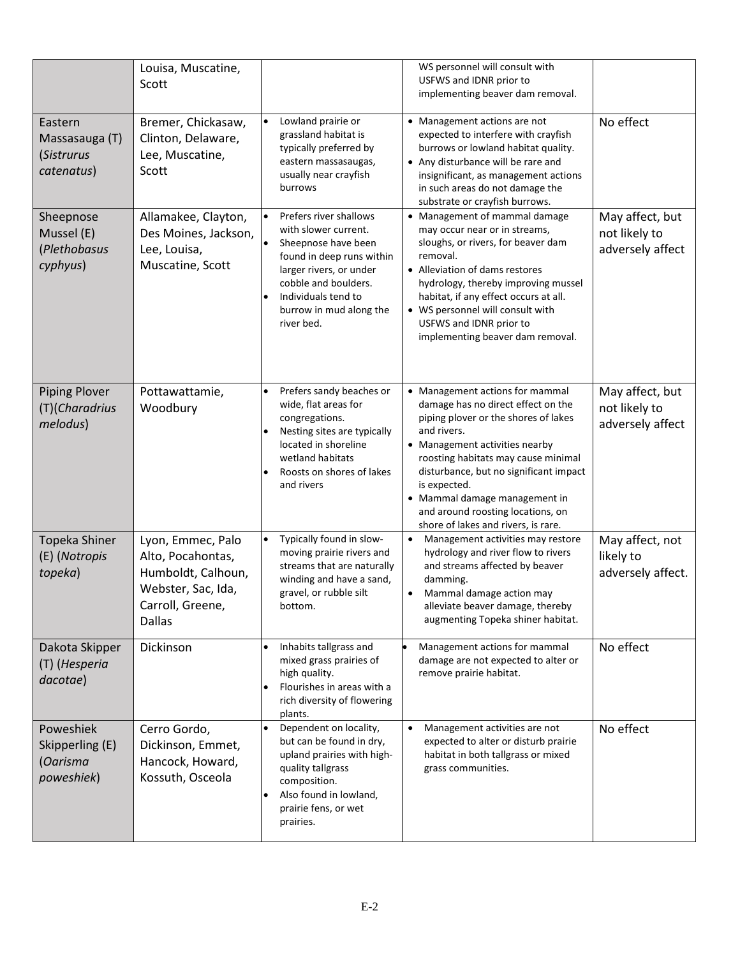|                                                        | Louisa, Muscatine,<br>Scott                                                                                             |                                                                                                                                                                                                                                    | WS personnel will consult with<br>USFWS and IDNR prior to<br>implementing beaver dam removal.                                                                                                                                                                                                                                                                                |                                                      |
|--------------------------------------------------------|-------------------------------------------------------------------------------------------------------------------------|------------------------------------------------------------------------------------------------------------------------------------------------------------------------------------------------------------------------------------|------------------------------------------------------------------------------------------------------------------------------------------------------------------------------------------------------------------------------------------------------------------------------------------------------------------------------------------------------------------------------|------------------------------------------------------|
| Eastern<br>Massasauga (T)<br>(Sistrurus<br>catenatus)  | Bremer, Chickasaw,<br>Clinton, Delaware,<br>Lee, Muscatine,<br>Scott                                                    | Lowland prairie or<br>$\bullet$<br>grassland habitat is<br>typically preferred by<br>eastern massasaugas,<br>usually near crayfish<br>burrows                                                                                      | • Management actions are not<br>expected to interfere with crayfish<br>burrows or lowland habitat quality.<br>• Any disturbance will be rare and<br>insignificant, as management actions<br>in such areas do not damage the<br>substrate or crayfish burrows.                                                                                                                | No effect                                            |
| Sheepnose<br>Mussel (E)<br>(Plethobasus<br>cyphyus)    | Allamakee, Clayton,<br>Des Moines, Jackson,<br>Lee, Louisa,<br>Muscatine, Scott                                         | Prefers river shallows<br>with slower current.<br>Sheepnose have been<br>found in deep runs within<br>larger rivers, or under<br>cobble and boulders.<br>Individuals tend to<br>$\bullet$<br>burrow in mud along the<br>river bed. | • Management of mammal damage<br>may occur near or in streams,<br>sloughs, or rivers, for beaver dam<br>removal.<br>• Alleviation of dams restores<br>hydrology, thereby improving mussel<br>habitat, if any effect occurs at all.<br>• WS personnel will consult with<br>USFWS and IDNR prior to<br>implementing beaver dam removal.                                        | May affect, but<br>not likely to<br>adversely affect |
| <b>Piping Plover</b><br>(T)(Charadrius<br>melodus)     | Pottawattamie,<br>Woodbury                                                                                              | Prefers sandy beaches or<br>$\bullet$<br>wide, flat areas for<br>congregations.<br>Nesting sites are typically<br>$\bullet$<br>located in shoreline<br>wetland habitats<br>Roosts on shores of lakes<br>٠<br>and rivers            | • Management actions for mammal<br>damage has no direct effect on the<br>piping plover or the shores of lakes<br>and rivers.<br>• Management activities nearby<br>roosting habitats may cause minimal<br>disturbance, but no significant impact<br>is expected.<br>• Mammal damage management in<br>and around roosting locations, on<br>shore of lakes and rivers, is rare. | May affect, but<br>not likely to<br>adversely affect |
| Topeka Shiner<br>(E) (Notropis<br>topeka)              | Lyon, Emmec, Palo<br>Alto, Pocahontas,<br>Humboldt, Calhoun,<br>Webster, Sac, Ida,<br>Carroll, Greene,<br><b>Dallas</b> | Typically found in slow-<br>$\bullet$<br>moving prairie rivers and<br>streams that are naturally<br>winding and have a sand,<br>gravel, or rubble silt<br>bottom.                                                                  | Management activities may restore<br>$\bullet$<br>hydrology and river flow to rivers<br>and streams affected by beaver<br>damming.<br>Mammal damage action may<br>$\bullet$<br>alleviate beaver damage, thereby<br>augmenting Topeka shiner habitat.                                                                                                                         | May affect, not<br>likely to<br>adversely affect.    |
| Dakota Skipper<br>(T) (Hesperia<br>dacotae)            | Dickinson                                                                                                               | Inhabits tallgrass and<br>$\bullet$<br>mixed grass prairies of<br>high quality.<br>Flourishes in areas with a<br>٠<br>rich diversity of flowering<br>plants.                                                                       | Management actions for mammal<br>damage are not expected to alter or<br>remove prairie habitat.                                                                                                                                                                                                                                                                              | No effect                                            |
| Poweshiek<br>Skipperling (E)<br>(Oarisma<br>poweshiek) | Cerro Gordo,<br>Dickinson, Emmet,<br>Hancock, Howard,<br>Kossuth, Osceola                                               | Dependent on locality,<br>$\bullet$<br>but can be found in dry,<br>upland prairies with high-<br>quality tallgrass<br>composition.<br>Also found in lowland,<br>prairie fens, or wet<br>prairies.                                  | Management activities are not<br>$\bullet$<br>expected to alter or disturb prairie<br>habitat in both tallgrass or mixed<br>grass communities.                                                                                                                                                                                                                               | No effect                                            |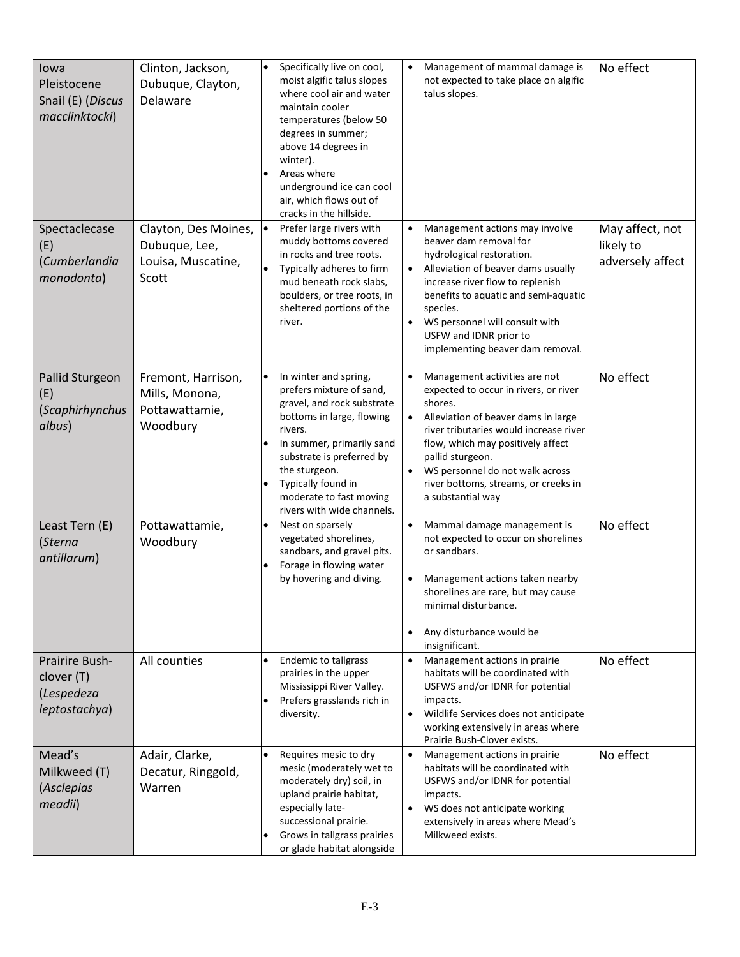| lowa<br>Pleistocene<br>Snail (E) (Discus<br>macclinktocki)         | Clinton, Jackson,<br>Dubuque, Clayton,<br>Delaware                   | $\bullet$<br>$\bullet$ | Specifically live on cool,<br>moist algific talus slopes<br>where cool air and water<br>maintain cooler<br>temperatures (below 50<br>degrees in summer;<br>above 14 degrees in<br>winter).<br>Areas where<br>underground ice can cool<br>air, which flows out of<br>cracks in the hillside. | $\bullet$                           | Management of mammal damage is<br>not expected to take place on algific<br>talus slopes.                                                                                                                                                                                                                                    | No effect                                        |
|--------------------------------------------------------------------|----------------------------------------------------------------------|------------------------|---------------------------------------------------------------------------------------------------------------------------------------------------------------------------------------------------------------------------------------------------------------------------------------------|-------------------------------------|-----------------------------------------------------------------------------------------------------------------------------------------------------------------------------------------------------------------------------------------------------------------------------------------------------------------------------|--------------------------------------------------|
| Spectaclecase<br>(E)<br>(Cumberlandia<br>monodonta)                | Clayton, Des Moines,<br>Dubuque, Lee,<br>Louisa, Muscatine,<br>Scott | $\bullet$<br>$\bullet$ | Prefer large rivers with<br>muddy bottoms covered<br>in rocks and tree roots.<br>Typically adheres to firm<br>mud beneath rock slabs,<br>boulders, or tree roots, in<br>sheltered portions of the<br>river.                                                                                 | $\bullet$<br>$\bullet$<br>$\bullet$ | Management actions may involve<br>beaver dam removal for<br>hydrological restoration.<br>Alleviation of beaver dams usually<br>increase river flow to replenish<br>benefits to aquatic and semi-aquatic<br>species.<br>WS personnel will consult with<br>USFW and IDNR prior to<br>implementing beaver dam removal.         | May affect, not<br>likely to<br>adversely affect |
| Pallid Sturgeon<br>(E)<br>(Scaphirhynchus<br>albus)                | Fremont, Harrison,<br>Mills, Monona,<br>Pottawattamie,<br>Woodbury   | $\bullet$              | In winter and spring,<br>prefers mixture of sand,<br>gravel, and rock substrate<br>bottoms in large, flowing<br>rivers.<br>In summer, primarily sand<br>substrate is preferred by<br>the sturgeon.<br>Typically found in<br>moderate to fast moving<br>rivers with wide channels.           | $\bullet$<br>$\bullet$<br>$\bullet$ | Management activities are not<br>expected to occur in rivers, or river<br>shores.<br>Alleviation of beaver dams in large<br>river tributaries would increase river<br>flow, which may positively affect<br>pallid sturgeon.<br>WS personnel do not walk across<br>river bottoms, streams, or creeks in<br>a substantial way | No effect                                        |
| Least Tern (E)<br>(Sterna<br>antillarum)                           | Pottawattamie,<br>Woodbury                                           | $\bullet$              | Nest on sparsely<br>vegetated shorelines,<br>sandbars, and gravel pits.<br>Forage in flowing water<br>by hovering and diving.                                                                                                                                                               | $\bullet$<br>$\bullet$              | Mammal damage management is<br>not expected to occur on shorelines<br>or sandbars.<br>Management actions taken nearby<br>shorelines are rare, but may cause<br>minimal disturbance.<br>Any disturbance would be<br>insignificant.                                                                                           | No effect                                        |
| <b>Prairire Bush-</b><br>clover (T)<br>(Lespedeza<br>leptostachya) | All counties                                                         | $\bullet$              | <b>Endemic to tallgrass</b><br>prairies in the upper<br>Mississippi River Valley.<br>Prefers grasslands rich in<br>diversity.                                                                                                                                                               | $\bullet$<br>$\bullet$              | Management actions in prairie<br>habitats will be coordinated with<br>USFWS and/or IDNR for potential<br>impacts.<br>Wildlife Services does not anticipate<br>working extensively in areas where<br>Prairie Bush-Clover exists.                                                                                             | No effect                                        |
| Mead's<br>Milkweed (T)<br>(Asclepias<br>meadii)                    | Adair, Clarke,<br>Decatur, Ringgold,<br>Warren                       | $\bullet$<br>٠         | Requires mesic to dry<br>mesic (moderately wet to<br>moderately dry) soil, in<br>upland prairie habitat,<br>especially late-<br>successional prairie.<br>Grows in tallgrass prairies<br>or glade habitat alongside                                                                          | $\bullet$<br>$\bullet$              | Management actions in prairie.<br>habitats will be coordinated with<br>USFWS and/or IDNR for potential<br>impacts.<br>WS does not anticipate working<br>extensively in areas where Mead's<br>Milkweed exists.                                                                                                               | No effect                                        |